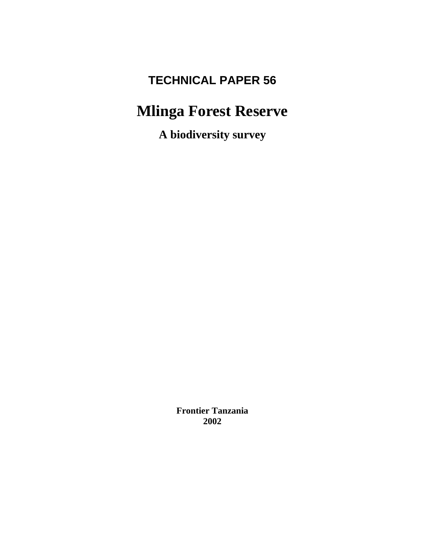# **TECHNICAL PAPER 56**

# **Mlinga Forest Reserve**

**A biodiversity survey**

**Frontier Tanzania 2002**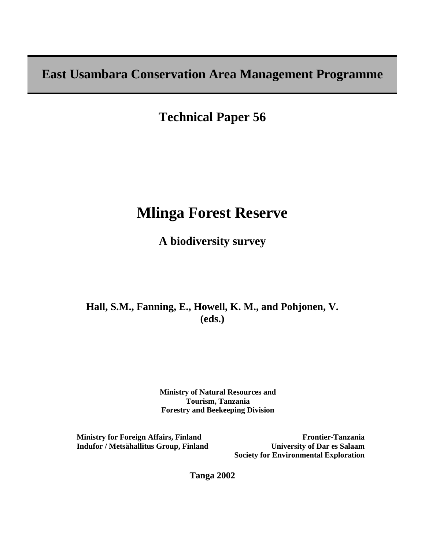**East Usambara Conservation Area Management Programme**

**Technical Paper 56** 

# **Mlinga Forest Reserve**

**A biodiversity survey**

**Hall, S.M., Fanning, E., Howell, K. M., and Pohjonen, V. (eds.)** 

> **Ministry of Natural Resources and Tourism, Tanzania Forestry and Beekeeping Division**

**Ministry for Foreign Affairs, Finland Indufor / Metsähallitus Group, Finland** 

**Frontier-Tanzania University of Dar es Salaam Society for Environmental Exploration**

**Tanga 2002**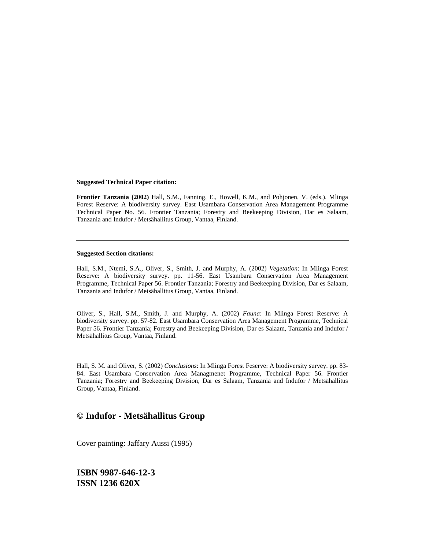#### **Suggested Technical Paper citation:**

**Frontier Tanzania (2002)** Hall, S.M., Fanning, E., Howell, K.M., and Pohjonen, V. (eds.). Mlinga Forest Reserve: A biodiversity survey. East Usambara Conservation Area Management Programme Technical Paper No. 56. Frontier Tanzania; Forestry and Beekeeping Division, Dar es Salaam, Tanzania and Indufor / Metsähallitus Group, Vantaa, Finland.

#### **Suggested Section citations:**

Hall, S.M., Ntemi, S.A., Oliver, S., Smith, J. and Murphy, A. (2002) *Vegetation*: In Mlinga Forest Reserve: A biodiversity survey. pp. 11-56. East Usambara Conservation Area Management Programme, Technical Paper 56. Frontier Tanzania; Forestry and Beekeeping Division, Dar es Salaam, Tanzania and Indufor / Metsähallitus Group, Vantaa, Finland.

Oliver, S., Hall, S.M., Smith, J. and Murphy, A. (2002) *Fauna*: In Mlinga Forest Reserve: A biodiversity survey. pp. 57-82. East Usambara Conservation Area Management Programme, Technical Paper 56. Frontier Tanzania; Forestry and Beekeeping Division, Dar es Salaam, Tanzania and Indufor / Metsähallitus Group, Vantaa, Finland.

Hall, S. M. and Oliver, S. (2002) *Conclusions*: In Mlinga Forest Feserve: A biodiversity survey. pp. 83- 84. East Usambara Conservation Area Managmenet Programme, Technical Paper 56. Frontier Tanzania; Forestry and Beekeeping Division, Dar es Salaam, Tanzania and Indufor / Metsähallitus Group, Vantaa, Finland.

# **© Indufor - Metsähallitus Group**

Cover painting: Jaffary Aussi (1995)

**ISBN 9987-646-12-3 ISSN 1236 620X**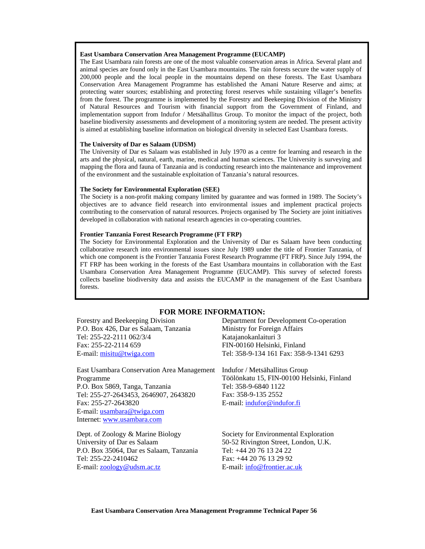#### **East Usambara Conservation Area Management Programme (EUCAMP)**

The East Usambara rain forests are one of the most valuable conservation areas in Africa. Several plant and animal species are found only in the East Usambara mountains. The rain forests secure the water supply of 200,000 people and the local people in the mountains depend on these forests. The East Usambara Conservation Area Management Programme has established the Amani Nature Reserve and aims; at protecting water sources; establishing and protecting forest reserves while sustaining villager's benefits from the forest. The programme is implemented by the Forestry and Beekeeping Division of the Ministry of Natural Resources and Tourism with financial support from the Government of Finland, and implementation support from Indufor / Metsähallitus Group. To monitor the impact of the project, both baseline biodiversity assessments and development of a monitoring system are needed. The present activity is aimed at establishing baseline information on biological diversity in selected East Usambara forests.

#### **The University of Dar es Salaam (UDSM)**

The University of Dar es Salaam was established in July 1970 as a centre for learning and research in the arts and the physical, natural, earth, marine, medical and human sciences. The University is surveying and mapping the flora and fauna of Tanzania and is conducting research into the maintenance and improvement of the environment and the sustainable exploitation of Tanzania's natural resources.

#### **The Society for Environmental Exploration (SEE)**

The Society is a non-profit making company limited by guarantee and was formed in 1989. The Society's objectives are to advance field research into environmental issues and implement practical projects contributing to the conservation of natural resources. Projects organised by The Society are joint initiatives developed in collaboration with national research agencies in co-operating countries.

#### **Frontier Tanzania Forest Research Programme (FT FRP)**

The Society for Environmental Exploration and the University of Dar es Salaam have been conducting collaborative research into environmental issues since July 1989 under the title of Frontier Tanzania, of which one component is the Frontier Tanzania Forest Research Programme (FT FRP). Since July 1994, the FT FRP has been working in the forests of the East Usambara mountains in collaboration with the East Usambara Conservation Area Management Programme (EUCAMP). This survey of selected forests collects baseline biodiversity data and assists the EUCAMP in the management of the East Usambara forests.

#### **FOR MORE INFORMATION:**

Forestry and Beekeeping Division P.O. Box 426, Dar es Salaam, Tanzania Tel: 255-22-2111 062/3/4 Fax: 255-22-2114 659 E-mail: misitu@twiga.com

East Usambara Conservation Area Management Indufor / Metsähallitus Group Programme P.O. Box 5869, Tanga, Tanzania Tel: 255-27-2643453, 2646907, 2643820 Fax: 255-27-2643820 E-mail: usambara@twiga.com Internet: www.usambara.com

Dept. of Zoology & Marine Biology University of Dar es Salaam P.O. Box 35064, Dar es Salaam, Tanzania Tel: 255-22-2410462 E-mail: zoology@udsm.ac.tz

Department for Development Co-operation Ministry for Foreign Affairs Katajanokanlaituri 3 FIN-00160 Helsinki, Finland Tel: 358-9-134 161 Fax: 358-9-1341 6293

Töölönkatu 15, FIN-00100 Helsinki, Finland Tel: 358-9-6840 1122 Fax: 358-9-135 2552 E-mail: indufor@indufor.fi

Society for Environmental Exploration 50-52 Rivington Street, London, U.K. Tel: +44 20 76 13 24 22 Fax: +44 20 76 13 29 92 E-mail: info@frontier.ac.uk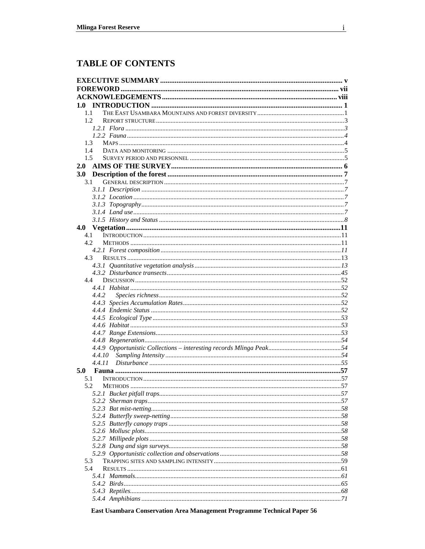# **TABLE OF CONTENTS**

| 1.0 |               |             |     |
|-----|---------------|-------------|-----|
|     | 1.1           |             |     |
|     | 1.2           |             |     |
|     |               |             |     |
|     |               |             |     |
|     | 1.3           |             |     |
|     | 1.4           |             |     |
|     | $1.5^{\circ}$ |             |     |
| 2.0 |               |             |     |
| 3.0 |               |             |     |
|     | 3.1           |             |     |
|     |               |             |     |
|     |               |             |     |
|     |               |             |     |
|     |               |             |     |
|     |               |             |     |
| 4.0 |               |             |     |
|     | 4.1           |             |     |
|     | 4.2           |             |     |
|     | 4.3           |             |     |
|     |               |             |     |
|     |               |             |     |
|     | 4.4           |             |     |
|     |               |             |     |
|     | 4.4.2         |             |     |
|     |               |             |     |
|     |               |             |     |
|     |               |             |     |
|     |               |             |     |
|     |               |             |     |
|     |               |             |     |
|     |               |             |     |
|     | 4.4.10        |             |     |
|     | 4.4.11        |             |     |
| 5.0 |               |             |     |
|     | 5.1           | 5.2 METHODS | .57 |
|     |               |             |     |
|     |               |             |     |
|     |               |             |     |
|     |               |             |     |
|     |               |             |     |
|     |               |             |     |
|     |               |             |     |
|     |               |             |     |
|     |               |             |     |
|     | 5.3           |             |     |
|     | 5.4           |             |     |
|     |               |             |     |
|     |               |             |     |
|     |               |             |     |
|     |               |             |     |

East Usambara Conservation Area Management Programme Technical Paper 56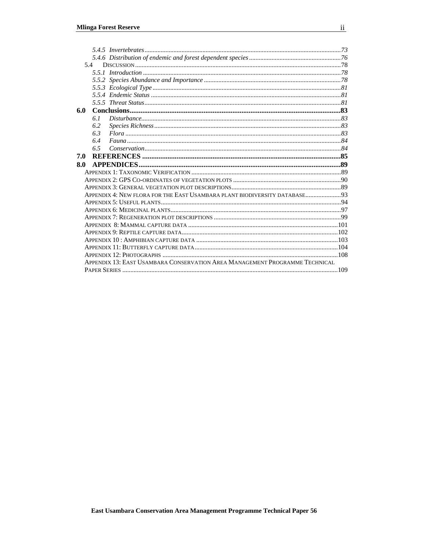|     | 5.4 |                                                                             |      |
|-----|-----|-----------------------------------------------------------------------------|------|
|     |     |                                                                             |      |
|     |     |                                                                             |      |
|     |     |                                                                             |      |
|     |     |                                                                             |      |
|     |     |                                                                             |      |
| 6.0 |     |                                                                             |      |
|     | 6.1 |                                                                             |      |
|     | 6.2 |                                                                             |      |
|     | 6.3 |                                                                             |      |
|     | 6.4 |                                                                             |      |
|     | 6.5 |                                                                             |      |
| 7.0 |     |                                                                             |      |
| 8.0 |     |                                                                             |      |
|     |     |                                                                             |      |
|     |     |                                                                             |      |
|     |     |                                                                             |      |
|     |     | APPENDIX 4: NEW FLORA FOR THE EAST USAMBARA PLANT BIODIVERSITY DATABASE 93  |      |
|     |     |                                                                             |      |
|     |     |                                                                             |      |
|     |     |                                                                             |      |
|     |     |                                                                             |      |
|     |     |                                                                             |      |
|     |     |                                                                             |      |
|     |     |                                                                             |      |
|     |     |                                                                             |      |
|     |     | APPENDIX 13: EAST USAMBARA CONSERVATION AREA MANAGEMENT PROGRAMME TECHNICAL |      |
|     |     |                                                                             | .109 |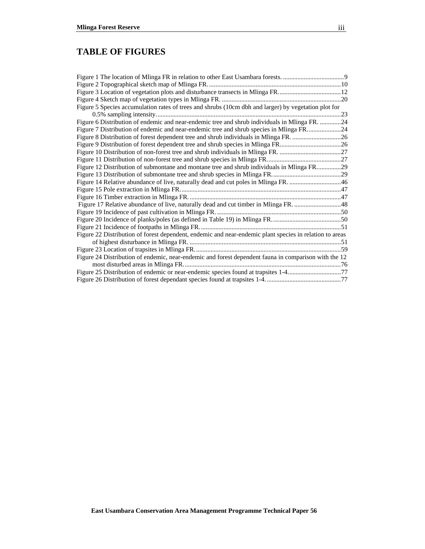# **TABLE OF FIGURES**

| Figure 5 Species accumulation rates of trees and shrubs (10cm dbh and larger) by vegetation plot for    |  |
|---------------------------------------------------------------------------------------------------------|--|
|                                                                                                         |  |
| Figure 6 Distribution of endemic and near-endemic tree and shrub individuals in Mlinga FR. 24           |  |
| Figure 7 Distribution of endemic and near-endemic tree and shrub species in Mlinga FR24                 |  |
|                                                                                                         |  |
|                                                                                                         |  |
|                                                                                                         |  |
|                                                                                                         |  |
| Figure 12 Distribution of submontane and montane tree and shrub individuals in Mlinga FR29              |  |
|                                                                                                         |  |
| Figure 14 Relative abundance of live, naturally dead and cut poles in Mlinga FR. 46                     |  |
|                                                                                                         |  |
|                                                                                                         |  |
|                                                                                                         |  |
|                                                                                                         |  |
|                                                                                                         |  |
|                                                                                                         |  |
| Figure 22 Distribution of forest dependent, endemic and near-endemic plant species in relation to areas |  |
|                                                                                                         |  |
|                                                                                                         |  |
| Figure 24 Distribution of endemic, near-endemic and forest dependent fauna in comparison with the 12    |  |
|                                                                                                         |  |
| Figure 25 Distribution of endemic or near-endemic species found at trapsites 1-477                      |  |
|                                                                                                         |  |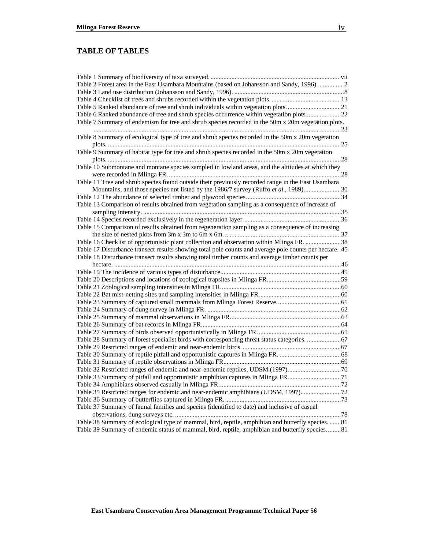# **TABLE OF TABLES**

| Table 2 Forest area in the East Usambara Mountains (based on Johansson and Sandy, 1996)2                                                                                                  |  |
|-------------------------------------------------------------------------------------------------------------------------------------------------------------------------------------------|--|
|                                                                                                                                                                                           |  |
|                                                                                                                                                                                           |  |
| Table 5 Ranked abundance of tree and shrub individuals within vegetation plots21                                                                                                          |  |
| Table 6 Ranked abundance of tree and shrub species occurrence within vegetation plots22                                                                                                   |  |
| Table 7 Summary of endemism for tree and shrub species recorded in the 50m x 20m vegetation plots.                                                                                        |  |
| Table 8 Summary of ecological type of tree and shrub species recorded in the 50m x 20m vegetation                                                                                         |  |
| Table 9 Summary of habitat type for tree and shrub species recorded in the 50m x 20m vegetation                                                                                           |  |
| Table 10 Submontane and montane species sampled in lowland areas, and the altitudes at which they                                                                                         |  |
| Table 11 Tree and shrub species found outside their previously recorded range in the East Usambara<br>Mountains, and those species not listed by the 1986/7 survey (Ruffo et al., 1989)30 |  |
|                                                                                                                                                                                           |  |
| Table 13 Comparison of results obtained from vegetation sampling as a consequence of increase of                                                                                          |  |
|                                                                                                                                                                                           |  |
| Table 15 Comparison of results obtained from regeneration sampling as a consequence of increasing                                                                                         |  |
| Table 16 Checklist of opportunistic plant collection and observation within Mlinga FR. 38                                                                                                 |  |
| Table 17 Disturbance transect results showing total pole counts and average pole counts per hectare45                                                                                     |  |
| Table 18 Disturbance transect results showing total timber counts and average timber counts per                                                                                           |  |
|                                                                                                                                                                                           |  |
|                                                                                                                                                                                           |  |
|                                                                                                                                                                                           |  |
|                                                                                                                                                                                           |  |
|                                                                                                                                                                                           |  |
|                                                                                                                                                                                           |  |
|                                                                                                                                                                                           |  |
|                                                                                                                                                                                           |  |
|                                                                                                                                                                                           |  |
|                                                                                                                                                                                           |  |
| Table 28 Summary of forest specialist birds with corresponding threat status categories. 67                                                                                               |  |
|                                                                                                                                                                                           |  |
|                                                                                                                                                                                           |  |
|                                                                                                                                                                                           |  |
|                                                                                                                                                                                           |  |
| Table 33 Summary of pitfall and opportunistic amphibian captures in Mlinga FR71                                                                                                           |  |
|                                                                                                                                                                                           |  |
| Table 35 Restricted ranges for endemic and near-endemic amphibians (UDSM, 1997)                                                                                                           |  |
|                                                                                                                                                                                           |  |
| Table 37 Summary of faunal families and species (identified to date) and inclusive of casual                                                                                              |  |
|                                                                                                                                                                                           |  |
| Table 38 Summary of ecological type of mammal, bird, reptile, amphibian and butterfly species81                                                                                           |  |
| Table 39 Summary of endemic status of mammal, bird, reptile, amphibian and butterfly species81                                                                                            |  |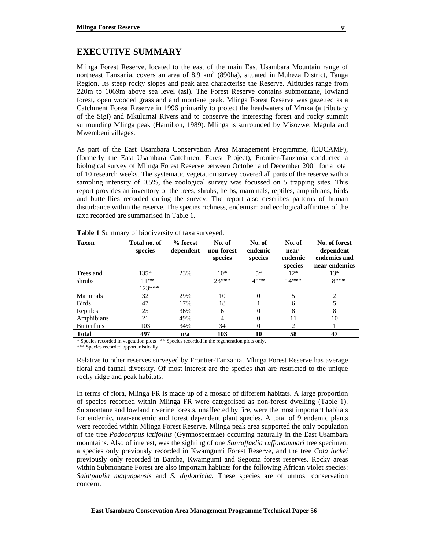# **EXECUTIVE SUMMARY**

Mlinga Forest Reserve, located to the east of the main East Usambara Mountain range of northeast Tanzania, covers an area of 8.9 km<sup>2</sup> (890ha), situated in Muheza District, Tanga Region. Its steep rocky slopes and peak area characterise the Reserve. Altitudes range from 220m to 1069m above sea level (asl). The Forest Reserve contains submontane, lowland forest, open wooded grassland and montane peak. Mlinga Forest Reserve was gazetted as a Catchment Forest Reserve in 1996 primarily to protect the headwaters of Mruka (a tributary of the Sigi) and Mkulumzi Rivers and to conserve the interesting forest and rocky summit surrounding Mlinga peak (Hamilton, 1989). Mlinga is surrounded by Misozwe, Magula and Mwembeni villages.

As part of the East Usambara Conservation Area Management Programme, (EUCAMP), (formerly the East Usambara Catchment Forest Project), Frontier-Tanzania conducted a biological survey of Mlinga Forest Reserve between October and December 2001 for a total of 10 research weeks. The systematic vegetation survey covered all parts of the reserve with a sampling intensity of 0.5%, the zoological survey was focussed on 5 trapping sites. This report provides an inventory of the trees, shrubs, herbs, mammals, reptiles, amphibians, birds and butterflies recorded during the survey. The report also describes patterns of human disturbance within the reserve. The species richness, endemism and ecological affinities of the taxa recorded are summarised in Table 1.

| <b>Taxon</b>       | Total no. of<br>species | % forest<br>dependent | No. of<br>non-forest<br>species | No. of<br>endemic<br>species | No. of<br>near-<br>endemic<br>species | No. of forest<br>dependent<br>endemics and<br>near-endemics |
|--------------------|-------------------------|-----------------------|---------------------------------|------------------------------|---------------------------------------|-------------------------------------------------------------|
| Trees and          | $135*$                  | 23%                   | $10*$                           | $5*$                         | $12*$                                 | $13*$                                                       |
| shrubs             | $11**$                  |                       | $23***$                         | $4***$                       | $14***$                               | $8***$                                                      |
|                    | $123***$                |                       |                                 |                              |                                       |                                                             |
| <b>Mammals</b>     | 32                      | 29%                   | 10                              | $\theta$                     |                                       | 2                                                           |
| <b>Birds</b>       | 47                      | 17%                   | 18                              |                              | 6                                     |                                                             |
| Reptiles           | 25                      | 36%                   | 6                               | $\Omega$                     | 8                                     | 8                                                           |
| Amphibians         | 21                      | 49%                   | $\overline{4}$                  | $\Omega$                     | 11                                    | 10                                                          |
| <b>Butterflies</b> | 103                     | 34%                   | 34                              | $\Omega$                     | 2                                     |                                                             |
| <b>Total</b>       | 497                     | n/a                   | 103                             | 10                           | 58                                    | 47                                                          |

| Table 1 Summary of biodiversity of taxa surveyed. |  |  |  |  |  |  |  |  |  |  |
|---------------------------------------------------|--|--|--|--|--|--|--|--|--|--|
|---------------------------------------------------|--|--|--|--|--|--|--|--|--|--|

\* Species recorded in vegetation plots \*\* Species recorded in the regeneration plots only,

\*\*\* Species recorded opportunistically

Relative to other reserves surveyed by Frontier-Tanzania, Mlinga Forest Reserve has average floral and faunal diversity. Of most interest are the species that are restricted to the unique rocky ridge and peak habitats.

In terms of flora, Mlinga FR is made up of a mosaic of different habitats. A large proportion of species recorded within Mlinga FR were categorised as non-forest dwelling (Table 1). Submontane and lowland riverine forests, unaffected by fire, were the most important habitats for endemic, near-endemic and forest dependent plant species. A total of 9 endemic plants were recorded within Mlinga Forest Reserve. Mlinga peak area supported the only population of the tree *Podocarpus latifolius* (Gymnospermae) occurring naturally in the East Usambara mountains. Also of interest, was the sighting of one *Sanraffaelia ruffonammari* tree specimen, a species only previously recorded in Kwamgumi Forest Reserve, and the tree *Cola luckei*  previously only recorded in Bamba, Kwamgumi and Segoma forest reserves. Rocky areas within Submontane Forest are also important habitats for the following African violet species: *Saintpaulia magungensis* and *S. diplotricha.* These species are of utmost conservation concern.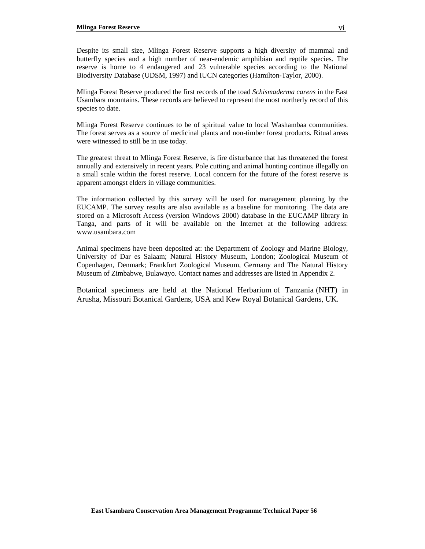Despite its small size, Mlinga Forest Reserve supports a high diversity of mammal and butterfly species and a high number of near-endemic amphibian and reptile species. The reserve is home to 4 endangered and 23 vulnerable species according to the National Biodiversity Database (UDSM, 1997) and IUCN categories (Hamilton-Taylor, 2000).

Mlinga Forest Reserve produced the first records of the toad *Schismaderma carens* in the East Usambara mountains. These records are believed to represent the most northerly record of this species to date.

Mlinga Forest Reserve continues to be of spiritual value to local Washambaa communities. The forest serves as a source of medicinal plants and non-timber forest products. Ritual areas were witnessed to still be in use today.

The greatest threat to Mlinga Forest Reserve, is fire disturbance that has threatened the forest annually and extensively in recent years. Pole cutting and animal hunting continue illegally on a small scale within the forest reserve. Local concern for the future of the forest reserve is apparent amongst elders in village communities.

The information collected by this survey will be used for management planning by the EUCAMP. The survey results are also available as a baseline for monitoring. The data are stored on a Microsoft Access (version Windows 2000) database in the EUCAMP library in Tanga, and parts of it will be available on the Internet at the following address: www.usambara.com

Animal specimens have been deposited at: the Department of Zoology and Marine Biology, University of Dar es Salaam; Natural History Museum, London; Zoological Museum of Copenhagen, Denmark; Frankfurt Zoological Museum, Germany and The Natural History Museum of Zimbabwe, Bulawayo. Contact names and addresses are listed in Appendix 2.

Botanical specimens are held at the National Herbarium of Tanzania (NHT) in Arusha, Missouri Botanical Gardens, USA and Kew Royal Botanical Gardens, UK.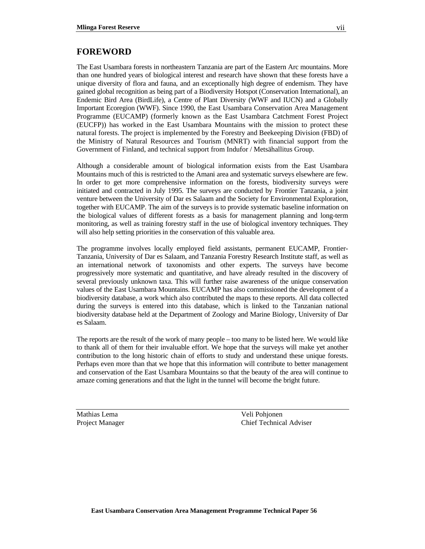# **FOREWORD**

The East Usambara forests in northeastern Tanzania are part of the Eastern Arc mountains. More than one hundred years of biological interest and research have shown that these forests have a unique diversity of flora and fauna, and an exceptionally high degree of endemism. They have gained global recognition as being part of a Biodiversity Hotspot (Conservation International), an Endemic Bird Area (BirdLife), a Centre of Plant Diversity (WWF and IUCN) and a Globally Important Ecoregion (WWF). Since 1990, the East Usambara Conservation Area Management Programme (EUCAMP) (formerly known as the East Usambara Catchment Forest Project (EUCFP)) has worked in the East Usambara Mountains with the mission to protect these natural forests. The project is implemented by the Forestry and Beekeeping Division (FBD) of the Ministry of Natural Resources and Tourism (MNRT) with financial support from the Government of Finland, and technical support from Indufor / Metsähallitus Group.

Although a considerable amount of biological information exists from the East Usambara Mountains much of this is restricted to the Amani area and systematic surveys elsewhere are few. In order to get more comprehensive information on the forests, biodiversity surveys were initiated and contracted in July 1995. The surveys are conducted by Frontier Tanzania, a joint venture between the University of Dar es Salaam and the Society for Environmental Exploration, together with EUCAMP. The aim of the surveys is to provide systematic baseline information on the biological values of different forests as a basis for management planning and long-term monitoring, as well as training forestry staff in the use of biological inventory techniques. They will also help setting priorities in the conservation of this valuable area.

The programme involves locally employed field assistants, permanent EUCAMP, Frontier-Tanzania, University of Dar es Salaam, and Tanzania Forestry Research Institute staff, as well as an international network of taxonomists and other experts. The surveys have become progressively more systematic and quantitative, and have already resulted in the discovery of several previously unknown taxa. This will further raise awareness of the unique conservation values of the East Usambara Mountains. EUCAMP has also commissioned the development of a biodiversity database, a work which also contributed the maps to these reports. All data collected during the surveys is entered into this database, which is linked to the Tanzanian national biodiversity database held at the Department of Zoology and Marine Biology, University of Dar es Salaam.

The reports are the result of the work of many people – too many to be listed here. We would like to thank all of them for their invaluable effort. We hope that the surveys will make yet another contribution to the long historic chain of efforts to study and understand these unique forests. Perhaps even more than that we hope that this information will contribute to better management and conservation of the East Usambara Mountains so that the beauty of the area will continue to amaze coming generations and that the light in the tunnel will become the bright future.

Mathias Lema Veli Pohjonen

Project Manager Chief Technical Adviser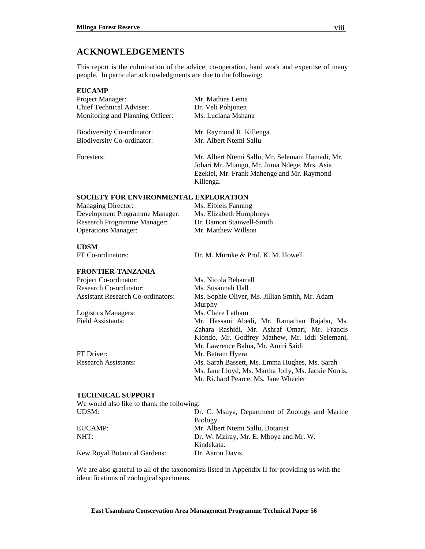# **ACKNOWLEDGEMENTS**

This report is the culmination of the advice, co-operation, hard work and expertise of many people. In particular acknowledgments are due to the following:

| <b>EUCAMP</b>                                |                                                                                                                                                             |
|----------------------------------------------|-------------------------------------------------------------------------------------------------------------------------------------------------------------|
| Project Manager:                             | Mr. Mathias Lema                                                                                                                                            |
| Chief Technical Adviser:                     | Dr. Veli Pohjonen                                                                                                                                           |
| Monitoring and Planning Officer:             | Ms. Luciana Mshana                                                                                                                                          |
| Biodiversity Co-ordinator:                   | Mr. Raymond R. Killenga.                                                                                                                                    |
| <b>Biodiversity Co-ordinator:</b>            | Mr. Albert Ntemi Sallu                                                                                                                                      |
| Foresters:                                   | Mr. Albert Ntemi Sallu, Mr. Selemani Hamadi, Mr.<br>Johari Mr. Mtango, Mr. Juma Ndege, Mrs. Asia<br>Ezekiel, Mr. Frank Mahenge and Mr. Raymond<br>Killenga. |
| <b>SOCIETY FOR ENVIRONMENTAL EXPLORATION</b> |                                                                                                                                                             |
| <b>Managing Director:</b>                    | Ms. Eibleis Fanning                                                                                                                                         |
| Development Programme Manager:               | Ms. Elizabeth Humphreys                                                                                                                                     |

Research Programme Manager: Dr. Damon Stanwell-Smith Operations Manager: Mr. Matthew Willson

**UDSM** 

FT Co-ordinators: Dr. M. Muruke & Prof. K. M. Howell.

#### **FRONTIER-TANZANIA** Project Co-ordinator: Ms. Nicola Beharrell Research Co-ordinator: Ms. Susannah Hall Assistant Research Co-ordinators: Ms. Sophie Oliver, Ms. Jillian Smith, Mr. Adam Murphy Logistics Managers: Ms. Claire Latham Field Assistants: Mr. Hassani Abedi, Mr. Ramathan Rajabu, Ms. Zahara Rashidi, Mr. Ashraf Omari, Mr. Francis Kiondo, Mr. Godfrey Mathew, Mr. Iddi Selemani, Mr. Lawrence Balua, Mr. Amiri Saidi FT Driver: Mr. Betram Hyera Research Assistants: Ms. Sarah Bassett, Ms. Emma Hughes, Ms. Sarah Ms. Jane Lloyd, Ms. Martha Jolly, Ms. Jackie Norris, Mr. Richard Pearce, Ms. Jane Wheeler

#### **TECHNICAL SUPPORT**

We would also like to thank the following: UDSM: Dr. C. Msuya, Department of Zoology and Marine Biology. EUCAMP: Mr. Albert Ntemi Sallu, Botanist NHT: Dr. W. Mziray, Mr. E. Mboya and Mr. W. Kindekata. Kew Royal Botanical Gardens: Dr. Aaron Davis.

We are also grateful to all of the taxonomists listed in Appendix II for providing us with the identifications of zoological specimens.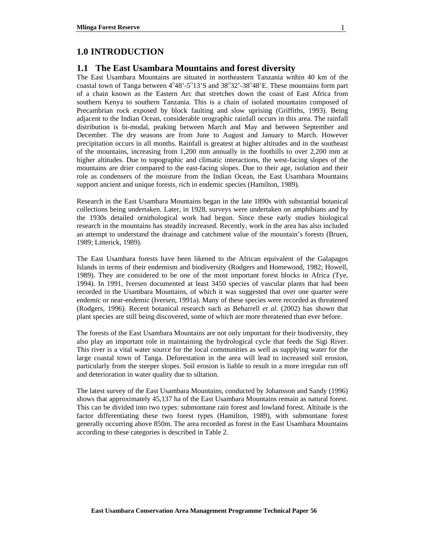# **1.0 INTRODUCTION**

#### **1.1 The East Usambara Mountains and forest diversity**

The East Usambara Mountains are situated in northeastern Tanzania within 40 km of the coastal town of Tanga between  $4^{\circ}48'$ -5 $^{\circ}13'$ S and  $38^{\circ}32'$ -38 $^{\circ}48'$ E. These mountains form part of a chain known as the Eastern Arc that stretches down the coast of East Africa from southern Kenya to southern Tanzania. This is a chain of isolated mountains composed of Precambrian rock exposed by block faulting and slow uprising (Griffiths, 1993). Being adjacent to the Indian Ocean, considerable orographic rainfall occurs in this area. The rainfall distribution is bi-modal, peaking between March and May and between September and December. The dry seasons are from June to August and January to March. However precipitation occurs in all months. Rainfall is greatest at higher altitudes and in the southeast of the mountains, increasing from 1,200 mm annually in the foothills to over 2,200 mm at higher altitudes. Due to topographic and climatic interactions, the west-facing slopes of the mountains are drier compared to the east-facing slopes. Due to their age, isolation and their role as condensers of the moisture from the Indian Ocean, the East Usambara Mountains support ancient and unique forests, rich in endemic species (Hamilton, 1989).

Research in the East Usambara Mountains began in the late 1890s with substantial botanical collections being undertaken. Later, in 1928, surveys were undertaken on amphibians and by the 1930s detailed ornithological work had begun. Since these early studies biological research in the mountains has steadily increased. Recently, work in the area has also included an attempt to understand the drainage and catchment value of the mountain's forests (Bruen, 1989; Litterick, 1989).

The East Usambara forests have been likened to the African equivalent of the Galapagos Islands in terms of their endemism and biodiversity (Rodgers and Homewood, 1982; Howell, 1989). They are considered to be one of the most important forest blocks in Africa (Tye, 1994). In 1991, Iversen documented at least 3450 species of vascular plants that had been recorded in the Usambara Mountains, of which it was suggested that over one quarter were endemic or near-endemic (Iversen, 1991a). Many of these species were recorded as threatened (Rodgers, 1996). Recent botanical research such as Beharrell *et al.* (2002) has shown that plant species are still being discovered, some of which are more threatened than ever before.

The forests of the East Usambara Mountains are not only important for their biodiversity, they also play an important role in maintaining the hydrological cycle that feeds the Sigi River. This river is a vital water source for the local communities as well as supplying water for the large coastal town of Tanga. Deforestation in the area will lead to increased soil erosion, particularly from the steeper slopes. Soil erosion is liable to result in a more irregular run off and deterioration in water quality due to siltation.

The latest survey of the East Usambara Mountains, conducted by Johansson and Sandy (1996) shows that approximately 45,137 ha of the East Usambara Mountains remain as natural forest. This can be divided into two types: submontane rain forest and lowland forest. Altitude is the factor differentiating these two forest types (Hamilton, 1989), with submontane forest generally occurring above 850m. The area recorded as forest in the East Usambara Mountains according to these categories is described in Table 2.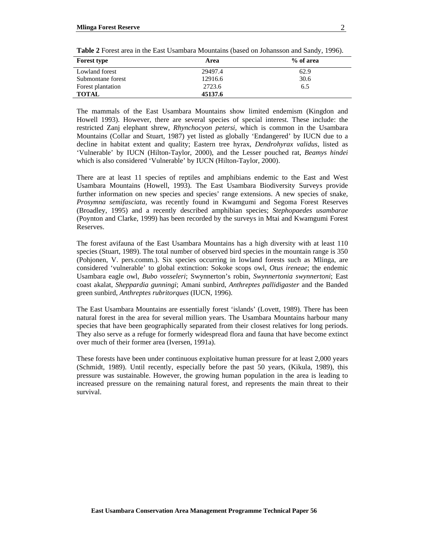| Table 2 Forest area in the East Usambara Mountains (based on Johansson and Sandy, 1996). |  |  |
|------------------------------------------------------------------------------------------|--|--|
|------------------------------------------------------------------------------------------|--|--|

| <b>Forest type</b> | Area    | % of area |
|--------------------|---------|-----------|
| Lowland forest     | 29497.4 | 62.9      |
| Submontane forest  | 12916.6 | 30.6      |
| Forest plantation  | 2723.6  | 6.5       |
| <b>TOTAL</b>       | 45137.6 |           |

The mammals of the East Usambara Mountains show limited endemism (Kingdon and Howell 1993). However, there are several species of special interest. These include: the restricted Zanj elephant shrew, *Rhynchocyon petersi,* which is common in the Usambara Mountains (Collar and Stuart, 1987) yet listed as globally 'Endangered' by IUCN due to a decline in habitat extent and quality; Eastern tree hyrax, *Dendrohyrax validus*, listed as 'Vulnerable' by IUCN (Hilton-Taylor, 2000), and the Lesser pouched rat, *Beamys hindei*  which is also considered 'Vulnerable' by IUCN (Hilton-Taylor, 2000).

There are at least 11 species of reptiles and amphibians endemic to the East and West Usambara Mountains (Howell, 1993). The East Usambara Biodiversity Surveys provide further information on new species and species' range extensions. A new species of snake, *Prosymna semifasciata,* was recently found in Kwamgumi and Segoma Forest Reserves (Broadley, 1995) and a recently described amphibian species; *Stephopaedes usambarae* (Poynton and Clarke, 1999) has been recorded by the surveys in Mtai and Kwamgumi Forest Reserves.

The forest avifauna of the East Usambara Mountains has a high diversity with at least 110 species (Stuart, 1989). The total number of observed bird species in the mountain range is 350 (Pohjonen, V. pers.comm.). Six species occurring in lowland forests such as Mlinga, are considered 'vulnerable' to global extinction: Sokoke scops owl, *Otus ireneae*; the endemic Usambara eagle owl, *Bubo vosseleri*; Swynnerton's robin, *Swynnertonia swynnertoni*; East coast akalat, *Sheppardia gunningi*; Amani sunbird, *Anthreptes pallidigaster* and the Banded green sunbird, *Anthreptes rubritorques* (IUCN*,* 1996).

The East Usambara Mountains are essentially forest 'islands' (Lovett, 1989). There has been natural forest in the area for several million years. The Usambara Mountains harbour many species that have been geographically separated from their closest relatives for long periods. They also serve as a refuge for formerly widespread flora and fauna that have become extinct over much of their former area (Iversen, 1991a).

These forests have been under continuous exploitative human pressure for at least 2,000 years (Schmidt, 1989). Until recently, especially before the past 50 years, (Kikula, 1989), this pressure was sustainable. However, the growing human population in the area is leading to increased pressure on the remaining natural forest, and represents the main threat to their survival.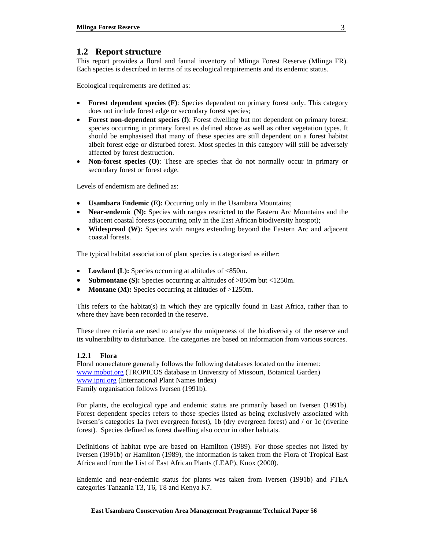# **1.2 Report structure**

This report provides a floral and faunal inventory of Mlinga Forest Reserve (Mlinga FR). Each species is described in terms of its ecological requirements and its endemic status.

Ecological requirements are defined as:

- **Forest dependent species (F)**: Species dependent on primary forest only. This category does not include forest edge or secondary forest species;
- **Forest non-dependent species (f)**: Forest dwelling but not dependent on primary forest: species occurring in primary forest as defined above as well as other vegetation types. It should be emphasised that many of these species are still dependent on a forest habitat albeit forest edge or disturbed forest. Most species in this category will still be adversely affected by forest destruction.
- **Non-forest species (O)**: These are species that do not normally occur in primary or secondary forest or forest edge.

Levels of endemism are defined as:

- **Usambara Endemic (E):** Occurring only in the Usambara Mountains;
- **Near-endemic (N):** Species with ranges restricted to the Eastern Arc Mountains and the adjacent coastal forests (occurring only in the East African biodiversity hotspot);
- **Widespread (W):** Species with ranges extending beyond the Eastern Arc and adjacent coastal forests.

The typical habitat association of plant species is categorised as either:

- Lowland (L): Species occurring at altitudes of <850m.
- **Submontane (S):** Species occurring at altitudes of >850m but <1250m.
- **Montane (M):** Species occurring at altitudes of >1250m.

This refers to the habitat(s) in which they are typically found in East Africa, rather than to where they have been recorded in the reserve.

These three criteria are used to analyse the uniqueness of the biodiversity of the reserve and its vulnerability to disturbance. The categories are based on information from various sources.

#### **1.2.1 Flora**

Floral nomeclature generally follows the following databases located on the internet: www.mobot.org (TROPICOS database in University of Missouri, Botanical Garden) www.ipni.org (International Plant Names Index) Family organisation follows Iversen (1991b).

For plants, the ecological type and endemic status are primarily based on Iversen (1991b). Forest dependent species refers to those species listed as being exclusively associated with Iversen's categories 1a (wet evergreen forest), 1b (dry evergreen forest) and / or 1c (riverine forest). Species defined as forest dwelling also occur in other habitats.

Definitions of habitat type are based on Hamilton (1989). For those species not listed by Iversen (1991b) or Hamilton (1989), the information is taken from the Flora of Tropical East Africa and from the List of East African Plants (LEAP), Knox (2000).

Endemic and near-endemic status for plants was taken from Iversen (1991b) and FTEA categories Tanzania T3, T6, T8 and Kenya K7.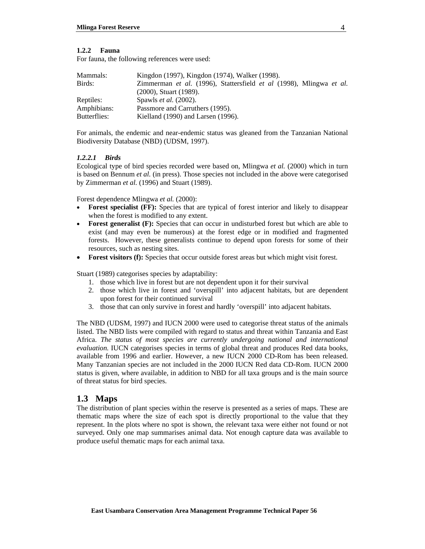#### **1.2.2 Fauna**

For fauna, the following references were used:

| Mammals:     | Kingdon (1997), Kingdon (1974), Walker (1998).                      |
|--------------|---------------------------------------------------------------------|
| Birds:       | Zimmerman et al. (1996), Stattersfield et al (1998), Mlingwa et al. |
|              | $(2000)$ , Stuart $(1989)$ .                                        |
| Reptiles:    | Spawls <i>et al.</i> (2002).                                        |
| Amphibians:  | Passmore and Carruthers (1995).                                     |
| Butterflies: | Kielland (1990) and Larsen (1996).                                  |

For animals, the endemic and near-endemic status was gleaned from the Tanzanian National Biodiversity Database (NBD) (UDSM, 1997).

#### *1.2.2.1 Birds*

Ecological type of bird species recorded were based on, Mlingwa *et al.* (2000) which in turn is based on Bennum *et al.* (in press). Those species not included in the above were categorised by Zimmerman *et al.* (1996) and Stuart (1989).

Forest dependence Mlingwa *et al.* (2000):

- **Forest specialist (FF):** Species that are typical of forest interior and likely to disappear when the forest is modified to any extent.
- **Forest generalist (F):** Species that can occur in undisturbed forest but which are able to exist (and may even be numerous) at the forest edge or in modified and fragmented forests. However, these generalists continue to depend upon forests for some of their resources, such as nesting sites.
- **Forest visitors (f):** Species that occur outside forest areas but which might visit forest.

Stuart (1989) categorises species by adaptability:

- 1. those which live in forest but are not dependent upon it for their survival
- 2. those which live in forest and 'overspill' into adjacent habitats, but are dependent upon forest for their continued survival
- 3. those that can only survive in forest and hardly 'overspill' into adjacent habitats.

The NBD (UDSM, 1997) and IUCN 2000 were used to categorise threat status of the animals listed. The NBD lists were compiled with regard to status and threat within Tanzania and East Africa. *The status of most species are currently undergoing national and international evaluation.* IUCN categorises species in terms of global threat and produces Red data books, available from 1996 and earlier. However, a new IUCN 2000 CD-Rom has been released. Many Tanzanian species are not included in the 2000 IUCN Red data CD-Rom. IUCN 2000 status is given, where available, in addition to NBD for all taxa groups and is the main source of threat status for bird species.

#### **1.3 Maps**

The distribution of plant species within the reserve is presented as a series of maps. These are thematic maps where the size of each spot is directly proportional to the value that they represent. In the plots where no spot is shown, the relevant taxa were either not found or not surveyed. Only one map summarises animal data. Not enough capture data was available to produce useful thematic maps for each animal taxa.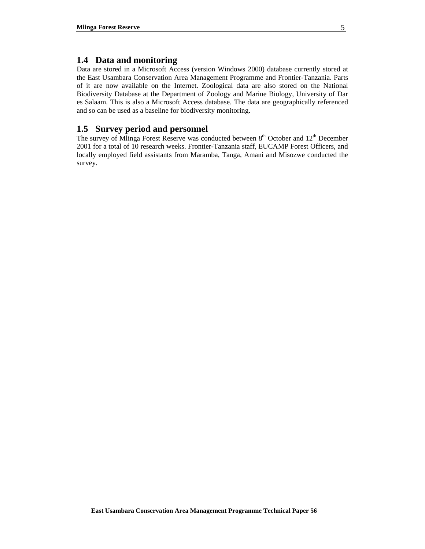### **1.4 Data and monitoring**

Data are stored in a Microsoft Access (version Windows 2000) database currently stored at the East Usambara Conservation Area Management Programme and Frontier-Tanzania. Parts of it are now available on the Internet. Zoological data are also stored on the National Biodiversity Database at the Department of Zoology and Marine Biology, University of Dar es Salaam. This is also a Microsoft Access database. The data are geographically referenced and so can be used as a baseline for biodiversity monitoring.

### **1.5 Survey period and personnel**

The survey of Mlinga Forest Reserve was conducted between  $8<sup>th</sup>$  October and  $12<sup>th</sup>$  December 2001 for a total of 10 research weeks. Frontier-Tanzania staff, EUCAMP Forest Officers, and locally employed field assistants from Maramba, Tanga, Amani and Misozwe conducted the survey.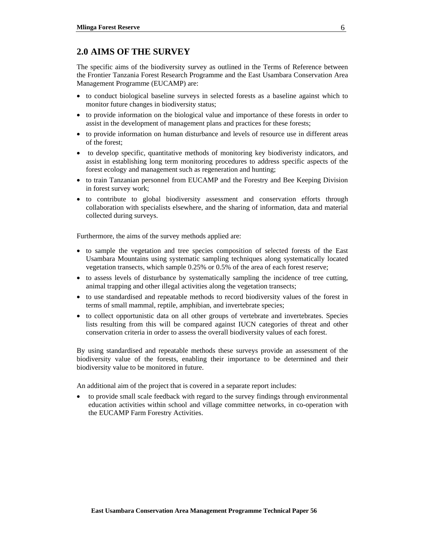# **2.0 AIMS OF THE SURVEY**

The specific aims of the biodiversity survey as outlined in the Terms of Reference between the Frontier Tanzania Forest Research Programme and the East Usambara Conservation Area Management Programme (EUCAMP) are:

- to conduct biological baseline surveys in selected forests as a baseline against which to monitor future changes in biodiversity status;
- to provide information on the biological value and importance of these forests in order to assist in the development of management plans and practices for these forests;
- to provide information on human disturbance and levels of resource use in different areas of the forest;
- to develop specific, quantitative methods of monitoring key biodiveristy indicators, and assist in establishing long term monitoring procedures to address specific aspects of the forest ecology and management such as regeneration and hunting;
- to train Tanzanian personnel from EUCAMP and the Forestry and Bee Keeping Division in forest survey work;
- to contribute to global biodiversity assessment and conservation efforts through collaboration with specialists elsewhere, and the sharing of information, data and material collected during surveys.

Furthermore, the aims of the survey methods applied are:

- to sample the vegetation and tree species composition of selected forests of the East Usambara Mountains using systematic sampling techniques along systematically located vegetation transects, which sample 0.25% or 0.5% of the area of each forest reserve;
- to assess levels of disturbance by systematically sampling the incidence of tree cutting, animal trapping and other illegal activities along the vegetation transects;
- to use standardised and repeatable methods to record biodiversity values of the forest in terms of small mammal, reptile, amphibian, and invertebrate species;
- to collect opportunistic data on all other groups of vertebrate and invertebrates. Species lists resulting from this will be compared against IUCN categories of threat and other conservation criteria in order to assess the overall biodiversity values of each forest.

By using standardised and repeatable methods these surveys provide an assessment of the biodiversity value of the forests, enabling their importance to be determined and their biodiversity value to be monitored in future.

An additional aim of the project that is covered in a separate report includes:

• to provide small scale feedback with regard to the survey findings through environmental education activities within school and village committee networks, in co-operation with the EUCAMP Farm Forestry Activities.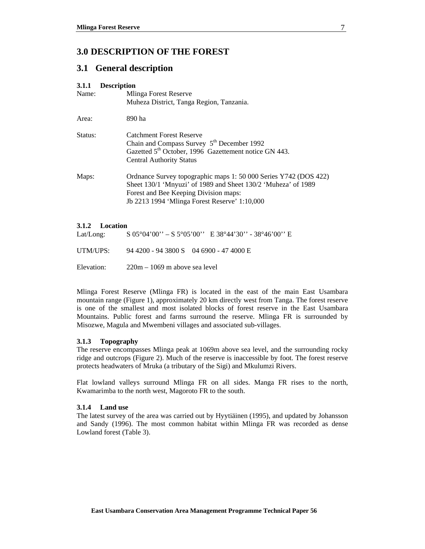# **3.0 DESCRIPTION OF THE FOREST**

# **3.1 General description**

| <b>3.1.1</b><br>Name: | <b>Description</b><br>Mlinga Forest Reserve<br>Muheza District, Tanga Region, Tanzania.                                                                                                                                     |
|-----------------------|-----------------------------------------------------------------------------------------------------------------------------------------------------------------------------------------------------------------------------|
| Area:                 | 890 ha                                                                                                                                                                                                                      |
| Status:               | <b>Catchment Forest Reserve</b><br>Chain and Compass Survey 5 <sup>th</sup> December 1992<br>Gazetted 5 <sup>th</sup> October, 1996 Gazettement notice GN 443.<br><b>Central Authority Status</b>                           |
| Maps:                 | Ordnance Survey topographic maps 1: 50 000 Series Y742 (DOS 422)<br>Sheet 130/1 'Mnyuzi' of 1989 and Sheet 130/2 'Muheza' of 1989<br>Forest and Bee Keeping Division maps:<br>Jb 2213 1994 'Mlinga Forest Reserve' 1:10,000 |
| 3.1.2                 | Location                                                                                                                                                                                                                    |
| Lat/Long:             | $S 05^{\circ}04'00'' - S 5^{\circ}05'00''$ E 38°44'30'' - 38°46'00'' E                                                                                                                                                      |

UTM/UPS: 94 4200 - 94 3800 S 04 6900 - 47 4000 E

Elevation: 220m – 1069 m above sea level

Mlinga Forest Reserve (Mlinga FR) is located in the east of the main East Usambara mountain range (Figure 1), approximately 20 km directly west from Tanga. The forest reserve is one of the smallest and most isolated blocks of forest reserve in the East Usambara Mountains. Public forest and farms surround the reserve. Mlinga FR is surrounded by Misozwe, Magula and Mwembeni villages and associated sub-villages.

#### **3.1.3 Topography**

The reserve encompasses Mlinga peak at 1069m above sea level, and the surrounding rocky ridge and outcrops (Figure 2). Much of the reserve is inaccessible by foot. The forest reserve protects headwaters of Mruka (a tributary of the Sigi) and Mkulumzi Rivers.

Flat lowland valleys surround Mlinga FR on all sides. Manga FR rises to the north, Kwamarimba to the north west, Magoroto FR to the south.

#### **3.1.4 Land use**

The latest survey of the area was carried out by Hyytiäinen (1995), and updated by Johansson and Sandy (1996). The most common habitat within Mlinga FR was recorded as dense Lowland forest (Table 3).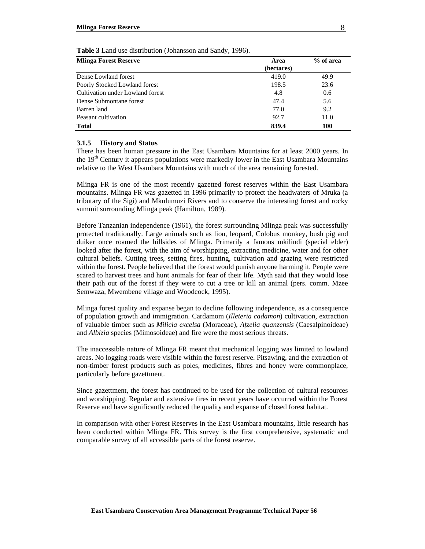| <b>Mlinga Forest Reserve</b>     | Area       | % of area |  |
|----------------------------------|------------|-----------|--|
|                                  | (hectares) |           |  |
| Dense Lowland forest             | 419.0      | 49.9      |  |
| Poorly Stocked Lowland forest    | 198.5      | 23.6      |  |
| Cultivation under Lowland forest | 4.8        | 0.6       |  |
| Dense Submontane forest          | 47.4       | 5.6       |  |
| Barren land                      | 77.0       | 9.2       |  |
| Peasant cultivation              | 92.7       | 11.0      |  |
| <b>Total</b>                     | 839.4      | 100       |  |

**Table 3** Land use distribution (Johansson and Sandy, 1996).

#### **3.1.5 History and Status**

There has been human pressure in the East Usambara Mountains for at least 2000 years. In the  $19<sup>th</sup>$  Century it appears populations were markedly lower in the East Usambara Mountains relative to the West Usambara Mountains with much of the area remaining forested.

Mlinga FR is one of the most recently gazetted forest reserves within the East Usambara mountains. Mlinga FR was gazetted in 1996 primarily to protect the headwaters of Mruka (a tributary of the Sigi) and Mkulumuzi Rivers and to conserve the interesting forest and rocky summit surrounding Mlinga peak (Hamilton, 1989).

Before Tanzanian independence (1961), the forest surrounding Mlinga peak was successfully protected traditionally. Large animals such as lion, leopard, Colobus monkey, bush pig and duiker once roamed the hillsides of Mlinga. Primarily a famous mkilindi (special elder) looked after the forest, with the aim of worshipping, extracting medicine, water and for other cultural beliefs. Cutting trees, setting fires, hunting, cultivation and grazing were restricted within the forest. People believed that the forest would punish anyone harming it. People were scared to harvest trees and hunt animals for fear of their life. Myth said that they would lose their path out of the forest if they were to cut a tree or kill an animal (pers. comm. Mzee Semwaza, Mwembene village and Woodcock, 1995).

Mlinga forest quality and expanse began to decline following independence, as a consequence of population growth and immigration. Cardamom (*Illeteria cadamon*) cultivation, extraction of valuable timber such as *Milicia excelsa* (Moraceae), *Afzelia quanzensis* (Caesalpinoideae) and *Albizia* species (Mimosoideae) and fire were the most serious threats.

The inaccessible nature of Mlinga FR meant that mechanical logging was limited to lowland areas. No logging roads were visible within the forest reserve. Pitsawing, and the extraction of non-timber forest products such as poles, medicines, fibres and honey were commonplace, particularly before gazettment.

Since gazettment, the forest has continued to be used for the collection of cultural resources and worshipping. Regular and extensive fires in recent years have occurred within the Forest Reserve and have significantly reduced the quality and expanse of closed forest habitat.

In comparison with other Forest Reserves in the East Usambara mountains, little research has been conducted within Mlinga FR. This survey is the first comprehensive, systematic and comparable survey of all accessible parts of the forest reserve.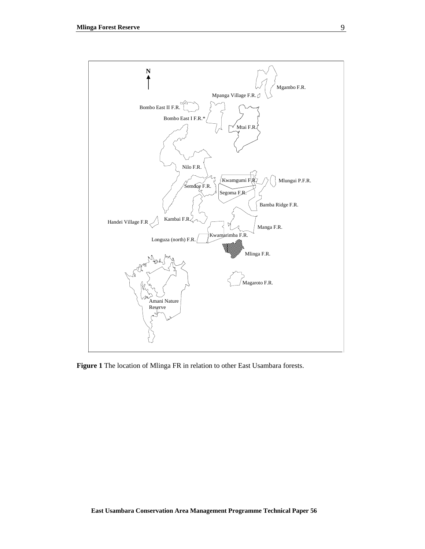

**Figure 1** The location of Mlinga FR in relation to other East Usambara forests.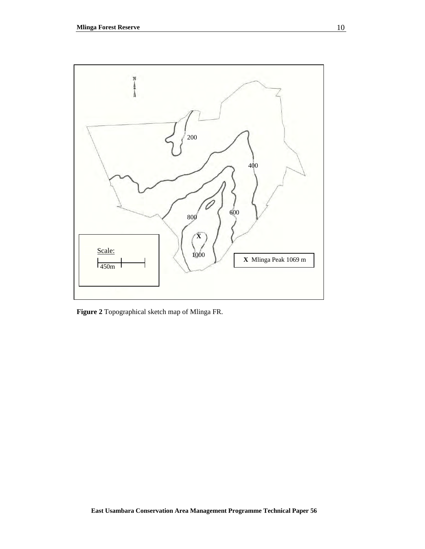

**Figure 2** Topographical sketch map of Mlinga FR.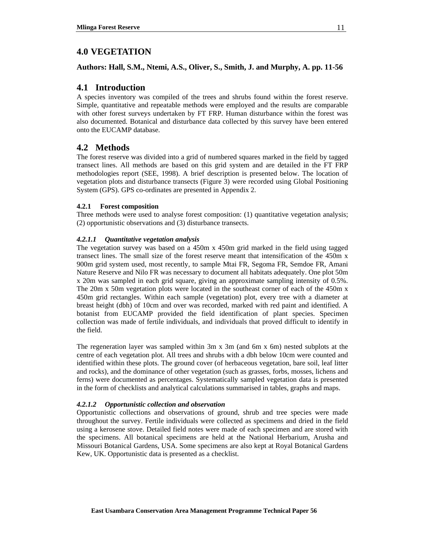# **4.0 VEGETATION**

### **Authors: Hall, S.M., Ntemi, A.S., Oliver, S., Smith, J. and Murphy, A. pp. 11-56**

# **4.1 Introduction**

A species inventory was compiled of the trees and shrubs found within the forest reserve. Simple, quantitative and repeatable methods were employed and the results are comparable with other forest surveys undertaken by FT FRP. Human disturbance within the forest was also documented. Botanical and disturbance data collected by this survey have been entered onto the EUCAMP database.

# **4.2 Methods**

The forest reserve was divided into a grid of numbered squares marked in the field by tagged transect lines. All methods are based on this grid system and are detailed in the FT FRP methodologies report (SEE, 1998). A brief description is presented below. The location of vegetation plots and disturbance transects (Figure 3) were recorded using Global Positioning System (GPS). GPS co-ordinates are presented in Appendix 2.

#### **4.2.1 Forest composition**

Three methods were used to analyse forest composition: (1) quantitative vegetation analysis; (2) opportunistic observations and (3) disturbance transects.

#### *4.2.1.1 Quantitative vegetation analysis*

The vegetation survey was based on a 450m x 450m grid marked in the field using tagged transect lines. The small size of the forest reserve meant that intensification of the 450m x 900m grid system used, most recently, to sample Mtai FR, Segoma FR, Semdoe FR, Amani Nature Reserve and Nilo FR was necessary to document all habitats adequately. One plot 50m x 20m was sampled in each grid square, giving an approximate sampling intensity of 0.5%. The 20m x 50m vegetation plots were located in the southeast corner of each of the 450m x 450m grid rectangles. Within each sample (vegetation) plot, every tree with a diameter at breast height (dbh) of 10cm and over was recorded, marked with red paint and identified. A botanist from EUCAMP provided the field identification of plant species. Specimen collection was made of fertile individuals, and individuals that proved difficult to identify in the field.

The regeneration layer was sampled within 3m x 3m (and 6m x 6m) nested subplots at the centre of each vegetation plot. All trees and shrubs with a dbh below 10cm were counted and identified within these plots. The ground cover (of herbaceous vegetation, bare soil, leaf litter and rocks), and the dominance of other vegetation (such as grasses, forbs, mosses, lichens and ferns) were documented as percentages. Systematically sampled vegetation data is presented in the form of checklists and analytical calculations summarised in tables, graphs and maps.

#### *4.2.1.2 Opportunistic collection and observation*

Opportunistic collections and observations of ground, shrub and tree species were made throughout the survey. Fertile individuals were collected as specimens and dried in the field using a kerosene stove. Detailed field notes were made of each specimen and are stored with the specimens. All botanical specimens are held at the National Herbarium, Arusha and Missouri Botanical Gardens, USA. Some specimens are also kept at Royal Botanical Gardens Kew, UK. Opportunistic data is presented as a checklist.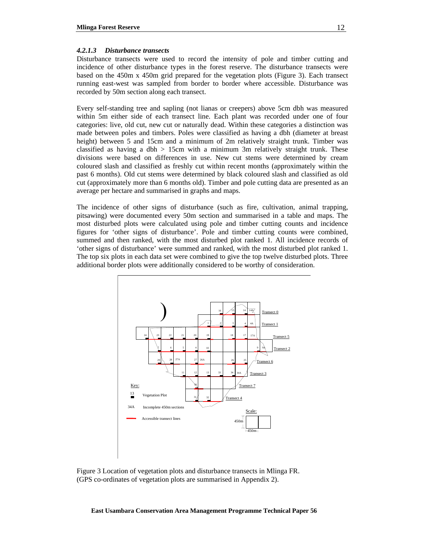#### *4.2.1.3 Disturbance transects*

Disturbance transects were used to record the intensity of pole and timber cutting and incidence of other disturbance types in the forest reserve. The disturbance transects were based on the 450m x 450m grid prepared for the vegetation plots (Figure 3). Each transect running east-west was sampled from border to border where accessible. Disturbance was recorded by 50m section along each transect.

Every self-standing tree and sapling (not lianas or creepers) above 5cm dbh was measured within 5m either side of each transect line. Each plant was recorded under one of four categories: live, old cut, new cut or naturally dead. Within these categories a distinction was made between poles and timbers. Poles were classified as having a dbh (diameter at breast height) between 5 and 15cm and a minimum of 2m relatively straight trunk. Timber was classified as having a dbh  $> 15$ cm with a minimum 3m relatively straight trunk. These divisions were based on differences in use. New cut stems were determined by cream coloured slash and classified as freshly cut within recent months (approximately within the past 6 months). Old cut stems were determined by black coloured slash and classified as old cut (approximately more than 6 months old). Timber and pole cutting data are presented as an average per hectare and summarised in graphs and maps.

The incidence of other signs of disturbance (such as fire, cultivation, animal trapping, pitsawing) were documented every 50m section and summarised in a table and maps. The most disturbed plots were calculated using pole and timber cutting counts and incidence figures for 'other signs of disturbance'. Pole and timber cutting counts were combined, summed and then ranked, with the most disturbed plot ranked 1. All incidence records of 'other signs of disturbance' were summed and ranked, with the most disturbed plot ranked 1. The top six plots in each data set were combined to give the top twelve disturbed plots. Three additional border plots were additionally considered to be worthy of consideration.



Figure 3 Location of vegetation plots and disturbance transects in Mlinga FR. (GPS co-ordinates of vegetation plots are summarised in Appendix 2).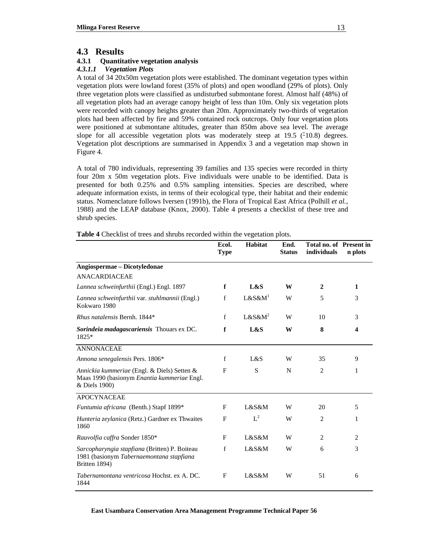### **4.3 Results**

#### **4.3.1 Quantitative vegetation analysis**

#### *4.3.1.1 Vegetation Plots*

A total of 34 20x50m vegetation plots were established. The dominant vegetation types within vegetation plots were lowland forest (35% of plots) and open woodland (29% of plots). Only three vegetation plots were classified as undisturbed submontane forest. Almost half (48%) of all vegetation plots had an average canopy height of less than 10m. Only six vegetation plots were recorded with canopy heights greater than 20m. Approximately two-thirds of vegetation plots had been affected by fire and 59% contained rock outcrops. Only four vegetation plots were positioned at submontane altitudes, greater than 850m above sea level. The average slope for all accessible vegetation plots was moderately steep at 19.5  $(^{+}10.8)$  degrees. Vegetation plot descriptions are summarised in Appendix 3 and a vegetation map shown in Figure 4.

A total of 780 individuals, representing 39 families and 135 species were recorded in thirty four 20m x 50m vegetation plots. Five individuals were unable to be identified. Data is presented for both 0.25% and 0.5% sampling intensities. Species are described, where adequate information exists, in terms of their ecological type, their habitat and their endemic status. Nomenclature follows Iversen (1991b), the Flora of Tropical East Africa (Polhill *et al.*, 1988) and the LEAP database (Knox, 2000). Table 4 presents a checklist of these tree and shrub species.

|                                                                                                             | Ecol.<br><b>Type</b> | <b>Habitat</b> | End.<br><b>Status</b> | Total no. of Present in<br>individuals | n plots          |
|-------------------------------------------------------------------------------------------------------------|----------------------|----------------|-----------------------|----------------------------------------|------------------|
| Angiospermae - Dicotyledonae                                                                                |                      |                |                       |                                        |                  |
| <b>ANACARDIACEAE</b>                                                                                        |                      |                |                       |                                        |                  |
| Lannea schweinfurthii (Engl.) Engl. 1897                                                                    | $\mathbf f$          | L&S            | W                     | $\mathbf{2}$                           | $\mathbf{1}$     |
| Lannea schweinfurthii var. stuhlmannii (Engl.)<br>Kokwaro 1980                                              | $\mathbf f$          | $L&S\&M1$      | W                     | 5                                      | 3                |
| <i>Rhus natalensis</i> Bernh. 1844*                                                                         | $\mathbf f$          | $L&S\&M^2$     | W                     | 10                                     | 3                |
| Sorindeia madagascariensis Thouars ex DC.<br>1825*                                                          | f                    | L&S            | W                     | 8                                      | $\boldsymbol{4}$ |
| <b>ANNONACEAE</b>                                                                                           |                      |                |                       |                                        |                  |
| Annona senegalensis Pers. 1806*                                                                             | f                    | L&S            | W                     | 35                                     | 9                |
| Annickia kummeriae (Engl. & Diels) Setten &<br>Maas 1990 (basionym Enantia kummeriae Engl.<br>& Diels 1900) | $\mathbf F$          | S              | N                     | $\overline{2}$                         | 1                |
| <b>APOCYNACEAE</b>                                                                                          |                      |                |                       |                                        |                  |
| Funtumia africana (Benth.) Stapf 1899*                                                                      | F                    | L&S&M          | W                     | 20                                     | 5                |
| Hunteria zeylanica (Retz.) Gardner ex Thwaites<br>1860                                                      | $\mathbf{F}$         | $L^2$          | W                     | 2                                      | 1                |
| Rauvolfia caffra Sonder 1850*                                                                               | F                    | L&S&M          | W                     | 2                                      | 2                |
| Sarcopharyngia stapfiana (Britten) P. Boiteau<br>1981 (basionym Tabernaemontana stapfiana<br>Britten 1894)  | f                    | L&S&M          | W                     | 6                                      | 3                |
| Tabernamontana ventricosa Hochst. ex A. DC.<br>1844                                                         | $\mathbf{F}$         | L&S&M          | W                     | 51                                     | 6                |

**Table 4** Checklist of trees and shrubs recorded within the vegetation plots.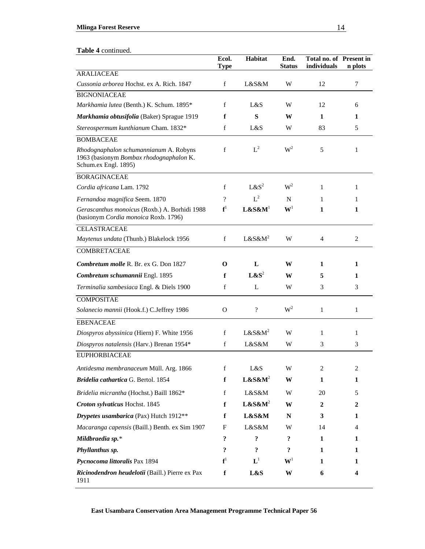|                                                                                                           | Ecol.<br><b>Type</b> | Habitat                  | End.<br><b>Status</b> | Total no. of Present in<br>individuals | n plots        |
|-----------------------------------------------------------------------------------------------------------|----------------------|--------------------------|-----------------------|----------------------------------------|----------------|
| <b>ARALIACEAE</b>                                                                                         |                      |                          |                       |                                        |                |
| Cussonia arborea Hochst. ex A. Rich. 1847                                                                 | $\mathbf f$          | L&S&M                    | W                     | 12                                     | $\tau$         |
| <b>BIGNONIACEAE</b>                                                                                       |                      |                          |                       |                                        |                |
| Markhamia lutea (Benth.) K. Schum. 1895*                                                                  | f                    | L&S                      | W                     | 12                                     | 6              |
| Markhamia obtusifolia (Baker) Sprague 1919                                                                | f                    | S                        | W                     | 1                                      | 1              |
| Stereospermum kunthianum Cham. 1832*                                                                      | f                    | L&S                      | W                     | 83                                     | 5              |
| <b>BOMBACEAE</b>                                                                                          |                      |                          |                       |                                        |                |
| Rhodognaphalon schumannianum A. Robyns<br>1963 (basionym Bombax rhodognaphalon K.<br>Schum.ex Engl. 1895) | f                    | $L^2$                    | $W^2$                 | 5                                      | 1              |
| <b>BORAGINACEAE</b>                                                                                       |                      |                          |                       |                                        |                |
| Cordia africana Lam. 1792                                                                                 | f                    | $L\&S^2$                 | $W^2$                 | 1                                      | 1              |
| Fernandoa magnifica Seem. 1870                                                                            | $\gamma$             | $L^2$                    | N                     | 1                                      | 1              |
| Gerascanthus monoicus (Roxb.) A. Borhidi 1988<br>(basionym Cordia monoica Roxb. 1796)                     | f <sup>1</sup>       | $L&S\&M1$                | $\mathbf{W}^1$        | 1                                      | 1              |
| <b>CELASTRACEAE</b>                                                                                       |                      |                          |                       |                                        |                |
| Maytenus undata (Thunb.) Blakelock 1956                                                                   | f                    | $L&S\&M^2$               | W                     | 4                                      | $\overline{c}$ |
| <b>COMBRETACEAE</b>                                                                                       |                      |                          |                       |                                        |                |
| Combretum molle R. Br. ex G. Don 1827                                                                     | $\Omega$             | L                        | W                     | 1                                      | 1              |
| Combretum schumannii Engl. 1895                                                                           | f                    | $L\&S^2$                 | W                     | 5                                      | 1              |
| Terminalia sambesiaca Engl. & Diels 1900                                                                  | f                    | L                        | W                     | 3                                      | 3              |
| <b>COMPOSITAE</b>                                                                                         |                      |                          |                       |                                        |                |
| Solanecio mannii (Hook.f.) C.Jeffrey 1986                                                                 | $\Omega$             | $\overline{\mathcal{L}}$ | $W^2$                 | 1                                      | 1              |
| <b>EBENACEAE</b>                                                                                          |                      |                          |                       |                                        |                |
| Diospyros abyssinica (Hiern) F. White 1956                                                                | f                    | $L&S\&M^2$               | W                     | 1                                      | 1              |
| Diospyros natalensis (Harv.) Brenan 1954*                                                                 | f                    | L&S&M                    | W                     | 3                                      | 3              |
| <b>EUPHORBIACEAE</b>                                                                                      |                      |                          |                       |                                        |                |
| Antidesma membranaceum Müll. Arg. 1866                                                                    | $\mathbf f$          | L&S                      | W                     | 2                                      | $\overline{2}$ |
| Bridelia cathartica G. Bertol. 1854                                                                       | f                    | $L&S\&M^2$               | W                     | $\mathbf{1}$                           | 1              |
| Bridelia micrantha (Hochst.) Baill 1862*                                                                  | f                    | L&S&M                    | W                     | 20                                     | 5              |
| Croton sylvaticus Hochst. 1845                                                                            | f                    | $L&S\&M^2$               | W                     | $\boldsymbol{2}$                       | 2              |
| Drypetes usambarica (Pax) Hutch 1912**                                                                    | f                    | L&S&M                    | N                     | 3                                      | 1              |
| Macaranga capensis (Baill.) Benth. ex Sim 1907                                                            | F                    | L&S&M                    | W                     | 14                                     | 4              |
| Mildbraedia sp.*                                                                                          | $\ddot{\cdot}$       | $\ddot{\cdot}$           | $\ddot{\cdot}$        | 1                                      | 1              |
| Phyllanthus sp.                                                                                           | ?                    | $\ddot{\cdot}$           | ?                     | 1                                      | 1              |
| Pycnocoma littoralis Pax 1894                                                                             | $f^1$                | ${\bf L}^1$              | $\mathbf{W}^1$        | 1                                      | 1              |
| Ricinodendron heudelotii (Baill.) Pierre ex Pax<br>1911                                                   | f                    | L&S                      | W                     | 6                                      | 4              |

**East Usambara Conservation Area Management Programme Technical Paper 56**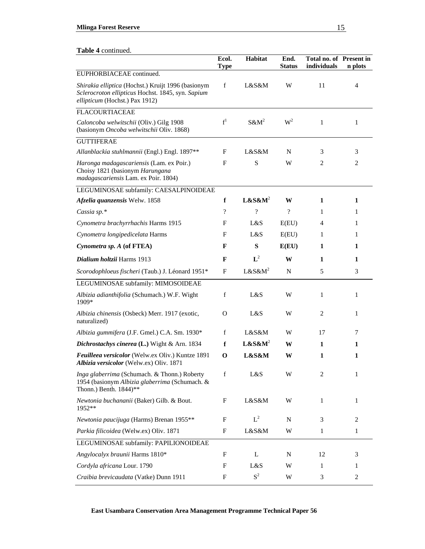**Table 4** continued.

|                                                                                                                                           | Ecol.<br><b>Type</b> | Habitat                  | End.<br><b>Status</b>    | Total no. of Present in<br>individuals | n plots      |
|-------------------------------------------------------------------------------------------------------------------------------------------|----------------------|--------------------------|--------------------------|----------------------------------------|--------------|
| EUPHORBIACEAE continued.                                                                                                                  |                      |                          |                          |                                        |              |
| Shirakia elliptica (Hochst.) Kruijt 1996 (basionym<br>Sclerocroton ellipticus Hochst. 1845, syn. Sapium<br>ellipticum (Hochst.) Pax 1912) | f                    | L&S&M                    | W                        | 11                                     | 4            |
| <b>FLACOURTIACEAE</b>                                                                                                                     |                      |                          |                          |                                        |              |
| Caloncoba welwitschii (Oliv.) Gilg 1908<br>(basionym Oncoba welwitschii Oliv. 1868)                                                       | f <sup>1</sup>       | $S\&M^2$                 | $W^2$                    | 1                                      | $\mathbf{1}$ |
| <b>GUTTIFERAE</b>                                                                                                                         |                      |                          |                          |                                        |              |
| Allanblackia stuhlmannii (Engl.) Engl. 1897**                                                                                             | F                    | L&S&M                    | N                        | 3                                      | 3            |
| Haronga madagascariensis (Lam. ex Poir.)<br>Choisy 1821 (basionym Harungana<br>madagascariensis Lam. ex Poir. 1804)                       | F                    | S                        | W                        | $\overline{2}$                         | 2            |
| LEGUMINOSAE subfamily: CAESALPINOIDEAE                                                                                                    |                      |                          |                          |                                        |              |
| Afzelia quanzensis Welw. 1858                                                                                                             | f                    | L&S&M <sup>2</sup>       | W                        | $\mathbf{1}$                           | $\mathbf{1}$ |
| Cassia sp.*                                                                                                                               | $\overline{?}$       | $\overline{\mathcal{C}}$ | $\overline{\mathcal{C}}$ | 1                                      | 1            |
| Cynometra brachyrrhachis Harms 1915                                                                                                       | F                    | L&S                      | E(EU)                    | 4                                      | 1            |
| Cynometra longipedicelata Harms                                                                                                           | F                    | L&S                      | E(EU)                    | 1                                      | 1            |
| Cynometra sp. A (of FTEA)                                                                                                                 | F                    | ${\bf S}$                | E(EU)                    | $\mathbf{1}$                           | $\mathbf{1}$ |
| Dialium holtzii Harms 1913                                                                                                                | F                    | $L^2$                    | W                        | 1                                      | 1            |
| Scorodophloeus fischeri (Taub.) J. Léonard 1951*                                                                                          | $\mathbf{F}$         | $L&S\&M^2$               | $\mathbf N$              | 5                                      | 3            |
| LEGUMINOSAE subfamily: MIMOSOIDEAE                                                                                                        |                      |                          |                          |                                        |              |
| Albizia adianthifolia (Schumach.) W.F. Wight<br>1909*                                                                                     | f                    | L&S                      | W                        | 1                                      | 1            |
| Albizia chinensis (Osbeck) Merr. 1917 (exotic,<br>naturalized)                                                                            | $\Omega$             | L&S                      | W                        | 2                                      | 1            |
| Albizia gummifera (J.F. Gmel.) C.A. Sm. 1930*                                                                                             | f                    | L&S&M                    | W                        | 17                                     | 7            |
| Dichrostachys cinerea (L.) Wight & Arn. 1834                                                                                              | f                    | $L&S\&M^2$               | W                        | 1                                      | 1            |
| Feuilleea versicolor (Welw.ex Oliv.) Kuntze 1891<br>Albizia versicolor (Welw.ex) Oliv. 1871                                               | 0                    | <b>L&amp;S&amp;M</b>     | W                        | $\mathbf{1}$                           | 1            |
| Inga glaberrima (Schumach. & Thonn.) Roberty<br>1954 (basionym Albizia glaberrima (Schumach. &<br>Thonn.) Benth. 1844)**                  | f                    | L&S                      | W                        | 2                                      | 1            |
| Newtonia buchananii (Baker) Gilb. & Bout.<br>1952**                                                                                       | F                    | L&S&M                    | W                        | 1                                      | 1            |
| Newtonia paucijuga (Harms) Brenan 1955**                                                                                                  | F                    | $L^2$                    | N                        | 3                                      | 2            |
| Parkia filicoidea (Welw.ex) Oliv. 1871                                                                                                    | F                    | L&S&M                    | W                        | $\mathbf{1}$                           | $\mathbf{1}$ |
| LEGUMINOSAE subfamily: PAPILIONOIDEAE                                                                                                     |                      |                          |                          |                                        |              |
| Angylocalyx braunii Harms 1810*                                                                                                           | F                    | L                        | N                        | 12                                     | 3            |
| Cordyla africana Lour. 1790                                                                                                               | F                    | L&S                      | W                        | 1                                      | 1            |
| Craibia brevicaudata (Vatke) Dunn 1911                                                                                                    | F                    | $S^2$                    | W                        | 3                                      | 2            |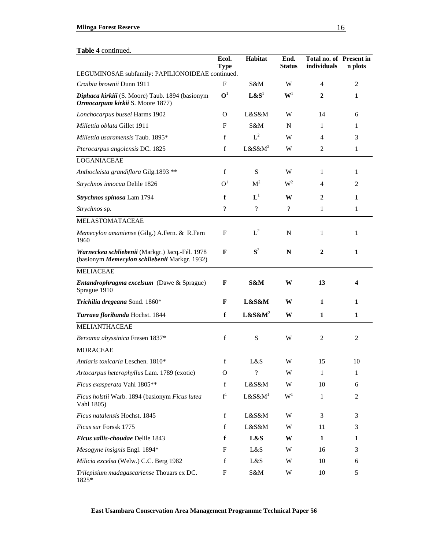#### **Table 4** continued.

|                                                                                                  | Ecol.<br>Type      | Habitat            | End.<br><b>Status</b> | Total no. of Present in<br>individuals | n plots        |
|--------------------------------------------------------------------------------------------------|--------------------|--------------------|-----------------------|----------------------------------------|----------------|
| LEGUMINOSAE subfamily: PAPILIONOIDEAE continued.                                                 |                    |                    |                       |                                        |                |
| Craibia brownii Dunn 1911                                                                        | F                  | S&M                | W                     | 4                                      | 2              |
| Diphaca kirkiii (S. Moore) Taub. 1894 (basionym<br>Ormocarpum kirkii S. Moore 1877)              | $\mathbf{O}^1$     | $L\&S^1$           | $\mathbf{W}^1$        | $\mathbf{2}$                           | 1              |
| Lonchocarpus bussei Harms 1902                                                                   | O                  | L&S&M              | W                     | 14                                     | 6              |
| Millettia oblata Gillet 1911                                                                     | F                  | S&M                | N                     | 1                                      | 1              |
| Millettia usaramensis Taub. 1895*                                                                | $\mathbf f$        | $L^2$              | W                     | 4                                      | 3              |
| Pterocarpus angolensis DC. 1825                                                                  | f                  | $L&S\&M^2$         | W                     | $\overline{2}$                         | $\mathbf{1}$   |
| <b>LOGANIACEAE</b>                                                                               |                    |                    |                       |                                        |                |
| Anthocleista grandiflora Gilg.1893 **                                                            | f                  | S                  | W                     | 1                                      | 1              |
| Strychnos innocua Delile 1826                                                                    | O <sup>1</sup>     | M <sup>2</sup>     | $W^2$                 | 4                                      | 2              |
| Strychnos spinosa Lam 1794                                                                       | f                  | ${\bf L}^1$        | W                     | $\overline{2}$                         | $\mathbf{1}$   |
| Strychnos sp.                                                                                    | $\overline{\cdot}$ | $\overline{\cdot}$ | $\overline{\cdot}$    | 1                                      | 1              |
| MELASTOMATACEAE                                                                                  |                    |                    |                       |                                        |                |
| Memecylon amaniense (Gilg.) A.Fern. & R.Fern<br>1960                                             | F                  | $L^2$              | N                     | 1                                      | $\mathbf{1}$   |
| Warneckea schliebenii (Markgr.) Jacq.-Fél. 1978<br>(basionym Memecylon schliebenii Markgr. 1932) | F                  | $S^2$              | N                     | $\mathbf{2}$                           | $\mathbf{1}$   |
| <b>MELIACEAE</b>                                                                                 |                    |                    |                       |                                        |                |
| Entandrophragma excelsum (Dawe & Sprague)<br>Sprague 1910                                        | F                  | S&M                | W                     | 13                                     | 4              |
| Trichilia dregeana Sond. 1860*                                                                   | F                  | L&S&M              | W                     | 1                                      | 1              |
| Turraea floribunda Hochst. 1844                                                                  | f                  | $L&S\&M^2$         | W                     | $\mathbf{1}$                           | $\mathbf{1}$   |
| <b>MELIANTHACEAE</b>                                                                             |                    |                    |                       |                                        |                |
| Bersama abyssinica Fresen 1837*                                                                  | $\mathbf f$        | S                  | W                     | 2                                      | $\overline{2}$ |
| <b>MORACEAE</b>                                                                                  |                    |                    |                       |                                        |                |
| Antiaris toxicaria Leschen. 1810*                                                                | f                  | L&S                | W                     | 15                                     | 10             |
| Artocarpus heterophyllus Lam. 1789 (exotic)                                                      | O                  | $\gamma$           | W                     | 1                                      | 1              |
| Ficus exasperata Vahl 1805**                                                                     | f                  | L&S&M              | W                     | 10                                     | 6              |
| Ficus holstii Warb. 1894 (basionym Ficus lutea<br>Vahl 1805)                                     | $f^1$              | $L&S\&M1$          | W <sup>1</sup>        | 1                                      | 2              |
| Ficus natalensis Hochst. 1845                                                                    | f                  | L&S&M              | W                     | 3                                      | 3              |
| Ficus sur Forssk 1775                                                                            | f                  | L&S&M              | W                     | 11                                     | 3              |
| Ficus vallis-choudae Delile 1843                                                                 | f                  | L&S                | W                     | 1                                      | 1              |
| Mesogyne insignis Engl. 1894*                                                                    | F                  | L&S                | W                     | 16                                     | 3              |
| Milicia excelsa (Welw.) C.C. Berg 1982                                                           | f                  | L&S                | W                     | 10                                     | 6              |
| Trilepisium madagascariense Thouars ex DC.<br>1825*                                              | F                  | S&M                | W                     | 10                                     | 5              |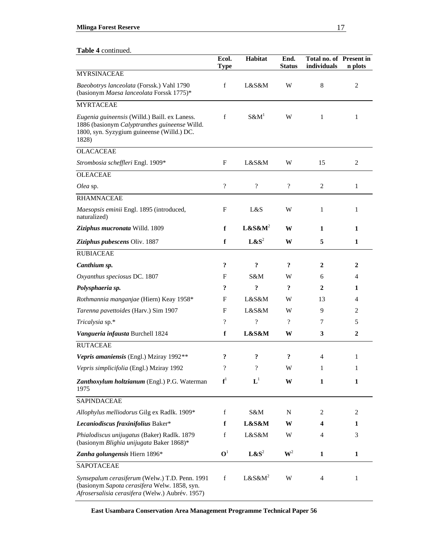**Table 4** continued.

|                                                                                                                                                       | Ecol.<br>Type              | Habitat                  | End.<br><b>Status</b> | Total no. of Present in<br>individuals | n plots        |
|-------------------------------------------------------------------------------------------------------------------------------------------------------|----------------------------|--------------------------|-----------------------|----------------------------------------|----------------|
| <b>MYRSINACEAE</b>                                                                                                                                    |                            |                          |                       |                                        |                |
| Baeobotrys lanceolata (Forssk.) Vahl 1790<br>(basionym Maesa lanceolata Forssk 1775)*                                                                 | $\mathbf f$                | L&S&M                    | W                     | 8                                      | $\overline{2}$ |
| <b>MYRTACEAE</b>                                                                                                                                      |                            |                          |                       |                                        |                |
| Eugenia guineensis (Willd.) Baill. ex Laness.<br>1886 (basionym Calyptranthes guineense Willd.<br>1800, syn. Syzygium guineense (Willd.) DC.<br>1828) | f                          | $S\&M1$                  | W                     | 1                                      | 1              |
| <b>OLACACEAE</b>                                                                                                                                      |                            |                          |                       |                                        |                |
| Strombosia scheffleri Engl. 1909*                                                                                                                     | F                          | L&S&M                    | W                     | 15                                     | 2              |
| <b>OLEACEAE</b>                                                                                                                                       |                            |                          |                       |                                        |                |
| Olea sp.                                                                                                                                              | $\overline{\mathcal{C}}$   | $\overline{\mathcal{L}}$ | $\overline{?}$        | $\overline{2}$                         | $\mathbf{1}$   |
| <b>RHAMNACEAE</b>                                                                                                                                     |                            |                          |                       |                                        |                |
| Maesopsis eminii Engl. 1895 (introduced,<br>naturalized)                                                                                              | F                          | L&S                      | W                     | 1                                      | 1              |
| Ziziphus mucronata Willd. 1809                                                                                                                        | f                          | $L&S\&M^2$               | W                     | 1                                      | 1              |
| Ziziphus pubescens Oliv. 1887                                                                                                                         | f                          | $L\&S^2$                 | W                     | 5                                      | 1              |
| <b>RUBIACEAE</b>                                                                                                                                      |                            |                          |                       |                                        |                |
| Canthium sp.                                                                                                                                          | ?                          | $\ddot{.}$               | ?                     | $\mathbf{2}$                           | 2              |
| Oxyanthus speciosus DC. 1807                                                                                                                          | F                          | S&M                      | W                     | 6                                      | 4              |
| Polysphaeria sp.                                                                                                                                      | $\boldsymbol{\mathcal{P}}$ | ?                        | $\boldsymbol{v}$      | 2                                      | 1              |
| Rothmannia manganjae (Hiern) Keay 1958*                                                                                                               | F                          | L&S&M                    | W                     | 13                                     | 4              |
| Tarenna pavettoides (Harv.) Sim 1907                                                                                                                  | F                          | L&S&M                    | W                     | 9                                      | 2              |
| Tricalysia sp.*                                                                                                                                       | $\gamma$                   | $\gamma$                 | $\gamma$              | 7                                      | 5              |
| Vangueria infausta Burchell 1824                                                                                                                      | f                          | L&S&M                    | W                     | 3                                      | $\overline{2}$ |
| <b>RUTACEAE</b>                                                                                                                                       |                            |                          |                       |                                        |                |
| Vepris amaniensis (Engl.) Mziray 1992**                                                                                                               | $\ddot{.}$                 | ?                        | $\ddot{.}$            | 4                                      | 1              |
| Vepris simplicifolia (Engl.) Mziray 1992                                                                                                              | ?                          | $\overline{?}$           | W                     | 1                                      | 1              |
| Zanthoxylum holtzianum (Engl.) P.G. Waterman<br>1975                                                                                                  | $f^1$                      | ${\bf L}^1$              | W                     | 1                                      | 1              |
| <b>SAPINDACEAE</b>                                                                                                                                    |                            |                          |                       |                                        |                |
| Allophylus melliodorus Gilg ex Radlk. 1909*                                                                                                           | $\mathbf f$                | S&M                      | N                     | 2                                      | 2              |
| Lecaniodiscus fraxinifolius Baker*                                                                                                                    | f                          | L&S&M                    | W                     | 4                                      | 1              |
| Phialodiscus unijugatus (Baker) Radlk. 1879<br>(basionym Blighia unijugata Baker 1868)*                                                               | $\mathbf f$                | L&S&M                    | W                     | 4                                      | 3              |
| Zanha golungensis Hiern 1896*                                                                                                                         | $\mathbf{O}^1$             | $L\&S^2$                 | $W^2$                 | $\mathbf{1}$                           | $\mathbf{1}$   |
| SAPOTACEAE                                                                                                                                            |                            |                          |                       |                                        |                |
| Synsepalum cerasiferum (Welw.) T.D. Penn. 1991<br>(basionym Sapota cerasifera Welw. 1858, syn.<br>Afrosersalisia cerasifera (Welw.) Aubrév. 1957)     | $\mathbf f$                | $L&S\&M^2$               | W                     | 4                                      | 1              |

**East Usambara Conservation Area Management Programme Technical Paper 56**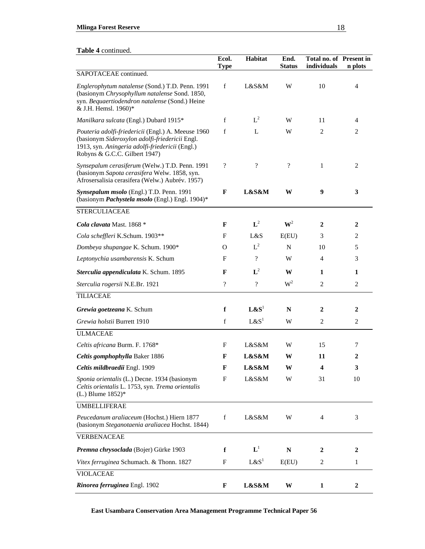#### **Table 4** continued.

|                                                                                                                                                                                          | Ecol.<br><b>Type</b>     | Habitat                  | End.<br><b>Status</b> | Total no. of Present in<br>individuals | n plots        |
|------------------------------------------------------------------------------------------------------------------------------------------------------------------------------------------|--------------------------|--------------------------|-----------------------|----------------------------------------|----------------|
| SAPOTACEAE continued.                                                                                                                                                                    |                          |                          |                       |                                        |                |
| Englerophytum natalense (Sond.) T.D. Penn. 1991<br>(basionym Chrysophyllum natalense Sond. 1850,<br>syn. Bequaertiodendron natalense (Sond.) Heine<br>& J.H. Hemsl. 1960)*               | $\mathbf f$              | L&S&M                    | W                     | 10                                     | 4              |
| Manilkara sulcata (Engl.) Dubard 1915*                                                                                                                                                   | f                        | $L^2$                    | W                     | 11                                     | $\overline{4}$ |
| Pouteria adolfi-friedericii (Engl.) A. Meeuse 1960<br>(basionym Sideroxylon adolfi-friedericii Engl.<br>1913, syn. Aningeria adolfi-friedericii (Engl.)<br>Robyns & G.C.C. Gilbert 1947) | f                        | L                        | W                     | 2                                      | 2              |
| Synsepalum cerasiferum (Welw.) T.D. Penn. 1991<br>(basionym Sapota cerasifera Welw. 1858, syn.<br>Afrosersalisia cerasifera (Welw.) Aubrév. 1957)                                        | $\overline{\mathcal{L}}$ | $\overline{\mathcal{L}}$ | $\overline{\cdot}$    | $\mathbf{1}$                           | 2              |
| Synsepalum msolo (Engl.) T.D. Penn. 1991<br>(basionym Pachystela msolo (Engl.) Engl. 1904)*                                                                                              | F                        | L&S&M                    | W                     | 9                                      | 3              |
| <b>STERCULIACEAE</b>                                                                                                                                                                     |                          |                          |                       |                                        |                |
| Cola clavata Mast. 1868 *                                                                                                                                                                | F                        | $L^2$                    | $\mathbf{W}^2$        | $\overline{2}$                         | $\mathbf{2}$   |
| Cola scheffleri K.Schum. 1903**                                                                                                                                                          | F                        | L&S                      | E(EU)                 | 3                                      | 2              |
| Dombeya shupangae K. Schum. 1900*                                                                                                                                                        | 0                        | $L^2$                    | N                     | 10                                     | 5              |
| Leptonychia usambarensis K. Schum                                                                                                                                                        | F                        | $\overline{\mathcal{L}}$ | W                     | 4                                      | 3              |
| Sterculia appendiculata K. Schum. 1895                                                                                                                                                   | F                        | $L^2$                    | W                     | 1                                      | 1              |
| Sterculia rogersii N.E.Br. 1921                                                                                                                                                          | $\gamma$                 | $\overline{?}$           | $W^2$                 | $\overline{2}$                         | $\overline{c}$ |
| <b>TILIACEAE</b>                                                                                                                                                                         |                          |                          |                       |                                        |                |
| Grewia goetzeana K. Schum                                                                                                                                                                | $\mathbf f$              | $L\&S^1$                 | N                     | $\mathbf{2}$                           | $\mathbf{2}$   |
| Grewia holstii Burrett 1910                                                                                                                                                              | $\mathbf f$              | L&S <sup>1</sup>         | W                     | $\overline{2}$                         | 2              |
| <b>ULMACEAE</b>                                                                                                                                                                          |                          |                          |                       |                                        |                |
| Celtis africana Burm. F. 1768*                                                                                                                                                           | F                        | L&S&M                    | W                     | 15                                     | 7              |
| Celtis gomphophylla Baker 1886                                                                                                                                                           | F                        | <b>L&amp;S&amp;M</b>     | W                     | 11                                     | 2              |
| Celtis mildbraedii Engl. 1909                                                                                                                                                            | F                        | <b>L&amp;S&amp;M</b>     | W                     |                                        | $\mathbf{3}$   |
| Sponia orientalis (L.) Decne. 1934 (basionym<br>Celtis orientalis L. 1753, syn. Trema orientalis<br>$(L.)$ Blume $1852$ <sup>*</sup>                                                     | F                        | L&S&M                    | W                     | 31                                     | 10             |
| <b>UMBELLIFERAE</b>                                                                                                                                                                      |                          |                          |                       |                                        |                |
| Peucedanum araliaceum (Hochst.) Hiern 1877<br>(basionym Steganotaenia araliacea Hochst. 1844)                                                                                            | f                        | L&S&M                    | W                     | 4                                      | 3              |
| VERBENACEAE                                                                                                                                                                              |                          |                          |                       |                                        |                |
| Premna chrysoclada (Bojer) Gürke 1903                                                                                                                                                    | f                        | ${\bf L}^1$              | N                     | $\boldsymbol{2}$                       | 2              |
| Vitex ferruginea Schumach. & Thonn. 1827                                                                                                                                                 | $_{\rm F}$               | $L\&S^1$                 | E(EU)                 | $\overline{c}$                         | 1              |
| <b>VIOLACEAE</b>                                                                                                                                                                         |                          |                          |                       |                                        |                |
| Rinorea ferruginea Engl. 1902                                                                                                                                                            | F                        | L&S&M                    | W                     | 1                                      | 2              |

**East Usambara Conservation Area Management Programme Technical Paper 56**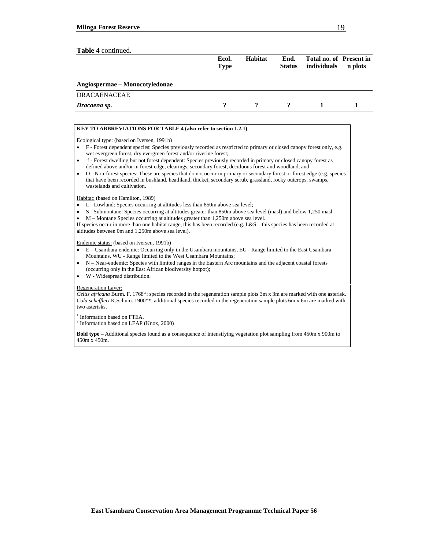**Table 4** continued.

|                                | Ecol.<br><b>Type</b> | Habitat | End.<br><b>Status</b> | Total no. of Present in<br><i>individuals</i> | n plots |
|--------------------------------|----------------------|---------|-----------------------|-----------------------------------------------|---------|
| Angiospermae – Monocotyledonae |                      |         |                       |                                               |         |
| <b>DRACAENACEAE</b>            |                      |         |                       |                                               |         |
| Dracaena sp.                   |                      |         |                       |                                               |         |

#### **KEY TO ABBREVIATIONS FOR TABLE 4 (also refer to section 1.2.1)**

Ecological type: (based on Iversen, 1991b)

- F Forest dependent species: Species previously recorded as restricted to primary or closed canopy forest only, e.g. wet evergreen forest, dry evergreen forest and/or riverine forest;
- f Forest dwelling but not forest dependent: Species previously recorded in primary or closed canopy forest as defined above and/or in forest edge, clearings, secondary forest, deciduous forest and woodland, and
- O Non-forest species: These are species that do not occur in primary or secondary forest or forest edge (e.g. species that have been recorded in bushland, heathland, thicket, secondary scrub, grassland, rocky outcrops, swamps, wastelands and cultivation.

Habitat: (based on Hamilton, 1989)

- L Lowland: Species occurring at altitudes less than 850m above sea level;
- S Submontane: Species occurring at altitudes greater than 850m above sea level (masl) and below 1,250 masl.
- M Montane Species occurring at altitudes greater than 1,250m above sea level.

If species occur in more than one habitat range, this has been recorded (e.g. L&S – this species has been recorded at altitudes between 0m and 1,250m above sea level).

Endemic status: (based on Iversen, 1991b)

- E Usambara endemic: Occurring only in the Usambara mountains, EU Range limited to the East Usambara Mountains, WU - Range limited to the West Usambara Mountains;
- N Near-endemic: Species with limited ranges in the Eastern Arc mountains and the adjacent coastal forests (occurring only in the East African biodiversity hotpot);
- W Widespread distribution.

#### Regeneration Layer:

*Celtis africana* Burm. F. 1768\*: species recorded in the regeneration sample plots 3m x 3m are marked with one asterisk. *Cola scheffleri* K.Schum. 1900\*\*: additional species recorded in the regeneration sample plots 6m x 6m are marked with two asterisks.

<sup>1</sup> Information based on FTEA.

<sup>2</sup> Information based on LEAP (Knox, 2000)

**Bold type** – Additional species found as a consequence of intensifying vegetation plot sampling from 450m x 900m to 450m x 450m.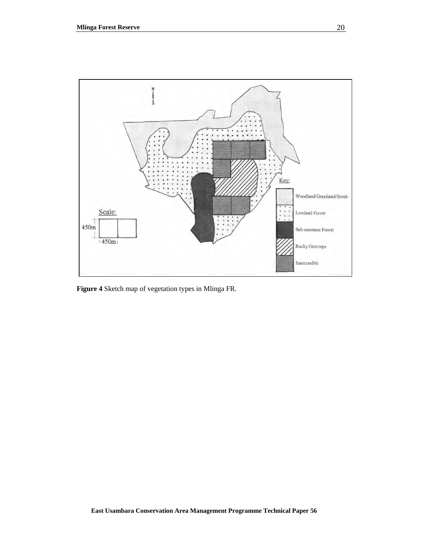

**Figure 4** Sketch map of vegetation types in Mlinga FR.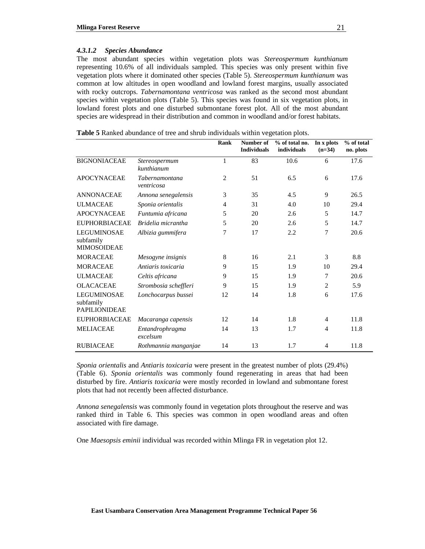#### *4.3.1.2 Species Abundance*

The most abundant species within vegetation plots was *Stereospermum kunthianum*  representing 10.6% of all individuals sampled. This species was only present within five vegetation plots where it dominated other species (Table 5). *Stereospermum kunthianum* was common at low altitudes in open woodland and lowland forest margins, usually associated with rocky outcrops. *Tabernamontana ventricosa* was ranked as the second most abundant species within vegetation plots (Table 5). This species was found in six vegetation plots, in lowland forest plots and one disturbed submontane forest plot. All of the most abundant species are widespread in their distribution and common in woodland and/or forest habitats.

|                                                         |                                     | Rank           | Number of<br><b>Individuals</b> | % of total no.<br>individuals | In x plots<br>$(n=34)$ | % of total<br>no. plots |
|---------------------------------------------------------|-------------------------------------|----------------|---------------------------------|-------------------------------|------------------------|-------------------------|
| <b>BIGNONIACEAE</b>                                     | <i>Stereospermum</i><br>kunthianum  | $\mathbf{1}$   | 83                              | 10.6                          | 6                      | 17.6                    |
| <b>APOCYNACEAE</b>                                      | <b>Tabernamontana</b><br>ventricosa | $\overline{2}$ | 51                              | 6.5                           | 6                      | 17.6                    |
| <b>ANNONACEAE</b>                                       | Annona senegalensis                 | 3              | 35                              | 4.5                           | 9                      | 26.5                    |
| <b>ULMACEAE</b>                                         | Sponia orientalis                   | 4              | 31                              | 4.0                           | 10                     | 29.4                    |
| <b>APOCYNACEAE</b>                                      | Funtumia africana                   | 5              | 20                              | 2.6                           | 5                      | 14.7                    |
| <b>EUPHORBIACEAE</b>                                    | Bridelia micrantha                  | 5              | 20                              | 2.6                           | 5                      | 14.7                    |
| <b>LEGUMINOSAE</b><br>subfamily<br><b>MIMOSOIDEAE</b>   | Albizia gummifera                   | 7              | 17                              | 2.2                           | 7                      | 20.6                    |
| <b>MORACEAE</b>                                         | Mesogyne insignis                   | 8              | 16                              | 2.1                           | 3                      | 8.8                     |
| <b>MORACEAE</b>                                         | Antiaris toxicaria                  | 9              | 15                              | 1.9                           | 10                     | 29.4                    |
| <b>ULMACEAE</b>                                         | Celtis africana                     | 9              | 15                              | 1.9                           | 7                      | 20.6                    |
| <b>OLACACEAE</b>                                        | Strombosia scheffleri               | 9              | 15                              | 1.9                           | $\overline{2}$         | 5.9                     |
| <b>LEGUMINOSAE</b><br>subfamily<br><b>PAPILIONIDEAE</b> | Lonchocarpus bussei                 | 12             | 14                              | 1.8                           | 6                      | 17.6                    |
| <b>EUPHORBIACEAE</b>                                    | Macaranga capensis                  | 12             | 14                              | 1.8                           | 4                      | 11.8                    |
| <b>MELIACEAE</b>                                        | Entandrophragma<br>excelsum         | 14             | 13                              | 1.7                           | 4                      | 11.8                    |
| <b>RUBIACEAE</b>                                        | Rothmannia manganjae                | 14             | 13                              | 1.7                           | 4                      | 11.8                    |

**Table 5** Ranked abundance of tree and shrub individuals within vegetation plots.

*Sponia orientalis* and *Antiaris toxicaria* were present in the greatest number of plots (29.4%) (Table 6). *Sponia orientalis* was commonly found regenerating in areas that had been disturbed by fire. *Antiaris toxicaria* were mostly recorded in lowland and submontane forest plots that had not recently been affected disturbance.

*Annona senegalensis* was commonly found in vegetation plots throughout the reserve and was ranked third in Table 6. This species was common in open woodland areas and often associated with fire damage.

One *Maesopsis eminii* individual was recorded within Mlinga FR in vegetation plot 12.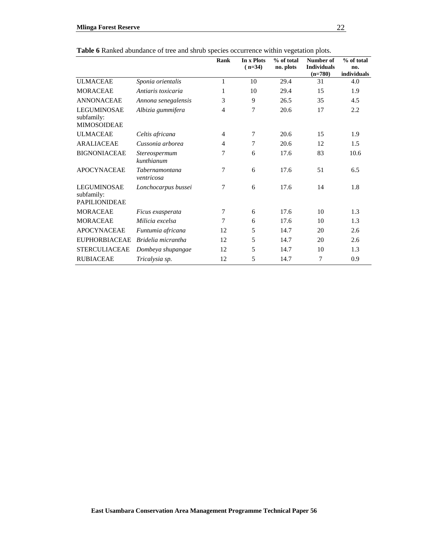|                                                          |                                    | Rank           | In x Plots | % of total | Number of                       | % of total         |
|----------------------------------------------------------|------------------------------------|----------------|------------|------------|---------------------------------|--------------------|
|                                                          |                                    |                | $(n=34)$   | no. plots  | <b>Individuals</b><br>$(n=780)$ | no.<br>individuals |
| <b>ULMACEAE</b>                                          | Sponia orientalis                  | 1              | 10         | 29.4       | 31                              | 4.0                |
| <b>MORACEAE</b>                                          | Antiaris toxicaria                 | 1              | 10         | 29.4       | 15                              | 1.9                |
| <b>ANNONACEAE</b>                                        | Annona senegalensis                | 3              | 9          | 26.5       | 35                              | 4.5                |
| <b>LEGUMINOSAE</b><br>subfamily:<br><b>MIMOSOIDEAE</b>   | Albizia gummifera                  | $\overline{4}$ | 7          | 20.6       | 17                              | 2.2                |
| <b>ULMACEAE</b>                                          | Celtis africana                    | $\overline{4}$ | 7          | 20.6       | 15                              | 1.9                |
| <b>ARALIACEAE</b>                                        | Cussonia arborea                   | $\overline{4}$ | 7          | 20.6       | 12                              | 1.5                |
| <b>BIGNONIACEAE</b>                                      | <i>Stereospermum</i><br>kunthianum | 7              | 6          | 17.6       | 83                              | 10.6               |
| <b>APOCYNACEAE</b>                                       | Tabernamontana<br>ventricosa       | 7              | 6          | 17.6       | 51                              | 6.5                |
| <b>LEGUMINOSAE</b><br>subfamily:<br><b>PAPILIONIDEAE</b> | Lonchocarpus bussei                | 7              | 6          | 17.6       | 14                              | 1.8                |
| <b>MORACEAE</b>                                          | Ficus exasperata                   | 7              | 6          | 17.6       | 10                              | 1.3                |
| <b>MORACEAE</b>                                          | Milicia excelsa                    | 7              | 6          | 17.6       | 10                              | 1.3                |
| <b>APOCYNACEAE</b>                                       | Funtumia africana                  | 12             | 5          | 14.7       | 20                              | 2.6                |
| <b>EUPHORBIACEAE</b>                                     | Bridelia micrantha                 | 12             | 5          | 14.7       | 20                              | 2.6                |
| <b>STERCULIACEAE</b>                                     | Dombeya shupangae                  | 12             | 5          | 14.7       | 10                              | 1.3                |
| <b>RUBIACEAE</b>                                         | Tricalysia sp.                     | 12             | 5          | 14.7       | 7                               | 0.9                |

**Table 6** Ranked abundance of tree and shrub species occurrence within vegetation plots.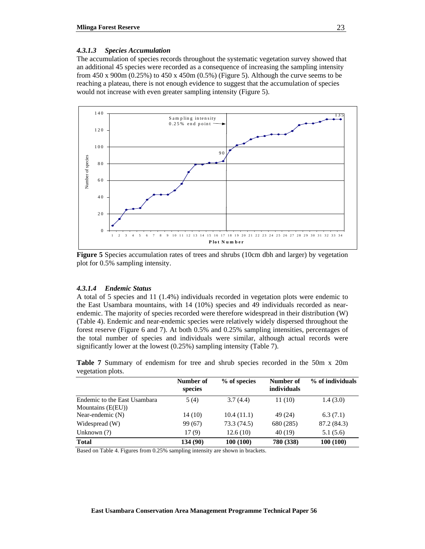#### *4.3.1.3 Species Accumulation*

The accumulation of species records throughout the systematic vegetation survey showed that an additional 45 species were recorded as a consequence of increasing the sampling intensity from 450 x 900m (0.25%) to 450 x 450m (0.5%) (Figure 5). Although the curve seems to be reaching a plateau, there is not enough evidence to suggest that the accumulation of species would not increase with even greater sampling intensity (Figure 5).



**Figure 5** Species accumulation rates of trees and shrubs (10cm dbh and larger) by vegetation plot for 0.5% sampling intensity.

#### *4.3.1.4 Endemic Status*

A total of 5 species and 11 (1.4%) individuals recorded in vegetation plots were endemic to the East Usambara mountains, with 14 (10%) species and 49 individuals recorded as nearendemic. The majority of species recorded were therefore widespread in their distribution (W) (Table 4). Endemic and near-endemic species were relatively widely dispersed throughout the forest reserve (Figure 6 and 7). At both 0.5% and 0.25% sampling intensities, percentages of the total number of species and individuals were similar, although actual records were significantly lower at the lowest (0.25%) sampling intensity (Table 7).

| vegetation prots.                     |                      |              |                          |                  |  |  |  |  |
|---------------------------------------|----------------------|--------------|--------------------------|------------------|--|--|--|--|
|                                       | Number of<br>species | % of species | Number of<br>individuals | % of individuals |  |  |  |  |
| Endemic to the East Usambara          | 5(4)                 | 3.7(4.4)     | 11(10)                   | 1.4(3.0)         |  |  |  |  |
| Mountains (E(EU))<br>Near-endemic (N) | 14(10)               | 10.4(11.1)   | 49 (24)                  | 6.3(7.1)         |  |  |  |  |
| Widespread (W)                        | 99 (67)              | 73.3 (74.5)  | 680 (285)                | 87.2 (84.3)      |  |  |  |  |
| Unknown $(?)$                         | 17(9)                | 12.6(10)     | 40 (19)                  | 5.1(5.6)         |  |  |  |  |
| <b>Total</b>                          | 134 (90)             | 100 (100)    | 780 (338)                | 100 (100)        |  |  |  |  |

**Table 7** Summary of endemism for tree and shrub species recorded in the 50m x 20m vegetation plots.

Based on Table 4. Figures from 0.25% sampling intensity are shown in brackets.

#### **East Usambara Conservation Area Management Programme Technical Paper 56**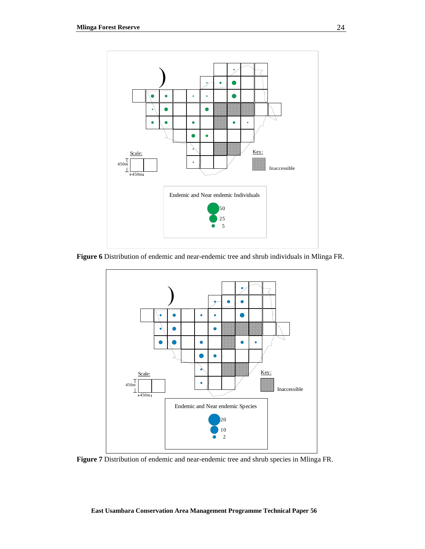

**Figure 6** Distribution of endemic and near-endemic tree and shrub individuals in Mlinga FR.



**Figure 7** Distribution of endemic and near-endemic tree and shrub species in Mlinga FR.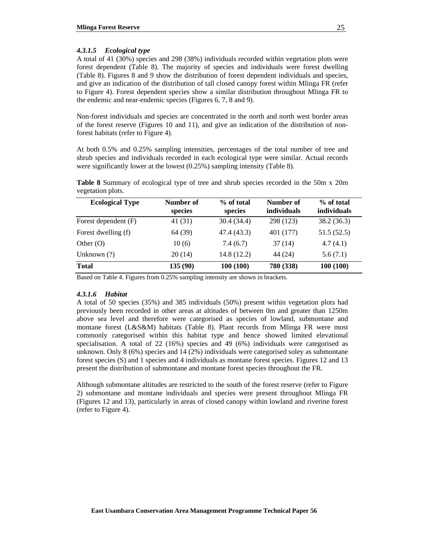#### *4.3.1.5 Ecological type*

A total of 41 (30%) species and 298 (38%) individuals recorded within vegetation plots were forest dependent (Table 8). The majority of species and individuals were forest dwelling (Table 8). Figures 8 and 9 show the distribution of forest dependent individuals and species, and give an indication of the distribution of tall closed canopy forest within Mlinga FR (refer to Figure 4). Forest dependent species show a similar distribution throughout Mlinga FR to the endemic and near-endemic species (Figures 6, 7, 8 and 9).

Non-forest individuals and species are concentrated in the north and north west border areas of the forest reserve (Figures 10 and 11), and give an indication of the distribution of nonforest habitats (refer to Figure 4).

At both 0.5% and 0.25% sampling intensities, percentages of the total number of tree and shrub species and individuals recorded in each ecological type were similar. Actual records were significantly lower at the lowest (0.25%) sampling intensity (Table 8).

**Table 8** Summary of ecological type of tree and shrub species recorded in the 50m x 20m vegetation plots.

| <b>Ecological Type</b> | Number of<br>species | % of total<br>species | Number of<br><i>individuals</i> | % of total<br><i>individuals</i> |
|------------------------|----------------------|-----------------------|---------------------------------|----------------------------------|
| Forest dependent (F)   | 41(31)               | 30.4(34.4)            | 298 (123)                       | 38.2(36.3)                       |
| Forest dwelling (f)    | 64 (39)              | 47.4 (43.3)           | 401 (177)                       | 51.5(52.5)                       |
| Other $(O)$            | 10(6)                | 7.4(6.7)              | 37(14)                          | 4.7(4.1)                         |
| Unknown $(?)$          | 20(14)               | 14.8(12.2)            | 44 (24)                         | 5.6(7.1)                         |
| <b>Total</b>           | 135(90)              | 100(100)              | 780 (338)                       | 100(100)                         |

Based on Table 4. Figures from 0.25% sampling intensity are shown in brackets.

#### *4.3.1.6 Habitat*

A total of 50 species (35%) and 385 individuals (50%) present within vegetation plots had previously been recorded in other areas at altitudes of between 0m and greater than 1250m above sea level and therefore were categorised as species of lowland, submontane and montane forest (L&S&M) habitats (Table 8). Plant records from Mlinga FR were most commonly categorised within this habitat type and hence showed limited elevational specialisation. A total of 22 (16%) species and 49 (6%) individuals were categorised as unknown. Only 8 (6%) species and 14 (2%) individuals were categorised soley as submontane forest species (S) and 1 species and 4 individuals as montane forest species. Figures 12 and 13 present the distribution of submontane and montane forest species throughout the FR.

Although submontane altitudes are restricted to the south of the forest reserve (refer to Figure 2) submontane and montane individuals and species were present throughout Mlinga FR (Figures 12 and 13), particularly in areas of closed canopy within lowland and riverine forest (refer to Figure 4).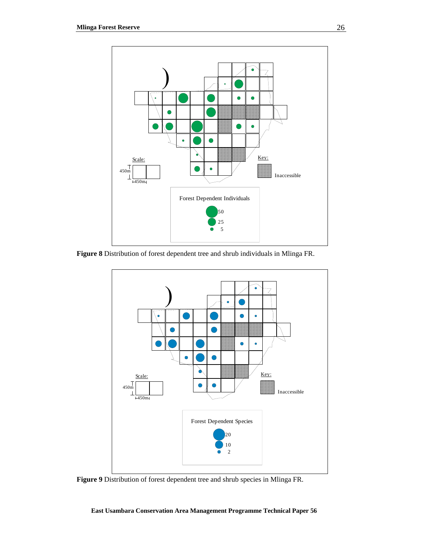

**Figure 8** Distribution of forest dependent tree and shrub individuals in Mlinga FR.



**Figure 9** Distribution of forest dependent tree and shrub species in Mlinga FR.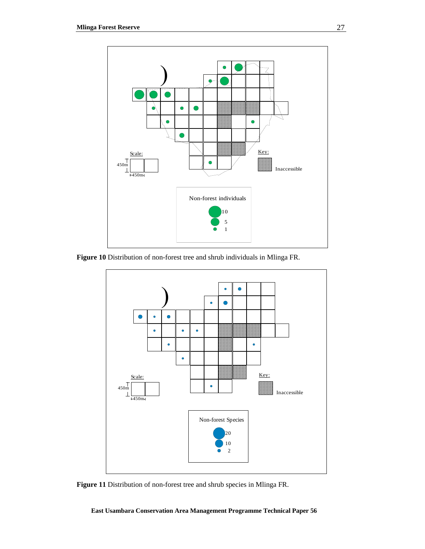

**Figure 10** Distribution of non-forest tree and shrub individuals in Mlinga FR.



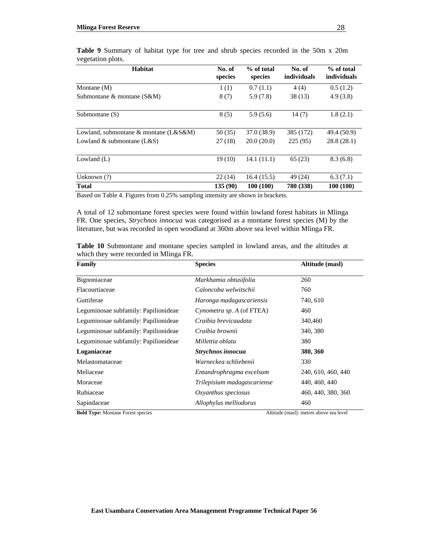| Habitat                                            | No. of<br>species | % of total<br>species | No. of<br>individuals | % of total<br>individuals |
|----------------------------------------------------|-------------------|-----------------------|-----------------------|---------------------------|
| Montane (M)                                        | 1(1)              | 0.7(1.1)              | 4(4)                  | 0.5(1.2)                  |
| Submontane & montane (S&M)                         | 8(7)              | 5.9(7.8)              | 38(13)                | 4.9(3.8)                  |
| Submontane $(S)$                                   | 8(5)              | 5.9(5.6)              | 14(7)                 | 1.8(2.1)                  |
| Lowland, submontane $\&$ montane (L $\&$ S $\&$ M) | 50 (35)           | 37.0 (38.9)           | 385 (172)             | 49.4 (50.9)               |
| Lowland & submontane $(L&S)$                       | 27(18)            | 20.0(20.0)            | 225(95)               | 28.8(28.1)                |
| Lowland $(L)$                                      | 19(10)            | 14.1(11.1)            | 65(23)                | 8.3(6.8)                  |
| Unknown $(?)$                                      | 22(14)            | 16.4(15.5)            | 49 (24)               | 6.3(7.1)                  |
| <b>Total</b>                                       | 135 (90)          | 100 (100)             | 780 (338)             | 100 (100)                 |

**Table 9** Summary of habitat type for tree and shrub species recorded in the 50m x 20m vegetation plots.

Based on Table 4. Figures from 0.25% sampling intensity are shown in brackets.

A total of 12 submontane forest species were found within lowland forest habitats in Mlinga FR. One species, *Strychnos innocua* was categorised as a montane forest species (M) by the literature, but was recorded in open woodland at 360m above sea level within Mlinga FR.

**Table 10** Submontane and montane species sampled in lowland areas, and the altitudes at which they were recorded in Mlinga FR.

| Family                                   | <b>Species</b>              | Altitude (masl)                         |
|------------------------------------------|-----------------------------|-----------------------------------------|
| Bignoniaceae                             | Markhamia obtusifolia       | 260                                     |
| Flacourtiaceae                           | Caloncoba welwitschii       | 760                                     |
| Guttiferae                               | Haronga madagascariensis    | 740, 610                                |
| Leguminosae subfamily: Papilionideae     | Cynometra sp. A (of FTEA)   | 460                                     |
| Leguminosae subfamily: Papilionideae     | Craibia brevicaudata        | 340,460                                 |
| Leguminosae subfamily: Papilionideae     | Craibia brownii             | 340, 380                                |
| Leguminosae subfamily: Papilionideae     | Millettia oblata            | 380                                     |
| Loganiaceae                              | Strychnos innocua           | 380, 360                                |
| Melastomataceae                          | Warneckea schliebenii       | 330                                     |
| Meliaceae                                | Entandrophragma excelsum    | 240, 610, 460, 440                      |
| Moraceae                                 | Trilepisium madagascariense | 440, 460, 440                           |
| Rubiaceae                                | Oxyanthus speciosus         | 460, 440, 380, 360                      |
| Sapindaceae                              | Allophylus melliodorus      | 460                                     |
| <b>Bold Type:</b> Montane Forest species |                             | Altitude (masl): metres above sea level |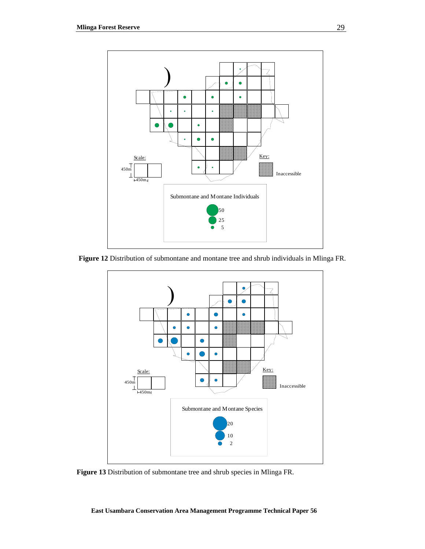

**Figure 12** Distribution of submontane and montane tree and shrub individuals in Mlinga FR.



**Figure 13** Distribution of submontane tree and shrub species in Mlinga FR.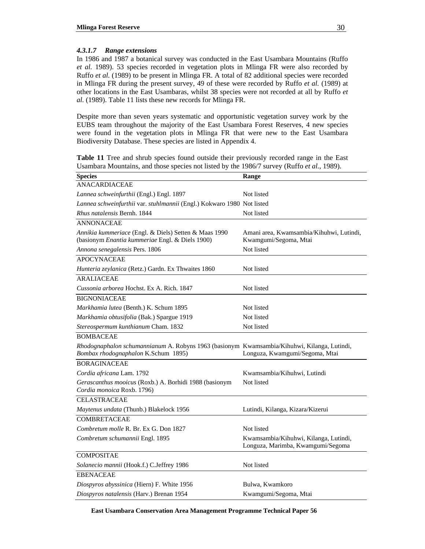## *4.3.1.7 Range extensions*

In 1986 and 1987 a botanical survey was conducted in the East Usambara Mountains (Ruffo *et al.* 1989). 53 species recorded in vegetation plots in Mlinga FR were also recorded by Ruffo *et al.* (1989) to be present in Mlinga FR. A total of 82 additional species were recorded in Mlinga FR during the present survey, 49 of these were recorded by Ruffo *et al.* (1989) at other locations in the East Usambaras, whilst 38 species were not recorded at all by Ruffo *et al.* (1989). Table 11 lists these new records for Mlinga FR.

Despite more than seven years systematic and opportunistic vegetation survey work by the EUBS team throughout the majority of the East Usambara Forest Reserves, 4 new species were found in the vegetation plots in Mlinga FR that were new to the East Usambara Biodiversity Database. These species are listed in Appendix 4.

**Table 11** Tree and shrub species found outside their previously recorded range in the East Usambara Mountains, and those species not listed by the 1986/7 survey (Ruffo *et al.*, 1989).

| <b>Species</b>                                                                                                                     | Range                                                                      |
|------------------------------------------------------------------------------------------------------------------------------------|----------------------------------------------------------------------------|
| <b>ANACARDIACEAE</b>                                                                                                               |                                                                            |
| Lannea schweinfurthii (Engl.) Engl. 1897                                                                                           | Not listed                                                                 |
| Lannea schweinfurthii var. stuhlmannii (Engl.) Kokwaro 1980 Not listed                                                             |                                                                            |
| Rhus natalensis Bernh. 1844                                                                                                        | Not listed                                                                 |
| <b>ANNONACEAE</b>                                                                                                                  |                                                                            |
| Annikia kummeriace (Engl. & Diels) Setten & Maas 1990<br>(basionym Enantia kummeriae Engl. & Diels 1900)                           | Amani area, Kwamsambia/Kihuhwi, Lutindi,<br>Kwamgumi/Segoma, Mtai          |
| Annona senegalensis Pers. 1806                                                                                                     | Not listed                                                                 |
| <b>APOCYNACEAE</b>                                                                                                                 |                                                                            |
| Hunteria zeylanica (Retz.) Gardn. Ex Thwaites 1860                                                                                 | Not listed                                                                 |
| <b>ARALIACEAE</b>                                                                                                                  |                                                                            |
| Cussonia arborea Hochst. Ex A. Rich. 1847                                                                                          | Not listed                                                                 |
| <b>BIGNONIACEAE</b>                                                                                                                |                                                                            |
| Markhamia lutea (Benth.) K. Schum 1895                                                                                             | Not listed                                                                 |
| Markhamia obtusifolia (Bak.) Spargue 1919                                                                                          | Not listed                                                                 |
| Stereospermum kunthianum Cham. 1832                                                                                                | Not listed                                                                 |
| <b>BOMBACEAE</b>                                                                                                                   |                                                                            |
| Rhodognaphalon schumannianum A. Robyns 1963 (basionym Kwamsambia/Kihuhwi, Kilanga, Lutindi,<br>Bombax rhodognaphalon K.Schum 1895) | Longuza, Kwamgumi/Segoma, Mtai                                             |
| <b>BORAGINACEAE</b>                                                                                                                |                                                                            |
| Cordia africana Lam. 1792                                                                                                          | Kwamsambia/Kihuhwi, Lutindi                                                |
| Gerascanthus mooicus (Roxb.) A. Borhidi 1988 (basionym<br>Cordia monoica Roxb. 1796)                                               | Not listed                                                                 |
| <b>CELASTRACEAE</b>                                                                                                                |                                                                            |
| Maytenus undata (Thunb.) Blakelock 1956                                                                                            | Lutindi, Kilanga, Kizara/Kizerui                                           |
| <b>COMBRETACEAE</b>                                                                                                                |                                                                            |
| Combretum molle R. Br. Ex G. Don 1827                                                                                              | Not listed                                                                 |
| Combretum schumannii Engl. 1895                                                                                                    | Kwamsambia/Kihuhwi, Kilanga, Lutindi,<br>Longuza, Marimba, Kwamgumi/Segoma |
| <b>COMPOSITAE</b>                                                                                                                  |                                                                            |
| Solanecio mannii (Hook.f.) C.Jeffrey 1986                                                                                          | Not listed                                                                 |
| <b>EBENACEAE</b>                                                                                                                   |                                                                            |
| Diospyros abyssinica (Hiern) F. White 1956                                                                                         | Bulwa, Kwamkoro                                                            |
| Diospyros natalensis (Harv.) Brenan 1954                                                                                           | Kwamgumi/Segoma, Mtai                                                      |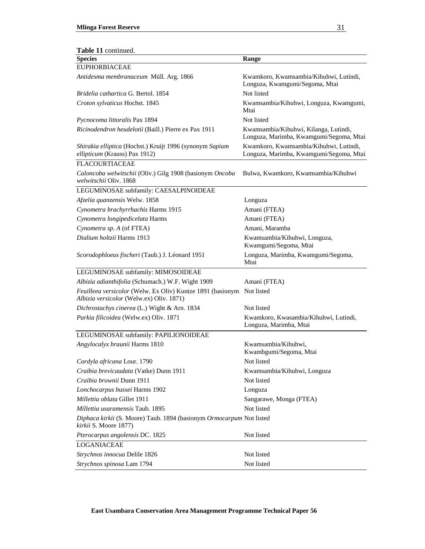| <b>Species</b>                                                                                                    | Range                                                                             |
|-------------------------------------------------------------------------------------------------------------------|-----------------------------------------------------------------------------------|
| <b>EUPHORBIACEAE</b>                                                                                              |                                                                                   |
| Antidesma membranaceum Müll. Arg. 1866                                                                            | Kwamkoro, Kwamsambia/Kihuhwi, Lutindi,<br>Longuza, Kwamgumi/Segoma, Mtai          |
| Bridelia cathartica G. Bertol. 1854                                                                               | Not listed                                                                        |
| Croton sylvaticus Hochst. 1845                                                                                    | Kwamsambia/Kihuhwi, Longuza, Kwamgumi,<br>Mtai                                    |
| Pycnocoma littoralis Pax 1894                                                                                     | Not listed                                                                        |
| Ricinodendron heudelotii (Baill.) Pierre ex Pax 1911                                                              | Kwamsambia/Kihuhwi, Kilanga, Lutindi,<br>Longuza, Marimba, Kwamgumi/Segoma, Mtai  |
| Shirakia elliptica (Hochst.) Kruijt 1996 (synonym Sapium<br>ellipticum (Krauss) Pax 1912)                         | Kwamkoro, Kwamsambia/Kihuhwi, Lutindi,<br>Longuza, Marimba, Kwamgumi/Segoma, Mtai |
| <b>FLACOURTIACEAE</b>                                                                                             |                                                                                   |
| Caloncoba welwitschii (Oliv.) Gilg 1908 (basionym Oncoba<br>welwitschii Oliv. 1868                                | Bulwa, Kwamkoro, Kwamsambia/Kihuhwi                                               |
| LEGUMINOSAE subfamily: CAESALPINOIDEAE                                                                            |                                                                                   |
| Afzelia quanzensis Welw. 1858                                                                                     | Longuza                                                                           |
| Cynometra brachyrrhachis Harms 1915                                                                               | Amani (FTEA)                                                                      |
| Cynometra longipedicelata Harms                                                                                   | Amani (FTEA)                                                                      |
| Cynometra sp. A (of FTEA)                                                                                         | Amani, Maramba                                                                    |
| Dialium holtzii Harms 1913                                                                                        | Kwamsambia/Kihuhwi, Longuza,<br>Kwamgumi/Segoma, Mtai                             |
| Scorodophloeus fischeri (Taub.) J. Léonard 1951                                                                   | Longuza, Marimba, Kwamgumi/Segoma,<br>Mtai                                        |
| LEGUMINOSAE subfamily: MIMOSOIDEAE                                                                                |                                                                                   |
| Albizia adianthifolia (Schumach.) W.F. Wight 1909                                                                 | Amani (FTEA)                                                                      |
| Feuilleea versicolor (Welw. Ex Oliv) Kuntze 1891 (basionym Not listed<br>Albizia versicolor (Welw.ex) Oliv. 1871) |                                                                                   |
| Dichrostachys cinerea (L.) Wight & Arn. 1834                                                                      | Not listed                                                                        |
| Parkia filicoidea (Welw.ex) Oliv. 1871                                                                            | Kwamkoro, Kwasambia/Kihuhwi, Lutindi,<br>Longuza, Marimba, Mtai                   |
| LEGUMINOSAE subfamily: PAPILIONOIDEAE                                                                             |                                                                                   |
| Angylocalyx braunii Harms 1810                                                                                    | Kwamsambia/Kihuhwi,<br>Kwambgumi/Segoma, Mtai                                     |
| Cordyla africana Lour. 1790                                                                                       | Not listed                                                                        |
| Craibia brevicaudata (Vatke) Dunn 1911                                                                            | Kwamsambia/Kihuhwi, Longuza                                                       |
| Craibia brownii Dunn 1911                                                                                         | Not listed                                                                        |
| Lonchocarpus bussei Harms 1902                                                                                    | Longuza                                                                           |
| Millettia oblata Gillet 1911                                                                                      | Sangarawe, Monga (FTEA)                                                           |
| Millettia usaramensis Taub. 1895                                                                                  | Not listed                                                                        |
| Diphaca kirkii (S. Moore) Taub. 1894 (basionym Ormocarpum Not listed<br>kirkii S. Moore 1877)                     |                                                                                   |
| Pterocarpus angolensis DC. 1825                                                                                   | Not listed                                                                        |
| <b>LOGANIACEAE</b>                                                                                                |                                                                                   |
| Strychnos innocua Delile 1826                                                                                     | Not listed                                                                        |
| Strychnos spinosa Lam 1794                                                                                        | Not listed                                                                        |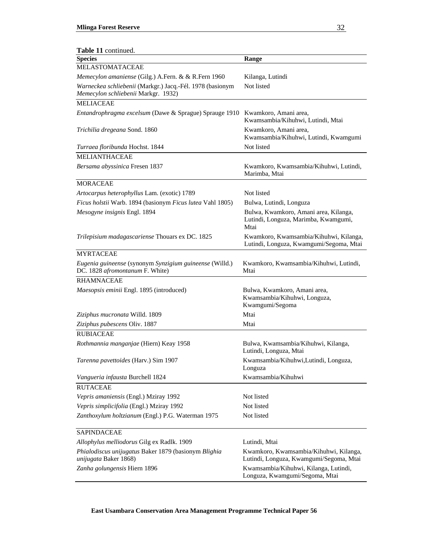| Table 11 continued.                                                                              |                                                                                       |
|--------------------------------------------------------------------------------------------------|---------------------------------------------------------------------------------------|
| <b>Species</b>                                                                                   | Range                                                                                 |
| <b>MELASTOMATACEAE</b>                                                                           |                                                                                       |
| Memecylon amaniense (Gilg.) A.Fern. & & R.Fern 1960                                              | Kilanga, Lutindi                                                                      |
| Warneckea schliebenii (Markgr.) Jacq.-Fél. 1978 (basionym<br>Memecylon schliebenii Markgr. 1932) | Not listed                                                                            |
| <b>MELIACEAE</b>                                                                                 |                                                                                       |
| Entandrophragma excelsum (Dawe & Sprague) Sprauge 1910                                           | Kwamkoro, Amani area,<br>Kwamsambia/Kihuhwi, Lutindi, Mtai                            |
| Trichilia dregeana Sond. 1860                                                                    | Kwamkoro, Amani area,<br>Kwamsambia/Kihuhwi, Lutindi, Kwamgumi                        |
| Turraea floribunda Hochst. 1844                                                                  | Not listed                                                                            |
| <b>MELIANTHACEAE</b>                                                                             |                                                                                       |
| Bersama abyssinica Fresen 1837                                                                   | Kwamkoro, Kwamsambia/Kihuhwi, Lutindi,<br>Marimba, Mtai                               |
| <b>MORACEAE</b>                                                                                  |                                                                                       |
| Artocarpus heterophyllus Lam. (exotic) 1789                                                      | Not listed                                                                            |
| Ficus holstii Warb. 1894 (basionym Ficus lutea Vahl 1805)                                        | Bulwa, Lutindi, Longuza                                                               |
| Mesogyne insignis Engl. 1894                                                                     | Bulwa, Kwamkoro, Amani area, Kilanga,<br>Lutindi, Longuza, Marimba, Kwamgumi,<br>Mtai |
| Trilepisium madagascariense Thouars ex DC. 1825                                                  | Kwamkoro, Kwamsambia/Kihuhwi, Kilanga,<br>Lutindi, Longuza, Kwamgumi/Segoma, Mtai     |
| <b>MYRTACEAE</b>                                                                                 |                                                                                       |
| Eugenia guineense (synonym Synzigium guineense (Willd.)<br>DC. 1828 afromontanum F. White)       | Kwamkoro, Kwamsambia/Kihuhwi, Lutindi,<br>Mtai                                        |
| <b>RHAMNACEAE</b>                                                                                |                                                                                       |
| Maesopsis eminii Engl. 1895 (introduced)                                                         | Bulwa, Kwamkoro, Amani area,<br>Kwamsambia/Kihuhwi, Longuza,<br>Kwamgumi/Segoma       |
| Ziziphus mucronata Willd. 1809                                                                   | Mtai                                                                                  |
| Ziziphus pubescens Oliv. 1887                                                                    | Mtai                                                                                  |
| <b>RUBIACEAE</b>                                                                                 |                                                                                       |
| Rothmannia manganjae (Hiern) Keay 1958                                                           | Bulwa, Kwamsambia/Kihuhwi, Kilanga,<br>Lutindi, Longuza, Mtai                         |
| <i>Tarenna pavettoides</i> (Harv.) Sim 1907                                                      | Kwamsambia/Kihuhwi,Lutindi, Longuza,<br>Longuza                                       |
| Vangueria infausta Burchell 1824                                                                 | Kwamsambia/Kihuhwi                                                                    |
| <b>RUTACEAE</b>                                                                                  |                                                                                       |
| Vepris amaniensis (Engl.) Mziray 1992                                                            | Not listed                                                                            |
| Vepris simplicifolia (Engl.) Mziray 1992                                                         | Not listed                                                                            |
| Zanthoxylum holtzianum (Engl.) P.G. Waterman 1975                                                | Not listed                                                                            |
| <b>SAPINDACEAE</b>                                                                               |                                                                                       |
| Allophylus melliodorus Gilg ex Radlk. 1909                                                       | Lutindi, Mtai                                                                         |
| Phialodiscus unijugatus Baker 1879 (basionym Blighia<br>unijugata Baker 1868)                    | Kwamkoro, Kwamsambia/Kihuhwi, Kilanga,<br>Lutindi, Longuza, Kwamgumi/Segoma, Mtai     |
| Zanha golungensis Hiern 1896                                                                     | Kwamsambia/Kihuhwi, Kilanga, Lutindi,<br>Longuza, Kwamgumi/Segoma, Mtai               |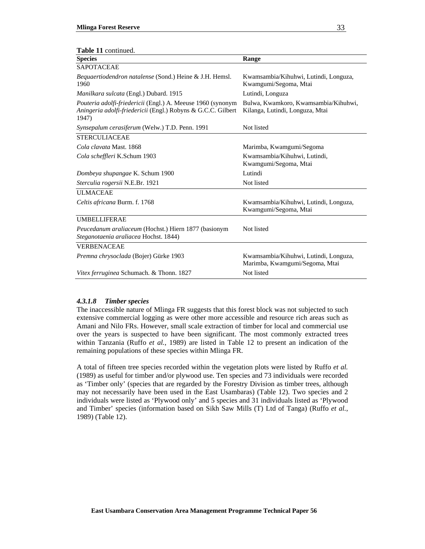| Table 11 continued.                                                                                                                  |                                                                         |
|--------------------------------------------------------------------------------------------------------------------------------------|-------------------------------------------------------------------------|
| <b>Species</b>                                                                                                                       | Range                                                                   |
| <b>SAPOTACEAE</b>                                                                                                                    |                                                                         |
| <i>Bequaertiodendron natalense</i> (Sond.) Heine & J.H. Hemsl.<br>1960                                                               | Kwamsambia/Kihuhwi, Lutindi, Longuza,<br>Kwamgumi/Segoma, Mtai          |
| <i>Manilkara sulcata</i> (Engl.) Dubard. 1915                                                                                        | Lutindi, Longuza                                                        |
| Pouteria adolfi-friedericii (Engl.) A. Meeuse 1960 (synonym<br>Aningeria adolfi-friedericii (Engl.) Robyns & G.C.C. Gilbert<br>1947) | Bulwa, Kwamkoro, Kwamsambia/Kihuhwi,<br>Kilanga, Lutindi, Longuza, Mtai |
| Synsepalum cerasiferum (Welw.) T.D. Penn. 1991                                                                                       | Not listed                                                              |
| <b>STERCULIACEAE</b>                                                                                                                 |                                                                         |
| Cola clavata Mast, 1868                                                                                                              | Marimba, Kwamgumi/Segoma                                                |
| Cola scheffleri K.Schum 1903                                                                                                         | Kwamsambia/Kihuhwi, Lutindi,<br>Kwamgumi/Segoma, Mtai                   |
| Dombeya shupangae K. Schum 1900                                                                                                      | Lutindi                                                                 |
| Sterculia rogersii N.E.Br. 1921                                                                                                      | Not listed                                                              |
| <b>ULMACEAE</b>                                                                                                                      |                                                                         |
| Celtis africana Burm. f. 1768                                                                                                        | Kwamsambia/Kihuhwi, Lutindi, Longuza,<br>Kwamgumi/Segoma, Mtai          |
| <b>UMBELLIFERAE</b>                                                                                                                  |                                                                         |
| Peucedanum araliaceum (Hochst.) Hiern 1877 (basionym<br>Steganotaenia araliacea Hochst. 1844)                                        | Not listed                                                              |
| <b>VERBENACEAE</b>                                                                                                                   |                                                                         |
| Premna chrysoclada (Bojer) Gürke 1903                                                                                                | Kwamsambia/Kihuhwi, Lutindi, Longuza,<br>Marimba, Kwamgumi/Segoma, Mtai |
| <i>Vitex ferruginea Schumach. &amp; Thonn.</i> 1827                                                                                  | Not listed                                                              |

## *4.3.1.8 Timber species*

The inaccessible nature of Mlinga FR suggests that this forest block was not subjected to such extensive commercial logging as were other more accessible and resource rich areas such as Amani and Nilo FRs. However, small scale extraction of timber for local and commercial use over the years is suspected to have been significant. The most commonly extracted trees within Tanzania (Ruffo *et al.*, 1989) are listed in Table 12 to present an indication of the remaining populations of these species within Mlinga FR.

A total of fifteen tree species recorded within the vegetation plots were listed by Ruffo *et al.* (1989) as useful for timber and/or plywood use. Ten species and 73 individuals were recorded as 'Timber only' (species that are regarded by the Forestry Division as timber trees, although may not necessarily have been used in the East Usambaras) (Table 12). Two species and 2 individuals were listed as 'Plywood only' and 5 species and 31 individuals listed as 'Plywood and Timber' species (information based on Sikh Saw Mills (T) Ltd of Tanga) (Ruffo *et al.*, 1989) (Table 12).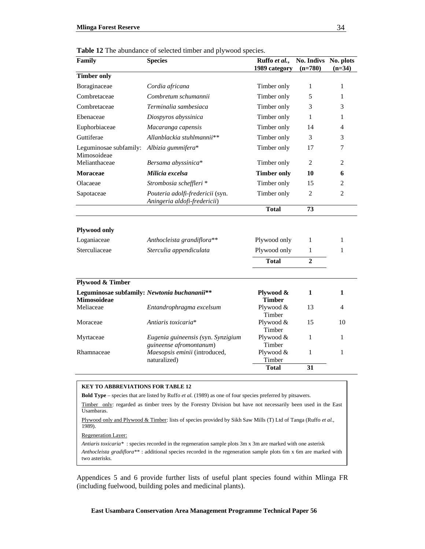| Family                                | <b>Species</b>                                                   | Ruffo et al.,<br>1989 category | <b>No. Indivs</b><br>$(n=780)$ | No. plots<br>$(n=34)$ |
|---------------------------------------|------------------------------------------------------------------|--------------------------------|--------------------------------|-----------------------|
| <b>Timber only</b>                    |                                                                  |                                |                                |                       |
| Boraginaceae                          | Cordia africana                                                  | Timber only                    | 1                              | $\mathbf{1}$          |
| Combretaceae                          | Combretum schumannii                                             | Timber only                    | 5                              | 1                     |
| Combretaceae                          | Terminalia sambesiaca                                            | Timber only                    | 3                              | 3                     |
| Ebenaceae                             | Diospyros abyssinica                                             | Timber only                    | 1                              | 1                     |
| Euphorbiaceae                         | Macaranga capensis                                               | Timber only                    | 14                             | 4                     |
| Guttiferae                            | Allanblackia stuhlmannii**                                       | Timber only                    | 3                              | 3                     |
| Leguminosae subfamily:<br>Mimosoideae | Albizia gummifera*                                               | Timber only                    | 17                             | 7                     |
| Melianthaceae                         | Bersama abyssinica*                                              | Timber only                    | $\overline{2}$                 | 2                     |
| Moraceae                              | Milicia excelsa                                                  | <b>Timber only</b>             | 10                             | 6                     |
| Olacaeae                              | Strombosia scheffleri *                                          | Timber only                    | 15                             | 2                     |
| Sapotaceae                            | Pouteria adolfi-fredericii (syn.<br>Aningeria aldofi-fredericii) | Timber only                    | $\overline{2}$                 | 2                     |
|                                       |                                                                  | <b>Total</b>                   | 73                             |                       |
| <b>Plywood only</b>                   |                                                                  |                                |                                |                       |
| Loganiaceae                           | Anthocleista grandiflora**                                       | Plywood only                   | 1                              | 1                     |
| Sterculiaceae                         | Sterculia appendiculata                                          | Plywood only                   | 1                              | 1                     |
|                                       |                                                                  | <b>Total</b>                   | $\mathbf{2}$                   |                       |
| Plywood & Timber                      |                                                                  |                                |                                |                       |
| <b>Mimosoideae</b>                    | Leguminosae subfamily: Newtonia buchananii**                     | Plywood &<br><b>Timber</b>     | 1                              | 1                     |
| Meliaceae                             | Entandrophragma excelsum                                         | Plywood &<br>Timber            | 13                             | 4                     |
| Moraceae                              | Antiaris toxicaria*                                              | Plywood &<br>Timber            | 15                             | 10                    |
| Myrtaceae                             | Eugenia guineensis (syn. Synzigium<br>guineense afromontanum)    | Plywood &<br>Timber            | $\mathbf{1}$                   | 1                     |
| Rhamnaceae                            | Maesopsis eminii (introduced,<br>naturalized)                    | Plywood &<br>Timber            | 1                              | $\mathbf{1}$          |
|                                       |                                                                  | <b>Total</b>                   | 31                             |                       |

**Table 12** The abundance of selected timber and plywood species.

#### **KEY TO ABBREVIATIONS FOR TABLE 12**

**Bold Type** – species that are listed by Ruffo *et al.* (1989) as one of four species preferred by pitsawers.

Timber only: regarded as timber trees by the Forestry Division but have not necessarily been used in the East Usambaras.

Plywood only and Plywood & Timber: lists of species provided by Sikh Saw Mills (T) Ltd of Tanga (Ruffo *et al.*, 1989).

Regeneration Layer:

*Antiaris toxicaria\** : species recorded in the regeneration sample plots 3m x 3m are marked with one asterisk *Anthocleista gradiflora\*\** : additional species recorded in the regeneration sample plots 6m x 6m are marked with two asterisks.

Appendices 5 and 6 provide further lists of useful plant species found within Mlinga FR (including fuelwood, building poles and medicinal plants).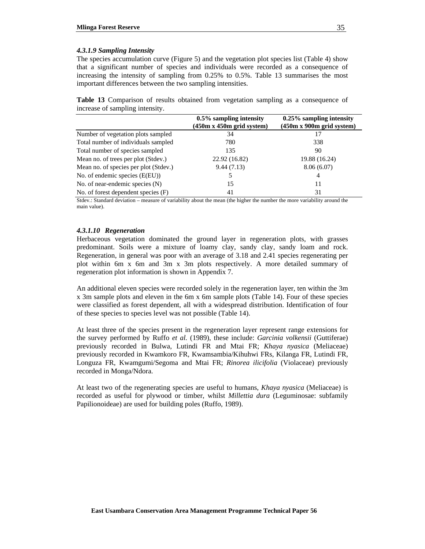#### *4.3.1.9 Sampling Intensity*

The species accumulation curve (Figure 5) and the vegetation plot species list (Table 4) show that a significant number of species and individuals were recorded as a consequence of increasing the intensity of sampling from 0.25% to 0.5%. Table 13 summarises the most important differences between the two sampling intensities.

**Table 13** Comparison of results obtained from vegetation sampling as a consequence of increase of sampling intensity.

|                                       | 0.5% sampling intensity<br>(450m x 450m grid system) | $0.25\%$ sampling intensity<br>$(450m \times 900m \text{ grid system})$ |
|---------------------------------------|------------------------------------------------------|-------------------------------------------------------------------------|
| Number of vegetation plots sampled    | 34                                                   |                                                                         |
| Total number of individuals sampled   | 780                                                  | 338                                                                     |
| Total number of species sampled       | 135                                                  | 90                                                                      |
| Mean no. of trees per plot (Stdev.)   | 22.92 (16.82)                                        | 19.88 (16.24)                                                           |
| Mean no. of species per plot (Stdev.) | 9.44(7.13)                                           | 8.06(6.07)                                                              |
| No. of endemic species $(E(EU))$      |                                                      | 4                                                                       |
| No. of near-endemic species (N)       | 15                                                   | 11                                                                      |
| No. of forest dependent species (F)   | 41                                                   | 31                                                                      |

Stdev.: Standard deviation – measure of variability about the mean (the higher the number the more variability around the main value).

#### *4.3.1.10 Regeneration*

Herbaceous vegetation dominated the ground layer in regeneration plots, with grasses predominant. Soils were a mixture of loamy clay, sandy clay, sandy loam and rock. Regeneration, in general was poor with an average of 3.18 and 2.41 species regenerating per plot within 6m x 6m and 3m x 3m plots respectively. A more detailed summary of regeneration plot information is shown in Appendix 7.

An additional eleven species were recorded solely in the regeneration layer, ten within the 3m x 3m sample plots and eleven in the 6m x 6m sample plots (Table 14). Four of these species were classified as forest dependent, all with a widespread distribution. Identification of four of these species to species level was not possible (Table 14).

At least three of the species present in the regeneration layer represent range extensions for the survey performed by Ruffo *et al.* (1989), these include: *Garcinia volkensii* (Guttiferae) previously recorded in Bulwa, Lutindi FR and Mtai FR; *Khaya nyasica* (Meliaceae) previously recorded in Kwamkoro FR, Kwamsambia/Kihuhwi FRs, Kilanga FR, Lutindi FR, Longuza FR, Kwamgumi/Segoma and Mtai FR; *Rinorea ilicifolia* (Violaceae) previously recorded in Monga/Ndora.

At least two of the regenerating species are useful to humans, *Khaya nyasica* (Meliaceae) is recorded as useful for plywood or timber, whilst *Millettia dura* (Leguminosae: subfamily Papilionoideae) are used for building poles (Ruffo, 1989).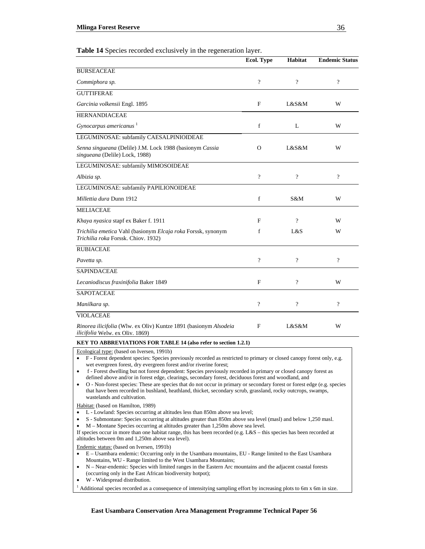**Table 14** Species recorded exclusively in the regeneration layer.

|                                                                                                                                                                                                                                                                                                                                                                                                                                                                                                                                                                                                                                                                                                                                                                                                               | <b>Ecol. Type</b>        | Habitat                    | <b>Endemic Status</b>    |
|---------------------------------------------------------------------------------------------------------------------------------------------------------------------------------------------------------------------------------------------------------------------------------------------------------------------------------------------------------------------------------------------------------------------------------------------------------------------------------------------------------------------------------------------------------------------------------------------------------------------------------------------------------------------------------------------------------------------------------------------------------------------------------------------------------------|--------------------------|----------------------------|--------------------------|
| <b>BURSEACEAE</b>                                                                                                                                                                                                                                                                                                                                                                                                                                                                                                                                                                                                                                                                                                                                                                                             |                          |                            |                          |
| Commiphora sp.                                                                                                                                                                                                                                                                                                                                                                                                                                                                                                                                                                                                                                                                                                                                                                                                | $\overline{\mathcal{L}}$ | $\overline{\mathcal{L}}$   | $\overline{\mathcal{L}}$ |
| <b>GUTTIFERAE</b>                                                                                                                                                                                                                                                                                                                                                                                                                                                                                                                                                                                                                                                                                                                                                                                             |                          |                            |                          |
| Garcinia volkensii Engl. 1895                                                                                                                                                                                                                                                                                                                                                                                                                                                                                                                                                                                                                                                                                                                                                                                 | F                        | L&S&M                      | W                        |
| <b>HERNANDIACEAE</b>                                                                                                                                                                                                                                                                                                                                                                                                                                                                                                                                                                                                                                                                                                                                                                                          |                          |                            |                          |
| Gynocarpus americanus <sup>1</sup>                                                                                                                                                                                                                                                                                                                                                                                                                                                                                                                                                                                                                                                                                                                                                                            | f                        | L                          | W                        |
| LEGUMINOSAE: subfamily CAESALPINIOIDEAE                                                                                                                                                                                                                                                                                                                                                                                                                                                                                                                                                                                                                                                                                                                                                                       |                          |                            |                          |
| Senna singueana (Delile) J.M. Lock 1988 (basionym Cassia<br>singueana (Delile) Lock, 1988)                                                                                                                                                                                                                                                                                                                                                                                                                                                                                                                                                                                                                                                                                                                    | O                        | L&S&M                      | W                        |
| LEGUMINOSAE: subfamily MIMOSOIDEAE                                                                                                                                                                                                                                                                                                                                                                                                                                                                                                                                                                                                                                                                                                                                                                            |                          |                            |                          |
| Albizia sp.                                                                                                                                                                                                                                                                                                                                                                                                                                                                                                                                                                                                                                                                                                                                                                                                   | $\overline{?}$           | $\boldsymbol{\mathcal{P}}$ | $\overline{\mathcal{L}}$ |
| LEGUMINOSAE: subfamily PAPILIONOIDEAE                                                                                                                                                                                                                                                                                                                                                                                                                                                                                                                                                                                                                                                                                                                                                                         |                          |                            |                          |
| Millettia dura Dunn 1912                                                                                                                                                                                                                                                                                                                                                                                                                                                                                                                                                                                                                                                                                                                                                                                      | f                        | S&M                        | W                        |
| <b>MELIACEAE</b>                                                                                                                                                                                                                                                                                                                                                                                                                                                                                                                                                                                                                                                                                                                                                                                              |                          |                            |                          |
| Khaya nyasica stapf ex Baker f. 1911                                                                                                                                                                                                                                                                                                                                                                                                                                                                                                                                                                                                                                                                                                                                                                          | F                        | $\overline{\cdot}$         | W                        |
| <i>Trichilia emetica</i> Vahl (basionym <i>Elcaja roka</i> Forssk, synonym<br>Trichilia roka Forssk. Chiov. 1932)                                                                                                                                                                                                                                                                                                                                                                                                                                                                                                                                                                                                                                                                                             | $\mathbf f$              | L&S                        | W                        |
| <b>RUBIACEAE</b>                                                                                                                                                                                                                                                                                                                                                                                                                                                                                                                                                                                                                                                                                                                                                                                              |                          |                            |                          |
| Pavetta sp.                                                                                                                                                                                                                                                                                                                                                                                                                                                                                                                                                                                                                                                                                                                                                                                                   | $\overline{\mathcal{L}}$ | $\overline{\cdot}$         | $\overline{\cdot}$       |
| <b>SAPINDACEAE</b>                                                                                                                                                                                                                                                                                                                                                                                                                                                                                                                                                                                                                                                                                                                                                                                            |                          |                            |                          |
| Lecaniodiscus fraxinifolia Baker 1849                                                                                                                                                                                                                                                                                                                                                                                                                                                                                                                                                                                                                                                                                                                                                                         | F                        | $\overline{\cdot}$         | W                        |
| <b>SAPOTACEAE</b>                                                                                                                                                                                                                                                                                                                                                                                                                                                                                                                                                                                                                                                                                                                                                                                             |                          |                            |                          |
| Manilkara sp.                                                                                                                                                                                                                                                                                                                                                                                                                                                                                                                                                                                                                                                                                                                                                                                                 | $\overline{\mathcal{L}}$ | $\overline{\cdot}$         | $\overline{?}$           |
| VIOLACEAE                                                                                                                                                                                                                                                                                                                                                                                                                                                                                                                                                                                                                                                                                                                                                                                                     |                          |                            |                          |
| Rinorea ilicifolia (Wlw. ex Oliv) Kuntze 1891 (basionym Alsodeia<br>ilicifolia Welw. ex Oliv. 1869)                                                                                                                                                                                                                                                                                                                                                                                                                                                                                                                                                                                                                                                                                                           | F                        | L&S&M                      | W                        |
| KEY TO ABBREVIATIONS FOR TABLE 14 (also refer to section 1.2.1)                                                                                                                                                                                                                                                                                                                                                                                                                                                                                                                                                                                                                                                                                                                                               |                          |                            |                          |
| Ecological type: (based on Iversen, 1991b)<br>F - Forest dependent species: Species previously recorded as restricted to primary or closed canopy forest only, e.g.<br>wet evergreen forest, dry evergreen forest and/or riverine forest;<br>f - Forest dwelling but not forest dependent: Species previously recorded in primary or closed canopy forest as<br>٠<br>defined above and/or in forest edge, clearings, secondary forest, deciduous forest and woodland, and<br>O - Non-forest species: These are species that do not occur in primary or secondary forest or forest edge (e.g. species<br>$\bullet$<br>that have been recorded in bushland, heathland, thicket, secondary scrub, grassland, rocky outcrops, swamps,<br>wastelands and cultivation.<br><b>Habitat:</b> (based on Hamilton, 1989) |                          |                            |                          |
| L - Lowland: Species occurring at altitudes less than 850m above sea level;<br>٠<br>S - Submontane: Species occurring at altitudes greater than 850m above sea level (masl) and below 1,250 masl.<br>٠<br>M – Montane Species occurring at altitudes greater than 1,250m above sea level.<br>٠<br>If species occur in more than one habitat range, this has been recorded (e.g. $L&S$ – this species has been recorded at<br>altitudes between 0m and 1,250m above sea level).                                                                                                                                                                                                                                                                                                                                |                          |                            |                          |

Endemic status: (based on Iversen, 1991b)

- E Usambara endemic: Occurring only in the Usambara mountains, EU Range limited to the East Usambara Mountains, WU - Range limited to the West Usambara Mountains;
- N Near-endemic: Species with limited ranges in the Eastern Arc mountains and the adjacent coastal forests (occurring only in the East African biodiversity hotpot);
- W Widespread distribution.

<sup>1</sup> Additional species recorded as a consequence of intensitying sampling effort by increasing plots to 6m x 6m in size.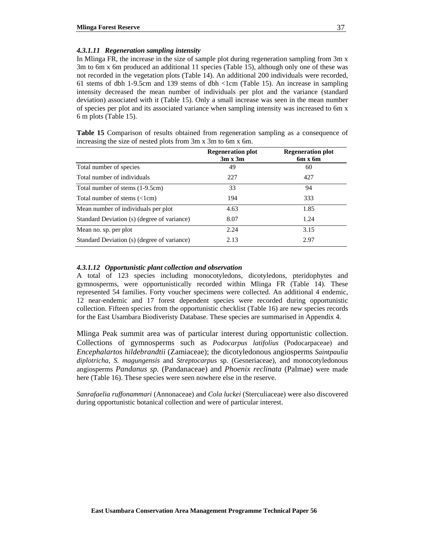#### *4.3.1.11 Regeneration sampling intensity*

In Mlinga FR, the increase in the size of sample plot during regeneration sampling from 3m x 3m to 6m x 6m produced an additional 11 species (Table 15), although only one of these was not recorded in the vegetation plots (Table 14). An additional 200 individuals were recorded, 61 stems of dbh 1-9.5cm and 139 stems of dbh <1cm (Table 15). An increase in sampling intensity decreased the mean number of individuals per plot and the variance (standard deviation) associated with it (Table 15). Only a small increase was seen in the mean number of species per plot and its associated variance when sampling intensity was increased to 6m x 6 m plots (Table 15).

**Table 15** Comparison of results obtained from regeneration sampling as a consequence of increasing the size of nested plots from 3m x 3m to 6m x 6m.

|                                                         | <b>Regeneration plot</b><br>$3m \times 3m$ | <b>Regeneration plot</b><br>$6m \times 6m$ |
|---------------------------------------------------------|--------------------------------------------|--------------------------------------------|
| Total number of species                                 | 49                                         | 60                                         |
| Total number of individuals                             | 227                                        | 427                                        |
| Total number of stems (1-9.5cm)                         | 33                                         | 94                                         |
| Total number of stems $\left(\text{<}1\text{cm}\right)$ | 194                                        | 333                                        |
| Mean number of individuals per plot                     | 4.63                                       | 1.85                                       |
| Standard Deviation (s) (degree of variance)             | 8.07                                       | 1.24                                       |
| Mean no. sp. per plot                                   | 2.24                                       | 3.15                                       |
| Standard Deviation (s) (degree of variance)             | 2.13                                       | 2.97                                       |

## *4.3.1.12 Opportunistic plant collection and observation*

A total of 123 species including monocotyledons, dicotyledons, pteridophytes and gymnosperms, were opportunistically recorded within Mlinga FR (Table 14). These represented 54 families. Forty voucher specimens were collected. An additional 4 endemic, 12 near-endemic and 17 forest dependent species were recorded during opportunistic collection. Fifteen species from the opportunistic checklist (Table 16) are new species records for the East Usambara Biodiveristy Database. These species are summarised in Appendix 4.

Mlinga Peak summit area was of particular interest during opportunistic collection. Collections of gymnosperms such as *Podocarpus latifolius* (Podocarpaceae) and *Encephalartos hildebrandtii* (Zamiaceae); the dicotyledonous angiosperms *Saintpaulia diplotricha*, *S. magungensis* and *Streptocarpus* sp. (Gesneriaceae), and monocotyledonous angiosperms *Pandanus sp.* (Pandanaceae) and *Phoenix reclinata* (Palmae) were made here (Table 16). These species were seen nowhere else in the reserve.

*Sanrafaelia ruffonammari* (Annonaceae) and *Cola luckei* (Sterculiaceae) were also discovered during opportunistic botanical collection and were of particular interest.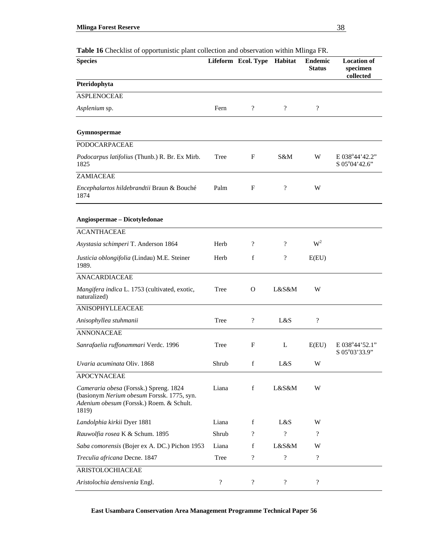ARISTOLOCHIACEAE

| Table 16 Checklist of opportunistic plant collection and observation within Mlinga FR.                                                    |       |                             |                          |                                 |                                             |  |
|-------------------------------------------------------------------------------------------------------------------------------------------|-------|-----------------------------|--------------------------|---------------------------------|---------------------------------------------|--|
| <b>Species</b>                                                                                                                            |       | Lifeform Ecol. Type Habitat |                          | <b>Endemic</b><br><b>Status</b> | <b>Location of</b><br>specimen<br>collected |  |
| Pteridophyta                                                                                                                              |       |                             |                          |                                 |                                             |  |
| <b>ASPLENOCEAE</b>                                                                                                                        |       |                             |                          |                                 |                                             |  |
| Asplenium sp.                                                                                                                             | Fern  | $\overline{?}$              | $\overline{?}$           | $\overline{\cdot}$              |                                             |  |
| Gymnospermae                                                                                                                              |       |                             |                          |                                 |                                             |  |
| PODOCARPACEAE                                                                                                                             |       |                             |                          |                                 |                                             |  |
| Podocarpus latifolius (Thunb.) R. Br. Ex Mirb.<br>1825                                                                                    | Tree  | F                           | S&M                      | W                               | $E$ 038°44'42.2"<br>$S 05^{\circ}04'42.6"$  |  |
| ZAMIACEAE                                                                                                                                 |       |                             |                          |                                 |                                             |  |
| Encephalartos hildebrandtii Braun & Bouché<br>1874                                                                                        | Palm  | F                           | $\overline{\mathcal{L}}$ | W                               |                                             |  |
| Angiospermae - Dicotyledonae                                                                                                              |       |                             |                          |                                 |                                             |  |
| <b>ACANTHACEAE</b>                                                                                                                        |       |                             |                          |                                 |                                             |  |
| Asystasia schimperi T. Anderson 1864                                                                                                      | Herb  | $\overline{\cdot}$          | $\overline{\mathcal{L}}$ | $W^2$                           |                                             |  |
| Justicia oblongifolia (Lindau) M.E. Steiner<br>1989.                                                                                      | Herb  | f                           | $\overline{\mathcal{L}}$ | E(EU)                           |                                             |  |
| ANACARDIACEAE                                                                                                                             |       |                             |                          |                                 |                                             |  |
| Mangifera indica L. 1753 (cultivated, exotic,<br>naturalized)                                                                             | Tree  | $\mathbf{O}$                | L&S&M                    | W                               |                                             |  |
| <b>ANISOPHYLLEACEAE</b>                                                                                                                   |       |                             |                          |                                 |                                             |  |
| Anisophyllea stuhmanii                                                                                                                    | Tree  | ?                           | L&S                      | $\overline{\cdot}$              |                                             |  |
| <b>ANNONACEAE</b>                                                                                                                         |       |                             |                          |                                 |                                             |  |
| Sanrafaelia ruffonammari Verdc. 1996                                                                                                      | Tree  | $\mathbf F$                 | L                        | E(EU)                           | E 038°44'52.1"<br>S 05°03'33.9"             |  |
| Uvaria acuminata Oliv. 1868                                                                                                               | Shrub | f                           | L&S                      | W                               |                                             |  |
| APOCYNACEAE                                                                                                                               |       |                             |                          |                                 |                                             |  |
| Cameraria obesa (Forssk.) Spreng. 1824<br>(basionym Nerium obesum Forssk. 1775, syn.<br>Adenium obesum (Forssk.) Roem. & Schult.<br>1819) | Liana | $\mathbf f$                 | L&S&M                    | W                               |                                             |  |

**East Usambara Conservation Area Management Programme Technical Paper 56**

*Landolphia kirkii* Dyer 1881 Liana f L&S W *Rauwolfia rosea* K & Schum. 1895 Shrub ? ? ? *Saba comorensis* (Bojer ex A. DC.) Pichon 1953 Liana f L&S&M W *Treculia africana* Decne. 1847 **Tree** 2 2 2 3

*Aristolochia densivenia* Engl. ? ? ? ?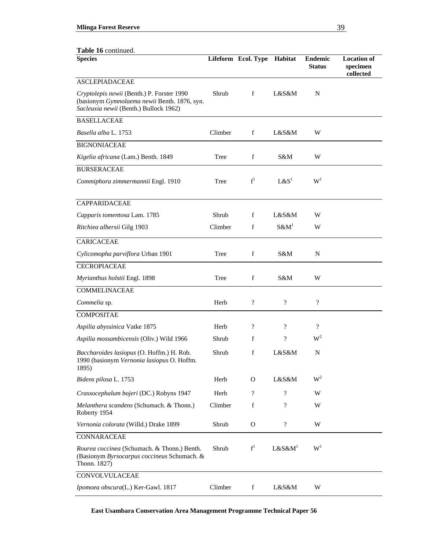**Table 16** continued.

| <b>Species</b>                                                                                                                       |         | Lifeform Ecol. Type Habitat |                          | <b>Endemic</b><br><b>Status</b> | <b>Location of</b><br>specimen<br>collected |
|--------------------------------------------------------------------------------------------------------------------------------------|---------|-----------------------------|--------------------------|---------------------------------|---------------------------------------------|
| <b>ASCLEPIADACEAE</b>                                                                                                                |         |                             |                          |                                 |                                             |
| Cryptolepis newii (Benth.) P. Forster 1990<br>(basionym Gymnolaema newii Benth. 1876, syn.<br>Sacleuxia newii (Benth.) Bullock 1962) | Shrub   | f                           | L&S&M                    | N                               |                                             |
| <b>BASELLACEAE</b>                                                                                                                   |         |                             |                          |                                 |                                             |
| Basella alba L. 1753                                                                                                                 | Climber | f                           | L&S&M                    | W                               |                                             |
| <b>BIGNONIACEAE</b>                                                                                                                  |         |                             |                          |                                 |                                             |
| Kigelia africana (Lam.) Benth. 1849                                                                                                  | Tree    | f                           | S&M                      | W                               |                                             |
| <b>BURSERACEAE</b>                                                                                                                   |         |                             |                          |                                 |                                             |
| Commiphora zimmermannii Engl. 1910                                                                                                   | Tree    | $f^1$                       | $L\&S^1$                 | W <sup>1</sup>                  |                                             |
| CAPPARIDACEAE                                                                                                                        |         |                             |                          |                                 |                                             |
| Capparis tomentosa Lam. 1785                                                                                                         | Shrub   | f                           | L&S&M                    | W                               |                                             |
| Ritchiea albersii Gilg 1903                                                                                                          | Climber | f                           | $S\&M1$                  | W                               |                                             |
| <b>CARICACEAE</b>                                                                                                                    |         |                             |                          |                                 |                                             |
| Cylicomopha parviflora Urban 1901                                                                                                    | Tree    | f                           | S&M                      | N                               |                                             |
| <b>CECROPIACEAE</b>                                                                                                                  |         |                             |                          |                                 |                                             |
| Myrianthus holstii Engl. 1898                                                                                                        | Tree    | f                           | S&M                      | W                               |                                             |
| <b>COMMELINACEAE</b>                                                                                                                 |         |                             |                          |                                 |                                             |
| Commelia sp.                                                                                                                         | Herb    | ?                           | $\overline{\mathcal{L}}$ | $\overline{\cdot}$              |                                             |
| <b>COMPOSITAE</b>                                                                                                                    |         |                             |                          |                                 |                                             |
| Aspilia abyssinica Vatke 1875                                                                                                        | Herb    | ?                           | $\overline{?}$           | $\overline{?}$                  |                                             |
| Aspilia mossambicensis (Oliv.) Wild 1966                                                                                             | Shrub   | f                           | $\overline{\cdot}$       | $W^2$                           |                                             |
| Baccharoides lasiopus (O. Hoffm.) H. Rob.<br>1990 (basionym Vernonia lasiopus O. Hoffm.<br>1895)                                     | Shrub   | f                           | L&S&M                    | N                               |                                             |
| Bidens pilosa L. 1753                                                                                                                | Herb    | O                           | L&S&M                    | $W^2$                           |                                             |
| Crassocephalum bojeri (DC.) Robyns 1947                                                                                              | Herb    | $\overline{?}$              | $\overline{\mathcal{L}}$ | W                               |                                             |
| Melanthera scandens (Schumach. & Thonn.)<br>Roberty 1954                                                                             | Climber | f                           | $\overline{\cdot}$       | W                               |                                             |
| Vernonia colorata (Willd.) Drake 1899                                                                                                | Shrub   | $\mathbf{O}$                | $\overline{\mathcal{L}}$ | W                               |                                             |
| CONNARACEAE                                                                                                                          |         |                             |                          |                                 |                                             |
| Rourea coccinea (Schumach. & Thonn.) Benth.<br>(Basionym Byrsocarpus coccineus Schumach. &<br>Thonn. 1827)                           | Shrub   | $f^1$                       | $L&S\&M1$                | W <sup>1</sup>                  |                                             |
| CONVOLVULACEAE                                                                                                                       |         |                             |                          |                                 |                                             |
| Ipomoea obscura(L.) Ker-Gawl. 1817                                                                                                   | Climber | f                           | L&S&M                    | W                               |                                             |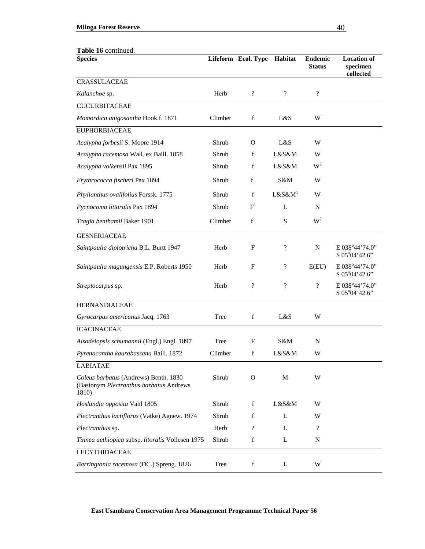| Table 16 continued.                                                                       |         |                     |                          |                                 |                                             |
|-------------------------------------------------------------------------------------------|---------|---------------------|--------------------------|---------------------------------|---------------------------------------------|
| <b>Species</b>                                                                            |         | Lifeform Ecol. Type | Habitat                  | <b>Endemic</b><br><b>Status</b> | <b>Location of</b><br>specimen<br>collected |
| <b>CRASSULACEAE</b>                                                                       |         |                     |                          |                                 |                                             |
| Kalanchoe sp.                                                                             | Herb    | $\overline{?}$      | $\overline{\mathcal{L}}$ | $\overline{\mathcal{L}}$        |                                             |
| <b>CUCURBITACEAE</b>                                                                      |         |                     |                          |                                 |                                             |
| Momordica anigosantha Hook.f. 1871                                                        | Climber | $\mathbf f$         | L&S                      | W                               |                                             |
| <b>EUPHORBIACEAE</b>                                                                      |         |                     |                          |                                 |                                             |
| Acalypha forbesii S. Moore 1914                                                           | Shrub   | 0                   | L&S                      | W                               |                                             |
| Acalypha racemosa Wall. ex Baill. 1858                                                    | Shrub   | f                   | L&S&M                    | W                               |                                             |
| Acalypha volkensii Pax 1895                                                               | Shrub   | $\mathbf f$         | L&S&M                    | $W^2$                           |                                             |
| Erythrococca fischeri Pax 1894                                                            | Shrub   | $f^1$               | S&M                      | W                               |                                             |
| Phyllanthus ovalifolius Forssk. 1775                                                      | Shrub   | $\mathbf f$         | $L&S\&M1$                | W                               |                                             |
| Pycnocoma littoralis Pax 1894                                                             | Shrub   | $F^1$               | L                        | ${\bf N}$                       |                                             |
| Tragia benthamii Baker 1901                                                               | Climber | $f^1$               | S                        | $W^2$                           |                                             |
| <b>GESNERIACEAE</b>                                                                       |         |                     |                          |                                 |                                             |
| Saintpaulia diplotricha B.L. Burtt 1947                                                   | Herb    | $\mathbf{F}$        | $\overline{\cdot}$       | ${\bf N}$                       | E 038°44'74.0"<br>S 05°04'42.6"             |
| Saintpaulia magungensis E.P. Roberts 1950                                                 | Herb    | $\mathbf{F}$        | $\overline{\cdot}$       | E(EU)                           | E 038°44'74.0"<br>S 05°04'42.6"             |
| Streptocarpus sp.                                                                         | Herb    | $\overline{\cdot}$  | $\overline{\cdot}$       | $\overline{\mathcal{L}}$        | E 038°44'74.0"<br>S 05°04'42.6"             |
| <b>HERNANDIACEAE</b>                                                                      |         |                     |                          |                                 |                                             |
| Gyrocarpus americanus Jacq. 1763                                                          | Tree    | $\mathbf f$         | L&S                      | W                               |                                             |
| <b>ICACINACEAE</b>                                                                        |         |                     |                          |                                 |                                             |
| Alsodeiopsis schumannii (Engl.) Engl. 1897                                                | Tree    | $\mathbf F$         | S&M                      | ${\bf N}$                       |                                             |
| Pyrenacantha kaurabassana Baill. 1872                                                     | Climber | $\mathbf f$         | L&S&M                    | W                               |                                             |
| <b>LABIATAE</b>                                                                           |         |                     |                          |                                 |                                             |
| Coleus barbatus (Andrews) Benth. 1830<br>(Basionym Plectranthus barbatus Andrews<br>1810) | Shrub   | $\mathbf{O}$        | M                        | W                               |                                             |
| Hoslundia opposita Vahl 1805                                                              | Shrub   | f                   | L&S&M                    | W                               |                                             |
| Plectranthus lactiflorus (Vatke) Agnew. 1974                                              | Shrub   | f                   | L                        | W                               |                                             |
| <i>Plectranthus</i> sp.                                                                   | Herb    | $\overline{\cdot}$  | L                        | $\overline{?}$                  |                                             |
| Tinnea aethiopica subsp. litoralis Vollesen 1975                                          | Shrub   | $\mathbf f$         | L                        | N                               |                                             |
| LECYTHIDACEAE                                                                             |         |                     |                          |                                 |                                             |

*Barringtonia racemosa* (DC.) Spreng. 1826 Tree f L W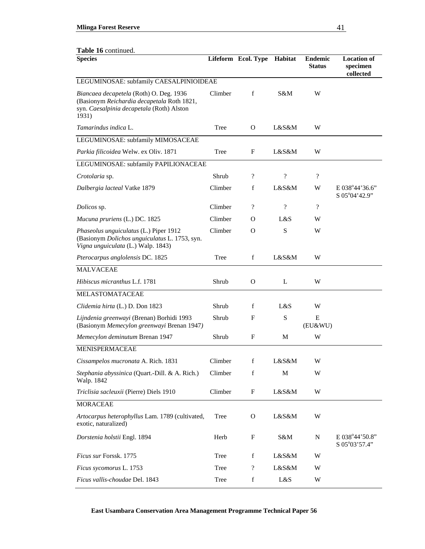|  | <b>Table 16</b> continued. |
|--|----------------------------|
|--|----------------------------|

| <b>Species</b>                                                                                                                              |         | Lifeform Ecol. Type Habitat |                | <b>Endemic</b><br><b>Status</b> | <b>Location of</b><br>specimen<br>collected |
|---------------------------------------------------------------------------------------------------------------------------------------------|---------|-----------------------------|----------------|---------------------------------|---------------------------------------------|
| LEGUMINOSAE: subfamily CAESALPINIOIDEAE                                                                                                     |         |                             |                |                                 |                                             |
| Biancaea decapetela (Roth) O. Deg. 1936<br>(Basionym Reichardia decapetala Roth 1821,<br>syn. Caesalpinia decapetala (Roth) Alston<br>1931) | Climber | f                           | S&M            | W                               |                                             |
| Tamarindus indica L.                                                                                                                        | Tree    | O                           | L&S&M          | W                               |                                             |
| LEGUMINOSAE: subfamily MIMOSACEAE                                                                                                           |         |                             |                |                                 |                                             |
| Parkia filicoidea Welw. ex Oliv. 1871                                                                                                       | Tree    | F                           | L&S&M          | W                               |                                             |
| LEGUMINOSAE: subfamily PAPILIONACEAE                                                                                                        |         |                             |                |                                 |                                             |
| Crotolaria sp.                                                                                                                              | Shrub   | $\overline{?}$              | $\overline{?}$ | $\overline{?}$                  |                                             |
| Dalbergia lacteal Vatke 1879                                                                                                                | Climber | f                           | L&S&M          | W                               | E 038°44'36.6"<br>S 05°04'42.9"             |
| Dolicos sp.                                                                                                                                 | Climber | ?                           | $\overline{?}$ | $\gamma$                        |                                             |
| Mucuna pruriens (L.) DC. 1825                                                                                                               | Climber | O                           | L&S            | W                               |                                             |
| Phaseolus unguiculatus (L.) Piper 1912<br>(Basionym Dolichos unguiculatus L. 1753, syn.<br>Vigna unguiculata (L.) Walp. 1843)               | Climber | O                           | S              | W                               |                                             |
| Pterocarpus anglolensis DC. 1825                                                                                                            | Tree    | f                           | L&S&M          | W                               |                                             |
| <b>MALVACEAE</b>                                                                                                                            |         |                             |                |                                 |                                             |
| <i>Hibiscus micranthus L.f.</i> 1781                                                                                                        | Shrub   | O                           | L              | W                               |                                             |
| <b>MELASTOMATACEAE</b>                                                                                                                      |         |                             |                |                                 |                                             |
| Clidemia hirta (L.) D. Don 1823                                                                                                             | Shrub   | f                           | L&S            | W                               |                                             |
| Lijndenia greenwayi (Brenan) Borhidi 1993<br>(Basionym Memecylon greenwayi Brenan 1947)                                                     | Shrub   | F                           | S              | E<br>(EU&WU)                    |                                             |
| Memecylon deminutum Brenan 1947                                                                                                             | Shrub   | F                           | М              | W                               |                                             |
| MENISPERMACEAE                                                                                                                              |         |                             |                |                                 |                                             |
| Cissampelos mucronata A. Rich. 1831                                                                                                         | Climber | f                           | L&S&M          | W                               |                                             |
| Stephania abyssinica (Quart.-Dill. & A. Rich.)<br>Walp. 1842                                                                                | Climber | f                           | M              | W                               |                                             |
| Triclisia sacleuxii (Pierre) Diels 1910                                                                                                     | Climber | F                           | L&S&M          | W                               |                                             |
| <b>MORACEAE</b>                                                                                                                             |         |                             |                |                                 |                                             |
| Artocarpus heterophyllus Lam. 1789 (cultivated,<br>exotic, naturalized)                                                                     | Tree    | $\mathbf{O}$                | L&S&M          | W                               |                                             |
| Dorstenia holstii Engl. 1894                                                                                                                | Herb    | F                           | S&M            | N                               | E 038°44'50.8"<br>S 05°03'57.4"             |
| Ficus sur Forssk. 1775                                                                                                                      | Tree    | f                           | L&S&M          | W                               |                                             |
| Ficus sycomorus L. 1753                                                                                                                     | Tree    | $\boldsymbol{\mathcal{C}}$  | L&S&M          | W                               |                                             |
| Ficus vallis-choudae Del. 1843                                                                                                              | Tree    | $\mathbf f$                 | L&S            | W                               |                                             |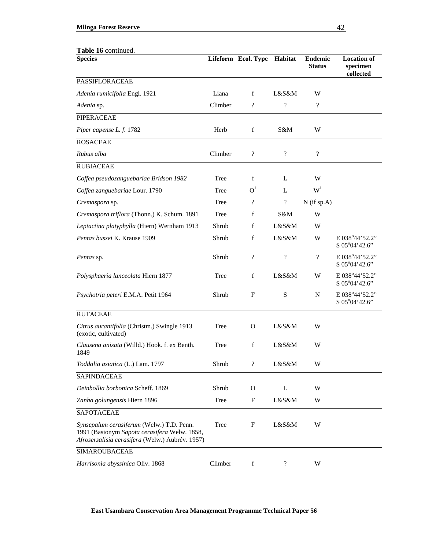| Table 16 continued.                                                                                                                          |         |                          |                          |                                 |                                             |  |
|----------------------------------------------------------------------------------------------------------------------------------------------|---------|--------------------------|--------------------------|---------------------------------|---------------------------------------------|--|
| <b>Species</b>                                                                                                                               |         | Lifeform Ecol. Type      | Habitat                  | <b>Endemic</b><br><b>Status</b> | <b>Location</b> of<br>specimen<br>collected |  |
| <b>PASSIFLORACEAE</b>                                                                                                                        |         |                          |                          |                                 |                                             |  |
| Adenia rumicifolia Engl. 1921                                                                                                                | Liana   | f                        | L&S&M                    | W                               |                                             |  |
| Adenia sp.                                                                                                                                   | Climber | $\overline{\cdot}$       | $\overline{\mathcal{L}}$ | $\overline{\mathcal{L}}$        |                                             |  |
| PIPERACEAE                                                                                                                                   |         |                          |                          |                                 |                                             |  |
| Piper capense L. f. 1782                                                                                                                     | Herb    | f                        | S&M                      | W                               |                                             |  |
| <b>ROSACEAE</b>                                                                                                                              |         |                          |                          |                                 |                                             |  |
| Rubus alba                                                                                                                                   | Climber | $\overline{?}$           | $\overline{\mathcal{L}}$ | $\gamma$                        |                                             |  |
| <b>RUBIACEAE</b>                                                                                                                             |         |                          |                          |                                 |                                             |  |
| Coffea pseudozanguebariae Bridson 1982                                                                                                       | Tree    | f                        | L                        | W                               |                                             |  |
| Coffea zanguebariae Lour. 1790                                                                                                               | Tree    | O <sup>1</sup>           | L                        | $W^1$                           |                                             |  |
| Cremaspora sp.                                                                                                                               | Tree    | $\overline{\mathcal{L}}$ | $\overline{?}$           | $N$ (if sp.A)                   |                                             |  |
| Cremaspora triflora (Thonn.) K. Schum. 1891                                                                                                  | Tree    | $\mathbf f$              | S&M                      | W                               |                                             |  |
| Leptactina platyphylla (Hiern) Wernham 1913                                                                                                  | Shrub   | f                        | L&S&M                    | W                               |                                             |  |
| Pentas bussei K. Krause 1909                                                                                                                 | Shrub   | f                        | L&S&M                    | W                               | E 038°44'52.2"<br>$S 05^{\circ}04'42.6"$    |  |
| Pentas sp.                                                                                                                                   | Shrub   | $\overline{\cdot}$       | $\overline{\cdot}$       | $\overline{\mathcal{L}}$        | E 038°44'52.2"<br>S 05°04'42.6"             |  |
| Polysphaeria lanceolata Hiern 1877                                                                                                           | Tree    | $\mathbf f$              | L&S&M                    | W                               | E 038°44'52.2"<br>S 05°04'42.6"             |  |
| Psychotria peteri E.M.A. Petit 1964                                                                                                          | Shrub   | F                        | S                        | N                               | E 038°44'52.2"<br>$S 05^{\circ}04'42.6"$    |  |
| <b>RUTACEAE</b>                                                                                                                              |         |                          |                          |                                 |                                             |  |
| Citrus aurantifolia (Christm.) Swingle 1913<br>(exotic, cultivated)                                                                          | Tree    | $\mathbf{O}$             | L&S&M                    | W                               |                                             |  |
| Clausena anisata (Willd.) Hook. f. ex Benth.<br>1849                                                                                         | Tree    | f                        | L&S&M                    | W                               |                                             |  |
| Toddalia asiatica (L.) Lam. 1797                                                                                                             | Shrub   | $\overline{\cdot}$       | L&S&M                    | W                               |                                             |  |
| SAPINDACEAE                                                                                                                                  |         |                          |                          |                                 |                                             |  |
| Deinbollia borbonica Scheff. 1869                                                                                                            | Shrub   | O                        | L                        | W                               |                                             |  |
| Zanha golungensis Hiern 1896                                                                                                                 | Tree    | F                        | L&S&M                    | W                               |                                             |  |
| <b>SAPOTACEAE</b>                                                                                                                            |         |                          |                          |                                 |                                             |  |
| Synsepalum cerasiferum (Welw.) T.D. Penn.<br>1991 (Basionym Sapota cerasifera Welw. 1858,<br>Afrosersalisia cerasifera (Welw.) Aubrév. 1957) | Tree    | F                        | L&S&M                    | W                               |                                             |  |
| SIMAROUBACEAE                                                                                                                                |         |                          |                          |                                 |                                             |  |
| Harrisonia abyssinica Oliv. 1868                                                                                                             | Climber | f                        | $\overline{\mathcal{L}}$ | W                               |                                             |  |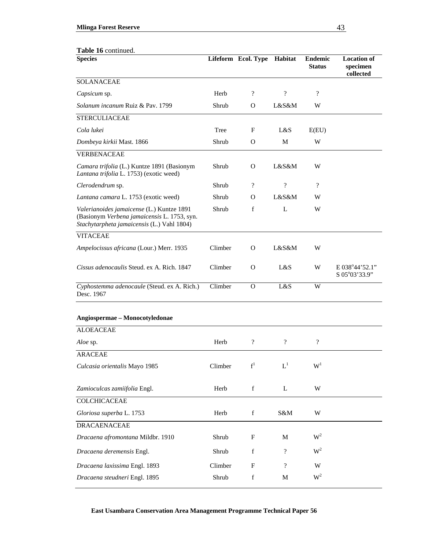| Table 16 continued.                                                                                                                    |         |                     |              |                                 |                                             |
|----------------------------------------------------------------------------------------------------------------------------------------|---------|---------------------|--------------|---------------------------------|---------------------------------------------|
| <b>Species</b>                                                                                                                         |         | Lifeform Ecol. Type | Habitat      | <b>Endemic</b><br><b>Status</b> | <b>Location of</b><br>specimen<br>collected |
| <b>SOLANACEAE</b>                                                                                                                      |         |                     |              |                                 |                                             |
| Capsicum sp.                                                                                                                           | Herb    | ?                   | $\gamma$     | $\gamma$                        |                                             |
| Solanum incanum Ruiz & Pav. 1799                                                                                                       | Shrub   | 0                   | L&S&M        | W                               |                                             |
| <b>STERCULIACEAE</b>                                                                                                                   |         |                     |              |                                 |                                             |
| Cola lukei                                                                                                                             | Tree    | F                   | L&S          | E(EU)                           |                                             |
| Dombeya kirkii Mast. 1866                                                                                                              | Shrub   | $\Omega$            | M            | W                               |                                             |
| <b>VERBENACEAE</b>                                                                                                                     |         |                     |              |                                 |                                             |
| Camara trifolia (L.) Kuntze 1891 (Basionym<br>Lantana trifolia L. 1753) (exotic weed)                                                  | Shrub   | O                   | L&S&M        | W                               |                                             |
| Clerodendrum sp.                                                                                                                       | Shrub   | ?                   | $\gamma$     | $\overline{\mathcal{L}}$        |                                             |
| Lantana camara L. 1753 (exotic weed)                                                                                                   | Shrub   | $\Omega$            | L&S&M        | W                               |                                             |
| Valerianoides jamaicense (L.) Kuntze 1891<br>(Basionym Verbena jamaicensis L. 1753, syn.<br>Stachytarpheta jamaicensis (L.) Vahl 1804) | Shrub   | f                   | $\mathbf{L}$ | W                               |                                             |
| <b>VITACEAE</b>                                                                                                                        |         |                     |              |                                 |                                             |
| Ampelocissus africana (Lour.) Merr. 1935                                                                                               | Climber | O                   | L&S&M        | W                               |                                             |
| Cissus adenocaulis Steud, ex A. Rich. 1847                                                                                             | Climber | O                   | L&S          | W                               | E 038°44'52.1"<br>S 05°03'33.9"             |
| Cyphostemma adenocaule (Steud. ex A. Rich.)<br>Desc. 1967                                                                              | Climber | $\Omega$            | L&S          | W                               |                                             |

## **Angiospermae – Monocotyledonae**

| $\overline{\cdot}$<br>$\overline{\mathcal{L}}$<br>$\gamma$<br>Herb<br>Aloe sp.<br><b>ARACEAE</b><br>$L^1$<br>f <sup>1</sup><br>W <sup>1</sup><br>Climber<br>Culcasia orientalis Mayo 1985<br>f<br>W<br>Zamioculcas zamiifolia Engl.<br>Herb<br>L<br>COLCHICACEAE<br>f<br>S&M<br>W<br>Gloriosa superba L. 1753<br>Herb<br><b>DRACAENACEAE</b><br>$W^2$<br>F<br>Shrub<br>M<br>Dracaena afromontana Mildbr. 1910<br>$W^2$<br>f<br>$\overline{\mathcal{L}}$<br>Shrub<br>Dracaena deremensis Engl.<br>?<br>F<br>W<br>Climber<br>Dracaena laxissima Engl. 1893<br>$W^2$<br>f<br>Shrub<br>M<br>Dracaena steudneri Engl. 1895 | <b>ALOEACEAE</b> |  |  |  |
|-----------------------------------------------------------------------------------------------------------------------------------------------------------------------------------------------------------------------------------------------------------------------------------------------------------------------------------------------------------------------------------------------------------------------------------------------------------------------------------------------------------------------------------------------------------------------------------------------------------------------|------------------|--|--|--|
|                                                                                                                                                                                                                                                                                                                                                                                                                                                                                                                                                                                                                       |                  |  |  |  |
|                                                                                                                                                                                                                                                                                                                                                                                                                                                                                                                                                                                                                       |                  |  |  |  |
|                                                                                                                                                                                                                                                                                                                                                                                                                                                                                                                                                                                                                       |                  |  |  |  |
|                                                                                                                                                                                                                                                                                                                                                                                                                                                                                                                                                                                                                       |                  |  |  |  |
|                                                                                                                                                                                                                                                                                                                                                                                                                                                                                                                                                                                                                       |                  |  |  |  |
|                                                                                                                                                                                                                                                                                                                                                                                                                                                                                                                                                                                                                       |                  |  |  |  |
|                                                                                                                                                                                                                                                                                                                                                                                                                                                                                                                                                                                                                       |                  |  |  |  |
|                                                                                                                                                                                                                                                                                                                                                                                                                                                                                                                                                                                                                       |                  |  |  |  |
|                                                                                                                                                                                                                                                                                                                                                                                                                                                                                                                                                                                                                       |                  |  |  |  |
|                                                                                                                                                                                                                                                                                                                                                                                                                                                                                                                                                                                                                       |                  |  |  |  |
|                                                                                                                                                                                                                                                                                                                                                                                                                                                                                                                                                                                                                       |                  |  |  |  |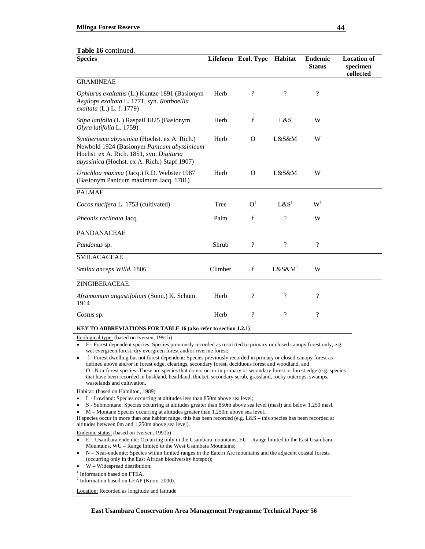|  |  | Table 16 continued. |
|--|--|---------------------|
|--|--|---------------------|

| <b>Species</b>                                                                                                                                                                                                                                                                                                                                                                                                                                                                                                                                                                                                                                                                                                                                                                                                 |         | Lifeform Ecol. Type      | Habitat                  | <b>Endemic</b><br><b>Status</b> | <b>Location of</b><br>specimen<br>collected |
|----------------------------------------------------------------------------------------------------------------------------------------------------------------------------------------------------------------------------------------------------------------------------------------------------------------------------------------------------------------------------------------------------------------------------------------------------------------------------------------------------------------------------------------------------------------------------------------------------------------------------------------------------------------------------------------------------------------------------------------------------------------------------------------------------------------|---------|--------------------------|--------------------------|---------------------------------|---------------------------------------------|
| <b>GRAMINEAE</b>                                                                                                                                                                                                                                                                                                                                                                                                                                                                                                                                                                                                                                                                                                                                                                                               |         |                          |                          |                                 |                                             |
| Ophiurus exaltatus (L.) Kuntze 1891 (Basionym<br>Aegilops exaltata L. 1771, syn. Rottboellia<br>exaltata (L.) L. f. 1779)                                                                                                                                                                                                                                                                                                                                                                                                                                                                                                                                                                                                                                                                                      | Herb    | ?                        | $\gamma$                 | $\gamma$                        |                                             |
| Stipa latifolia (L.) Raspail 1825 (Basionym<br>Olyra latifolia L. 1759)                                                                                                                                                                                                                                                                                                                                                                                                                                                                                                                                                                                                                                                                                                                                        | Herb    | f                        | L&S                      | W                               |                                             |
| Syntherisma abyssinica (Hochst. ex A. Rich.)<br>Newbold 1924 (Basionym Panicum abyssinicum<br>Hochst. ex A. Rich. 1851, syn. Digitaria<br>abyssinica (Hochst. ex A. Rich.) Stapf 1907)                                                                                                                                                                                                                                                                                                                                                                                                                                                                                                                                                                                                                         | Herb    | O                        | L&S&M                    | W                               |                                             |
| Urochloa maxima (Jacq.) R.D. Webster 1987<br>(Basionym Panicum maximum Jacq. 1781)                                                                                                                                                                                                                                                                                                                                                                                                                                                                                                                                                                                                                                                                                                                             | Herb    | 0                        | L&S&M                    | W                               |                                             |
| <b>PALMAE</b>                                                                                                                                                                                                                                                                                                                                                                                                                                                                                                                                                                                                                                                                                                                                                                                                  |         |                          |                          |                                 |                                             |
| Cocos nucifera L. 1753 (cultivated)                                                                                                                                                                                                                                                                                                                                                                                                                                                                                                                                                                                                                                                                                                                                                                            | Tree    | O <sup>1</sup>           | L & S <sup>1</sup>       | $\mathrm{W}^1$                  |                                             |
| Pheonix reclinata Jacq.                                                                                                                                                                                                                                                                                                                                                                                                                                                                                                                                                                                                                                                                                                                                                                                        | Palm    | f                        | $\overline{\cdot}$       | W                               |                                             |
| <b>PANDANACEAE</b>                                                                                                                                                                                                                                                                                                                                                                                                                                                                                                                                                                                                                                                                                                                                                                                             |         |                          |                          |                                 |                                             |
| Pandanus sp.                                                                                                                                                                                                                                                                                                                                                                                                                                                                                                                                                                                                                                                                                                                                                                                                   | Shrub   | $\overline{\mathcal{L}}$ | $\gamma$                 | $\overline{\mathcal{C}}$        |                                             |
| <b>SMILACACEAE</b>                                                                                                                                                                                                                                                                                                                                                                                                                                                                                                                                                                                                                                                                                                                                                                                             |         |                          |                          |                                 |                                             |
| Smilax anceps Willd. 1806                                                                                                                                                                                                                                                                                                                                                                                                                                                                                                                                                                                                                                                                                                                                                                                      | Climber | f                        | $L&S\&M1$                | W                               |                                             |
| ZINGIBERACEAE                                                                                                                                                                                                                                                                                                                                                                                                                                                                                                                                                                                                                                                                                                                                                                                                  |         |                          |                          |                                 |                                             |
| Aframomum angustifolium (Sonn.) K. Schum.<br>1914                                                                                                                                                                                                                                                                                                                                                                                                                                                                                                                                                                                                                                                                                                                                                              | Herb    | ?                        | $\gamma$                 | $\overline{\mathcal{C}}$        |                                             |
| Costus sp.                                                                                                                                                                                                                                                                                                                                                                                                                                                                                                                                                                                                                                                                                                                                                                                                     | Herb    | $\overline{\cdot}$       | $\overline{\mathcal{L}}$ | $\overline{\mathcal{C}}$        |                                             |
| <b>KEY TO ABBREVIATIONS FOR TABLE 16 (also refer to section 1.2.1)</b>                                                                                                                                                                                                                                                                                                                                                                                                                                                                                                                                                                                                                                                                                                                                         |         |                          |                          |                                 |                                             |
| Ecological type: (based on Iversen, 1991b)<br>F - Forest dependent species: Species previously recorded as restricted to primary or closed canopy forest only, e.g.<br>$\bullet$<br>wet evergreen forest, dry evergreen forest and/or riverine forest;<br>f - Forest dwelling but not forest dependent: Species previously recorded in primary or closed canopy forest as<br>$\bullet$<br>defined above and/or in forest edge, clearings, secondary forest, deciduous forest and woodland, and<br>O - Non-forest species: These are species that do not occur in primary or secondary forest or forest edge (e.g. species<br>that have been recorded in bushland, heathland, thicket, secondary scrub, grassland, rocky outcrops, swamps,<br>wastelands and cultivation.<br>Habitat: (based on Hamilton, 1989) |         |                          |                          |                                 |                                             |
| L - Lowland: Species occurring at altitudes less than 850m above sea level;                                                                                                                                                                                                                                                                                                                                                                                                                                                                                                                                                                                                                                                                                                                                    |         |                          |                          |                                 |                                             |

- S Submontane: Species occurring at altitudes greater than 850m above sea level (masl) and below 1,250 masl.
- M Montane Species occurring at altitudes greater than 1,250m above sea level.
- If species occur in more than one habitat range, this has been recorded (e.g. L&S this species has been recorded at altitudes between 0m and 1,250m above sea level).

Endemic status: (based on Iversen, 1991b)

- E Usambara endemic: Occurring only in the Usambara mountains, EU Range limited to the East Usambara Mountains, WU – Range limited to the West Usambata Mountains;
- N Near-endemic: Species within limited ranges in the Eatern Arc mountains and the adjacent coastal forests
- (occurring only in the East African biodiversity hotspot);
- W Widespread distribution.

<sup>1</sup> Information based on FTEA.

<sup>2</sup> Information based on LEAP (Knox, 2000).

Location: Recorded as longitude and latitude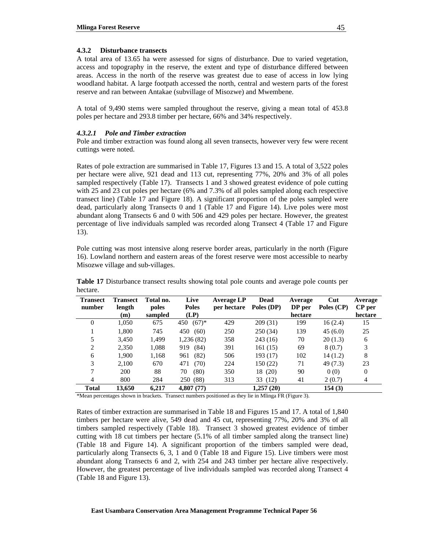#### **4.3.2 Disturbance transects**

A total area of 13.65 ha were assessed for signs of disturbance. Due to varied vegetation, access and topography in the reserve, the extent and type of disturbance differed between areas. Access in the north of the reserve was greatest due to ease of access in low lying woodland habitat. A large footpath accessed the north, central and western parts of the forest reserve and ran between Antakae (subvillage of Misozwe) and Mwembene.

A total of 9,490 stems were sampled throughout the reserve, giving a mean total of 453.8 poles per hectare and 293.8 timber per hectare, 66% and 34% respectively.

#### *4.3.2.1 Pole and Timber extraction*

Pole and timber extraction was found along all seven transects, however very few were recent cuttings were noted.

Rates of pole extraction are summarised in Table 17, Figures 13 and 15. A total of 3,522 poles per hectare were alive, 921 dead and 113 cut, representing 77%, 20% and 3% of all poles sampled respectively (Table 17). Transects 1 and 3 showed greatest evidence of pole cutting with 25 and 23 cut poles per hectare (6% and 7.3% of all poles sampled along each respective transect line) (Table 17 and Figure 18). A significant proportion of the poles sampled were dead, particularly along Transects 0 and 1 (Table 17 and Figure 14). Live poles were most abundant along Transects 6 and 0 with 506 and 429 poles per hectare. However, the greatest percentage of live individuals sampled was recorded along Transect 4 (Table 17 and Figure 13).

Pole cutting was most intensive along reserve border areas, particularly in the north (Figure 16). Lowland northern and eastern areas of the forest reserve were most accessible to nearby Misozwe village and sub-villages.

| <b>Transect</b><br>number | <b>Transect</b><br>length<br>(m) | Total no.<br>poles<br>sampled | Live<br><b>Poles</b><br>(LP) | <b>Average LP</b><br>per hectare | Dead<br>Poles (DP) | Average<br>DP per<br>hectare | Cut<br>Poles (CP) | Average<br>CP per<br>hectare |
|---------------------------|----------------------------------|-------------------------------|------------------------------|----------------------------------|--------------------|------------------------------|-------------------|------------------------------|
| 0                         | 1,050                            | 675                           | $(67)*$<br>450               | 429                              | 209(31)            | 199                          | 16(2.4)           | 15                           |
|                           | 1,800                            | 745                           | (60)<br>450                  | 250                              | 250(34)            | 139                          | 45(6.0)           | 25                           |
| 5                         | 3,450                            | 1,499                         | 1,236(82)                    | 358                              | 243(16)            | 70                           | 20(1.3)           | 6                            |
| 2                         | 2,350                            | 1,088                         | (84)<br>919                  | 391                              | 161(15)            | 69                           | 8 (0.7)           | 3                            |
| 6                         | 1,900                            | 1,168                         | (82)<br>961                  | 506                              | 193 (17)           | 102                          | 14(1.2)           | 8                            |
| 3                         | 2.100                            | 670                           | 471<br>(70)                  | 224                              | 150 (22)           | 71                           | 49 (7.3)          | 23                           |
| 7                         | 200                              | 88                            | 70<br>(80)                   | 350                              | 18 (20)            | 90                           | 0(0)              | $\theta$                     |
| 4                         | 800                              | 284                           | 250 (88)                     | 313                              | 33 (12)            | 41                           | 2(0.7)            | 4                            |
| <b>Total</b>              | 13.650                           | 6.217                         | 4,807(77)                    |                                  | 1.257(20)          |                              | 154 (3)           |                              |

**Table 17** Disturbance transect results showing total pole counts and average pole counts per hectare.

\*Mean percentages shown in brackets. Transect numbers positioned as they lie in Mlinga FR (Figure 3).

Rates of timber extraction are summarised in Table 18 and Figures 15 and 17. A total of 1,840 timbers per hectare were alive, 549 dead and 45 cut, representing 77%, 20% and 3% of all timbers sampled respectively (Table 18). Transect 3 showed greatest evidence of timber cutting with 18 cut timbers per hectare (5.1% of all timber sampled along the transect line) (Table 18 and Figure 14). A significant proportion of the timbers sampled were dead, particularly along Transects 6, 3, 1 and 0 (Table 18 and Figure 15). Live timbers were most abundant along Transects 6 and 2, with 254 and 243 timber per hectare alive respectively. However, the greatest percentage of live individuals sampled was recorded along Transect 4 (Table 18 and Figure 13).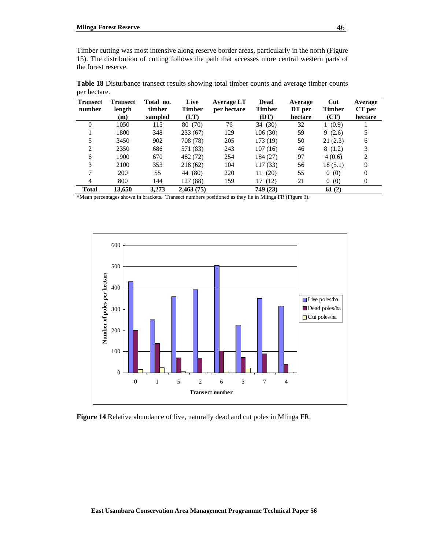Timber cutting was most intensive along reserve border areas, particularly in the north (Figure 15). The distribution of cutting follows the path that accesses more central western parts of the forest reserve.

| <b>Transect</b><br>number | <b>Transect</b><br>length<br>(m) | Total no.<br>timber<br>sampled | Live<br><b>Timber</b><br>(LT) | <b>Average LT</b><br>per hectare | <b>Dead</b><br><b>Timber</b><br>(DT) | Average<br>DT per<br>hectare | Cut<br><b>Timber</b><br>(CT) | Average<br>CT per<br>hectare |
|---------------------------|----------------------------------|--------------------------------|-------------------------------|----------------------------------|--------------------------------------|------------------------------|------------------------------|------------------------------|
| $\Omega$                  | 1050                             | 115                            | 80 (70)                       | 76                               | 34 (30)                              | 32                           | 1(0.9)                       |                              |
|                           | 1800                             | 348                            | 233(67)                       | 129                              | 106(30)                              | 59                           | 9(2.6)                       | 5                            |
| 5                         | 3450                             | 902                            | 708 (78)                      | 205                              | 173 (19)                             | 50                           | 21(2.3)                      | 6                            |
| 2                         | 2350                             | 686                            | 571 (83)                      | 243                              | 107(16)                              | 46                           | 8(1.2)                       | 3                            |
| 6                         | 1900                             | 670                            | 482 (72)                      | 254                              | 184 (27)                             | 97                           | 4(0.6)                       | 2                            |
| 3                         | 2100                             | 353                            | 218(62)                       | 104                              | 117 (33)                             | 56                           | 18(5.1)                      | 9                            |
| 7                         | 200                              | 55                             | 44 (80)                       | 220                              | 11(20)                               | 55                           | 0(0)                         | $\Omega$                     |
| 4                         | 800                              | 144                            | 127 (88)                      | 159                              | 17(12)                               | 21                           | 0(0)                         | $\theta$                     |
| <b>Total</b>              | 13,650                           | 3,273                          | 2,463(75)                     |                                  | 749 (23)                             |                              | 61(2)                        |                              |

**Table 18** Disturbance transect results showing total timber counts and average timber counts per hectare.

\*Mean percentages shown in brackets. Transect numbers positioned as they lie in Mlinga FR (Figure 3).



**Figure 14** Relative abundance of live, naturally dead and cut poles in Mlinga FR.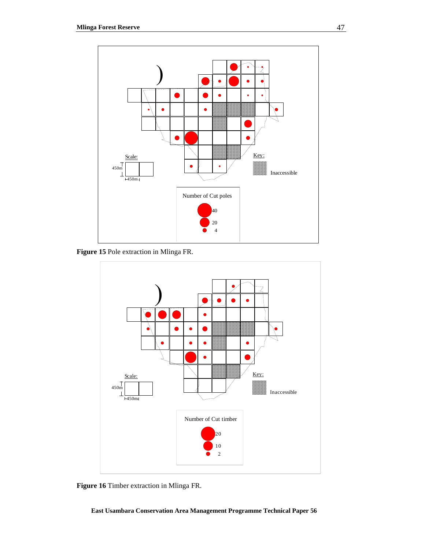

**Figure 15** Pole extraction in Mlinga FR.



**Figure 16** Timber extraction in Mlinga FR.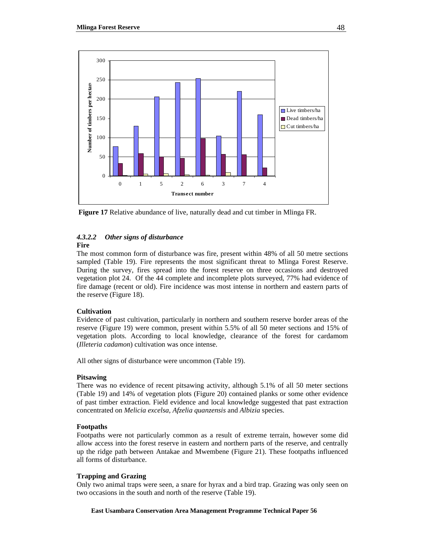

 **Figure 17** Relative abundance of live, naturally dead and cut timber in Mlinga FR.

# *4.3.2.2 Other signs of disturbance*

## **Fire**

The most common form of disturbance was fire, present within 48% of all 50 metre sections sampled (Table 19). Fire represents the most significant threat to Mlinga Forest Reserve. During the survey, fires spread into the forest reserve on three occasions and destroyed vegetation plot 24. Of the 44 complete and incomplete plots surveyed, 77% had evidence of fire damage (recent or old). Fire incidence was most intense in northern and eastern parts of the reserve (Figure 18).

## **Cultivation**

Evidence of past cultivation, particularly in northern and southern reserve border areas of the reserve (Figure 19) were common, present within 5.5% of all 50 meter sections and 15% of vegetation plots. According to local knowledge, clearance of the forest for cardamom (*Illeteria cadamon*) cultivation was once intense.

All other signs of disturbance were uncommon (Table 19).

## **Pitsawing**

There was no evidence of recent pitsawing activity, although 5.1% of all 50 meter sections (Table 19) and 14% of vegetation plots (Figure 20) contained planks or some other evidence of past timber extraction. Field evidence and local knowledge suggested that past extraction concentrated on *Melicia excelsa*, *Afzelia quanzensis* and *Albizia* species.

## **Footpaths**

Footpaths were not particularly common as a result of extreme terrain, however some did allow access into the forest reserve in eastern and northern parts of the reserve, and centrally up the ridge path between Antakae and Mwembene (Figure 21). These footpaths influenced all forms of disturbance.

## **Trapping and Grazing**

Only two animal traps were seen, a snare for hyrax and a bird trap. Grazing was only seen on two occasions in the south and north of the reserve (Table 19).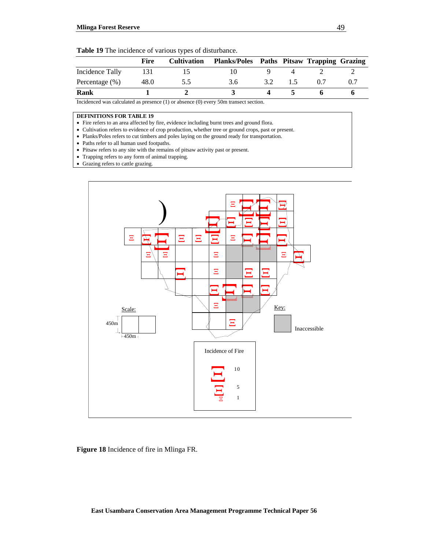|                    | Fire | <b>Cultivation</b> | <b>Planks/Poles</b> Paths Pitsaw Trapping Grazing |    |        |  |
|--------------------|------|--------------------|---------------------------------------------------|----|--------|--|
| Incidence Tally    |      |                    |                                                   |    |        |  |
| Percentage $(\% )$ | 48.0 | 5.5                | 36                                                | 32 | $\sim$ |  |
| Rank               |      |                    |                                                   |    |        |  |

**Table 19** The incidence of various types of disturbance.

Incidenced was calculated as presence (1) or absence (0) every 50m transect section.

#### **DEFINITIONS FOR TABLE 19**

- Fire refers to an area affected by fire, evidence including burnt trees and ground flora.
- Cultivation refers to evidence of crop production, whether tree or ground crops, past or present.
- Planks/Poles refers to cut timbers and poles laying on the ground ready for transportation.
- Paths refer to all human used footpaths.
- Pitsaw refers to any site with the remains of pitsaw activity past or present.
- Trapping refers to any form of animal trapping.
- Grazing refers to cattle grazing.



**Figure 18** Incidence of fire in Mlinga FR.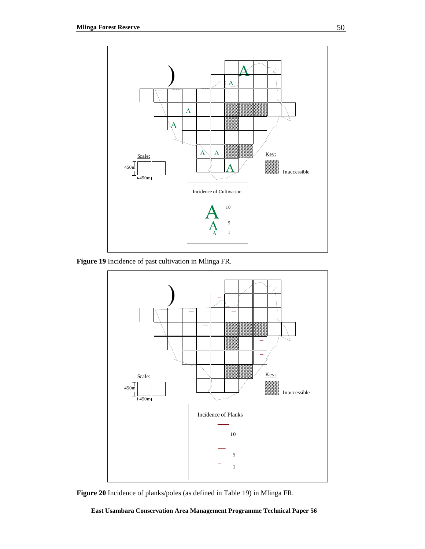

**Figure 19** Incidence of past cultivation in Mlinga FR.



**Figure 20** Incidence of planks/poles (as defined in Table 19) in Mlinga FR.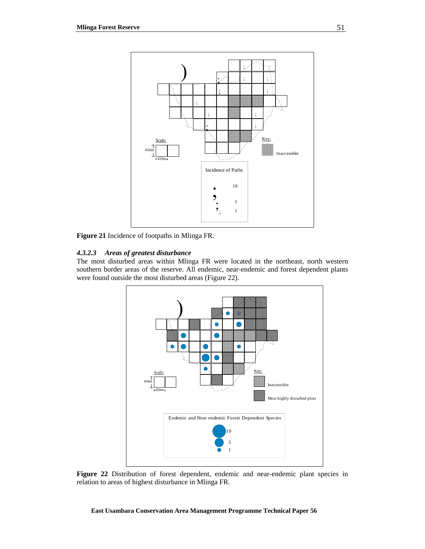

**Figure 21** Incidence of footpaths in Mlinga FR.

### *4.3.2.3 Areas of greatest disturbance*

The most disturbed areas within Mlinga FR were located in the northeast, north western southern border areas of the reserve. All endemic, near-endemic and forest dependent plants were found outside the most disturbed areas (Figure 22).



**Figure 22** Distribution of forest dependent, endemic and near-endemic plant species in relation to areas of highest disturbance in Mlinga FR.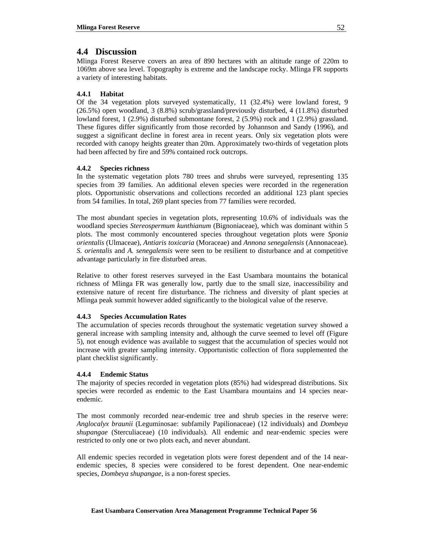## **4.4 Discussion**

Mlinga Forest Reserve covers an area of 890 hectares with an altitude range of 220m to 1069m above sea level. Topography is extreme and the landscape rocky. Mlinga FR supports a variety of interesting habitats.

## **4.4.1 Habitat**

Of the 34 vegetation plots surveyed systematically, 11 (32.4%) were lowland forest, 9 (26.5%) open woodland, 3 (8.8%) scrub/grassland/previously disturbed, 4 (11.8%) disturbed lowland forest, 1 (2.9%) disturbed submontane forest, 2 (5.9%) rock and 1 (2.9%) grassland. These figures differ significantly from those recorded by Johannson and Sandy (1996), and suggest a significant decline in forest area in recent years. Only six vegetation plots were recorded with canopy heights greater than 20m. Approximately two-thirds of vegetation plots had been affected by fire and 59% contained rock outcrops.

## **4.4.2 Species richness**

In the systematic vegetation plots 780 trees and shrubs were surveyed, representing 135 species from 39 families. An additional eleven species were recorded in the regeneration plots. Opportunistic observations and collections recorded an additional 123 plant species from 54 families. In total, 269 plant species from 77 families were recorded.

The most abundant species in vegetation plots, representing 10.6% of individuals was the woodland species *Stereospermum kunthianum* (Bignoniaceae), which was dominant within 5 plots. The most commonly encountered species throughout vegetation plots were *Sponia orientalis* (Ulmaceae), *Antiaris toxicaria* (Moraceae) and *Annona senegalensis* (Annonaceae)*. S. orientalis* and *A. senegalensis* were seen to be resilient to disturbance and at competitive advantage particularly in fire disturbed areas.

Relative to other forest reserves surveyed in the East Usambara mountains the botanical richness of Mlinga FR was generally low, partly due to the small size, inaccessibility and extensive nature of recent fire disturbance. The richness and diversity of plant species at Mlinga peak summit however added significantly to the biological value of the reserve.

## **4.4.3 Species Accumulation Rates**

The accumulation of species records throughout the systematic vegetation survey showed a general increase with sampling intensity and, although the curve seemed to level off (Figure 5), not enough evidence was available to suggest that the accumulation of species would not increase with greater sampling intensity. Opportunistic collection of flora supplemented the plant checklist significantly.

## **4.4.4 Endemic Status**

The majority of species recorded in vegetation plots (85%) had widespread distributions. Six species were recorded as endemic to the East Usambara mountains and 14 species nearendemic.

The most commonly recorded near-endemic tree and shrub species in the reserve were: *Anglocalyx braunii* (Leguminosae: subfamily Papilionaceae) (12 individuals) and *Dombeya shupangae* (Sterculiaceae) (10 individuals)*.* All endemic and near-endemic species were restricted to only one or two plots each, and never abundant.

All endemic species recorded in vegetation plots were forest dependent and of the 14 nearendemic species, 8 species were considered to be forest dependent. One near-endemic species, *Dombeya shupangae*, is a non-forest species.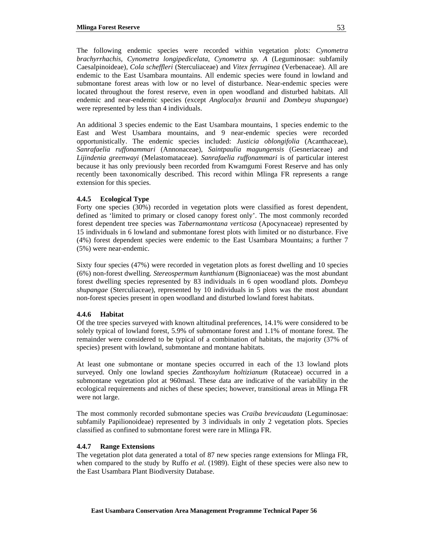The following endemic species were recorded within vegetation plots: *Cynometra brachyrrhachis*, *Cynometra longipedicelata*, *Cynometra sp. A* (Leguminosae: subfamily Caesalpinoideae), *Cola scheffleri* (Sterculiaceae) and *Vitex ferruginea* (Verbenaceae). All are endemic to the East Usambara mountains. All endemic species were found in lowland and submontane forest areas with low or no level of disturbance. Near-endemic species were located throughout the forest reserve, even in open woodland and disturbed habitats. All endemic and near-endemic species (except *Anglocalyx braunii* and *Dombeya shupangae*) were represented by less than 4 individuals.

An additional 3 species endemic to the East Usambara mountains, 1 species endemic to the East and West Usambara mountains, and 9 near-endemic species were recorded opportunistically. The endemic species included: *Justicia oblongifolia* (Acanthaceae), *Sanrafaelia ruffonammari* (Annonaceae), *Saintpaulia magungensis* (Gesneriaceae) and *Lijindenia greenwayi* (Melastomataceae)*. Sanrafaelia ruffonammari* is of particular interest because it has only previously been recorded from Kwamgumi Forest Reserve and has only recently been taxonomically described. This record within Mlinga FR represents a range extension for this species.

#### **4.4.5 Ecological Type**

Forty one species (30%) recorded in vegetation plots were classified as forest dependent, defined as 'limited to primary or closed canopy forest only'. The most commonly recorded forest dependent tree species was *Tabernamontana verticosa* (Apocynaceae) represented by 15 individuals in 6 lowland and submontane forest plots with limited or no disturbance. Five (4%) forest dependent species were endemic to the East Usambara Mountains; a further 7 (5%) were near-endemic.

Sixty four species (47%) were recorded in vegetation plots as forest dwelling and 10 species (6%) non-forest dwelling. *Stereospermum kunthianum* (Bignoniaceae) was the most abundant forest dwelling species represented by 83 individuals in 6 open woodland plots. *Dombeya shupangae* (Sterculiaceae), represented by 10 individuals in 5 plots was the most abundant non-forest species present in open woodland and disturbed lowland forest habitats.

#### **4.4.6 Habitat**

Of the tree species surveyed with known altitudinal preferences, 14.1% were considered to be solely typical of lowland forest, 5.9% of submontane forest and 1.1% of montane forest. The remainder were considered to be typical of a combination of habitats, the majority (37% of species) present with lowland, submontane and montane habitats.

At least one submontane or montane species occurred in each of the 13 lowland plots surveyed. Only one lowland species *Zanthoxylum holtizianum* (Rutaceae) occurred in a submontane vegetation plot at 960masl. These data are indicative of the variability in the ecological requirements and niches of these species; however, transitional areas in Mlinga FR were not large.

The most commonly recorded submontane species was *Craiba brevicaudata* (Leguminosae: subfamily Papilionoideae) represented by 3 individuals in only 2 vegetation plots. Species classified as confined to submontane forest were rare in Mlinga FR.

#### **4.4.7 Range Extensions**

The vegetation plot data generated a total of 87 new species range extensions for Mlinga FR, when compared to the study by Ruffo *et al.* (1989). Eight of these species were also new to the East Usambara Plant Biodiversity Database.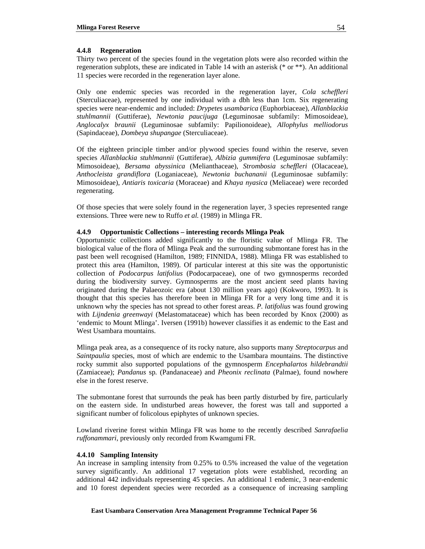### **4.4.8 Regeneration**

Thirty two percent of the species found in the vegetation plots were also recorded within the regeneration subplots, these are indicated in Table 14 with an asterisk (\* or \*\*). An additional 11 species were recorded in the regeneration layer alone.

Only one endemic species was recorded in the regeneration layer, *Cola scheffleri*  (Sterculiaceae), represented by one individual with a dbh less than 1cm. Six regenerating species were near-endemic and included: *Drypetes usambarica* (Euphorbiaceae), *Allanblackia stuhlmannii* (Guttiferae), *Newtonia paucijuga* (Leguminosae subfamily: Mimosoideae), *Anglocalyx braunii* (Leguminosae subfamily: Papilionoideae), *Allophylus melliodorus*  (Sapindaceae), *Dombeya shupangae* (Sterculiaceae).

Of the eighteen principle timber and/or plywood species found within the reserve, seven species *Allanblackia stuhlmannii* (Guttiferae), *Albizia gummifera* (Leguminosae subfamily: Mimosoideae), *Bersama abyssinica* (Melianthaceae), *Strombosia scheffleri* (Olacaceae), *Anthocleista grandiflora* (Loganiaceae), *Newtonia buchananii* (Leguminosae subfamily: Mimosoideae), *Antiaris toxicaria* (Moraceae) and *Khaya nyasica* (Meliaceae) were recorded regenerating.

Of those species that were solely found in the regeneration layer, 3 species represented range extensions. Three were new to Ruffo *et al.* (1989) in Mlinga FR.

#### **4.4.9 Opportunistic Collections – interesting records Mlinga Peak**

Opportunistic collections added significantly to the floristic value of Mlinga FR. The biological value of the flora of Mlinga Peak and the surrounding submontane forest has in the past been well recognised (Hamilton, 1989; FINNIDA, 1988). Mlinga FR was established to protect this area (Hamilton, 1989). Of particular interest at this site was the opportunistic collection of *Podocarpus latifolius* (Podocarpaceae), one of two gymnosperms recorded during the biodiversity survey. Gymnosperms are the most ancient seed plants having originated during the Palaeozoic era (about 130 million years ago) (Kokworo, 1993). It is thought that this species has therefore been in Mlinga FR for a very long time and it is unknown why the species has not spread to other forest areas. *P. latifolius* was found growing with *Lijndenia greenwayi* (Melastomataceae) which has been recorded by Knox (2000) as 'endemic to Mount Mlinga'. Iversen (1991b) however classifies it as endemic to the East and West Usambara mountains.

Mlinga peak area, as a consequence of its rocky nature, also supports many *Streptocarpus* and *Saintpaulia* species, most of which are endemic to the Usambara mountains. The distinctive rocky summit also supported populations of the gymnosperm *Encephalartos hildebrandtii*  (Zamiaceae); *Pandanus* sp*.* (Pandanaceae) and *Pheonix reclinata* (Palmae), found nowhere else in the forest reserve.

The submontane forest that surrounds the peak has been partly disturbed by fire, particularly on the eastern side. In undisturbed areas however, the forest was tall and supported a significant number of folicolous epiphytes of unknown species.

Lowland riverine forest within Mlinga FR was home to the recently described *Sanrafaelia ruffonammari*, previously only recorded from Kwamgumi FR.

#### **4.4.10 Sampling Intensity**

An increase in sampling intensity from 0.25% to 0.5% increased the value of the vegetation survey significantly. An additional 17 vegetation plots were established, recording an additional 442 individuals representing 45 species. An additional 1 endemic, 3 near-endemic and 10 forest dependent species were recorded as a consequence of increasing sampling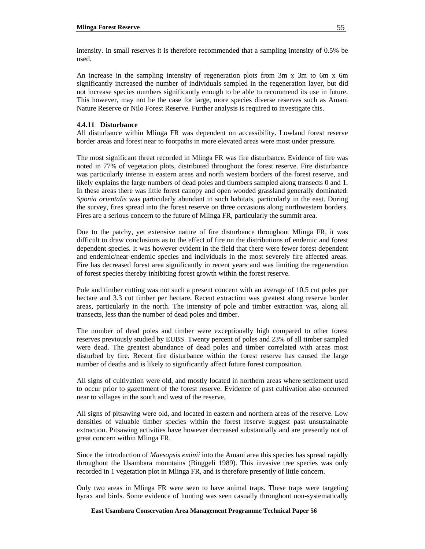intensity. In small reserves it is therefore recommended that a sampling intensity of 0.5% be used.

An increase in the sampling intensity of regeneration plots from 3m x 3m to 6m x 6m significantly increased the number of individuals sampled in the regeneration layer, but did not increase species numbers significantly enough to be able to recommend its use in future. This however, may not be the case for large, more species diverse reserves such as Amani Nature Reserve or Nilo Forest Reserve. Further analysis is required to investigate this.

#### **4.4.11 Disturbance**

All disturbance within Mlinga FR was dependent on accessibility. Lowland forest reserve border areas and forest near to footpaths in more elevated areas were most under pressure.

The most significant threat recorded in Mlinga FR was fire disturbance. Evidence of fire was noted in 77% of vegetation plots, distributed throughout the forest reserve. Fire disturbance was particularly intense in eastern areas and north western borders of the forest reserve, and likely explains the large numbers of dead poles and tiumbers sampled along transects 0 and 1. In these areas there was little forest canopy and open wooded grassland generally dominated. *Sponia orientalis* was particularly abundant in such habitats, particularly in the east. During the survey, fires spread into the forest reserve on three occasions along northwestern borders. Fires are a serious concern to the future of Mlinga FR, particularly the summit area.

Due to the patchy, yet extensive nature of fire disturbance throughout Mlinga FR, it was difficult to draw conclusions as to the effect of fire on the distributions of endemic and forest dependent species. It was however evident in the field that there were fewer forest dependent and endemic/near-endemic species and individuals in the most severely fire affected areas. Fire has decreased forest area significantly in recent years and was limiting the regeneration of forest species thereby inhibiting forest growth within the forest reserve.

Pole and timber cutting was not such a present concern with an average of 10.5 cut poles per hectare and 3.3 cut timber per hectare. Recent extraction was greatest along reserve border areas, particularly in the north. The intensity of pole and timber extraction was, along all transects, less than the number of dead poles and timber.

The number of dead poles and timber were exceptionally high compared to other forest reserves previously studied by EUBS. Twenty percent of poles and 23% of all timber sampled were dead. The greatest abundance of dead poles and timber correlated with areas most disturbed by fire. Recent fire disturbance within the forest reserve has caused the large number of deaths and is likely to significantly affect future forest composition.

All signs of cultivation were old, and mostly located in northern areas where settlement used to occur prior to gazettment of the forest reserve. Evidence of past cultivation also occurred near to villages in the south and west of the reserve.

All signs of pitsawing were old, and located in eastern and northern areas of the reserve. Low densities of valuable timber species within the forest reserve suggest past unsustainable extraction. Pitsawing activities have however decreased substantially and are presently not of great concern within Mlinga FR.

Since the introduction of *Maesopsis eminii* into the Amani area this species has spread rapidly throughout the Usambara mountains (Binggeli 1989). This invasive tree species was only recorded in 1 vegetation plot in Mlinga FR, and is therefore presently of little concern.

Only two areas in Mlinga FR were seen to have animal traps. These traps were targeting hyrax and birds. Some evidence of hunting was seen casually throughout non-systematically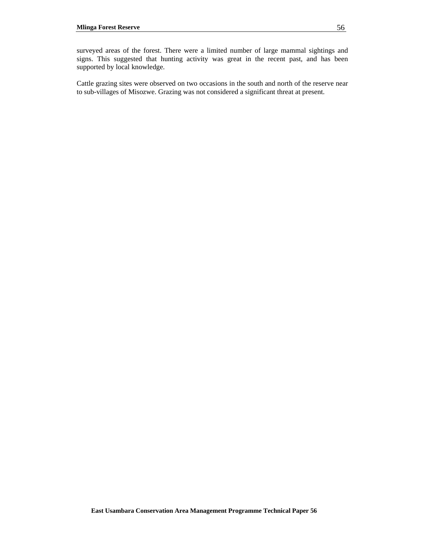surveyed areas of the forest. There were a limited number of large mammal sightings and signs. This suggested that hunting activity was great in the recent past, and has been supported by local knowledge.

Cattle grazing sites were observed on two occasions in the south and north of the reserve near to sub-villages of Misozwe. Grazing was not considered a significant threat at present.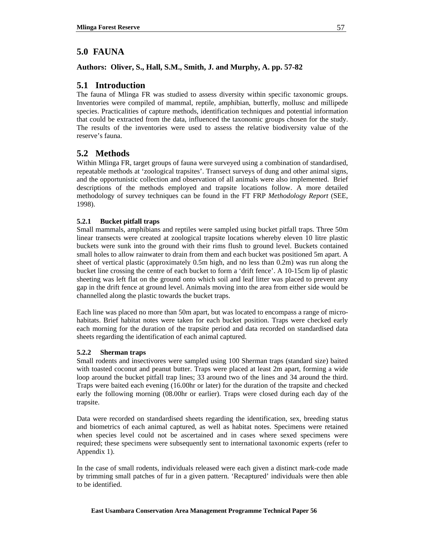## **5.0 FAUNA**

## **Authors: Oliver, S., Hall, S.M., Smith, J. and Murphy, A. pp. 57-82**

## **5.1 Introduction**

The fauna of Mlinga FR was studied to assess diversity within specific taxonomic groups. Inventories were compiled of mammal, reptile, amphibian, butterfly, mollusc and millipede species. Practicalities of capture methods, identification techniques and potential information that could be extracted from the data, influenced the taxonomic groups chosen for the study. The results of the inventories were used to assess the relative biodiversity value of the reserve's fauna.

## **5.2 Methods**

Within Mlinga FR, target groups of fauna were surveyed using a combination of standardised, repeatable methods at 'zoological trapsites'. Transect surveys of dung and other animal signs, and the opportunistic collection and observation of all animals were also implemented. Brief descriptions of the methods employed and trapsite locations follow. A more detailed methodology of survey techniques can be found in the FT FRP *Methodology Report* (SEE, 1998).

## **5.2.1 Bucket pitfall traps**

Small mammals, amphibians and reptiles were sampled using bucket pitfall traps. Three 50m linear transects were created at zoological trapsite locations whereby eleven 10 litre plastic buckets were sunk into the ground with their rims flush to ground level. Buckets contained small holes to allow rainwater to drain from them and each bucket was positioned 5m apart. A sheet of vertical plastic (approximately 0.5m high, and no less than 0.2m) was run along the bucket line crossing the centre of each bucket to form a 'drift fence'. A 10-15cm lip of plastic sheeting was left flat on the ground onto which soil and leaf litter was placed to prevent any gap in the drift fence at ground level. Animals moving into the area from either side would be channelled along the plastic towards the bucket traps.

Each line was placed no more than 50m apart, but was located to encompass a range of microhabitats. Brief habitat notes were taken for each bucket position. Traps were checked early each morning for the duration of the trapsite period and data recorded on standardised data sheets regarding the identification of each animal captured.

## **5.2.2 Sherman traps**

Small rodents and insectivores were sampled using 100 Sherman traps (standard size) baited with toasted coconut and peanut butter. Traps were placed at least 2m apart, forming a wide loop around the bucket pitfall trap lines; 33 around two of the lines and 34 around the third. Traps were baited each evening (16.00hr or later) for the duration of the trapsite and checked early the following morning (08.00hr or earlier). Traps were closed during each day of the trapsite.

Data were recorded on standardised sheets regarding the identification, sex, breeding status and biometrics of each animal captured, as well as habitat notes. Specimens were retained when species level could not be ascertained and in cases where sexed specimens were required; these specimens were subsequently sent to international taxonomic experts (refer to Appendix 1).

In the case of small rodents, individuals released were each given a distinct mark-code made by trimming small patches of fur in a given pattern. 'Recaptured' individuals were then able to be identified.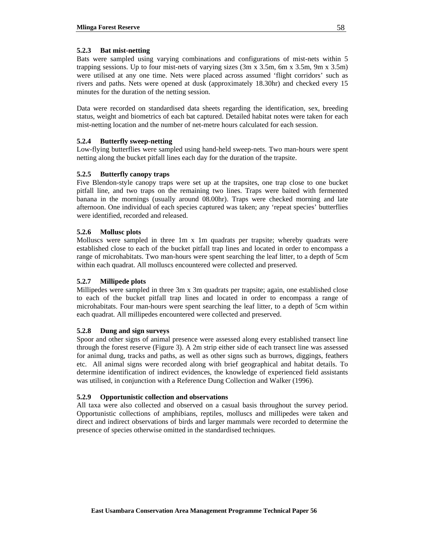## **5.2.3 Bat mist-netting**

Bats were sampled using varying combinations and configurations of mist-nets within 5 trapping sessions. Up to four mist-nets of varying sizes (3m x 3.5m, 6m x 3.5m, 9m x 3.5m) were utilised at any one time. Nets were placed across assumed 'flight corridors' such as rivers and paths. Nets were opened at dusk (approximately 18.30hr) and checked every 15 minutes for the duration of the netting session.

Data were recorded on standardised data sheets regarding the identification, sex, breeding status, weight and biometrics of each bat captured. Detailed habitat notes were taken for each mist-netting location and the number of net-metre hours calculated for each session.

## **5.2.4 Butterfly sweep-netting**

Low-flying butterflies were sampled using hand-held sweep-nets. Two man-hours were spent netting along the bucket pitfall lines each day for the duration of the trapsite.

## **5.2.5 Butterfly canopy traps**

Five Blendon-style canopy traps were set up at the trapsites, one trap close to one bucket pitfall line, and two traps on the remaining two lines. Traps were baited with fermented banana in the mornings (usually around 08.00hr). Traps were checked morning and late afternoon. One individual of each species captured was taken; any 'repeat species' butterflies were identified, recorded and released.

## **5.2.6 Mollusc plots**

Molluscs were sampled in three 1m x 1m quadrats per trapsite; whereby quadrats were established close to each of the bucket pitfall trap lines and located in order to encompass a range of microhabitats. Two man-hours were spent searching the leaf litter, to a depth of 5cm within each quadrat. All molluscs encountered were collected and preserved.

## **5.2.7 Millipede plots**

Millipedes were sampled in three 3m x 3m quadrats per trapsite; again, one established close to each of the bucket pitfall trap lines and located in order to encompass a range of microhabitats. Four man-hours were spent searching the leaf litter, to a depth of 5cm within each quadrat. All millipedes encountered were collected and preserved.

## **5.2.8 Dung and sign surveys**

Spoor and other signs of animal presence were assessed along every established transect line through the forest reserve (Figure 3). A 2m strip either side of each transect line was assessed for animal dung, tracks and paths, as well as other signs such as burrows, diggings, feathers etc. All animal signs were recorded along with brief geographical and habitat details. To determine identification of indirect evidences, the knowledge of experienced field assistants was utilised, in conjunction with a Reference Dung Collection and Walker (1996).

## **5.2.9 Opportunistic collection and observations**

All taxa were also collected and observed on a casual basis throughout the survey period. Opportunistic collections of amphibians, reptiles, molluscs and millipedes were taken and direct and indirect observations of birds and larger mammals were recorded to determine the presence of species otherwise omitted in the standardised techniques.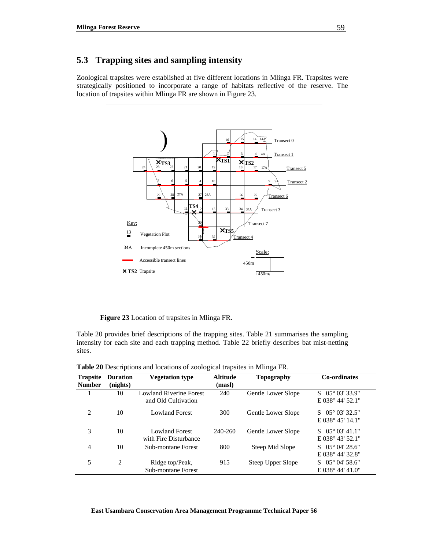## **5.3 Trapping sites and sampling intensity**

Zoological trapsites were established at five different locations in Mlinga FR. Trapsites were strategically positioned to incorporate a range of habitats reflective of the reserve. The location of trapsites within Mlinga FR are shown in Figure 23.



**Figure 23** Location of trapsites in Mlinga FR.

Table 20 provides brief descriptions of the trapping sites. Table 21 summarises the sampling intensity for each site and each trapping method. Table 22 briefly describes bat mist-netting sites.

| <b>Trapsite</b><br><b>Number</b> | <b>Duration</b><br>(nights) | <b>Vegetation type</b>                                | <b>Altitude</b><br>(masl) | Topography                | <b>Co-ordinates</b>                                        |
|----------------------------------|-----------------------------|-------------------------------------------------------|---------------------------|---------------------------|------------------------------------------------------------|
|                                  | 10                          | <b>Lowland Riverine Forest</b><br>and Old Cultivation | 240                       | <b>Gentle Lower Slope</b> | $05^{\circ}$ 03' 33.9"<br>S.<br>E $0.38^{\circ}$ 44' 52.1" |
| 2                                | 10                          | <b>Lowland Forest</b>                                 | 300                       | <b>Gentle Lower Slope</b> | $05^{\circ}$ 03' 32.5"<br>E 038° 45′ 14.1″                 |
| 3                                | 10                          | <b>Lowland Forest</b><br>with Fire Disturbance        | 240-260                   | <b>Gentle Lower Slope</b> | $05^{\circ}$ 03' 41.1"<br>S.<br>$E$ 038° 43′ 52.1″         |
| 4                                | 10                          | Sub-montane Forest                                    | 800                       | Steep Mid Slope           | $05^{\circ}$ 04' 28.6"<br>E 038° 44′ 32.8″                 |
| 5                                | 2                           | Ridge top/Peak,<br><b>Sub-montane Forest</b>          | 915                       | Steep Upper Slope         | $05^{\circ}$ 04' 58.6"<br>E 038° 44' 41.0"                 |

**Table 20** Descriptions and locations of zoological trapsites in Mlinga FR.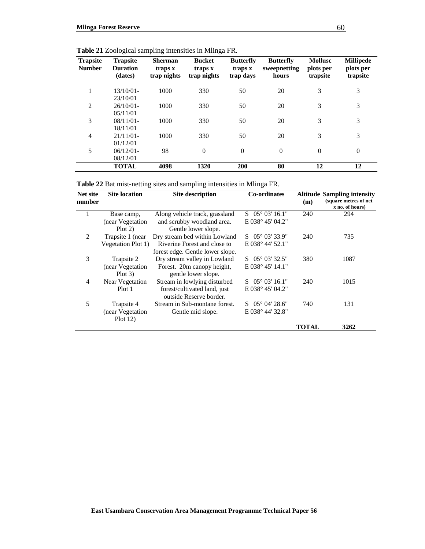| <b>Trapsite</b><br><b>Number</b> | <b>Trapsite</b><br><b>Duration</b><br>(dates) | <b>Sherman</b><br>traps x<br>trap nights | <b>Bucket</b><br>traps x<br>trap nights | <b>Butterfly</b><br>traps x<br>trap days | <b>Butterfly</b><br>sweepnetting<br>hours | <b>Mollusc</b><br>plots per<br>trapsite | <b>Millipede</b><br>plots per<br>trapsite |
|----------------------------------|-----------------------------------------------|------------------------------------------|-----------------------------------------|------------------------------------------|-------------------------------------------|-----------------------------------------|-------------------------------------------|
|                                  | $13/10/01 -$<br>23/10/01                      | 1000                                     | 330                                     | 50                                       | 20                                        | 3                                       | 3                                         |
| $\overline{2}$                   | $26/10/01$ -<br>05/11/01                      | 1000                                     | 330                                     | 50                                       | 20                                        | 3                                       | 3                                         |
| 3                                | 08/11/01<br>18/11/01                          | 1000                                     | 330                                     | 50                                       | 20                                        | 3                                       | 3                                         |
| $\overline{4}$                   | 21/11/01<br>01/12/01                          | 1000                                     | 330                                     | 50                                       | 20                                        | 3                                       | 3                                         |
| 5                                | $06/12/01$ -<br>08/12/01                      | 98                                       | $\Omega$                                | $\theta$                                 | $\theta$                                  | $\theta$                                | $\mathbf{0}$                              |
|                                  | <b>TOTAL</b>                                  | 4098                                     | 1320                                    | 200                                      | 80                                        | 12                                      | 12                                        |

**Table 21** Zoological sampling intensities in Mlinga FR.

|  | Table 22 Bat mist-netting sites and sampling intensities in Mlinga FR. |  |  |  |
|--|------------------------------------------------------------------------|--|--|--|
|  |                                                                        |  |  |  |

| Net site<br>number | <b>Site location</b>      | Site description                 | <b>Co-ordinates</b>         | (m)   | <b>Altitude Sampling intensity</b><br>(square metres of net)<br>x no. of hours) |
|--------------------|---------------------------|----------------------------------|-----------------------------|-------|---------------------------------------------------------------------------------|
| 1                  | Base camp,                | Along vehicle track, grassland   | $S$ 05° 03′ 16.1″           | 240   | 294                                                                             |
|                    | (near Vegetation)         | and scrubby woodland area.       | E 038° 45′ 04.2″            |       |                                                                                 |
|                    | Plot 2)                   | Gentle lower slope.              |                             |       |                                                                                 |
| 2                  | Trapsite 1 (near)         | Dry stream bed within Lowland    | $S$ 05° 03′ 33.9″           | 240   | 735                                                                             |
|                    | <b>Vegetation Plot 1)</b> | Riverine Forest and close to     | $E~038^{\circ}$ 44' 52.1"   |       |                                                                                 |
|                    |                           | forest edge. Gentle lower slope. |                             |       |                                                                                 |
| 3                  | Trapsite 2                | Dry stream valley in Lowland     | $S$ 05 $^{\circ}$ 03' 32.5" | 380   | 1087                                                                            |
|                    | (near Vegetation)         | Forest. 20m canopy height,       | $E~038^{\circ}~45'~14.1"$   |       |                                                                                 |
|                    | Plot 3)                   | gentle lower slope.              |                             |       |                                                                                 |
| $\overline{4}$     | <b>Near Vegetation</b>    | Stream in lowlying disturbed     | $S$ 05 $^{\circ}$ 03' 16.1" | 240   | 1015                                                                            |
|                    | Plot 1                    | forest/cultivated land, just     | E 038° 45' 04.2"            |       |                                                                                 |
|                    |                           | outside Reserve border.          |                             |       |                                                                                 |
| 5                  | Trapsite 4                | Stream in Sub-montane forest.    | $S$ 05 $^{\circ}$ 04' 28.6" | 740   | 131                                                                             |
|                    | (near Vegetation          | Gentle mid slope.                | $E~038^{\circ}$ 44' 32.8"   |       |                                                                                 |
|                    | Plot $12$ )               |                                  |                             |       |                                                                                 |
|                    |                           |                                  |                             | TOTAL | 3262                                                                            |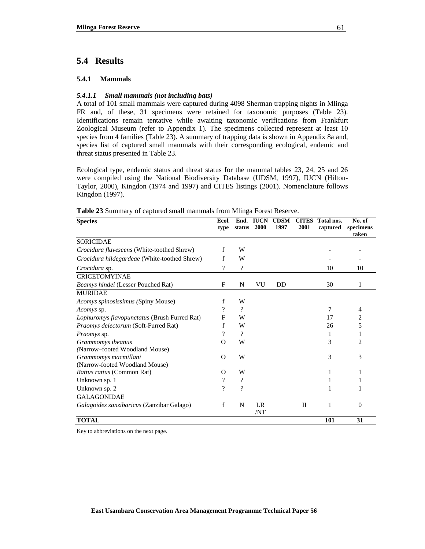## **5.4 Results**

#### **5.4.1 Mammals**

## *5.4.1.1 Small mammals (not including bats)*

A total of 101 small mammals were captured during 4098 Sherman trapping nights in Mlinga FR and, of these, 31 specimens were retained for taxonomic purposes (Table 23). Identifications remain tentative while awaiting taxonomic verifications from Frankfurt Zoological Museum (refer to Appendix 1). The specimens collected represent at least 10 species from 4 families (Table 23). A summary of trapping data is shown in Appendix 8a and, species list of captured small mammals with their corresponding ecological, endemic and threat status presented in Table 23.

Ecological type, endemic status and threat status for the mammal tables 23, 24, 25 and 26 were compiled using the National Biodiversity Database (UDSM, 1997), IUCN (Hilton-Taylor, 2000), Kingdon (1974 and 1997) and CITES listings (2001). Nomenclature follows Kingdon (1997).

| <b>Species</b>                               | Ecol.<br>type | End.<br>status           | <b>IUCN</b><br>2000 | <b>UDSM</b><br>1997 | <b>CITES</b><br>2001 | Total nos.<br>captured | No. of<br>specimens |
|----------------------------------------------|---------------|--------------------------|---------------------|---------------------|----------------------|------------------------|---------------------|
|                                              |               |                          |                     |                     |                      |                        | taken               |
| <b>SORICIDAE</b>                             |               |                          |                     |                     |                      |                        |                     |
| Crocidura flavescens (White-toothed Shrew)   | f             | W                        |                     |                     |                      |                        |                     |
| Crocidura hildegardeae (White-toothed Shrew) | f             | W                        |                     |                     |                      |                        |                     |
| Crocidura sp.                                | 9             | ?                        |                     |                     |                      | 10                     | 10                  |
| <b>CRICETOMYINAE</b>                         |               |                          |                     |                     |                      |                        |                     |
| Beamys hindei (Lesser Pouched Rat)           | F             | N                        | VU                  | DD                  |                      | 30                     | 1                   |
| <b>MURIDAE</b>                               |               |                          |                     |                     |                      |                        |                     |
| Acomys spinosissimus (Spiny Mouse)           | f             | W                        |                     |                     |                      |                        |                     |
| Acomys sp.                                   | ?             | ?                        |                     |                     |                      | 7                      | 4                   |
| Lophuromys flavopunctatus (Brush Furred Rat) | F             | W                        |                     |                     |                      | 17                     | 2                   |
| Praomys delectorum (Soft-Furred Rat)         | f             | W                        |                     |                     |                      | 26                     | 5                   |
| <i>Praomys</i> sp.                           | ?             | ?                        |                     |                     |                      | 1                      | 1                   |
| Grammomys ibeanus                            | $\Omega$      | W                        |                     |                     |                      | 3                      | 2                   |
| (Narrow-footed Woodland Mouse)               |               |                          |                     |                     |                      |                        |                     |
| Grammomys macmillani                         | $\Omega$      | W                        |                     |                     |                      | 3                      | 3                   |
| (Narrow-footed Woodland Mouse)               |               |                          |                     |                     |                      |                        |                     |
| Rattus rattus (Common Rat)                   | O             | W                        |                     |                     |                      | 1                      | 1                   |
| Unknown sp. 1                                | ?             | $\overline{\cdot}$       |                     |                     |                      |                        | 1                   |
| Unknown sp. 2                                | 9             | $\overline{\mathcal{L}}$ |                     |                     |                      | 1                      | 1                   |
| <b>GALAGONIDAE</b>                           |               |                          |                     |                     |                      |                        |                     |
| Galagoides zanzibaricus (Zanzibar Galago)    | f             | N                        | LR                  |                     | $\mathbf{I}$         | 1                      | $\theta$            |
|                                              |               |                          | /NT                 |                     |                      |                        |                     |
| <b>TOTAL</b>                                 |               |                          |                     |                     |                      | 101                    | 31                  |

**Table 23** Summary of captured small mammals from Mlinga Forest Reserve.

Key to abbreviations on the next page.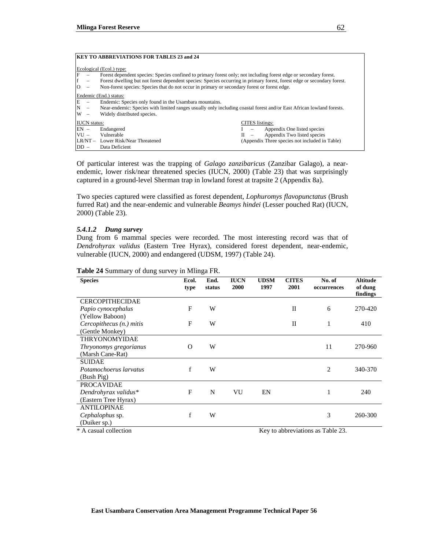#### **KEY TO ABBREVIATIONS FOR TABLES 23 and 24**

Ecological (Ecol.) type:

|                                                                                     |                          | <b>ECOLOGICAL</b> (ECOL.) type.                                                                                         |                        |  |                                                |  |  |  |  |  |
|-------------------------------------------------------------------------------------|--------------------------|-------------------------------------------------------------------------------------------------------------------------|------------------------|--|------------------------------------------------|--|--|--|--|--|
| F                                                                                   |                          | Forest dependent species: Species confined to primary forest only; not including forest edge or secondary forest.       |                        |  |                                                |  |  |  |  |  |
| $\mathbf f$                                                                         | $\overline{\phantom{m}}$ | Forest dwelling but not forest dependent species: Species occurring in primary forest, forest edge or secondary forest. |                        |  |                                                |  |  |  |  |  |
| $\Omega$                                                                            |                          | Non-forest species: Species that do not occur in primary or secondary forest or forest edge.                            |                        |  |                                                |  |  |  |  |  |
|                                                                                     |                          | Endemic (End.) status:                                                                                                  |                        |  |                                                |  |  |  |  |  |
| $\begin{array}{ccc} \mathbf{E} & - \\ \mathbf{N} & - \\ \mathbf{W} & - \end{array}$ |                          | Endemic: Species only found in the Usambara mountains.                                                                  |                        |  |                                                |  |  |  |  |  |
|                                                                                     |                          | Near-endemic: Species with limited ranges usually only including coastal forest and/or East African lowland forests.    |                        |  |                                                |  |  |  |  |  |
|                                                                                     |                          | Widely distributed species.                                                                                             |                        |  |                                                |  |  |  |  |  |
|                                                                                     | <b>IUCN</b> status:      |                                                                                                                         | <b>CITES</b> listings: |  |                                                |  |  |  |  |  |
| $EN -$                                                                              |                          | Endangered                                                                                                              |                        |  | Appendix One listed species                    |  |  |  |  |  |
| $VU -$                                                                              |                          | Vulnerable                                                                                                              | П                      |  | Appendix Two listed species                    |  |  |  |  |  |
|                                                                                     |                          | LR/NT - Lower Risk/Near Threatened                                                                                      |                        |  | (Appendix Three species not included in Table) |  |  |  |  |  |
| $DD -$                                                                              |                          | Data Deficient                                                                                                          |                        |  |                                                |  |  |  |  |  |

Of particular interest was the trapping of *Galago zanzibaricus* (Zanzibar Galago), a nearendemic, lower risk/near threatened species (IUCN, 2000) (Table 23) that was surprisingly captured in a ground-level Sherman trap in lowland forest at trapsite 2 (Appendix 8a).

Two species captured were classified as forest dependent, *Lophuromys flavopunctatus* (Brush furred Rat) and the near-endemic and vulnerable *Beamys hindei* (Lesser pouched Rat) (IUCN, 2000) (Table 23)*.* 

#### *5.4.1.2 Dung survey*

Dung from 6 mammal species were recorded. The most interesting record was that of *Dendrohyrax validus* (Eastern Tree Hyrax), considered forest dependent, near-endemic, vulnerable (IUCN, 2000) and endangered (UDSM, 1997) (Table 24).

| <b>Species</b>                | Ecol.<br>type | End.<br>status | <b>IUCN</b><br>2000 | <b>UDSM</b><br>1997 | <b>CITES</b><br>2001 | No. of<br>occurrences             | <b>Altitude</b><br>of dung<br>findings |
|-------------------------------|---------------|----------------|---------------------|---------------------|----------------------|-----------------------------------|----------------------------------------|
| <b>CERCOPITHECIDAE</b>        |               |                |                     |                     |                      |                                   |                                        |
| Papio cynocephalus            | $\mathbf{F}$  | W              |                     |                     | $\mathbf{I}$         | 6                                 | 270-420                                |
| (Yellow Baboon)               |               |                |                     |                     |                      |                                   |                                        |
| $Cercopithecus (n.)$ mitis    | $\mathbf{F}$  | W              |                     |                     | $\mathbf{I}$         | 1                                 | 410                                    |
| (Gentle Monkey)               |               |                |                     |                     |                      |                                   |                                        |
| <b>THRYONOMYIDAE</b>          |               |                |                     |                     |                      |                                   |                                        |
| <i>Thryonomys gregorianus</i> | $\Omega$      | W              |                     |                     |                      | 11                                | 270-960                                |
| (Marsh Cane-Rat)              |               |                |                     |                     |                      |                                   |                                        |
| <b>SUIDAE</b>                 |               |                |                     |                     |                      |                                   |                                        |
| Potamochoerus larvatus        | f             | W              |                     |                     |                      | 2                                 | 340-370                                |
| (Bush Pig)                    |               |                |                     |                     |                      |                                   |                                        |
| <b>PROCAVIDAE</b>             |               |                |                     |                     |                      |                                   |                                        |
| Dendrohyrax validus $*$       | F             | N              | VU                  | EN                  |                      | 1                                 | 240                                    |
| (Eastern Tree Hyrax)          |               |                |                     |                     |                      |                                   |                                        |
| <b>ANTILOPINAE</b>            |               |                |                     |                     |                      |                                   |                                        |
| Cephalophus sp.               | f             | W              |                     |                     |                      | 3                                 | 260-300                                |
| (Duiker sp.)                  |               |                |                     |                     |                      |                                   |                                        |
| * A casual collection         |               |                |                     |                     |                      | Key to abbreviations as Table 23. |                                        |

#### **Table 24** Summary of dung survey in Mlinga FR.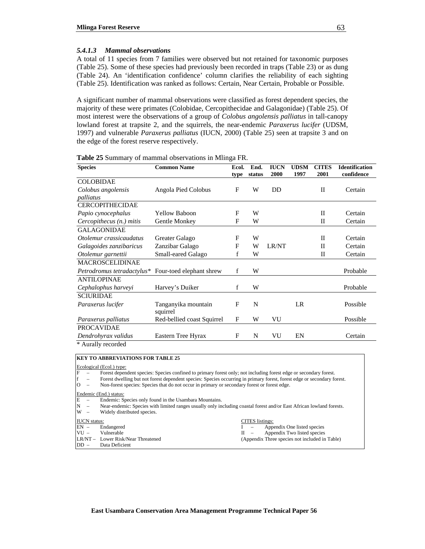#### *5.4.1.3 Mammal observations*

A total of 11 species from 7 families were observed but not retained for taxonomic purposes (Table 25). Some of these species had previously been recorded in traps (Table 23) or as dung (Table 24). An 'identification confidence' column clarifies the reliability of each sighting (Table 25). Identification was ranked as follows: Certain, Near Certain, Probable or Possible.

A significant number of mammal observations were classified as forest dependent species, the majority of these were primates (Colobidae, Cercopithecidae and Galagonidae) (Table 25). Of most interest were the observations of a group of *Colobus angolensis palliatus* in tall-canopy lowland forest at trapsite 2, and the squirrels, the near-endemic *Paraxerus lucifer* (UDSM, 1997) and vulnerable *Paraxerus palliatus* (IUCN, 2000) (Table 25) seen at trapsite 3 and on the edge of the forest reserve respectively.

| <b>Species</b>                  | <b>Common Name</b>              | Ecol.<br>type | End.<br>status | <b>IUCN</b><br>2000 | <b>UDSM</b><br>1997 | <b>CITES</b><br>2001 | <b>Identification</b><br>confidence |
|---------------------------------|---------------------------------|---------------|----------------|---------------------|---------------------|----------------------|-------------------------------------|
| <b>COLOBIDAE</b>                |                                 |               |                |                     |                     |                      |                                     |
| Colobus angolensis<br>palliatus | Angola Pied Colobus             | F             | W              | DD                  |                     | $_{\rm II}$          | Certain                             |
| <b>CERCOPITHECIDAE</b>          |                                 |               |                |                     |                     |                      |                                     |
| Papio cynocephalus              | Yellow Baboon                   | F             | W              |                     |                     | $\mathbf{I}$         | Certain                             |
| $Cercopithecus (n.)$ mitis      | Gentle Monkey                   | F             | W              |                     |                     | $\mathbf{I}$         | Certain                             |
| <b>GALAGONIDAE</b>              |                                 |               |                |                     |                     |                      |                                     |
| Otolemur crassicaudatus         | Greater Galago                  | F             | W              |                     |                     | $\mathbf{I}$         | Certain                             |
| Galagoides zanzibaricus         | Zanzibar Galago                 | F             | W              | LR/NT               |                     | $\mathbf{I}$         | Certain                             |
| Otolemur garnettii              | Small-eared Galago              | f             | W              |                     |                     | H                    | Certain                             |
| <b>MACROSCELIDINAE</b>          |                                 |               |                |                     |                     |                      |                                     |
| Petrodromus tetradactylus*      | Four-toed elephant shrew        | f             | W              |                     |                     |                      | Probable                            |
| <b>ANTILOPINAE</b>              |                                 |               |                |                     |                     |                      |                                     |
| Cephalophus harveyi             | Harvey's Duiker                 | f             | W              |                     |                     |                      | Probable                            |
| <b>SCIURIDAE</b>                |                                 |               |                |                     |                     |                      |                                     |
| Paraxerus lucifer               | Tanganyika mountain<br>squirrel | F             | N              |                     | LR                  |                      | Possible                            |
| Paraxerus palliatus             | Red-bellied coast Squirrel      | F             | W              | VU                  |                     |                      | Possible                            |
| <b>PROCAVIDAE</b>               |                                 |               |                |                     |                     |                      |                                     |
| Dendrohyrax validus             | Eastern Tree Hyrax              | F             | N              | VU                  | EN                  |                      | Certain                             |
| * Aurally recorded              |                                 |               |                |                     |                     |                      |                                     |

| <b>Table 25</b> Summary of mammal observations in Mlinga FR. |
|--------------------------------------------------------------|
|--------------------------------------------------------------|

#### **KEY TO ABBREVIATIONS FOR TABLE 25**

Ecological (Ecol.) type:

Forest dependent species: Species confined to primary forest only; not including forest edge or secondary forest.

f – Forest dwelling but not forest dependent species: Species occurring in primary forest, forest edge or secondary forest.

- Non-forest species: Species that do not occur in primary or secondary forest or forest edge.

Endemic (End.) status:

- E Endemic: Species only found in the Usambara Mountains.
- N Near-endemic: Species with limited ranges usually only including coastal forest and/or East African lowland forests.<br>W Widely distributed species. Widely distributed species.

| II ICM $_{\text{stack}}$ |  |
|--------------------------|--|

| IUCN status: |                                    | CITES listings: |                                                |
|--------------|------------------------------------|-----------------|------------------------------------------------|
|              | $EN -$ Endangered                  |                 | $I =$ Appendix One listed species              |
|              | VU – Vulnerable                    |                 | $II =$ Appendix Two listed species             |
|              | LR/NT – Lower Risk/Near Threatened |                 | (Appendix Three species not included in Table) |
|              | $DD - Data Deficient$              |                 |                                                |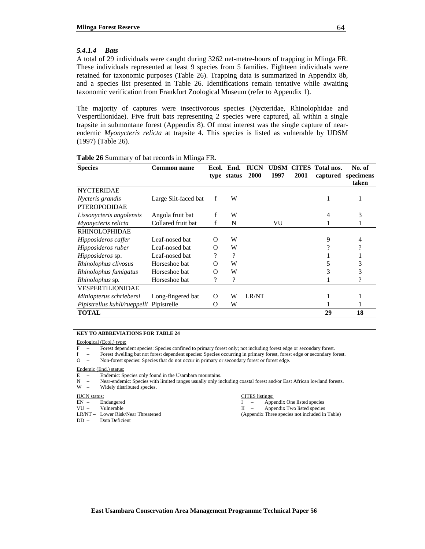#### *5.4.1.4 Bats*

A total of 29 individuals were caught during 3262 net-metre-hours of trapping in Mlinga FR. These individuals represented at least 9 species from 5 families. Eighteen individuals were retained for taxonomic purposes (Table 26). Trapping data is summarized in Appendix 8b, and a species list presented in Table 26. Identifications remain tentative while awaiting taxonomic verification from Frankfurt Zoological Museum (refer to Appendix 1).

The majority of captures were insectivorous species (Nycteridae, Rhinolophidae and Vespertilionidae). Five fruit bats representing 2 species were captured, all within a single trapsite in submontane forest (Appendix 8). Of most interest was the single capture of nearendemic *Myonycteris relicta* at trapsite 4. This species is listed as vulnerable by UDSM (1997) (Table 26).

| <b>Species</b>               | <b>Common name</b>   | Ecol.    | End.                     | <b>IUCN</b> | <b>UDSM</b> | <b>CITES</b> | Total nos. | No. of    |
|------------------------------|----------------------|----------|--------------------------|-------------|-------------|--------------|------------|-----------|
|                              |                      |          | type status              | <b>2000</b> | 1997        | 2001         | captured   | specimens |
|                              |                      |          |                          |             |             |              |            | taken     |
| <b>NYCTERIDAE</b>            |                      |          |                          |             |             |              |            |           |
| Nycteris grandis             | Large Slit-faced bat | f        | W                        |             |             |              | 1          | 1         |
| <b>PTEROPODIDAE</b>          |                      |          |                          |             |             |              |            |           |
| Lissonycteris angolensis     | Angola fruit bat     | f        | W                        |             |             |              | 4          | 3         |
| <i>Myonycteris relicta</i>   | Collared fruit bat   | f        | N                        |             | VU          |              |            |           |
| <b>RHINOLOPHIDAE</b>         |                      |          |                          |             |             |              |            |           |
| Hipposideros caffer          | Leaf-nosed bat       | $\Omega$ | W                        |             |             |              | 9          | 4         |
| Hipposideros ruber           | Leaf-nosed bat       | O        | W                        |             |             |              | 9          | າ         |
| <i>Hipposideros</i> sp.      | Leaf-nosed bat       | 9        | ?                        |             |             |              |            |           |
| Rhinolophus clivosus         | Horseshoe bat        | O        | W                        |             |             |              | 5          | 3         |
| Rhinolophus fumigatus        | Horseshoe bat        | O        | W                        |             |             |              | 3          | 3         |
| <i>Rhinolophus</i> sp.       | Horseshoe bat        | 9        | $\overline{\mathcal{L}}$ |             |             |              |            |           |
| <b>VESPERTILIONIDAE</b>      |                      |          |                          |             |             |              |            |           |
| Miniopterus schriebersi      | Long-fingered bat    | O        | W                        | LR/NT       |             |              | -1         | T         |
| Pipistrellus kuhli/rueppelli | Pipistrelle          | O        | W                        |             |             |              |            |           |
| TOTAL                        |                      |          |                          |             |             |              | 29         | 18        |

#### **Table 26** Summary of bat records in Mlinga FR.

#### **KEY TO ABBREVIATIONS FOR TABLE 24**

Ecological (Ecol.) type:

- F Forest dependent species: Species confined to primary forest only; not including forest edge or secondary forest.
- f Forest dwelling but not forest dependent species: Species occurring in primary forest, forest edge or secondary forest.
- O Non-forest species: Species that do not occur in primary or secondary forest or forest edge.

Endemic (End.) status:

- E Endemic: Species only found in the Usambara mountains.<br>N Near-endemic: Species with limited ranges usually only in
- Near-endemic: Species with limited ranges usually only including coastal forest and/or East African lowland forests.
- W Widely distributed species.

### **IUCN** status: **CITES** listings:

- 
- 
- DD Data Deficient

- EN Endangered I Appendix One listed species VU – Vulnerable Vulnerable II – Appendix Two listed species<br>
LR/NT – Lower Risk/Near Threatened (Appendix Three species not included in
	- (Appendix Three species not included in Table)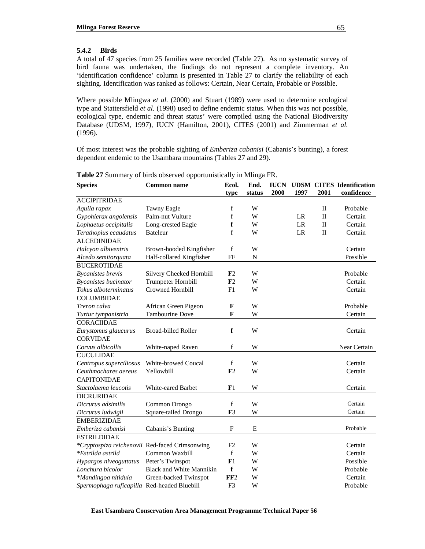## **5.4.2 Birds**

A total of 47 species from 25 families were recorded (Table 27). As no systematic survey of bird fauna was undertaken, the findings do not represent a complete inventory. An 'identification confidence' column is presented in Table 27 to clarify the reliability of each sighting. Identification was ranked as follows: Certain, Near Certain, Probable or Possible.

Where possible Mlingwa *et al.* (2000) and Stuart (1989) were used to determine ecological type and Stattersfield *et al.* (1998) used to define endemic status. When this was not possible, ecological type, endemic and threat status' were compiled using the National Biodiversity Database (UDSM, 1997), IUCN (Hamilton, 2001), CITES (2001) and Zimmerman *et al.*  (1996).

Of most interest was the probable sighting of *Emberiza cabanisi* (Cabanis's bunting), a forest dependent endemic to the Usambara mountains (Tables 27 and 29).

| <b>Species</b>                                 | <b>Common name</b>              | Ecol.           | End.   | <b>IUCN</b> |      |              | <b>UDSM CITES Identification</b> |
|------------------------------------------------|---------------------------------|-----------------|--------|-------------|------|--------------|----------------------------------|
|                                                |                                 | type            | status | 2000        | 1997 | 2001         | confidence                       |
| <b>ACCIPITRIDAE</b>                            |                                 |                 |        |             |      |              |                                  |
| Aquila rapax                                   | <b>Tawny Eagle</b>              | f               | W      |             |      | $\mathbf{I}$ | Probable                         |
| Gypohierax angolensis                          | Palm-nut Vulture                | $\mathbf f$     | W      |             | LR   | $\mathbf{I}$ | Certain                          |
| Lophaetus occipitalis                          | Long-crested Eagle              | f               | W      |             | LR   | $\mathbf{I}$ | Certain                          |
| Terathopius ecaudatus                          | <b>Bateleur</b>                 | f               | W      |             | LR   | $\mathbf{I}$ | Certain                          |
| <b>ALCEDINIDAE</b>                             |                                 |                 |        |             |      |              |                                  |
| Halcyon albiventris                            | Brown-hooded Kingfisher         | f               | W      |             |      |              | Certain                          |
| Alcedo semitorquata                            | Half-collared Kingfisher        | FF              | N      |             |      |              | Possible                         |
| <b>BUCEROTIDAE</b>                             |                                 |                 |        |             |      |              |                                  |
| <b>Bycanistes</b> brevis                       | Silvery Cheeked Hornbill        | F <sub>2</sub>  | W      |             |      |              | Probable                         |
| <b>Bycanistes bucinator</b>                    | Trumpeter Hornbill              | F <sub>2</sub>  | W      |             |      |              | Certain                          |
| Tokus alboterminatus                           | Crowned Hornbill                | F1              | W      |             |      |              | Certain                          |
| <b>COLUMBIDAE</b>                              |                                 |                 |        |             |      |              |                                  |
| Treron calva                                   | African Green Pigeon            | F               | W      |             |      |              | Probable                         |
| Turtur tympanistria                            | <b>Tambourine Dove</b>          | F               | W      |             |      |              | Certain                          |
| <b>CORACIIDAE</b>                              |                                 |                 |        |             |      |              |                                  |
| Eurystomus glaucurus                           | <b>Broad-billed Roller</b>      | f               | W      |             |      |              | Certain                          |
| <b>CORVIDAE</b>                                |                                 |                 |        |             |      |              |                                  |
| Corvus albicollis                              | White-naped Raven               | f               | W      |             |      |              | Near Certain                     |
| <b>CUCULIDAE</b>                               |                                 |                 |        |             |      |              |                                  |
| Centropus superciliosus                        | <b>White-browed Coucal</b>      | f               | W      |             |      |              | Certain                          |
| Ceuthmochares aereus                           | Yellowbill                      | F <sub>2</sub>  | W      |             |      |              | Certain                          |
| <b>CAPITONIDAE</b>                             |                                 |                 |        |             |      |              |                                  |
| Stactolaema leucotis                           | White-eared Barbet              | F1              | W      |             |      |              | Certain                          |
| <b>DICRURIDAE</b>                              |                                 |                 |        |             |      |              |                                  |
| Dicrurus adsimilis                             | Common Drongo                   | f               | W      |             |      |              | Certain                          |
| Dicrurus ludwigii                              | Square-tailed Drongo            | F <sub>3</sub>  | W      |             |      |              | Certain                          |
| <b>EMBERIZIDAE</b>                             |                                 |                 |        |             |      |              |                                  |
| Emberiza cabanisi                              | Cabanis's Bunting               | ${\bf F}$       | E      |             |      |              | Probable                         |
| <b>ESTRILDIDAE</b>                             |                                 |                 |        |             |      |              |                                  |
| *Cryptospiza reichenovii Red-faced Crimsonwing |                                 | F2              | W      |             |      |              | Certain                          |
| <i>*Estrilda astrild</i>                       | Common Waxbill                  | $\mathbf f$     | W      |             |      |              | Certain                          |
| Hypargos niveoguttatus                         | Peter's Twinspot                | F1              | W      |             |      |              | Possible                         |
| Lonchura bicolor                               | <b>Black and White Mannikin</b> | f               | W      |             |      |              | Probable                         |
| *Mandingoa nitidula                            | Green-backed Twinspot           | FF <sub>2</sub> | W      |             |      |              | Certain                          |
| Spermophaga ruficapilla Red-headed Bluebill    |                                 | F <sub>3</sub>  | W      |             |      |              | Probable                         |

**Table 27** Summary of birds observed opportunistically in Mlinga FR.

**East Usambara Conservation Area Management Programme Technical Paper 56**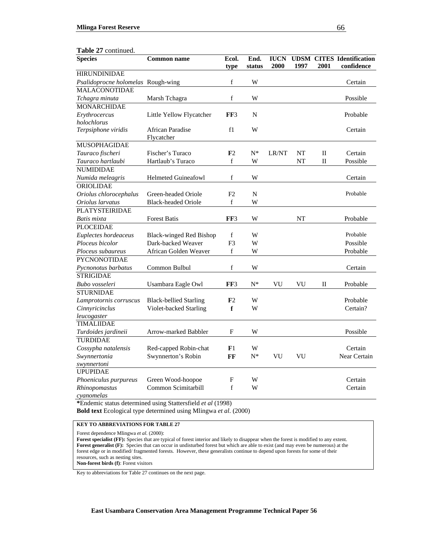| Table 27 continued.                |                                       |                |                |                     |      |              |                                                |
|------------------------------------|---------------------------------------|----------------|----------------|---------------------|------|--------------|------------------------------------------------|
| <b>Species</b>                     | <b>Common name</b>                    | Ecol.<br>type  | End.<br>status | <b>IUCN</b><br>2000 | 1997 | 2001         | <b>UDSM CITES Identification</b><br>confidence |
| <b>HIRUNDINIDAE</b>                |                                       |                |                |                     |      |              |                                                |
| Psalidoprocne holomelas Rough-wing |                                       | f              | W              |                     |      |              | Certain                                        |
| <b>MALACONOTIDAE</b>               |                                       |                |                |                     |      |              |                                                |
| Tchagra minuta                     | Marsh Tchagra                         | $\mathbf f$    | W              |                     |      |              | Possible                                       |
| <b>MONARCHIDAE</b>                 |                                       |                |                |                     |      |              |                                                |
| Erythrocercus                      | Little Yellow Flycatcher              | FF3            | N              |                     |      |              | Probable                                       |
| holochlorus                        |                                       |                |                |                     |      |              |                                                |
| Terpsiphone viridis                | <b>African Paradise</b><br>Flycatcher | f1             | W              |                     |      |              | Certain                                        |
| <b>MUSOPHAGIDAE</b>                |                                       |                |                |                     |      |              |                                                |
| Tauraco fischeri                   | Fischer's Turaco                      | F <sub>2</sub> | $N^*$          | LR/NT               | NT   | П            | Certain                                        |
| Tauraco hartlaubi                  | Hartlaub's Turaco                     | $\mathbf{f}$   | W              |                     | NT   | $\mathbf{I}$ | Possible                                       |
| <b>NUMIDIDAE</b>                   |                                       |                |                |                     |      |              |                                                |
| Numida meleagris                   | <b>Helmeted Guineafowl</b>            | f              | W              |                     |      |              | Certain                                        |
| ORIOLIDAE                          |                                       |                |                |                     |      |              |                                                |
| Oriolus chlorocephalus             | Green-headed Oriole                   | F <sub>2</sub> | $\overline{N}$ |                     |      |              | Probable                                       |
| Oriolus larvatus                   | <b>Black-headed Oriole</b>            | $\mathbf f$    | W              |                     |      |              |                                                |
| <b>PLATYSTEIRIDAE</b>              |                                       |                |                |                     |      |              |                                                |
| Batis mixta                        | <b>Forest Batis</b>                   | FF3            | W              |                     | NT   |              | Probable                                       |
| <b>PLOCEIDAE</b>                   |                                       |                |                |                     |      |              |                                                |
| Euplectes hordeaceus               | <b>Black-winged Red Bishop</b>        | f              | W              |                     |      |              | Probable                                       |
| Ploceus bicolor                    | Dark-backed Weaver                    | F <sub>3</sub> | W              |                     |      |              | Possible                                       |
| Ploceus subaureus                  | African Golden Weaver                 | $\mathbf f$    | W              |                     |      |              | Probable                                       |
| <b>PYCNONOTIDAE</b>                |                                       |                |                |                     |      |              |                                                |
| Pycnonotus barbatus                | Common Bulbul                         | $\mathbf f$    | W              |                     |      |              | Certain                                        |
| <b>STRIGIDAE</b>                   |                                       |                |                |                     |      |              |                                                |
| Bubo vosseleri                     | Usambara Eagle Owl                    | FF3            | N*             | VU                  | VU   | $_{\rm II}$  | Probable                                       |
| <b>STURNIDAE</b>                   |                                       |                |                |                     |      |              |                                                |
| Lamprotornis corruscus             | <b>Black-bellied Starling</b>         | F <sub>2</sub> | W              |                     |      |              | Probable                                       |
| Cinnyricinclus                     | Violet-backed Starling                | f              | W              |                     |      |              | Certain?                                       |
| leucogaster                        |                                       |                |                |                     |      |              |                                                |
| <b>TIMALIIDAE</b>                  |                                       |                |                |                     |      |              |                                                |
| Turdoides jardineii                | Arrow-marked Babbler                  | F              | W              |                     |      |              | Possible                                       |
| <b>TURDIDAE</b>                    |                                       |                |                |                     |      |              |                                                |
| Cossypha natalensis                | Red-capped Robin-chat                 | F <sub>1</sub> | W              |                     |      |              | Certain                                        |
| Swynnertonia                       | Swynnerton's Robin                    | FF             | ${\bf N}^*$    | VU                  | VU   |              | Near Certain                                   |
| swynnertoni                        |                                       |                |                |                     |      |              |                                                |
| <b>UPUPIDAE</b>                    |                                       |                |                |                     |      |              |                                                |
| Phoeniculus purpureus              | Green Wood-hoopoe                     | F              | W              |                     |      |              | Certain                                        |
| Rhinopomastus                      | Common Scimitarbill                   | $\mathbf f$    | W              |                     |      |              | Certain                                        |

*cyanomelas* 

**\***Endemic status determined using Stattersfield *et al* (1998)

**Bold text** Ecological type determined using Mlingwa *et al.* (2000)

#### **KEY TO ABBREVIATIONS FOR TABLE 27**

Forest dependence Mlingwa *et al.* (2000):

**Forest specialist (FF):** Species that are typical of forest interior and likely to disappear when the forest is modified to any extent. **Forest generalist (F):** Species that can occur in undisturbed forest but which are able to exist (and may even be numerous) at the forest edge or in modified/ fragmented forests. However, these generalists continue to depend upon forests for some of their resources, such as nesting sites. **Non-forest birds (f)**: Forest visitors

Key to abbreviations for Table 27 continues on the next page.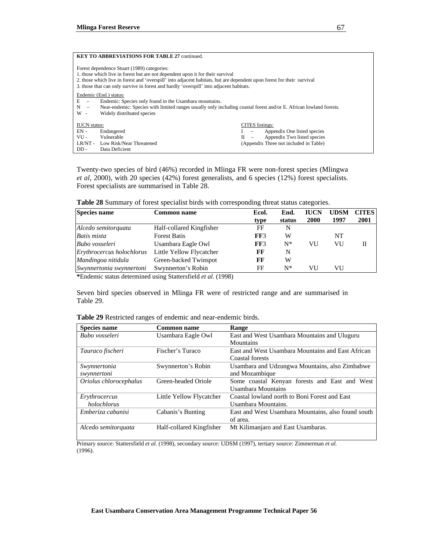|                              | <b>KEY TO ABBREVIATIONS FOR TABLE 27 continued.</b>                                                                                                                                                                                                                                                                                                |                                                        |  |  |  |  |  |  |  |  |
|------------------------------|----------------------------------------------------------------------------------------------------------------------------------------------------------------------------------------------------------------------------------------------------------------------------------------------------------------------------------------------------|--------------------------------------------------------|--|--|--|--|--|--|--|--|
|                              | Forest dependence Stuart (1989) categories:<br>1. those which live in forest but are not dependent upon it for their survival<br>2. those which live in forest and 'overspill' into adjacent habitats, but are dependent upon forest for their survival<br>3. those that can only survive in forest and hardly 'overspill' into adjacent habitats. |                                                        |  |  |  |  |  |  |  |  |
| $E =$<br>$N =$<br><b>W</b> - | Endemic (End.) status:<br>Endemic: Species only found in the Usambara mountains.<br>Near-endemic: Species with limited ranges usually only including coastal forest and/or E. African lowland forests.<br>Widely distributed species                                                                                                               |                                                        |  |  |  |  |  |  |  |  |
| <b>IUCN</b> status:          |                                                                                                                                                                                                                                                                                                                                                    | CITES listings:                                        |  |  |  |  |  |  |  |  |
| $EN -$                       | Endangered                                                                                                                                                                                                                                                                                                                                         | Appendix One listed species                            |  |  |  |  |  |  |  |  |
| VU -                         | Vulnerable                                                                                                                                                                                                                                                                                                                                         | Appendix Two listed species<br>$\Pi$<br>$\sim$ $ \sim$ |  |  |  |  |  |  |  |  |
|                              | LR/NT - Low Risk/Near Threatened                                                                                                                                                                                                                                                                                                                   | (Appendix Three not included in Table)                 |  |  |  |  |  |  |  |  |
| $DD -$                       | Data Deficient                                                                                                                                                                                                                                                                                                                                     |                                                        |  |  |  |  |  |  |  |  |

Twenty-two species of bird (46%) recorded in Mlinga FR were non-forest species (Mlingwa *et al*, 2000), with 20 species (42%) forest generalists, and 6 species (12%) forest specialists. Forest specialists are summarised in Table 28.

**Table 28** Summary of forest specialist birds with corresponding threat status categories.

| <b>Common name</b>       | Ecol. | End.   | <b>IUCN</b> | <b>UDSM</b> | <b>CITES</b> |
|--------------------------|-------|--------|-------------|-------------|--------------|
|                          | type  | status | <b>2000</b> | 1997        | 2001         |
| Half-collared Kingfisher | FF    | N      |             |             |              |
| <b>Forest Batis</b>      | FF3   | W      |             | NT          |              |
| Usambara Eagle Owl       | FF3   | $N^*$  | VU          | VU          |              |
| Little Yellow Flycatcher | FF    | N      |             |             |              |
| Green-backed Twinspot    | FF    | W      |             |             |              |
| Swynnerton's Robin       | FF    | $N^*$  | VU          | VH          |              |
|                          |       |        |             |             |              |

**\***Endemic status determined using Stattersfield *et al.* (1998)

Seven bird species observed in Mlinga FR were of restricted range and are summarised in Table 29.

| Table 29 Restricted ranges of endemic and near-endemic birds. |  |  |
|---------------------------------------------------------------|--|--|
|---------------------------------------------------------------|--|--|

| <b>Species name</b>    | <b>Common name</b>       | Range                                              |
|------------------------|--------------------------|----------------------------------------------------|
| Bubo vosseleri         | Usambara Eagle Owl       | East and West Usambara Mountains and Uluguru       |
|                        |                          | <b>Mountains</b>                                   |
| Tauraco fischeri       | Fischer's Turaco         | East and West Usambara Mountains and East African  |
|                        |                          | Coastal forests                                    |
| Swynnertonia           | Swynnerton's Robin       | Usambara and Udzungwa Mountains, also Zimbabwe     |
| swynnertoni            |                          | and Mozambique                                     |
| Oriolus chlorocephalus | Green-headed Oriole      | Some coastal Kenyan forests and East and West      |
|                        |                          | Usambara Mountains                                 |
| Erythrocercus          | Little Yellow Flycatcher | Coastal lowland north to Boni Forest and East      |
| holochlorus            |                          | Usambara Mountains.                                |
| Emberiza cabanisi      | Cabanis's Bunting        | East and West Usambara Mountains, also found south |
|                        |                          | of area.                                           |
| Alcedo semitorquata    | Half-collared Kingfisher | Mt Kilimanjaro and East Usambaras.                 |
|                        |                          |                                                    |

Primary source: Stattersfield *et al.* (1998), secondary source: UDSM (1997), tertiary source: Zimmerman *et al.* (1996).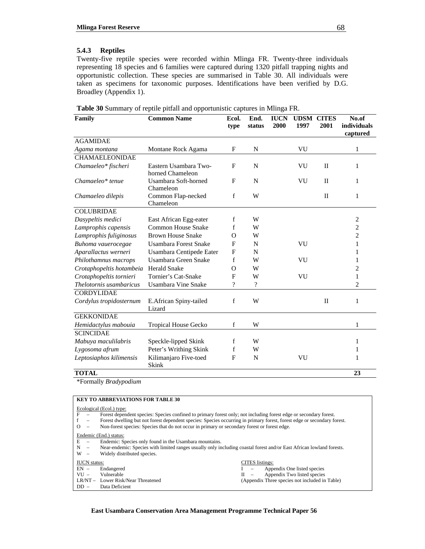#### **5.4.3 Reptiles**

Twenty-five reptile species were recorded within Mlinga FR. Twenty-three individuals representing 18 species and 6 families were captured during 1320 pitfall trapping nights and opportunistic collection. These species are summarised in Table 30. All individuals were taken as specimens for taxonomic purposes. Identifications have been verified by D.G. Broadley (Appendix 1).

| Family                   | <b>Common Name</b>                        | Ecol.<br>type | End.<br>status | <b>IUCN</b><br>2000 | 1997 | <b>UDSM CITES</b><br>2001 | No.of<br>individuals<br>captured |
|--------------------------|-------------------------------------------|---------------|----------------|---------------------|------|---------------------------|----------------------------------|
| <b>AGAMIDAE</b>          |                                           |               |                |                     |      |                           |                                  |
| Agama montana            | Montane Rock Agama                        | F             | N              |                     | VU   |                           | 1                                |
| <b>CHAMAELEONIDAE</b>    |                                           |               |                |                     |      |                           |                                  |
| Chamaeleo* fischeri      | Eastern Usambara Two-<br>horned Chameleon | F             | N              |                     | VU   | $\mathbf{I}$              | 1                                |
| Chamaeleo* tenue         | Usambara Soft-horned<br>Chameleon         | F             | N              |                     | VU   | $\mathbf{I}$              | 1                                |
| Chamaeleo dilepis        | Common Flap-necked<br>Chameleon           | f             | W              |                     |      | $\mathbf{I}$              | 1                                |
| <b>COLUBRIDAE</b>        |                                           |               |                |                     |      |                           |                                  |
| Dasypeltis medici        | East African Egg-eater                    | f             | W              |                     |      |                           | 2                                |
| Lamprophis capensis      | <b>Common House Snake</b>                 | f             | W              |                     |      |                           | 2                                |
| Lamprophis fuliginosus   | <b>Brown House Snake</b>                  | $\Omega$      | W              |                     |      |                           | $\overline{2}$                   |
| Buhoma vauerocegae       | <b>Usambara Forest Snake</b>              | F             | N              |                     | VU   |                           | 1                                |
| Aparallactus werneri     | Usambara Centipede Eater                  | F             | N              |                     |      |                           | 1                                |
| Philothamnus macrops     | Usambara Green Snake                      | f             | W              |                     | VU   |                           | 1                                |
| Crotaphopeltis hotambeia | <b>Herald Snake</b>                       | O             | W              |                     |      |                           | $\overline{c}$                   |
| Crotaphopeltis tornieri  | Tornier's Cat-Snake                       | F             | W              |                     | VU   |                           | 1                                |
| Thelotornis usambaricus  | <b>Usambara Vine Snake</b>                | $\gamma$      | $\gamma$       |                     |      |                           | $\overline{c}$                   |
| <b>CORDYLIDAE</b>        |                                           |               |                |                     |      |                           |                                  |
| Cordylus tropidosternum  | E.African Spiny-tailed<br>Lizard          | f             | W              |                     |      | $\mathbf{I}$              | 1                                |
| <b>GEKKONIDAE</b>        |                                           |               |                |                     |      |                           |                                  |
| Hemidactylus mabouia     | <b>Tropical House Gecko</b>               | f             | W              |                     |      |                           | 1                                |
| <b>SCINCIDAE</b>         |                                           |               |                |                     |      |                           |                                  |
| Mabuya maculilabris      | Speckle-lipped Skink                      | f             | W              |                     |      |                           | 1                                |
| Lygosoma afrum           | Peter's Writhing Skink                    | f             | W              |                     |      |                           | 1                                |
| Leptosiaphos kilimensis  | Kilimanjaro Five-toed<br>Skink            | F             | N              |                     | VU   |                           | 1                                |
| <b>TOTAL</b>             |                                           |               |                |                     |      |                           | 23                               |

|  |  | Table 30 Summary of reptile pitfall and opportunistic captures in Mlinga FR. |
|--|--|------------------------------------------------------------------------------|
|  |  |                                                                              |

\*Formally *Bradypodium* 

#### **KEY TO ABBREVIATIONS FOR TABLE 30**

Ecological (Ecol.) type:

F – Forest dependent species: Species confined to primary forest only; not including forest edge or secondary forest.<br>
Forest dwelling but not forest dependent species: Species occurring in primary forest, forest edge or s

f – Forest dwelling but not forest dependent species: Species occurring in primary forest, forest edge or secondary forest.

Non-forest species: Species that do not occur in primary or secondary forest or forest edge.

Endemic (End.) status:<br>E – Endemic: S

- Endemic: Species only found in the Usambara mountains.
- N Near-endemic: Species with limited ranges usually only including coastal forest and/or East African lowland forests.<br>W Widely distributed species.
- Widely distributed species.

| <b>IUCN</b> status: |                                    | CITES listings:                                |
|---------------------|------------------------------------|------------------------------------------------|
| $EN -$              | Endangered                         | $I =$ Appendix One listed species              |
| $VU =$              | – Vulnerable                       | $II =$ Appendix Two listed species             |
|                     | LR/NT – Lower Risk/Near Threatened | (Appendix Three species not included in Table) |
| $DD -$              | Data Deficient                     |                                                |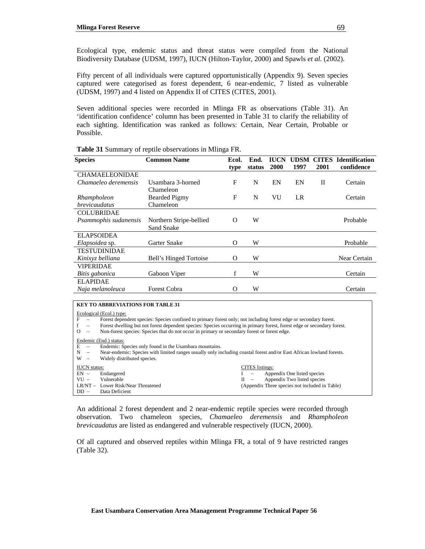Ecological type, endemic status and threat status were compiled from the National Biodiversity Database (UDSM, 1997), IUCN (Hilton-Taylor, 2000) and Spawls *et al.* (2002).

Fifty percent of all individuals were captured opportunistically (Appendix 9). Seven species captured were categorised as forest dependent, 6 near-endemic, 7 listed as vulnerable (UDSM, 1997) and 4 listed on Appendix II of CITES (CITES, 2001).

Seven additional species were recorded in Mlinga FR as observations (Table 31). An 'identification confidence' column has been presented in Table 31 to clarify the reliability of each sighting. Identification was ranked as follows: Certain, Near Certain, Probable or Possible.

| <b>Species</b>        | <b>Common Name</b>      | Ecol.    | End.   | <b>IUCN</b> | <b>UDSM</b> |              | <b>CITES</b> Identification |
|-----------------------|-------------------------|----------|--------|-------------|-------------|--------------|-----------------------------|
|                       |                         | type     | status | <b>2000</b> | 1997        | 2001         | confidence                  |
| <b>CHAMAELEONIDAE</b> |                         |          |        |             |             |              |                             |
| Chamaeleo deremensis  | Usambara 3-horned       | F        | N      | EN          | EN          | $\mathbf{I}$ | Certain                     |
|                       | Chameleon               |          |        |             |             |              |                             |
| Rhampholeon           | <b>Bearded Pigmy</b>    | F        | N      | VU          | LR          |              | Certain                     |
| <i>brevicaudatus</i>  | Chameleon               |          |        |             |             |              |                             |
| <b>COLUBRIDAE</b>     |                         |          |        |             |             |              |                             |
| Psammophis sudanensis | Northern Stripe-bellied | $\Omega$ | W      |             |             |              | Probable                    |
|                       | Sand Snake              |          |        |             |             |              |                             |
| <b>ELAPSOIDEA</b>     |                         |          |        |             |             |              |                             |
| Elapsoidea sp.        | Garter Snake            | O        | W      |             |             |              | Probable                    |
| <b>TESTUDINIDAE</b>   |                         |          |        |             |             |              |                             |
| Kinixyz belliana      | Bell's Hinged Tortoise  | Ω        | W      |             |             |              | Near Certain                |
| VIPERIDAE             |                         |          |        |             |             |              |                             |
| Bitis gabonica        | Gaboon Viper            | f        | W      |             |             |              | Certain                     |
| <b>ELAPIDAE</b>       |                         |          |        |             |             |              |                             |
| Naja melanoleuca      | <b>Forest Cobra</b>     | $\Omega$ | W      |             |             |              | Certain                     |
|                       |                         |          |        |             |             |              |                             |

**Table 31** Summary of reptile observations in Mlinga FR.

|                                                                         | <b>KEY TO ABBREVIATIONS FOR TABLE 31</b>                                                                                                                                                                                                                                                                                                                                 |                                                                                                                      |  |  |  |  |
|-------------------------------------------------------------------------|--------------------------------------------------------------------------------------------------------------------------------------------------------------------------------------------------------------------------------------------------------------------------------------------------------------------------------------------------------------------------|----------------------------------------------------------------------------------------------------------------------|--|--|--|--|
| F<br>$\overline{\phantom{a}}$<br>O<br>$\frac{1}{2}$                     | Ecological (Ecol.) type:<br>Forest dependent species: Species confined to primary forest only; not including forest edge or secondary forest.<br>Forest dwelling but not forest dependent species: Species occurring in primary forest, forest edge or secondary forest.<br>Non-forest species: Species that do not occur in primary or secondary forest or forest edge. |                                                                                                                      |  |  |  |  |
| E<br>$\overline{\phantom{m}}$<br>N<br>$\overline{\phantom{a}}$<br>$W -$ | Endemic (End.) status:<br>Endemic: Species only found in the Usambara mountains.<br>Widely distributed species.                                                                                                                                                                                                                                                          | Near-endemic: Species with limited ranges usually only including coastal forest and/or East African lowland forests. |  |  |  |  |
| <b>IUCN</b> status:                                                     |                                                                                                                                                                                                                                                                                                                                                                          | <b>CITES</b> listings:                                                                                               |  |  |  |  |
| $EN -$<br>$VU =$                                                        | Endangered<br>Vulnerable                                                                                                                                                                                                                                                                                                                                                 | Appendix One listed species<br>Appendix Two listed species<br>$\Pi$ $-$                                              |  |  |  |  |
| $DD -$                                                                  | LR/NT - Lower Risk/Near Threatened<br>Data Deficient                                                                                                                                                                                                                                                                                                                     | (Appendix Three species not included in Table)                                                                       |  |  |  |  |

An additional 2 forest dependent and 2 near-endemic reptile species were recorded through observation. Two chameleon species, *Chamaeleo deremensis* and *Rhampholeon brevicaudatus* are listed as endangered and vulnerable respectively (IUCN, 2000).

Of all captured and observed reptiles within Mlinga FR, a total of 9 have restricted ranges (Table 32).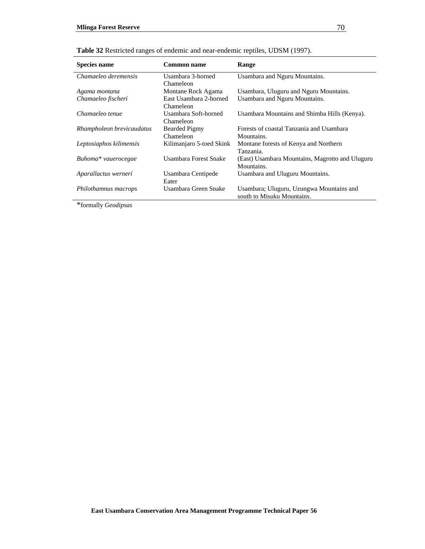| <b>Species name</b>       | <b>Common name</b>       | Range                                           |
|---------------------------|--------------------------|-------------------------------------------------|
| Chamaeleo deremensis      | Usambara 3-horned        | Usambara and Nguru Mountains.                   |
|                           | Chameleon                |                                                 |
| Agama montana             | Montane Rock Agama       | Usambara, Uluguru and Nguru Mountains.          |
| Chamaeleo fischeri        | East Usambara 2-horned   | Usambara and Nguru Mountains.                   |
|                           | Chameleon                |                                                 |
| Chamaeleo tenue           | Usambara Soft-horned     | Usambara Mountains and Shimba Hills (Kenya).    |
|                           | Chameleon                |                                                 |
| Rhampholeon brevicaudatus | <b>Bearded Pigmy</b>     | Forests of coastal Tanzania and Usambara        |
|                           | Chameleon                | Mountains.                                      |
| Leptosiaphos kilimensis   | Kilimanjaro 5-toed Skink | Montane forests of Kenya and Northern           |
|                           |                          | Tanzania.                                       |
| Buhoma* vauerocegae       | Usambara Forest Snake    | (East) Usambara Mountains, Magrotto and Uluguru |
|                           |                          | Mountains.                                      |
| Aparallactus werneri      | Usambara Centipede       | Usambara and Uluguru Mountains.                 |
|                           | Eater                    |                                                 |
| Philothamnus macrops      | Usambara Green Snake     | Usambara; Uluguru, Uzungwa Mountains and        |
|                           |                          | south to Misuku Mountains.                      |

**Table 32** Restricted ranges of endemic and near-endemic reptiles, UDSM (1997).

\*formally *Geodipsas*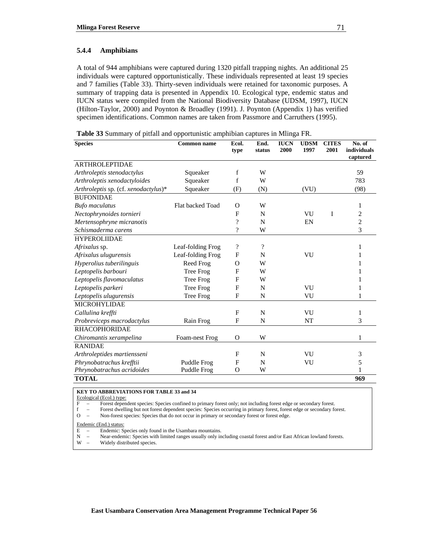#### **5.4.4 Amphibians**

A total of 944 amphibians were captured during 1320 pitfall trapping nights. An additional 25 individuals were captured opportunistically. These individuals represented at least 19 species and 7 families (Table 33). Thirty-seven individuals were retained for taxonomic purposes. A summary of trapping data is presented in Appendix 10. Ecological type, endemic status and IUCN status were compiled from the National Biodiversity Database (UDSM, 1997), IUCN (Hilton-Taylor, 2000) and Poynton & Broadley (1991). J. Poynton (Appendix 1) has verified specimen identifications. Common names are taken from Passmore and Carruthers (1995).

| <b>Species</b>                       | <b>Common name</b> | Ecol.<br>type      | End.<br>status | <b>IUCN</b><br>2000 | <b>UDSM</b><br>1997 | <b>CITES</b><br>2001 | No. of<br>individuals<br>captured |
|--------------------------------------|--------------------|--------------------|----------------|---------------------|---------------------|----------------------|-----------------------------------|
| <b>ARTHROLEPTIDAE</b>                |                    |                    |                |                     |                     |                      |                                   |
| Arthroleptis stenodactylus           | Squeaker           | f                  | W              |                     |                     |                      | 59                                |
| Arthroleptis xenodactyloides         | Squeaker           | f                  | W              |                     |                     |                      | 783                               |
| Arthroleptis sp. (cf. xenodactylus)* | Squeaker           | (F)                | (N)            |                     | (VU)                |                      | (98)                              |
| <b>BUFONIDAE</b>                     |                    |                    |                |                     |                     |                      |                                   |
| <b>Bufo</b> maculatus                | Flat backed Toad   | O                  | W              |                     |                     |                      | 1                                 |
| Nectophrynoides tornieri             |                    | F                  | N              |                     | VU                  | I                    | 2                                 |
| Mertensophryne micranotis            |                    | $\overline{\cdot}$ | N              |                     | EN                  |                      | $\overline{c}$                    |
| Schismaderma carens                  |                    | $\overline{\cdot}$ | W              |                     |                     |                      | 3                                 |
| <b>HYPEROLIIDAE</b>                  |                    |                    |                |                     |                     |                      |                                   |
| Afrixalus sp.                        | Leaf-folding Frog  | $\overline{\cdot}$ | $\gamma$       |                     |                     |                      | 1                                 |
| Afrixalus ulugurensis                | Leaf-folding Frog  | F                  | N              |                     | VU                  |                      | 1                                 |
| Hyperolius tuberilinguis             | Reed Frog          | O                  | W              |                     |                     |                      |                                   |
| Leptopelis barbouri                  | Tree Frog          | F                  | W              |                     |                     |                      |                                   |
| Leptopelis flavomaculatus            | Tree Frog          | F                  | W              |                     |                     |                      |                                   |
| Leptopelis parkeri                   | Tree Frog          | F                  | N              |                     | VU                  |                      | 1                                 |
| Leptopelis ulugurensis               | Tree Frog          | F                  | N              |                     | VU                  |                      | 1                                 |
| <b>MICROHYLIDAE</b>                  |                    |                    |                |                     |                     |                      |                                   |
| Callulina kreffti                    |                    | F                  | N              |                     | VU                  |                      | 1                                 |
| Probreviceps macrodactylus           | Rain Frog          | F                  | N              |                     | NT                  |                      | 3                                 |
| <b>RHACOPHORIDAE</b>                 |                    |                    |                |                     |                     |                      |                                   |
| Chiromantis xerampelina              | Foam-nest Frog     | O                  | W              |                     |                     |                      | 1                                 |
| <b>RANIDAE</b>                       |                    |                    |                |                     |                     |                      |                                   |
| Arthroleptides martiensseni          |                    | F                  | N              |                     | VU                  |                      | 3                                 |
| Phrynobatrachus krefftii             | Puddle Frog        | F                  | N              |                     | VU                  |                      | 5                                 |
| Phrynobatrachus acridoides           | Puddle Frog        | O                  | W              |                     |                     |                      | 1                                 |
| <b>TOTAL</b>                         |                    |                    |                |                     |                     |                      | 969                               |

**Table 33** Summary of pitfall and opportunistic amphibian captures in Mlinga FR.

#### **KEY TO ABBREVIATIONS FOR TABLE 33 and 34**

Ecological (Ecol.) type:

F – Forest dependent species: Species confined to primary forest only; not including forest edge or secondary forest.

f – Forest dwelling but not forest dependent species: Species occurring in primary forest, forest edge or secondary forest.

Non-forest species: Species that do not occur in primary or secondary forest or forest edge.

Endemic: Species only found in the Usambara mountains.

Endemic (End.) status:<br>
E – Endemic: S<br>
N – Near-endem N – Near-endemic: Species with limited ranges usually only including coastal forest and/or East African lowland forests.<br>W – Widely distributed species.

Widely distributed species.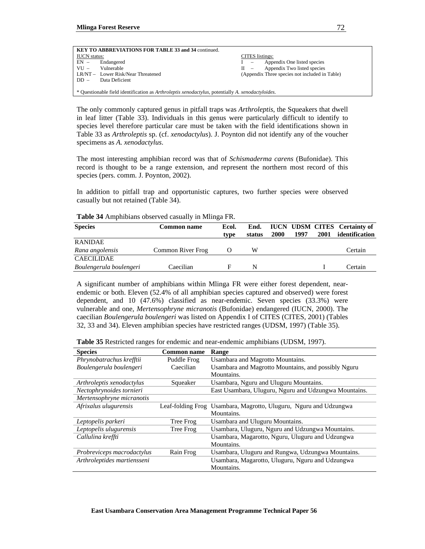| <b>KEY TO ABBREVIATIONS FOR TABLE 33 and 34 continued.</b>                                        |                                                         |
|---------------------------------------------------------------------------------------------------|---------------------------------------------------------|
| <b>IUCN</b> status:                                                                               | CITES listings:                                         |
| $EN =$<br>Endangered                                                                              | Appendix One listed species<br>$\overline{\phantom{a}}$ |
| $VU -$<br>Vulnerable                                                                              | Appendix Two listed species<br>$\mathbf{H}$ $=$         |
| LR/NT – Lower Risk/Near Threatened                                                                | (Appendix Three species not included in Table)          |
| Data Deficient<br>$DD -$                                                                          |                                                         |
|                                                                                                   |                                                         |
| * Questionable field identification as Arthroleptis xenodactylus, potentially A. xenodactyloides. |                                                         |

The only commonly captured genus in pitfall traps was *Arthroleptis*, the Squeakers that dwell in leaf litter (Table 33). Individuals in this genus were particularly difficult to identify to species level therefore particular care must be taken with the field identifications shown in Table 33 as *Arthroleptis* sp. (cf. *xenodactylus*). J. Poynton did not identify any of the voucher specimens as *A. xenodactylus*.

The most interesting amphibian record was that of *Schismaderma carens* (Bufonidae). This record is thought to be a range extension, and represent the northern most record of this species (pers. comm. J. Poynton, 2002).

In addition to pitfall trap and opportunistic captures, two further species were observed casually but not retained (Table 34).

| <b>Species</b>          | Common name       | Ecol.<br>type | End.<br>status | <b>2000</b> | 1997 | <b>2001</b> | <b>IUCN UDSM CITES Certainty of</b><br>identification |
|-------------------------|-------------------|---------------|----------------|-------------|------|-------------|-------------------------------------------------------|
| <b>RANIDAE</b>          |                   |               |                |             |      |             |                                                       |
| Rana angolensis         | Common River Frog | $\theta$      | W              |             |      |             | Certain                                               |
| <b>CAECILIDAE</b>       |                   |               |                |             |      |             |                                                       |
| Boulengerula boulengeri | Caecilian         | F             | N              |             |      |             | Certain                                               |

**Table 34** Amphibians observed casually in Mlinga FR.

A significant number of amphibians within Mlinga FR were either forest dependent, nearendemic or both. Eleven (52.4% of all amphibian species captured and observed) were forest dependent, and 10 (47.6%) classified as near-endemic. Seven species (33.3%) were vulnerable and one, *Mertensophryne micranotis* (Bufonidae) endangered (IUCN, 2000). The caecilian *Boulengerula boulengeri* was listed on Appendix I of CITES (CITES, 2001) (Tables 32, 33 and 34). Eleven amphibian species have restricted ranges (UDSM, 1997) (Table 35).

| Table 35 Restricted ranges for endemic and near-endemic amphibians (UDSM, 1997). |  |
|----------------------------------------------------------------------------------|--|
|                                                                                  |  |

| <b>Species</b>              | <b>Common name</b> | Range                                                 |
|-----------------------------|--------------------|-------------------------------------------------------|
| Phrynobatrachus krefftii    | Puddle Frog        | Usambara and Magrotto Mountains.                      |
| Boulengerula boulengeri     | Caecilian          | Usambara and Magrotto Mountains, and possibly Nguru   |
|                             |                    | Mountains.                                            |
| Arthroleptis xenodactylus   | Squeaker           | Usambara, Nguru and Uluguru Mountains.                |
| Nectophrynoides tornieri    |                    | East Usambara, Uluguru, Nguru and Udzungwa Mountains. |
| Mertensophryne micranotis   |                    |                                                       |
| Afrixalus ulugurensis       | Leaf-folding Frog  | Usambara, Magrotto, Uluguru, Nguru and Udzungwa       |
|                             |                    | Mountains.                                            |
| Leptopelis parkeri          | Tree Frog          | Usambara and Uluguru Mountains.                       |
| Leptopelis ulugurensis      | Tree Frog          | Usambara, Uluguru, Nguru and Udzungwa Mountains.      |
| Callulina kreffti           |                    | Usambara, Magarotto, Nguru, Uluguru and Udzungwa      |
|                             |                    | Mountains.                                            |
| Probreviceps macrodactylus  | Rain Frog          | Usambara, Uluguru and Rungwa, Udzungwa Mountains.     |
| Arthroleptides martiensseni |                    | Usambara, Magarotto, Uluguru, Nguru and Udzungwa      |
|                             |                    | Mountains.                                            |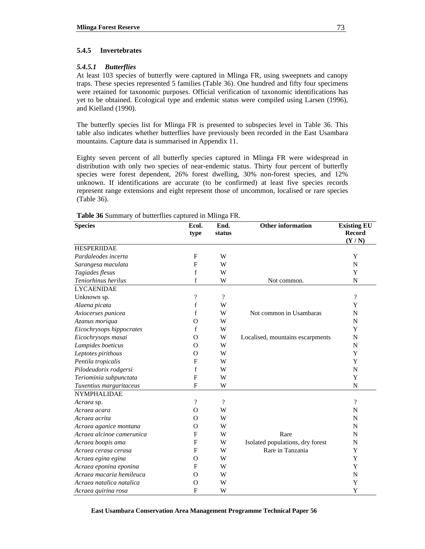## **5.4.5 Invertebrates**

## *5.4.5.1 Butterflies*

At least 103 species of butterfly were captured in Mlinga FR, using sweepnets and canopy traps. These species represented 5 families (Table 36). One hundred and fifty four specimens were retained for taxonomic purposes. Official verification of taxonomic identifications has yet to be obtained. Ecological type and endemic status were compiled using Larsen (1996), and Kielland (1990).

The butterfly species list for Mlinga FR is presented to subspecies level in Table 36. This table also indicates whether butterflies have previously been recorded in the East Usambara mountains. Capture data is summarised in Appendix 11.

Eighty seven percent of all butterfly species captured in Mlinga FR were widespread in distribution with only two species of near-endemic status. Thirty four percent of butterfly species were forest dependent, 26% forest dwelling, 30% non-forest species, and 12% unknown. If identifications are accurate (to be confirmed) at least five species records represent range extensions and eight represent those of uncommon, localised or rare species (Table 36).

| <b>Species</b>            | Ecol.<br>End.  |          | <b>Other information</b>         | <b>Existing EU</b>     |
|---------------------------|----------------|----------|----------------------------------|------------------------|
|                           | type           | status   |                                  | <b>Record</b><br>(Y/N) |
| <b>HESPERIIDAE</b>        |                |          |                                  |                        |
| Pardaleodes incerta       | $\mathbf{F}$   | W        |                                  | Y                      |
| Sarangesa maculata        | $\mathbf F$    | W        |                                  | $\mathbf N$            |
| Tagiades flesus           | $\mathbf f$    | W        |                                  | Y                      |
| Teniorhinus herilus       | $\mathbf f$    | W        | Not common.                      | N                      |
| <b>LYCAENIDAE</b>         |                |          |                                  |                        |
| Unknown sp.               | $\overline{?}$ | $\gamma$ |                                  | $\overline{?}$         |
| Alaena picata             | $\mathbf f$    | W        |                                  | Y                      |
| Axiocerses punicea        | f              | W        | Not common in Usambaras          | N                      |
| Azanus moriqua            | $\Omega$       | W        |                                  | N                      |
| Eicochrysops hippocrates  | $\mathbf f$    | W        |                                  | Y                      |
| Eicochrysops masai        | O              | W        | Localised, mountains escarpments | $\mathbf N$            |
| Lampides boeticus         | $\Omega$       | W        |                                  | N                      |
| Leptotes pirithous        | O              | W        |                                  | Y                      |
| Pentila tropicalis        | $\mathbf{F}$   | W        |                                  | Y                      |
| Pilodeudorix rodgersi     | $\mathbf f$    | W        |                                  | $\mathbf N$            |
| Teriominia subpunctata    | $\mathbf{F}$   | W        |                                  | Y                      |
| Tuxentius margaritaceus   | $\mathbf{F}$   | W        |                                  | $\mathbf N$            |
| <b>NYMPHALIDAE</b>        |                |          |                                  |                        |
| Acraea sp.                | $\gamma$       | $\gamma$ |                                  | $\gamma$               |
| Acraea acara              | $\Omega$       | W        |                                  | N                      |
| Acraea acrita             | $\Omega$       | W        |                                  | N                      |
| Acraea aganice montana    | O              | W        |                                  | N                      |
| Acraea alcinoe camerunica | F              | W        | Rare                             | N                      |
| Acraea boopis ama         | $\mathbf{F}$   | W        | Isolated populations, dry forest | N                      |
| Acraea cerasa cerasa      | F              | W        | Rare in Tanzania                 | Y                      |
| Acraea egina egina        | Ω              | W        |                                  | Y                      |
| Acraea eponina eponina    | F              | W        |                                  | Y                      |
| Acraea macaria hemileuca  | O              | W        |                                  | N                      |
| Acraea natalica natalica  | O              | W        |                                  | Y                      |
| Acraea quirina rosa       | $\mathbf{F}$   | W        |                                  | Y                      |

**Table 36** Summary of butterflies captured in Mlinga FR.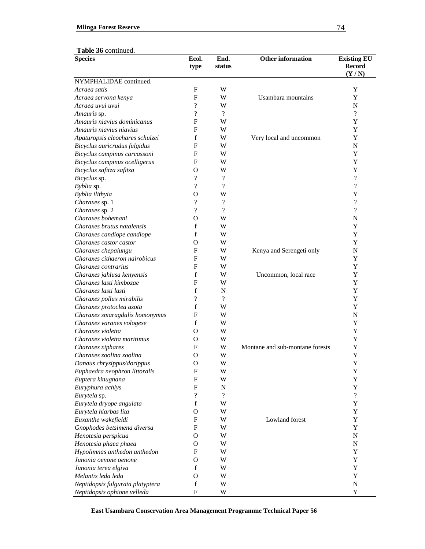| <b>Species</b>                                              | Ecol.<br>type            | End.<br>status           | <b>Other information</b>        | <b>Existing EU</b><br><b>Record</b><br>(Y/N) |
|-------------------------------------------------------------|--------------------------|--------------------------|---------------------------------|----------------------------------------------|
| NYMPHALIDAE continued.                                      |                          |                          |                                 |                                              |
| Acraea satis                                                | F                        | W                        |                                 | Y                                            |
| Acraea servona kenya                                        | F                        | W                        | Usambara mountains              | Y                                            |
| Acraea uvui uvui                                            | $\overline{\mathcal{L}}$ | W                        |                                 | N                                            |
| Amauris sp.                                                 | $\overline{\mathcal{L}}$ | $\overline{\mathcal{L}}$ |                                 | $\overline{?}$                               |
| Amauris niavius dominicanus                                 | F                        | W                        |                                 | Y                                            |
| Amauris niavius niavius                                     | F                        | W                        |                                 | Y                                            |
| Apaturopsis cleochares schulzei                             | f                        | W                        | Very local and uncommon         | Y                                            |
| Bicyclus auricrudus fulgidus                                | F                        | W                        |                                 | $\mathbf N$                                  |
| Bicyclus campinus carcassoni                                | F                        | W                        |                                 | Y                                            |
| Bicyclus campinus ocelligerus                               | F                        | W                        |                                 | Y                                            |
| Bicyclus safitza safitza                                    | O                        | W                        |                                 | Y                                            |
| Bicyclus sp.                                                | $\gamma$                 | $\overline{\cdot}$       |                                 | $\overline{\mathcal{C}}$                     |
| Byblia sp.                                                  | $\gamma$                 | $\gamma$                 |                                 | $\overline{\mathcal{C}}$                     |
| Byblia ilithyia                                             | O                        | W                        |                                 | Y                                            |
| Charaxes sp. 1                                              | $\overline{\mathcal{L}}$ | $\overline{\mathcal{L}}$ |                                 | $\overline{\mathcal{L}}$                     |
| Charaxes sp. 2                                              | ?                        | $\overline{\mathcal{L}}$ |                                 | $\overline{?}$                               |
| Charaxes bohemani                                           | O                        | W                        |                                 | N                                            |
| Charaxes brutus natalensis                                  | f                        | W                        |                                 | Y                                            |
| Charaxes candiope candiope                                  | f                        | W                        |                                 | Y                                            |
| Charaxes castor castor                                      | O                        | W                        |                                 | Y                                            |
| Charaxes chepalungu                                         | F                        | W                        | Kenya and Serengeti only        | N                                            |
| Charaxes cithaeron nairobicus                               | $\mathbf{F}$             | W                        |                                 | Y                                            |
| Charaxes contrarius                                         | $\mathbf{F}$             | W                        |                                 | Y                                            |
| Charaxes jahlusa kenyensis                                  | f                        | W                        | Uncommon, local race            | Y                                            |
| Charaxes lasti kimbozae                                     | F                        | W                        |                                 | Y                                            |
| Charaxes lasti lasti                                        | f                        | N                        |                                 | Y                                            |
| Charaxes pollux mirabilis                                   | ?                        | $\overline{\mathcal{L}}$ |                                 | Y                                            |
| Charaxes protoclea azota                                    | f                        | W                        |                                 | Y                                            |
|                                                             | F                        | W                        |                                 | N                                            |
| Charaxes smaragdalis homonymus<br>Charaxes varanes vologese | f                        | W                        |                                 | Y                                            |
| Charaxes violetta                                           | 0                        | W                        |                                 | Y                                            |
| Charaxes violetta maritimus                                 | O                        | W                        |                                 | Y                                            |
|                                                             | F                        |                          |                                 | Y                                            |
| Charaxes xiphares<br>Charaxes zoolina zoolina               |                          | W                        | Montane and sub-montane forests | Y                                            |
|                                                             | O                        | W                        |                                 |                                              |
| Danaus chrysippus/dorippus                                  | O                        | W                        |                                 | Y                                            |
| Euphaedra neophron littoralis                               | $\mathbf F$              | W                        |                                 | Y                                            |
| Euptera kinugnana                                           | F                        | W                        |                                 | Y                                            |
| Euryphura achlys                                            | $\mathbf F$              | ${\bf N}$                |                                 | $\mathbf Y$                                  |
| Eurytela sp.                                                | $\overline{\cdot}$       | $\overline{?}$           |                                 | $\overline{?}$                               |
| Eurytela dryope angulata                                    | $\mathbf f$              | W                        |                                 | $\mathbf Y$                                  |
| Eurytela hiarbas lita                                       | O                        | W                        |                                 | Y                                            |
| Euxanthe wakefieldi                                         | F                        | W                        | Lowland forest                  | Y                                            |
| Gnophodes betsimena diversa                                 | $\mathbf F$              | W                        |                                 | Y                                            |
| Henotesia perspicua                                         | $\mathcal{O}$            | W                        |                                 | N                                            |
| Henotesia phaea phaea                                       | $\mathbf{O}$             | W                        |                                 | N                                            |
| Hypolimnas anthedon anthedon                                | F                        | W                        |                                 | Y                                            |
| Junonia oenone oenone                                       | $\mathbf{O}$             | W                        |                                 | Y                                            |
| Junonia terea elgiva                                        | f                        | W                        |                                 | Y                                            |
| Melantis leda leda                                          | $\mathcal{O}$            | W                        |                                 | Y                                            |
| Neptidopsis fulgurata platyptera                            | f                        | W                        |                                 | ${\bf N}$                                    |
| Neptidopsis ophione velleda                                 | ${\bf F}$                | W                        |                                 | $\mathbf Y$                                  |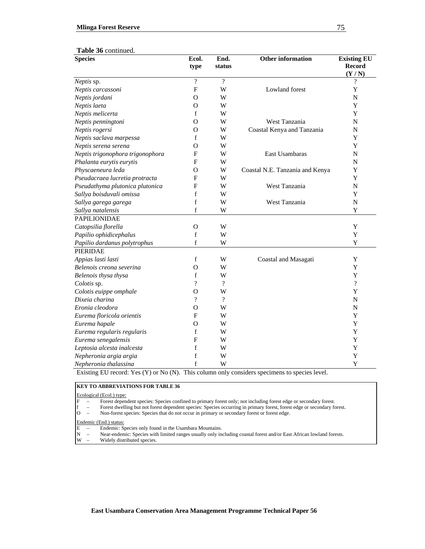|  | <b>Table 36</b> continued. |
|--|----------------------------|
|--|----------------------------|

| <b>Species</b>                   | <b>Other information</b><br>Ecol.<br>End. |                          |                                 | <b>Existing EU</b> |
|----------------------------------|-------------------------------------------|--------------------------|---------------------------------|--------------------|
|                                  | type                                      | status                   |                                 | <b>Record</b>      |
|                                  |                                           |                          |                                 | (Y/N)              |
| Neptis sp.                       | $\overline{?}$                            | $\overline{?}$           |                                 | $\gamma$           |
| Neptis carcassoni                | ${\bf F}$                                 | W                        | Lowland forest                  | Y                  |
| Neptis jordani                   | $\Omega$                                  | W                        |                                 | N                  |
| Neptis laeta                     | 0                                         | W                        |                                 | Y                  |
| Neptis melicerta                 | $\mathbf{f}$                              | W                        |                                 | Y                  |
| Neptis penningtoni               | $\overline{O}$                            | W                        | West Tanzania                   | N                  |
| Neptis rogersi                   | 0                                         | W                        | Coastal Kenya and Tanzania      | N                  |
| Neptis saclava marpessa          | f                                         | W                        |                                 | Y                  |
| Neptis serena serena             | $\Omega$                                  | W                        |                                 | Y                  |
| Neptis trigonophora trigonophora | $\mathbf{F}$                              | W                        | East Usambaras                  | N                  |
| Phalanta eurytis eurytis         | $\mathbf{F}$                              | W                        |                                 | N                  |
| Physcaeneura leda                | O                                         | W                        | Coastal N.E. Tanzania and Kenya | Y                  |
| Pseudacraea lucretia protracta   | F                                         | W                        |                                 | Y                  |
| Pseudathyma plutonica plutonica  | F                                         | W                        | West Tanzania                   | $\mathbf N$        |
| Sallya boisduvali omissa         | $\mathbf f$                               | W                        |                                 | Y                  |
| Sallya garega garega             | $\mathbf f$                               | W                        | West Tanzania                   | N                  |
| Sallya natalensis                | $\mathbf f$                               | W                        |                                 | Y                  |
| <b>PAPILIONIDAE</b>              |                                           |                          |                                 |                    |
| Catopsilia florella              | $\mathbf O$                               | W                        |                                 | Y                  |
| Papilio ophidicephalus           | $\mathbf f$                               | W                        |                                 | Y                  |
| Papilio dardanus polytrophus     | f                                         | W                        |                                 | Y                  |
| <b>PIERIDAE</b>                  |                                           |                          |                                 |                    |
| Appias lasti lasti               | $\mathbf{f}$                              | W                        | Coastal and Masagati            | Y                  |
| Belenois creona severina         | O                                         | W                        |                                 | Y                  |
| Belenois thysa thysa             | $\mathbf f$                               | W                        |                                 | Y                  |
| Colotis sp.                      | $\overline{?}$                            | $\gamma$                 |                                 | $\gamma$           |
| Colotis euippe omphale           | $\Omega$                                  | W                        |                                 | Y                  |
| Dixeia charina                   | $\overline{?}$                            | $\overline{\mathcal{L}}$ |                                 | N                  |
| Eronia cleodora                  | O                                         | W                        |                                 | N                  |
| Eurema floricola orientis        | F                                         | W                        |                                 | Y                  |
| Eurema hapale                    | $\Omega$                                  | W                        |                                 | Y                  |
| Eurema regularis regularis       | $\mathbf f$                               | W                        |                                 | Y                  |
| Eurema senegalensis              | $\mathbf{F}$                              | W                        |                                 | Y                  |
| Leptosia alcesta inalcesta       | $\mathbf f$                               | W                        |                                 | Y                  |
| Nepheronia argia argia           | $\mathbf f$                               | W                        |                                 | Y                  |
| Nepheronia thalassina            | f                                         | W                        |                                 | Y                  |

Existing EU record: Yes (Y) or No (N). This column only considers specimens to species level.

#### **KEY TO ABBREVIATIONS FOR TABLE 36**

Ecological (Ecol.) type:<br>F – Forest depend

F – Forest dependent species: Species confined to primary forest only; not including forest edge or secondary forest.<br>
F – Forest dwelling but not forest dependent species: Species occurring in primary forest, forest edge

Forest dwelling but not forest dependent species: Species occurring in primary forest, forest edge or secondary forest.

Non-forest species: Species that do not occur in primary or secondary forest or forest edge.

Endemic (End.) status:<br>E – Endemic: S

E – Endemic: Species only found in the Usambara Mountains.<br>
N – Near-endemic: Species with limited ranges usually only in Widely distributed species. Near-endemic: Species with limited ranges usually only including coastal forest and/or East African lowland forests.

Widely distributed species.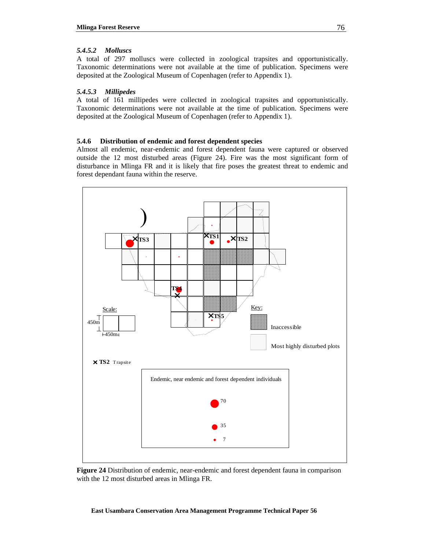## *5.4.5.2 Molluscs*

A total of 297 molluscs were collected in zoological trapsites and opportunistically. Taxonomic determinations were not available at the time of publication. Specimens were deposited at the Zoological Museum of Copenhagen (refer to Appendix 1).

## *5.4.5.3 Millipedes*

A total of 161 millipedes were collected in zoological trapsites and opportunistically. Taxonomic determinations were not available at the time of publication. Specimens were deposited at the Zoological Museum of Copenhagen (refer to Appendix 1).

## **5.4.6 Distribution of endemic and forest dependent species**

Almost all endemic, near-endemic and forest dependent fauna were captured or observed outside the 12 most disturbed areas (Figure 24). Fire was the most significant form of disturbance in Mlinga FR and it is likely that fire poses the greatest threat to endemic and forest dependant fauna within the reserve.



**Figure 24** Distribution of endemic, near-endemic and forest dependent fauna in comparison with the 12 most disturbed areas in Mlinga FR.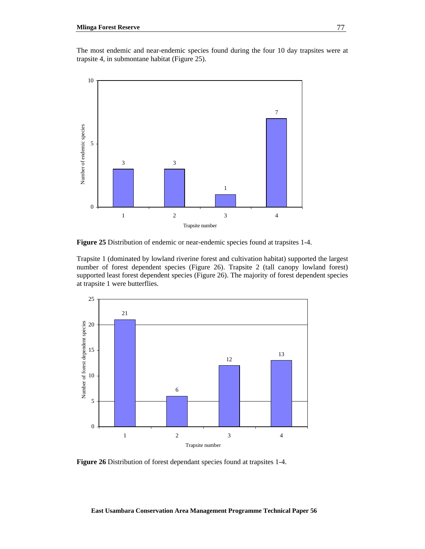The most endemic and near-endemic species found during the four 10 day trapsites were at trapsite 4, in submontane habitat (Figure 25).



**Figure 25** Distribution of endemic or near-endemic species found at trapsites 1-4.

Trapsite 1 (dominated by lowland riverine forest and cultivation habitat) supported the largest number of forest dependent species (Figure 26). Trapsite 2 (tall canopy lowland forest) supported least forest dependent species (Figure 26). The majority of forest dependent species at trapsite 1 were butterflies.



**Figure 26** Distribution of forest dependant species found at trapsites 1-4.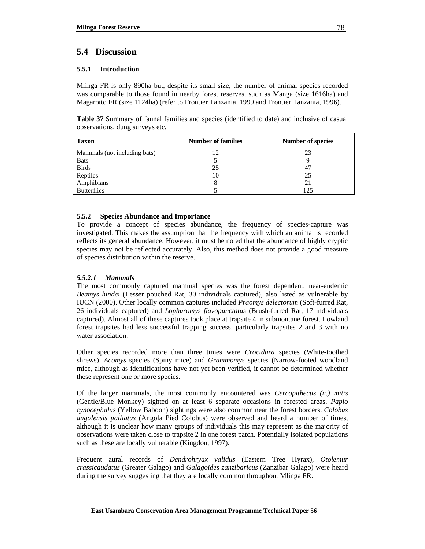## **5.4 Discussion**

## **5.5.1 Introduction**

Mlinga FR is only 890ha but, despite its small size, the number of animal species recorded was comparable to those found in nearby forest reserves, such as Manga (size 1616ha) and Magarotto FR (size 1124ha) (refer to Frontier Tanzania, 1999 and Frontier Tanzania, 1996).

**Table 37** Summary of faunal families and species (identified to date) and inclusive of casual observations, dung surveys etc.

| <b>Taxon</b>                 | <b>Number of families</b> | Number of species |
|------------------------------|---------------------------|-------------------|
| Mammals (not including bats) |                           | 23                |
| <b>Bats</b>                  |                           | q                 |
| <b>Birds</b>                 | 25                        | 47                |
| Reptiles                     | 10                        | 25                |
| Amphibians                   |                           | 21                |
| <b>Butterflies</b>           |                           | 125               |

## **5.5.2 Species Abundance and Importance**

To provide a concept of species abundance, the frequency of species-capture was investigated. This makes the assumption that the frequency with which an animal is recorded reflects its general abundance. However, it must be noted that the abundance of highly cryptic species may not be reflected accurately. Also, this method does not provide a good measure of species distribution within the reserve.

## *5.5.2.1 Mammals*

The most commonly captured mammal species was the forest dependent, near-endemic *Beamys hindei* (Lesser pouched Rat, 30 individuals captured), also listed as vulnerable by IUCN (2000). Other locally common captures included *Praomys delectorum* (Soft-furred Rat, 26 individuals captured) and *Lophuromys flavopunctatus* (Brush-furred Rat, 17 individuals captured). Almost all of these captures took place at trapsite 4 in submontane forest. Lowland forest trapsites had less successful trapping success, particularly trapsites 2 and 3 with no water association.

Other species recorded more than three times were *Crocidura* species (White-toothed shrews), *Acomys* species (Spiny mice) and *Grammomys* species (Narrow-footed woodland mice, although as identifications have not yet been verified, it cannot be determined whether these represent one or more species.

Of the larger mammals, the most commonly encountered was *Cercopithecus (n.) mitis* (Gentle/Blue Monkey) sighted on at least 6 separate occasions in forested areas. *Papio cynocephalus* (Yellow Baboon) sightings were also common near the forest borders. *Colobus angolensis palliatus* (Angola Pied Colobus) were observed and heard a number of times, although it is unclear how many groups of individuals this may represent as the majority of observations were taken close to trapsite 2 in one forest patch. Potentially isolated populations such as these are locally vulnerable (Kingdon, 1997).

Frequent aural records of *Dendrohryax validus* (Eastern Tree Hyrax), *Otolemur crassicaudatus* (Greater Galago) and *Galagoides zanzibaricus* (Zanzibar Galago) were heard during the survey suggesting that they are locally common throughout Mlinga FR.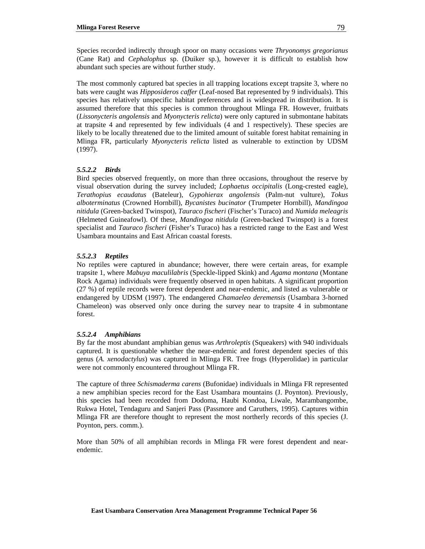Species recorded indirectly through spoor on many occasions were *Thryonomys gregorianus* (Cane Rat) and *Cephalophus* sp. (Duiker sp.), however it is difficult to establish how abundant such species are without further study.

The most commonly captured bat species in all trapping locations except trapsite 3, where no bats were caught was *Hipposideros caffer* (Leaf-nosed Bat represented by 9 individuals). This species has relatively unspecific habitat preferences and is widespread in distribution. It is assumed therefore that this species is common throughout Mlinga FR. However, fruitbats (*Lissonycteris angolensis* and *Myonycteris relicta*) were only captured in submontane habitats at trapsite 4 and represented by few individuals (4 and 1 respectively). These species are likely to be locally threatened due to the limited amount of suitable forest habitat remaining in Mlinga FR, particularly *Myonycteris relicta* listed as vulnerable to extinction by UDSM (1997).

### *5.5.2.2 Birds*

Bird species observed frequently, on more than three occasions, throughout the reserve by visual observation during the survey included; *Lophaetus occipitalis* (Long-crested eagle)*, Terathopius ecaudatus* (Bateleur), *Gypohierax angolensis* (Palm-nut vulture)*, Tokus alboterminatus* (Crowned Hornbill)*, Bycanistes bucinator* (Trumpeter Hornbill)*, Mandingoa nitidula* (Green-backed Twinspot)*, Tauraco fischeri* (Fischer's Turaco) and *Numida meleagris* (Helmeted Guineafowl). Of these, *Mandingoa nitidula* (Green-backed Twinspot) is a forest specialist and *Tauraco fischeri* (Fisher's Turaco) has a restricted range to the East and West Usambara mountains and East African coastal forests.

#### *5.5.2.3 Reptiles*

No reptiles were captured in abundance; however, there were certain areas, for example trapsite 1, where *Mabuya maculilabris* (Speckle-lipped Skink) and *Agama montana* (Montane Rock Agama) individuals were frequently observed in open habitats. A significant proportion (27 %) of reptile records were forest dependent and near-endemic, and listed as vulnerable or endangered by UDSM (1997). The endangered *Chamaeleo deremensis* (Usambara 3-horned Chameleon) was observed only once during the survey near to trapsite 4 in submontane forest.

#### *5.5.2.4 Amphibians*

By far the most abundant amphibian genus was *Arthroleptis* (Squeakers) with 940 individuals captured. It is questionable whether the near-endemic and forest dependent species of this genus (*A. xenodactylus*) was captured in Mlinga FR. Tree frogs (Hyperolidae) in particular were not commonly encountered throughout Mlinga FR.

The capture of three *Schismaderma carens* (Bufonidae) individuals in Mlinga FR represented a new amphibian species record for the East Usambara mountains (J. Poynton). Previously, this species had been recorded from Dodoma, Haubi Kondoa, Liwale, Marambangombe, Rukwa Hotel, Tendaguru and Sanjeri Pass (Passmore and Caruthers, 1995). Captures within Mlinga FR are therefore thought to represent the most northerly records of this species (J. Poynton, pers. comm.).

More than 50% of all amphibian records in Mlinga FR were forest dependent and nearendemic.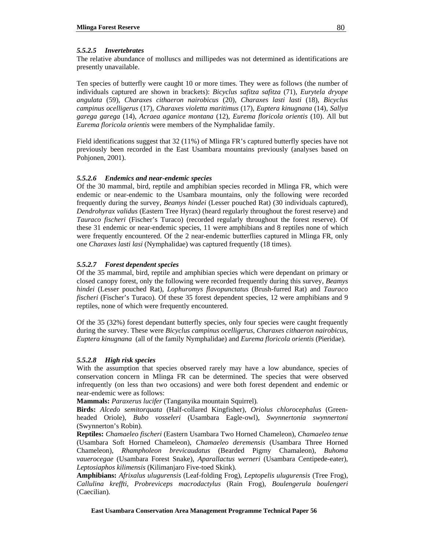#### *5.5.2.5 Invertebrates*

The relative abundance of molluscs and millipedes was not determined as identifications are presently unavailable.

Ten species of butterfly were caught 10 or more times. They were as follows (the number of individuals captured are shown in brackets): *Bicyclus safitza safitza* (71), *Eurytela dryope angulata* (59), *Charaxes cithaeron nairobicus* (20), *Charaxes lasti lasti* (18), *Bicyclus campinus ocelligerus* (17), *Charaxes violetta maritimus* (17), *Euptera kinugnana* (14), *Sallya garega garega* (14), *Acraea aganice montana* (12), *Eurema floricola orientis* (10). All but *Eurema floricola orientis* were members of the Nymphalidae family.

Field identifications suggest that 32 (11%) of Mlinga FR's captured butterfly species have not previously been recorded in the East Usambara mountains previously (analyses based on Pohjonen, 2001).

#### *5.5.2.6 Endemics and near-endemic species*

Of the 30 mammal, bird, reptile and amphibian species recorded in Mlinga FR, which were endemic or near-endemic to the Usambara mountains, only the following were recorded frequently during the survey, *Beamys hindei* (Lesser pouched Rat) (30 individuals captured), *Dendrohyrax validus* (Eastern Tree Hyrax) (heard regularly throughout the forest reserve) and *Tauraco fischeri* (Fischer's Turaco) (recorded regularly throughout the forest reserve). Of these 31 endemic or near-endemic species, 11 were amphibians and 8 reptiles none of which were frequently encountered. Of the 2 near-endemic butterflies captured in Mlinga FR, only one *Charaxes lasti lasi* (Nymphalidae) was captured frequently (18 times).

#### *5.5.2.7 Forest dependent species*

Of the 35 mammal, bird, reptile and amphibian species which were dependant on primary or closed canopy forest, only the following were recorded frequently during this survey, *Beamys hindei* (Lesser pouched Rat), *Lophuromys flavopunctatus* (Brush-furred Rat) and *Tauraco fischeri* (Fischer's Turaco)*.* Of these 35 forest dependent species, 12 were amphibians and 9 reptiles, none of which were frequently encountered.

Of the 35 (32%) forest dependant butterfly species, only four species were caught frequently during the survey. These were *Bicyclus campinus ocelligerus*, *Charaxes cithaeron nairobicus, Euptera kinugnana* (all of the family Nymphalidae) and *Eurema floricola orientis* (Pieridae)*.*

#### *5.5.2.8 High risk species*

With the assumption that species observed rarely may have a low abundance, species of conservation concern in Mlinga FR can be determined. The species that were observed infrequently (on less than two occasions) and were both forest dependent and endemic or near-endemic were as follows:

**Mammals:** *Paraxerus lucifer* (Tanganyika mountain Squirrel)*.* 

**Birds:** *Alcedo semitorquata* (Half-collared Kingfisher)*, Oriolus chlorocephalus* (Greenheaded Oriole)*, Bubo vosseleri* (Usambara Eagle-owl)*, Swynnertonia swynnertoni*  (Swynnerton's Robin)*.* 

**Reptiles:** *Chamaeleo fischeri* (Eastern Usambara Two Horned Chameleon), *Chamaeleo tenue* (Usambara Soft Horned Chameleon), *Chamaeleo deremensis* (Usambara Three Horned Chameleon), *Rhampholeon brevicaudatus* (Bearded Pigmy Chamaleon), *Buhoma vauerocegae* (Usambara Forest Snake)*, Aparallactus werneri* (Usambara Centipede-eater)*, Leptosiaphos kilimensis* (Kilimanjaro Five-toed Skink)*.* 

**Amphibians:** *Afrixalus ulugurensis* (Leaf-folding Frog)*, Leptopelis ulugurensis* (Tree Frog)*, Callulina kreffti*, *Probreviceps macrodactylus* (Rain Frog), *Boulengerula boulengeri*  (Caecilian)*.*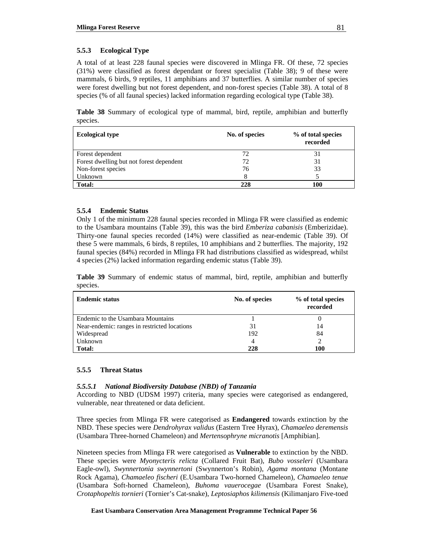## **5.5.3 Ecological Type**

A total of at least 228 faunal species were discovered in Mlinga FR. Of these, 72 species (31%) were classified as forest dependant or forest specialist (Table 38); 9 of these were mammals, 6 birds, 9 reptiles, 11 amphibians and 37 butterflies. A similar number of species were forest dwelling but not forest dependent, and non-forest species (Table 38). A total of 8 species (% of all faunal species) lacked information regarding ecological type (Table 38).

**Table 38** Summary of ecological type of mammal, bird, reptile, amphibian and butterfly species.

| <b>Ecological type</b>                   | No. of species | % of total species<br>recorded |
|------------------------------------------|----------------|--------------------------------|
| Forest dependent                         | 72             | 31                             |
| Forest dwelling but not forest dependent | 72             | 31                             |
| Non-forest species                       | 76             | 33                             |
| Unknown                                  |                |                                |
| Total:                                   | 228            | 100                            |

## **5.5.4 Endemic Status**

Only 1 of the minimum 228 faunal species recorded in Mlinga FR were classified as endemic to the Usambara mountains (Table 39), this was the bird *Emberiza cabanisis* (Emberizidae). Thirty-one faunal species recorded (14%) were classified as near-endemic (Table 39). Of these 5 were mammals, 6 birds, 8 reptiles, 10 amphibians and 2 butterflies. The majority, 192 faunal species (84%) recorded in Mlinga FR had distributions classified as widespread, whilst 4 species (2%) lacked information regarding endemic status (Table 39).

**Table 39** Summary of endemic status of mammal, bird, reptile, amphibian and butterfly species.

| <b>Endemic status</b>                        | No. of species | % of total species<br>recorded |
|----------------------------------------------|----------------|--------------------------------|
| Endemic to the Usambara Mountains            |                |                                |
| Near-endemic: ranges in restricted locations | 31             | 14                             |
| Widespread                                   | 192            | 84                             |
| Unknown                                      | 4              |                                |
| Total:                                       | 228            | 100                            |

## **5.5.5 Threat Status**

## *5.5.5.1 National Biodiversity Database (NBD) of Tanzania*

According to NBD (UDSM 1997) criteria, many species were categorised as endangered, vulnerable, near threatened or data deficient.

Three species from Mlinga FR were categorised as **Endangered** towards extinction by the NBD. These species were *Dendrohyrax validus* (Eastern Tree Hyrax)*, Chamaeleo deremensis*  (Usambara Three-horned Chameleon) and *Mertensophryne micranotis* [Amphibian]*.* 

Nineteen species from Mlinga FR were categorised as **Vulnerable** to extinction by the NBD. These species were *Myonycteris relicta* (Collared Fruit Bat)*, Bubo vosseleri* (Usambara Eagle-owl)*, Swynnertonia swynnertoni* (Swynnerton's Robin)*, Agama montana* (Montane Rock Agama)*, Chamaeleo fischeri* (E.Usambara Two-horned Chameleon)*, Chamaeleo tenue*  (Usambara Soft-horned Chameleon)*, Buhoma vauerocegae* (Usambara Forest Snake)*, Crotaphopeltis tornieri* (Tornier's Cat-snake)*, Leptosiaphos kilimensis* (Kilimanjaro Five-toed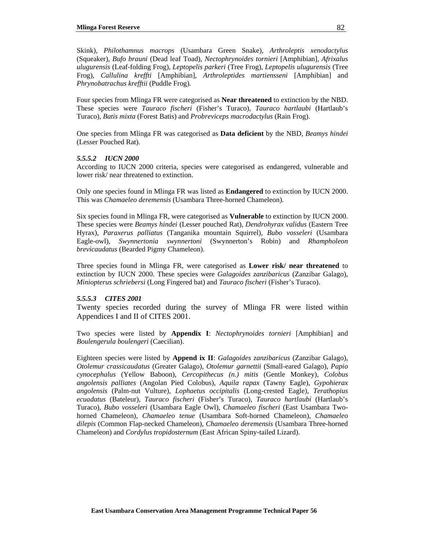Skink)*, Philothamnus macrops* (Usambara Green Snake)*, Arthroleptis xenodactylus*  (Squeaker)*, Bufo brauni* (Dead leaf Toad)*, Nectophrynoides tornieri* [Amphibian]*, Afrixalus ulugurensis* (Leaf-folding Frog)*, Leptopelis parkeri* (Tree Frog), *Leptopelis ulugurensis* (Tree Frog)*, Callulina kreffti* [Amphibian], *Arthroleptides martiensseni* [Amphibian] and *Phrynobatrachus krefftii* (Puddle Frog)*.* 

Four species from Mlinga FR were categorised as **Near threatened** to extinction by the NBD. These species were *Tauraco fischeri* (Fisher's Turaco), *Tauraco hartlaubi* (Hartlaub's Turaco), *Batis mixta* (Forest Batis) and *Probreviceps macrodactylus* (Rain Frog).

One species from Mlinga FR was categorised as **Data deficient** by the NBD, *Beamys hindei*  (Lesser Pouched Rat).

#### *5.5.5.2 IUCN 2000*

According to IUCN 2000 criteria, species were categorised as endangered, vulnerable and lower risk/ near threatened to extinction.

Only one species found in Mlinga FR was listed as **Endangered** to extinction by IUCN 2000. This was *Chamaeleo deremensis* (Usambara Three-horned Chameleon)*.*

Six species found in Mlinga FR, were categorised as **Vulnerable** to extinction by IUCN 2000. These species were *Beamys hindei* (Lesser pouched Rat)*, Dendrohyrax validus* (Eastern Tree Hyrax)*, Paraxerus palliatus* (Tanganika mountain Squirrel)*, Bubo vosseleri* (Usambara Eagle-owl)*, Swynnertonia swynnertoni* (Swynnerton's Robin) and *Rhampholeon brevicaudatus* (Bearded Pigmy Chameleon).

Three species found in Mlinga FR, were categorised as **Lower risk/ near threatened** to extinction by IUCN 2000. These species were *Galagoides zanzibaricus* (Zanzibar Galago), *Miniopterus schriebersi* (Long Fingered bat) and *Tauraco fischeri* (Fisher's Turaco).

#### *5.5.5.3 CITES 2001*

Twenty species recorded during the survey of Mlinga FR were listed within Appendices I and II of CITES 2001.

Two species were listed by **Appendix I**: *Nectophrynoides tornieri* [Amphibian] and *Boulengerula boulengeri* (Caecilian).

Eighteen species were listed by **Append ix II**: *Galagoides zanzibaricus* (Zanzibar Galago), *Otolemur crassicaudatus* (Greater Galago), *Otolemur garnettii* (Small-eared Galago), *Papio cynocephalus* (Yellow Baboon), *Cercopithecus (n.) mitis* (Gentle Monkey)*, Colobus angolensis palliates* (Angolan Pied Colobus)*, Aquila rapax* (Tawny Eagle), *Gypohierax angolensis* (Palm-nut Vulture), *Lophaetus occipitalis* (Long-crested Eagle), *Terathopius ecuadatus* (Bateleur), *Tauraco fischeri* (Fisher's Turaco), *Tauraco hartlaubi* (Hartlaub's Turaco), *Bubo vosseleri* (Usambara Eagle Owl), *Chamaeleo fischeri* (East Usambara Twohorned Chameleon), *Chamaeleo tenue* (Usambara Soft-horned Chameleon), *Chamaeleo dilepis* (Common Flap-necked Chameleon), *Chamaeleo deremensis* (Usambara Three-horned Chameleon) and *Cordylus tropidosternum* (East African Spiny-tailed Lizard).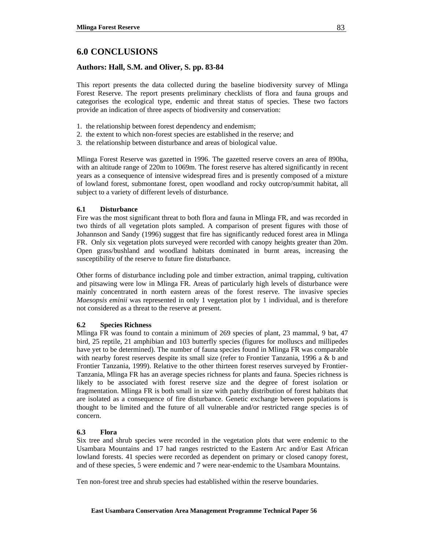## **6.0 CONCLUSIONS**

## **Authors: Hall, S.M. and Oliver, S. pp. 83-84**

This report presents the data collected during the baseline biodiversity survey of Mlinga Forest Reserve. The report presents preliminary checklists of flora and fauna groups and categorises the ecological type, endemic and threat status of species. These two factors provide an indication of three aspects of biodiversity and conservation:

- 1. the relationship between forest dependency and endemism;
- 2. the extent to which non-forest species are established in the reserve; and
- 3. the relationship between disturbance and areas of biological value.

Mlinga Forest Reserve was gazetted in 1996. The gazetted reserve covers an area of 890ha, with an altitude range of 220m to 1069m. The forest reserve has altered significantly in recent years as a consequence of intensive widespread fires and is presently composed of a mixture of lowland forest, submontane forest, open woodland and rocky outcrop/summit habitat, all subject to a variety of different levels of disturbance.

### **6.1 Disturbance**

Fire was the most significant threat to both flora and fauna in Mlinga FR, and was recorded in two thirds of all vegetation plots sampled. A comparison of present figures with those of Johannson and Sandy (1996) suggest that fire has significantly reduced forest area in Mlinga FR. Only six vegetation plots surveyed were recorded with canopy heights greater than 20m. Open grass/bushland and woodland habitats dominated in burnt areas, increasing the susceptibility of the reserve to future fire disturbance.

Other forms of disturbance including pole and timber extraction, animal trapping, cultivation and pitsawing were low in Mlinga FR. Areas of particularly high levels of disturbance were mainly concentrated in north eastern areas of the forest reserve. The invasive species *Maesopsis eminii* was represented in only 1 vegetation plot by 1 individual, and is therefore not considered as a threat to the reserve at present.

## **6.2 Species Richness**

Mlinga FR was found to contain a minimum of 269 species of plant, 23 mammal, 9 bat, 47 bird, 25 reptile, 21 amphibian and 103 butterfly species (figures for molluscs and millipedes have yet to be determined). The number of fauna species found in Mlinga FR was comparable with nearby forest reserves despite its small size (refer to Frontier Tanzania, 1996 a & b and Frontier Tanzania*,* 1999). Relative to the other thirteen forest reserves surveyed by Frontier-Tanzania, Mlinga FR has an average species richness for plants and fauna. Species richness is likely to be associated with forest reserve size and the degree of forest isolation or fragmentation. Mlinga FR is both small in size with patchy distribution of forest habitats that are isolated as a consequence of fire disturbance. Genetic exchange between populations is thought to be limited and the future of all vulnerable and/or restricted range species is of concern.

#### **6.3 Flora**

Six tree and shrub species were recorded in the vegetation plots that were endemic to the Usambara Mountains and 17 had ranges restricted to the Eastern Arc and/or East African lowland forests. 41 species were recorded as dependent on primary or closed canopy forest, and of these species, 5 were endemic and 7 were near-endemic to the Usambara Mountains.

Ten non-forest tree and shrub species had established within the reserve boundaries.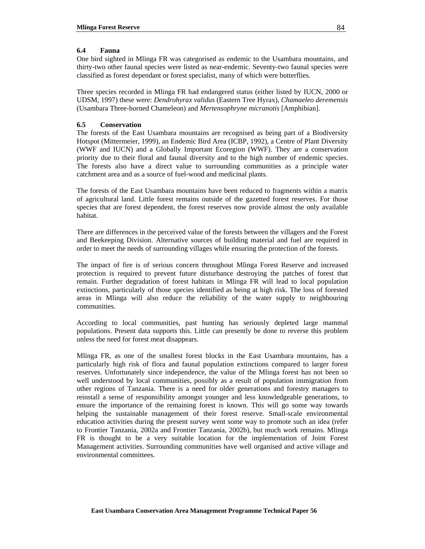### **6.4 Fauna**

One bird sighted in Mlinga FR was categorised as endemic to the Usambara mountains, and thirty-two other faunal species were listed as near-endemic. Seventy-two faunal species were classified as forest dependant or forest specialist, many of which were butterflies.

Three species recorded in Mlinga FR had endangered status (either listed by IUCN, 2000 or UDSM, 1997) these were: *Dendrohyrax validus* (Eastern Tree Hyrax), *Chamaeleo deremensis*  (Usambara Three-horned Chameleon) and *Mertensophryne micranotis* [Amphibian].

## **6.5 Conservation**

The forests of the East Usambara mountains are recognised as being part of a Biodiversity Hotspot (Mittermeier, 1999), an Endemic Bird Area (ICBP, 1992), a Centre of Plant Diversity (WWF and IUCN) and a Globally Important Ecoregion (WWF). They are a conservation priority due to their floral and faunal diversity and to the high number of endemic species. The forests also have a direct value to surrounding communities as a principle water catchment area and as a source of fuel-wood and medicinal plants.

The forests of the East Usambara mountains have been reduced to fragments within a matrix of agricultural land. Little forest remains outside of the gazetted forest reserves. For those species that are forest dependent, the forest reserves now provide almost the only available habitat.

There are differences in the perceived value of the forests between the villagers and the Forest and Beekeeping Division. Alternative sources of building material and fuel are required in order to meet the needs of surrounding villages while ensuring the protection of the forests.

The impact of fire is of serious concern throughout Mlinga Forest Reserve and increased protection is required to prevent future disturbance destroying the patches of forest that remain. Further degradation of forest habitats in Mlinga FR will lead to local population extinctions, particularly of those species identified as being at high risk. The loss of forested areas in Mlinga will also reduce the reliability of the water supply to neighbouring communities.

According to local communities, past hunting has seriously depleted large mammal populations. Present data supports this. Little can presently be done to reverse this problem unless the need for forest meat disappears.

Mlinga FR, as one of the smallest forest blocks in the East Usambara mountains, has a particularly high risk of flora and faunal population extinctions compared to larger forest reserves. Unfortunately since independence, the value of the Mlinga forest has not been so well understood by local communities, possibly as a result of population immigration from other regions of Tanzania. There is a need for older generations and forestry managers to reinstall a sense of responsibility amongst younger and less knowledgeable generations, to ensure the importance of the remaining forest is known. This will go some way towards helping the sustainable management of their forest reserve. Small-scale environmental education activities during the present survey went some way to promote such an idea (refer to Frontier Tanzania, 2002a and Frontier Tanzania, 2002b), but much work remains. Mlinga FR is thought to be a very suitable location for the implementation of Joint Forest Management activities. Surrounding communities have well organised and active village and environmental committees.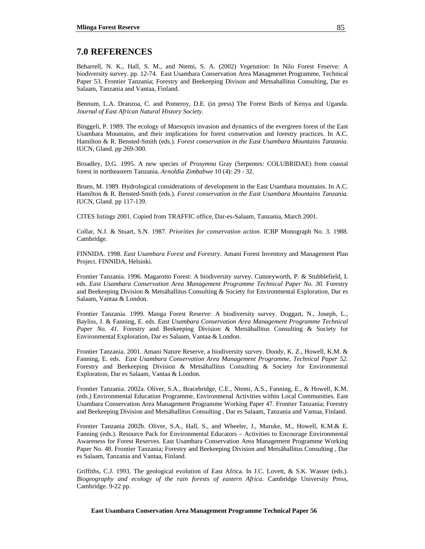## **7.0 REFERENCES**

Beharrell, N. K., Hall, S. M., and Ntemi, S. A. (2002) *Vegetation*: In Nilo Forest Feserve: A biodiversity survey. pp. 12-74. East Usambara Conservation Area Managmenet Programme, Technical Paper 53. Frontier Tanzania; Forestry and Beekeeping Divison and Metsahallitus Consulting, Dar es Salaam, Tanzania and Vantaa, Finland.

Bennum, L.A. Dranzoa, C. and Pomeroy, D.E. (in press) The Forest Birds of Kenya and Uganda. *Journal of East African Natural History Society.* 

Binggeli, P. 1989. The ecology of *Maesopsis* invasion and dynamics of the evergreen forest of the East Usambara Mountains, and their implications for forest conservation and forestry practices. In A.C. Hamilton & R. Bensted-Smith (eds.). *Forest conservation in the East Usambara Mountains Tanzania.*  IUCN, Gland. pp 269-300.

Broadley, D.G. 1995. A new species of *Prosymna* Gray (Serpentes: COLUBRIDAE) from coastal forest in northeastern Tanzania. *Arnoldia Zimbabwe* 10 (4): 29 - 32.

Bruen, M. 1989. Hydrological considerations of development in the East Usambara mountains. In A.C. Hamilton & R. Bensted-Smith (eds.). *Forest conservation in the East Usambara Mountains Tanzania.*  IUCN, Gland. pp 117-139.

CITES listings 2001. Copied from TRAFFIC office, Dar-es-Salaam, Tanzania, March 2001.

Collar, N.J. & Stuart, S.N. 1987. *Priorities for conservation action*. ICBP Monograph No. 3. 1988. Cambridge.

FINNIDA. 1998. *East Usambara Forest and Forestry*. Amani Forest Inventory and Management Plan Project. FINNIDA, Helsinki.

Frontier Tanzania. 1996. Magarotto Forest: A biodiversity survey. Cunneyworth, P. & Stubblefield, L eds. *East Usambara Conservation Area Management Programme Technical Paper No. 30.* Forestry and Beekeeping Division & Metsähallitus Consulting & Society for Environmental Exploration, Dar es Salaam, Vantaa & London.

Frontier Tanzania. 1999. Manga Forest Reserve: A biodiversity survey. Doggart, N., Joseph, L., Bayliss, J. & Fanning, E. eds. *East Usambara Conservation Area Management Programme Technical Paper No. 41.* Forestry and Beekeeping Division & Metsähallitus Consulting & Society for Environmental Exploration, Dar es Salaam, Vantaa & London.

Frontier Tanzania. 2001. Amani Nature Reserve, a biodiversity survey. Doody, K. Z., Howell, K.M. & Fanning, E. eds. *East Usambara Conservation Area Management Programme, Technical Paper 52.* Forestry and Beekeeping Division & Metsähallitus Consulting & Society for Environmental Exploration, Dar es Salaam, Vantaa & London.

Frontier Tanzania. 2002a. Oliver, S.A., Bracebridge, C.E., Ntemi, A.S., Fanning, E., & Howell, K.M. (eds.) Environmental Education Programme, Environmenal Activities within Local Communities. East Usambara Conservation Area Management Programme Working Paper 47. Frontier Tanzania; Forestry and Beekeeping Division and Metsähallitus Consulting , Dar es Salaam, Tanzania and Vantaa, Finland.

Frontier Tanzania 2002b. Oliver, S.A., Hall, S., and Wheeler, J., Muruke, M., Howell, K.M.& E. Fanning (eds.). Resource Pack for Environmental Educators – Activities to Encourage Environmental Awareness for Forest Reserves. East Usambara Conservation Area Management Programme Working Paper No. 48. Frontier Tanzania; Forestry and Beekeeping Division and Metsähallitus Consulting , Dar es Salaam, Tanzania and Vantaa, Finland.

Griffiths, C.J. 1993. The geological evolution of East Africa. In J.C. Lovett, & S.K. Wasser (eds.). *Biogeography and ecology of the rain forests of eastern Africa.* Cambridge University Press, Cambridge. 9-22 pp.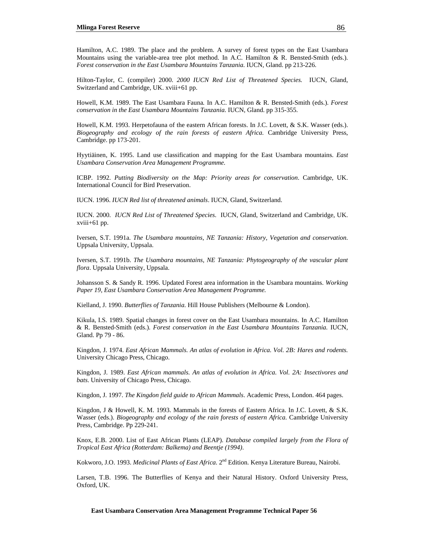Hamilton, A.C. 1989. The place and the problem. A survey of forest types on the East Usambara Mountains using the variable-area tree plot method. In A.C. Hamilton  $\&$  R. Bensted-Smith (eds.). *Forest conservation in the East Usambara Mountains Tanzania.* IUCN, Gland. pp 213-226.

Hilton-Taylor, C. (compiler) 2000. *2000 IUCN Red List of Threatened Species.* IUCN, Gland, Switzerland and Cambridge, UK. xviii+61 pp.

Howell, K.M. 1989. The East Usambara Fauna*.* In A.C. Hamilton & R. Bensted-Smith (eds.). *Forest conservation in the East Usambara Mountains Tanzania.* IUCN, Gland. pp 315-355.

Howell, K.M. 1993. Herpetofauna of the eastern African forests. In J.C. Lovett, & S.K. Wasser (eds.). *Biogeography and ecology of the rain forests of eastern Africa.* Cambridge University Press, Cambridge. pp 173-201.

Hyytiäinen, K. 1995. Land use classification and mapping for the East Usambara mountains. *East Usambara Conservation Area Management Programme.* 

ICBP. 1992. *Putting Biodiversity on the Map: Priority areas for conservation*. Cambridge, UK. International Council for Bird Preservation.

IUCN. 1996. *IUCN Red list of threatened animals*. IUCN, Gland, Switzerland.

IUCN. 2000. *IUCN Red List of Threatened Species.* IUCN, Gland, Switzerland and Cambridge, UK. xviii+61 pp.

Iversen, S.T. 1991a. *The Usambara mountains, NE Tanzania: History, Vegetation and conservation*. Uppsala University, Uppsala.

Iversen, S.T. 1991b. *The Usambara mountains, NE Tanzania: Phytogeography of the vascular plant flora*. Uppsala University, Uppsala.

Johansson S. & Sandy R. 1996. Updated Forest area information in the Usambara mountains. *Working Paper 19, East Usambara Conservation Area Management Programme.* 

Kielland, J. 1990. *Butterflies of Tanzania.* Hill House Publishers (Melbourne & London).

Kikula, I.S. 1989. Spatial changes in forest cover on the East Usambara mountains. In A.C. Hamilton & R. Bensted-Smith (eds.). *Forest conservation in the East Usambara Mountains Tanzania.* IUCN, Gland. Pp 79 - 86.

Kingdon, J. 1974. *East African Mammals. An atlas of evolution in Africa. Vol. 2B: Hares and rodents.* University Chicago Press, Chicago.

Kingdon, J. 1989. *East African mammals. An atlas of evolution in Africa. Vol. 2A: Insectivores and bats*. University of Chicago Press, Chicago.

Kingdon, J. 1997. *The Kingdon field guide to African Mammals*. Academic Press, London. 464 pages.

Kingdon, J & Howell, K. M. 1993. Mammals in the forests of Eastern Africa. In J.C. Lovett, & S.K. Wasser (eds.). *Biogeography and ecology of the rain forests of eastern Africa.* Cambridge University Press, Cambridge. Pp 229-241.

Knox, E.B. 2000. List of East African Plants (LEAP). *Database compiled largely from the Flora of Tropical East Africa (Rotterdam: Balkema) and Beentje (1994)*.

Kokworo, J.O. 1993. *Medicinal Plants of East Africa.* 2nd Edition. Kenya Literature Bureau, Nairobi.

Larsen, T.B. 1996. The Butterflies of Kenya and their Natural History. Oxford University Press, Oxford, UK.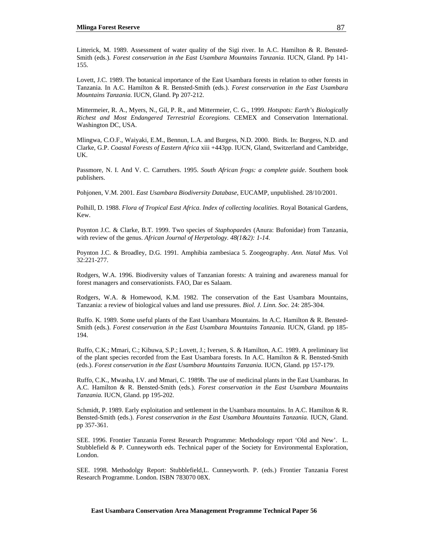Litterick, M. 1989. Assessment of water quality of the Sigi river. In A.C. Hamilton & R. Bensted-Smith (eds.). *Forest conservation in the East Usambara Mountains Tanzania.* IUCN, Gland. Pp 141- 155.

Lovett, J.C. 1989. The botanical importance of the East Usambara forests in relation to other forests in Tanzania. In A.C. Hamilton & R. Bensted-Smith (eds.). *Forest conservation in the East Usambara Mountains Tanzania.* IUCN, Gland. Pp 207-212.

Mittermeier, R. A., Myers, N., Gil, P. R., and Mittermeier, C. G., 1999. *Hotspots: Earth's Biologically Richest and Most Endangered Terrestrial Ecoregions*. CEMEX and Conservation International. Washington DC, USA.

Mlingwa, C.O.F., Waiyaki, E.M., Bennun, L.A. and Burgess, N.D. 2000. Birds. In: Burgess, N.D. and Clarke, G.P. *Coastal Forests of Eastern Africa* xiii +443pp. IUCN, Gland, Switzerland and Cambridge, UK.

Passmore, N. I. And V. C. Carruthers. 1995. *South African frogs: a complete guide*. Southern book publishers.

Pohjonen, V.M. 2001. *East Usambara Biodiversity Database*, EUCAMP, unpublished. 28/10/2001.

Polhill, D. 1988. *Flora of Tropical East Africa. Index of collecting localities*. Royal Botanical Gardens, Kew.

Poynton J.C. & Clarke, B.T. 1999. Two species of *Staphopaedes* (Anura: Bufonidae) from Tanzania, with review of the genus. *African Journal of Herpetology. 48(1&2): 1-14.* 

Poynton J.C. & Broadley, D.G. 1991. Amphibia zambesiaca 5. Zoogeography. *Ann. Natal Mus.* Vol 32:221-277.

Rodgers, W.A. 1996. Biodiversity values of Tanzanian forests: A training and awareness manual for forest managers and conservationists. FAO, Dar es Salaam.

Rodgers, W.A. & Homewood, K.M. 1982. The conservation of the East Usambara Mountains, Tanzania: a review of biological values and land use pressures*. Biol. J. Linn. Soc.* 24: 285-304.

Ruffo. K. 1989. Some useful plants of the East Usambara Mountains. In A.C. Hamilton & R. Bensted-Smith (eds.). *Forest conservation in the East Usambara Mountains Tanzania.* IUCN, Gland. pp 185- 194.

Ruffo, C.K.; Mmari, C.; Kibuwa, S.P.; Lovett, J.; Iversen, S. & Hamilton, A.C. 1989. A preliminary list of the plant species recorded from the East Usambara forests. In A.C. Hamilton & R. Bensted-Smith (eds.). *Forest conservation in the East Usambara Mountains Tanzania.* IUCN, Gland. pp 157-179.

Ruffo, C.K., Mwasha, I.V. and Mmari, C. 1989b. The use of medicinal plants in the East Usambaras. In A.C. Hamilton & R. Bensted-Smith (eds.). *Forest conservation in the East Usambara Mountains Tanzania.* IUCN, Gland. pp 195-202.

Schmidt, P. 1989. Early exploitation and settlement in the Usambara mountains. In A.C. Hamilton & R. Bensted-Smith (eds.). *Forest conservation in the East Usambara Mountains Tanzania.* IUCN, Gland. pp 357-361.

SEE. 1996. Frontier Tanzania Forest Research Programme: Methodology report 'Old and New'. L. Stubblefield & P. Cunneyworth eds. Technical paper of the Society for Environmental Exploration, London.

SEE. 1998. Methodolgy Report: Stubblefield,L. Cunneyworth. P. (eds.) Frontier Tanzania Forest Research Programme. London. ISBN 783070 08X.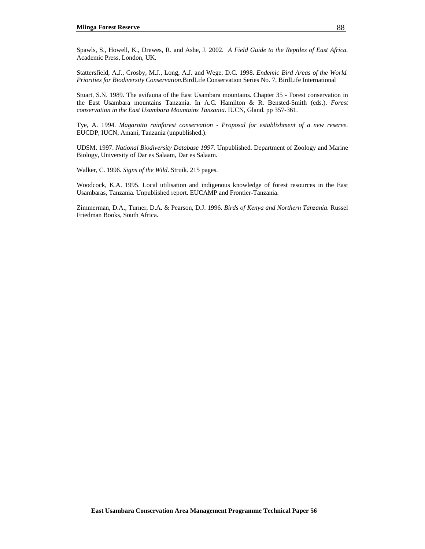Spawls, S., Howell, K., Drewes, R. and Ashe, J. 2002*. A Field Guide to the Reptiles of East Africa.* Academic Press, London, UK.

Stattersfield, A.J., Crosby, M.J., Long, A.J. and Wege, D.C. 1998. *Endemic Bird Areas of the World. Priorities for Biodiversity Conservation.*BirdLife Conservation Series No. 7, BirdLife International

Stuart, S.N. 1989. The avifauna of the East Usambara mountains. Chapter 35 - Forest conservation in the East Usambara mountains Tanzania. In A.C. Hamilton & R. Bensted-Smith (eds.). *Forest conservation in the East Usambara Mountains Tanzania.* IUCN, Gland. pp 357-361.

Tye, A. 1994. *Magarotto rainforest conservation - Proposal for establishment of a new reserve.* EUCDP, IUCN, Amani, Tanzania (unpublished.).

UDSM. 1997. *National Biodiversity Database 1997.* Unpublished. Department of Zoology and Marine Biology, University of Dar es Salaam, Dar es Salaam.

Walker, C. 1996. *Signs of the Wild*. Struik. 215 pages.

Woodcock, K.A. 1995. Local utilisation and indigenous knowledge of forest resources in the East Usambaras, Tanzania. Unpublished report. EUCAMP and Frontier-Tanzania.

Zimmerman, D.A., Turner, D.A. & Pearson, D.J. 1996. *Birds of Kenya and Northern Tanzania.* Russel Friedman Books, South Africa.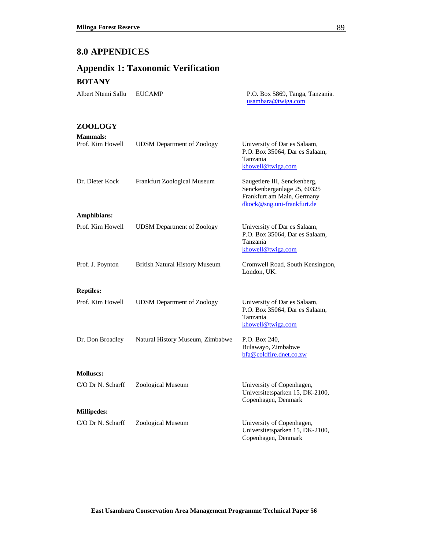## **8.0 APPENDICES**

# **Appendix 1: Taxonomic Verification**

## **BOTANY**

| BOTANY                              |                                       |                                                                                                                         |
|-------------------------------------|---------------------------------------|-------------------------------------------------------------------------------------------------------------------------|
| Albert Ntemi Sallu                  | <b>EUCAMP</b>                         | P.O. Box 5869, Tanga, Tanzania.<br>usambara@twiga.com                                                                   |
| <b>ZOOLOGY</b>                      |                                       |                                                                                                                         |
| <b>Mammals:</b><br>Prof. Kim Howell | <b>UDSM</b> Department of Zoology     | University of Dar es Salaam,<br>P.O. Box 35064, Dar es Salaam,<br>Tanzania<br>khowell@twiga.com                         |
| Dr. Dieter Kock                     | Frankfurt Zoological Museum           | Saugetiere III, Senckenberg,<br>Senckenberganlage 25, 60325<br>Frankfurt am Main, Germany<br>dkock@sng.uni-frankfurt.de |
| <b>Amphibians:</b>                  |                                       |                                                                                                                         |
| Prof. Kim Howell                    | <b>UDSM</b> Department of Zoology     | University of Dar es Salaam,<br>P.O. Box 35064, Dar es Salaam,<br>Tanzania<br>khowell@twiga.com                         |
| Prof. J. Poynton                    | <b>British Natural History Museum</b> | Cromwell Road, South Kensington,<br>London, UK.                                                                         |
| <b>Reptiles:</b>                    |                                       |                                                                                                                         |
| Prof. Kim Howell                    | <b>UDSM</b> Department of Zoology     | University of Dar es Salaam,<br>P.O. Box 35064, Dar es Salaam,<br>Tanzania<br>khowell@twiga.com                         |
| Dr. Don Broadley                    | Natural History Museum, Zimbabwe      | P.O. Box 240,<br>Bulawayo, Zimbabwe<br>bfa@coldfire.dnet.co.zw                                                          |
| <b>Molluscs:</b>                    |                                       |                                                                                                                         |
| C/O Dr N. Scharff                   | Zoological Museum                     | University of Copenhagen,<br>Universitetsparken 15, DK-2100,<br>Copenhagen, Denmark                                     |
| <b>Millipedes:</b>                  |                                       |                                                                                                                         |
| C/O Dr N. Scharff                   | Zoological Museum                     | University of Copenhagen,<br>Universitetsparken 15, DK-2100,<br>Copenhagen, Denmark                                     |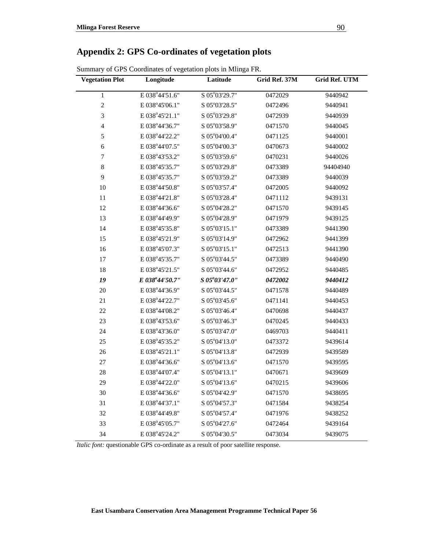## **Appendix 2: GPS Co-ordinates of vegetation plots**

Summary of GPS Coordinates of vegetation plots in Mlinga FR.

| <b>Vegetation Plot</b> | Longitude      | Latitude      | Grid Ref. 37M | Grid Ref. UTM |
|------------------------|----------------|---------------|---------------|---------------|
| $\mathbf{1}$           | E 038°44'51.6" | S 05°03'29.7" | 0472029       | 9440942       |
| $\boldsymbol{2}$       | E 038°45'06.1" | S 05°03'28.5" | 0472496       | 9440941       |
| 3                      | E 038°45'21.1" | S 05°03'29.8" | 0472939       | 9440939       |
| 4                      | E 038°44'36.7" | S 05°03'58.9" | 0471570       | 9440045       |
| 5                      | E 038°44'22.2" | S 05°04'00.4" | 0471125       | 9440001       |
| 6                      | E 038°44'07.5" | S 05°04'00.3" | 0470673       | 9440002       |
| 7                      | E 038°43'53.2" | S 05°03'59.6" | 0470231       | 9440026       |
| $\,8\,$                | E 038°45'35.7" | S 05°03'29.8" | 0473389       | 94404940      |
| 9                      | E 038°45'35.7" | S 05°03'59.2" | 0473389       | 9440039       |
| 10                     | E 038°44'50.8" | S 05°03'57.4" | 0472005       | 9440092       |
| 11                     | E 038°44'21.8" | S 05°03'28.4" | 0471112       | 9439131       |
| 12                     | E 038°44'36.6" | S 05°04'28.2" | 0471570       | 9439145       |
| 13                     | E 038°44'49.9" | S 05°04'28.9" | 0471979       | 9439125       |
| 14                     | E 038°45'35.8" | S 05°03'15.1" | 0473389       | 9441390       |
| 15                     | E 038°45'21.9" | S 05°03'14.9" | 0472962       | 9441399       |
| 16                     | E 038°45'07.3" | S 05°03'15.1" | 0472513       | 9441390       |
| 17                     | E 038°45'35.7" | S 05°03'44.5" | 0473389       | 9440490       |
| 18                     | E 038°45'21.5" | S 05°03'44.6" | 0472952       | 9440485       |
| 19                     | E 038°44'50.7" | S 05°03'47.0" | 0472002       | 9440412       |
| 20                     | E 038°44'36.9" | S 05°03'44.5" | 0471578       | 9440489       |
| 21                     | E 038°44'22.7" | S 05°03'45.6" | 0471141       | 9440453       |
| $22\,$                 | E 038°44'08.2" | S 05°03'46.4" | 0470698       | 9440437       |
| 23                     | E 038°43'53.6" | S 05°03'46.3" | 0470245       | 9440433       |
| 24                     | E 038°43'36.0" | S 05°03'47.0" | 0469703       | 9440411       |
| 25                     | E 038°45'35.2" | S 05°04'13.0" | 0473372       | 9439614       |
| 26                     | E 038°45'21.1" | S 05°04'13.8" | 0472939       | 9439589       |
| 27                     | E 038°44'36.6" | S 05°04'13.6" | 0471570       | 9439595       |
| $28\,$                 | E 038°44'07.4" | S 05°04'13.1" | 0470671       | 9439609       |
| 29                     | E 038°44'22.0" | S 05°04'13.6" | 0470215       | 9439606       |
| 30                     | E 038°44'36.6" | S 05°04'42.9" | 0471570       | 9438695       |
| 31                     | E 038°44'37.1" | S 05°04'57.3" | 0471584       | 9438254       |
| 32                     | E 038°44'49.8" | S 05°04'57.4" | 0471976       | 9438252       |
| 33                     | E 038°45'05.7" | S 05°04'27.6" | 0472464       | 9439164       |
| 34                     | E 038°45'24.2" | S 05°04'30.5" | 0473034       | 9439075       |

*Italic font:* questionable GPS co-ordinate as a result of poor satellite response.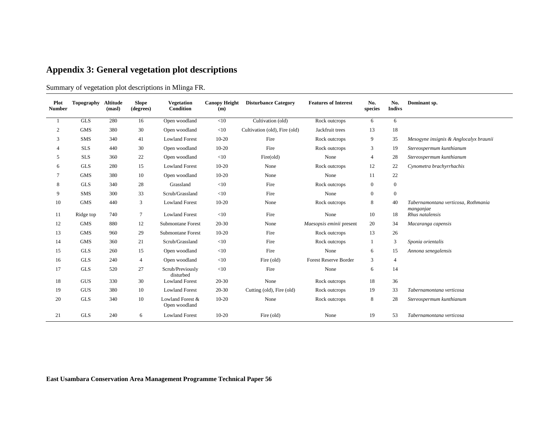# **Appendix 3: General vegetation plot descriptions**

Summary of vegetation plot descriptions in Mlinga FR.

| Plot<br><b>Number</b> | Topography | Altitude<br>(masl) | <b>Slope</b><br>(degrees) | <b>Vegetation</b><br>Condition    | <b>Canopy Height</b><br>(m) | <b>Disturbance Category</b>   | <b>Features of Interest</b>  | No.<br>species   | No.<br><b>Indivs</b> | Dominant sp.                                     |
|-----------------------|------------|--------------------|---------------------------|-----------------------------------|-----------------------------|-------------------------------|------------------------------|------------------|----------------------|--------------------------------------------------|
|                       | <b>GLS</b> | 280                | 16                        | Open woodland                     | <10                         | Cultivation (old)             | Rock outcrops                | 6                | 6                    |                                                  |
| 2                     | <b>GMS</b> | 380                | 30                        | Open woodland                     | $<$ 10                      | Cultivation (old), Fire (old) | Jackfruit trees              | 13               | 18                   |                                                  |
| 3                     | <b>SMS</b> | 340                | 41                        | <b>Lowland Forest</b>             | $10 - 20$                   | Fire                          | Rock outcrops                | 9                | 35                   | Mesogyne insignis & Anglocalyx braunii           |
| $\overline{4}$        | <b>SLS</b> | 440                | 30                        | Open woodland                     | $10 - 20$                   | Fire                          | Rock outcrops                | 3                | 19                   | Stereospermum kunthianum                         |
| 5                     | <b>SLS</b> | 360                | 22                        | Open woodland                     | <10                         | Fire(old)                     | None                         | $\overline{4}$   | 28                   | Stereospermum kunthianum                         |
| 6                     | <b>GLS</b> | 280                | 15                        | <b>Lowland Forest</b>             | $10 - 20$                   | None                          | Rock outcrops                | 12               | 22                   | Cynometra brachyrrhachis                         |
| $\overline{7}$        | <b>GMS</b> | 380                | 10                        | Open woodland                     | $10 - 20$                   | None                          | None                         | 11               | 22                   |                                                  |
| 8                     | <b>GLS</b> | 340                | 28                        | Grassland                         | <10                         | Fire                          | Rock outcrops                | $\mathbf{0}$     | $\overline{0}$       |                                                  |
| 9                     | <b>SMS</b> | 300                | 33                        | Scrub/Grassland                   | <10                         | Fire                          | None                         | $\boldsymbol{0}$ | $\mathbf{0}$         |                                                  |
| 10                    | <b>GMS</b> | 440                | 3                         | <b>Lowland Forest</b>             | $10 - 20$                   | None                          | Rock outcrops                | 8                | 40                   | Tabernamontana verticosa, Rothmania<br>manganjae |
| 11                    | Ridge top  | 740                | $\overline{7}$            | <b>Lowland Forest</b>             | <10                         | Fire                          | None                         | 10               | 18                   | Rhus natalensis                                  |
| 12                    | <b>GMS</b> | 880                | 12                        | Submontane Forest                 | 20-30                       | None                          | Maesopsis eminii present     | 20               | 34                   | Macaranga capensis                               |
| 13                    | <b>GMS</b> | 960                | 29                        | <b>Submontane Forest</b>          | $10 - 20$                   | Fire                          | Rock outcrops                | 13               | 26                   |                                                  |
| 14                    | <b>GMS</b> | 360                | 21                        | Scrub/Grassland                   | <10                         | Fire                          | Rock outcrops                | -1               | 3                    | Sponia orientalis                                |
| 15                    | <b>GLS</b> | 260                | 15                        | Open woodland                     | <10                         | Fire                          | None                         | 6                | 15                   | Annona senegalensis                              |
| 16                    | <b>GLS</b> | 240                | 4                         | Open woodland                     | <10                         | Fire (old)                    | <b>Forest Reserve Border</b> | 3                | $\overline{4}$       |                                                  |
| 17                    | <b>GLS</b> | 520                | 27                        | Scrub/Previously<br>disturbed     | $<$ 10                      | Fire                          | None                         | 6                | 14                   |                                                  |
| 18                    | <b>GUS</b> | 330                | 30                        | <b>Lowland Forest</b>             | $20 - 30$                   | None                          | Rock outcrops                | 18               | 36                   |                                                  |
| 19                    | <b>GUS</b> | 380                | 10                        | <b>Lowland Forest</b>             | $20 - 30$                   | Cutting (old), Fire (old)     | Rock outcrops                | 19               | 33                   | Tabernamontana verticosa                         |
| 20                    | <b>GLS</b> | 340                | 10                        | Lowland Forest &<br>Open woodland | $10 - 20$                   | None                          | Rock outcrops                | $\,8\,$          | 28                   | Stereospermum kunthianum                         |
| 21                    | <b>GLS</b> | 240                | 6                         | <b>Lowland Forest</b>             | $10-20$                     | Fire (old)                    | None                         | 19               | 53                   | Tabernamontana verticosa                         |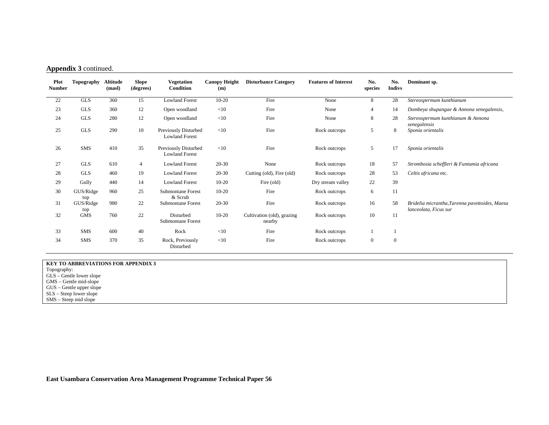|  |  | Appendix 3 continued. |
|--|--|-----------------------|
|  |  |                       |

| <b>Plot</b><br><b>Number</b> | <b>Topography</b> | Altitude<br>(masl) | Slope<br>(degrees) | <b>Vegetation</b><br><b>Condition</b>         | <b>Canopy Height</b><br>(m) | <b>Disturbance Category</b>          | <b>Features of Interest</b> | No.<br>species   | No.<br><b>Indivs</b> | Dominant sp.                                                            |
|------------------------------|-------------------|--------------------|--------------------|-----------------------------------------------|-----------------------------|--------------------------------------|-----------------------------|------------------|----------------------|-------------------------------------------------------------------------|
| 22                           | <b>GLS</b>        | 360                | 15                 | <b>Lowland Forest</b>                         | $10-20$                     | Fire                                 | None                        | 8                | 28                   | Stereospermum kunthianum                                                |
| 23                           | <b>GLS</b>        | 360                | 12                 | Open woodland                                 | <10                         | Fire                                 | None                        | 4                | 14                   | Dombeya shupangae & Annona senegalensis,                                |
| 24                           | <b>GLS</b>        | 280                | 12                 | Open woodland                                 | <10                         | Fire                                 | None                        | 8                | 28                   | Stereospermum kunthianum & Annona<br>senegalensis                       |
| 25                           | <b>GLS</b>        | 290                | 10                 | Previously Disturbed<br><b>Lowland Forest</b> | <10                         | Fire                                 | Rock outcrops               | 5                | 8                    | Sponia orientalis                                                       |
| 26                           | SMS               | 410                | 35                 | Previously Disturbed<br><b>Lowland Forest</b> | <10                         | Fire                                 | Rock outcrops               | 5                | 17                   | Sponia orientalis                                                       |
| 27                           | <b>GLS</b>        | 610                | 4                  | <b>Lowland Forest</b>                         | $20 - 30$                   | None                                 | Rock outcrops               | 18               | 57                   | Strombosia scheffleri & Funtumia africana                               |
| 28                           | <b>GLS</b>        | 460                | 19                 | <b>Lowland Forest</b>                         | $20 - 30$                   | Cutting (old), Fire (old)            | Rock outcrops               | 28               | 53                   | Celtis africana etc.                                                    |
| 29                           | Gully             | 440                | 14                 | <b>Lowland Forest</b>                         | $10 - 20$                   | Fire (old)                           | Dry stream valley           | 22               | 39                   |                                                                         |
| 30                           | GUS/Ridge<br>top  | 960                | 25                 | Submontane Forest<br>& Scrub                  | $10 - 20$                   | Fire                                 | Rock outcrops               | 6                | 11                   |                                                                         |
| 31                           | GUS/Ridge<br>top  | 980                | 22                 | Submontane Forest                             | $20 - 30$                   | Fire                                 | Rock outcrops               | 16               | 58                   | Bridelia micrantha, Tarenna pavettoides, Maesa<br>lanceolata, Ficus sur |
| 32                           | <b>GMS</b>        | 760                | 22                 | Disturbed<br>Submontane Forest                | $10-20$                     | Cultivation (old), grazing<br>nearby | Rock outcrops               | 10               | 11                   |                                                                         |
| 33                           | <b>SMS</b>        | 600                | 40                 | Rock                                          | <10                         | Fire                                 | Rock outcrops               |                  |                      |                                                                         |
| 34                           | <b>SMS</b>        | 370                | 35                 | Rock, Previously<br>Disturbed                 | <10                         | Fire                                 | Rock outcrops               | $\boldsymbol{0}$ | $\mathbf{0}$         |                                                                         |

#### **KEY TO ABBREVIATIONS FOR APPENDIX 3**

Topography:

GLS – Gentle lower slope

GMS – Gentle mid-slope

GUS – Gentle upper slope

SLS – Steep lower slope

SMS – Steep mid slope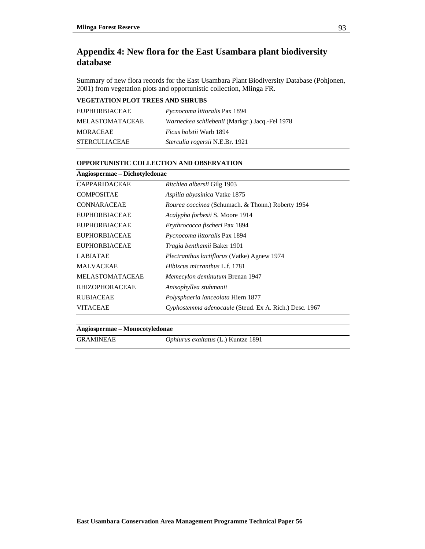## **Appendix 4: New flora for the East Usambara plant biodiversity database**

Summary of new flora records for the East Usambara Plant Biodiversity Database (Pohjonen, 2001) from vegetation plots and opportunistic collection, Mlinga FR.

### **VEGETATION PLOT TREES AND SHRUBS**

| <i>Pycnocoma littoralis Pax 1894</i>           |
|------------------------------------------------|
| Warneckea schliebenii (Markgr.) Jacq.-Fel 1978 |
| <i>Ficus holstii</i> Warb 1894                 |
| <i>Sterculia rogersii</i> N.E.Br. 1921         |
|                                                |

#### **OPPORTUNISTIC COLLECTION AND OBSERVATION**

| Angiospermae - Dichotyledonae |                                                          |  |  |  |  |  |
|-------------------------------|----------------------------------------------------------|--|--|--|--|--|
| <b>CAPPARIDACEAE</b>          | Ritchiea albersii Gilg 1903                              |  |  |  |  |  |
| <b>COMPOSITAE</b>             | Aspilia abyssinica Vatke 1875                            |  |  |  |  |  |
| <b>CONNARACEAE</b>            | <i>Rourea coccinea</i> (Schumach. & Thonn.) Roberty 1954 |  |  |  |  |  |
| <b>EUPHORBIACEAE</b>          | Acalypha forbesii S. Moore 1914                          |  |  |  |  |  |
| <b>EUPHORBIACEAE</b>          | Erythrococca fischeri Pax 1894                           |  |  |  |  |  |
| <b>EUPHORBIACEAE</b>          | <i>Pycnocoma littoralis Pax 1894</i>                     |  |  |  |  |  |
| <b>EUPHORBIACEAE</b>          | Tragia benthamii Baker 1901                              |  |  |  |  |  |
| <b>LABIATAE</b>               | <i>Plectranthus lactiflorus</i> (Vatke) Agnew 1974       |  |  |  |  |  |
| <b>MALVACEAE</b>              | <i>Hibiscus micranthus</i> L.f. 1781                     |  |  |  |  |  |
| <b>MELASTOMATACEAE</b>        | Memecylon deminutum Brenan 1947                          |  |  |  |  |  |
| <b>RHIZOPHORACEAE</b>         | Anisophyllea stuhmanii                                   |  |  |  |  |  |
| <b>RUBIACEAE</b>              | Polysphaeria lanceolata Hiern 1877                       |  |  |  |  |  |
| VITACEAE                      | Cyphostemma adenocaule (Steud. Ex A. Rich.) Desc. 1967   |  |  |  |  |  |

#### **Angiospermae – Monocotyledonae**

GRAMINEAE *Ophiurus exaltatus* (L.) Kuntze 1891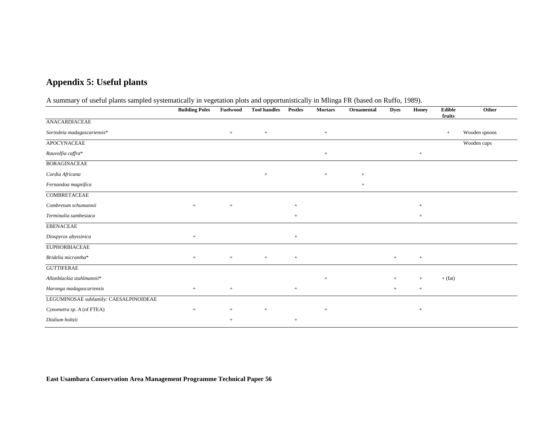# **Appendix 5: Useful plants**

A summary of useful plants sampled systematically in vegetation plots and opportunistically in Mlinga FR (based on Ruffo, 1989).

|                                        | <b>Building Poles</b>            | Fuelwood                         | <b>Tool handles</b> | <b>Pestles</b>  | <b>Mortars</b>  | Ornamental | <b>Dyes</b> | <b>Honey</b>      | Edible<br>fruits | Other         |
|----------------------------------------|----------------------------------|----------------------------------|---------------------|-----------------|-----------------|------------|-------------|-------------------|------------------|---------------|
| <b>ANACARDIACEAE</b>                   |                                  |                                  |                     |                 |                 |            |             |                   |                  |               |
| Sorindeia madagascariensis*            |                                  | $+$                              | $+$                 |                 | $\, +$          |            |             |                   | $^{+}$           | Wooden spoons |
| <b>APOCYNACEAE</b>                     |                                  |                                  |                     |                 |                 |            |             |                   |                  | Wooden cups   |
| Rauvolfia caffra*                      |                                  |                                  |                     |                 | $^+$            |            |             | $\! + \!\!\!\!$   |                  |               |
| <b>BORAGINACEAE</b>                    |                                  |                                  |                     |                 |                 |            |             |                   |                  |               |
| Cordia Africana                        |                                  |                                  | $+$                 |                 | $\! + \!\!\!\!$ | $^{+}$     |             |                   |                  |               |
| Fernandoa magnifica                    |                                  |                                  |                     |                 |                 |            |             |                   |                  |               |
| <b>COMBRETACEAE</b>                    |                                  |                                  |                     |                 |                 |            |             |                   |                  |               |
| Combretum schumannii                   | $+$                              | $^+$                             |                     |                 |                 |            |             | $\! + \!\!\!\!$   |                  |               |
| Terminalia sambesiaca                  |                                  |                                  |                     | $\! + \!\!\!\!$ |                 |            |             | $+$               |                  |               |
| <b>EBENACEAE</b>                       |                                  |                                  |                     |                 |                 |            |             |                   |                  |               |
| Diospyros abyssinica                   | $+$                              |                                  |                     | $+$             |                 |            |             |                   |                  |               |
| <b>EUPHORBIACEAE</b>                   |                                  |                                  |                     |                 |                 |            |             |                   |                  |               |
| Bridelia micrantha*                    | $+$                              | $+$                              | $+$                 | $+$             |                 |            | $+$         | $\qquad \qquad +$ |                  |               |
| <b>GUTTIFERAE</b>                      |                                  |                                  |                     |                 |                 |            |             |                   |                  |               |
| Allanblackia stuhlmannii*              |                                  |                                  |                     |                 | $^{+}$          |            | $^{+}$      | $^{+}$            | $+$ (fat)        |               |
| Haronga madagascariensis               | $^{+}$                           | $\begin{array}{c} + \end{array}$ |                     | $^{+}$          |                 |            | $^{+}$      | $^{+}$            |                  |               |
| LEGUMINOSAE subfamily: CAESALPINOIDEAE |                                  |                                  |                     |                 |                 |            |             |                   |                  |               |
| Cynometra sp. A (of FTEA)              | $\begin{array}{c} + \end{array}$ | $^{+}$                           | $\! + \!\!\!\!$     |                 | $^{+}$          |            |             | $\! + \!\!\!\!$   |                  |               |
| Dialium holtzii                        |                                  |                                  |                     |                 |                 |            |             |                   |                  |               |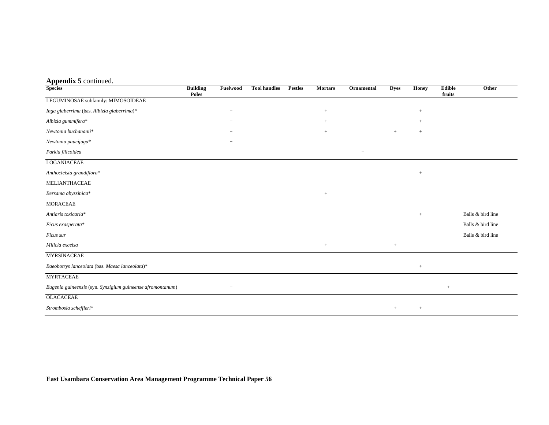## **Appendix 5** continued.

| <b>Species</b>                                             | <b>Building</b><br><b>Poles</b> | Fuelwood        | <b>Tool handles</b> | <b>Pestles</b> | <b>Mortars</b>                   | Ornamental | <b>Dyes</b>                      | Honey                            | Edible<br>fruits | Other             |
|------------------------------------------------------------|---------------------------------|-----------------|---------------------|----------------|----------------------------------|------------|----------------------------------|----------------------------------|------------------|-------------------|
| LEGUMINOSAE subfamily: MIMOSOIDEAE                         |                                 |                 |                     |                |                                  |            |                                  |                                  |                  |                   |
| Inga glaberrima (bas. Albizia glaberrima)*                 |                                 | $\! + \!\!\!\!$ |                     |                | $\begin{array}{c} + \end{array}$ |            |                                  | $\begin{array}{c} + \end{array}$ |                  |                   |
| Albizia gummifera*                                         |                                 |                 |                     |                |                                  |            |                                  |                                  |                  |                   |
| Newtonia buchananii*                                       |                                 |                 |                     |                | $\qquad \qquad +$                |            | $^{+}$                           | $^{+}$                           |                  |                   |
| Newtonia paucijuga*                                        |                                 |                 |                     |                |                                  |            |                                  |                                  |                  |                   |
| Parkia filicoidea                                          |                                 |                 |                     |                |                                  | $+$        |                                  |                                  |                  |                   |
| <b>LOGANIACEAE</b>                                         |                                 |                 |                     |                |                                  |            |                                  |                                  |                  |                   |
| Anthocleista grandiflora*                                  |                                 |                 |                     |                |                                  |            |                                  | $+$                              |                  |                   |
| MELIANTHACEAE                                              |                                 |                 |                     |                |                                  |            |                                  |                                  |                  |                   |
| Bersama abyssinica*                                        |                                 |                 |                     |                | $+$                              |            |                                  |                                  |                  |                   |
| <b>MORACEAE</b>                                            |                                 |                 |                     |                |                                  |            |                                  |                                  |                  |                   |
| Antiaris toxicaria*                                        |                                 |                 |                     |                |                                  |            |                                  | $\begin{array}{c} + \end{array}$ |                  | Balls & bird line |
| Ficus exasperata*                                          |                                 |                 |                     |                |                                  |            |                                  |                                  |                  | Balls & bird line |
| Ficus sur                                                  |                                 |                 |                     |                |                                  |            |                                  |                                  |                  | Balls & bird line |
| Milicia excelsa                                            |                                 |                 |                     |                | $+$                              |            | $\begin{array}{c} + \end{array}$ |                                  |                  |                   |
| <b>MYRSINACEAE</b>                                         |                                 |                 |                     |                |                                  |            |                                  |                                  |                  |                   |
| Baeobotrys lanceolata (bas. Maesa lanceolata)*             |                                 |                 |                     |                |                                  |            |                                  | $\begin{array}{c} + \end{array}$ |                  |                   |
| <b>MYRTACEAE</b>                                           |                                 |                 |                     |                |                                  |            |                                  |                                  |                  |                   |
| Eugenia guineensis (syn. Synzigium guineense afromontanum) |                                 | $+$             |                     |                |                                  |            |                                  |                                  | $+$              |                   |
| <b>OLACACEAE</b>                                           |                                 |                 |                     |                |                                  |            |                                  |                                  |                  |                   |
| Strombosia scheffleri*                                     |                                 |                 |                     |                |                                  |            | $^{+}$                           | $^{+}$                           |                  |                   |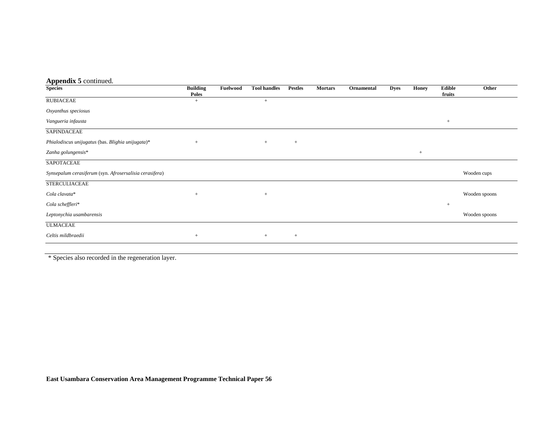## **Appendix 5** continued.

| <b>Species</b>                                          | <b>Building</b><br><b>Poles</b> | Fuelwood | <b>Tool handles</b> | <b>Pestles</b> | <b>Mortars</b> | Ornamental | <b>Dyes</b> | Honey | Edible<br>fruits | Other         |
|---------------------------------------------------------|---------------------------------|----------|---------------------|----------------|----------------|------------|-------------|-------|------------------|---------------|
| <b>RUBIACEAE</b>                                        | $^{+}$                          |          | $^{+}$              |                |                |            |             |       |                  |               |
| Oxyanthus speciosus                                     |                                 |          |                     |                |                |            |             |       |                  |               |
| Vangueria infausta                                      |                                 |          |                     |                |                |            |             |       | $+$              |               |
| SAPINDACEAE                                             |                                 |          |                     |                |                |            |             |       |                  |               |
| Phialodiscus unijugatus (bas. Blighia unijugata)*       | $^{+}$                          |          | $^{+}$              | $+$            |                |            |             |       |                  |               |
| Zanha golungensis*                                      |                                 |          |                     |                |                |            |             | $+$   |                  |               |
| SAPOTACEAE                                              |                                 |          |                     |                |                |            |             |       |                  |               |
| Synsepalum cerasiferum (syn. Afrosersalisia cerasifera) |                                 |          |                     |                |                |            |             |       |                  | Wooden cups   |
| <b>STERCULIACEAE</b>                                    |                                 |          |                     |                |                |            |             |       |                  |               |
| Cola clavata*                                           | $^{+}$                          |          | $^{+}$              |                |                |            |             |       |                  | Wooden spoons |
| Cola scheffleri*                                        |                                 |          |                     |                |                |            |             |       | $+$              |               |
| Leptonychia usambarensis                                |                                 |          |                     |                |                |            |             |       |                  | Wooden spoons |
| <b>ULMACEAE</b>                                         |                                 |          |                     |                |                |            |             |       |                  |               |
| Celtis mildbraedii                                      | $^{+}$                          |          | $^{+}$              | $^{+}$         |                |            |             |       |                  |               |

\* Species also recorded in the regeneration layer.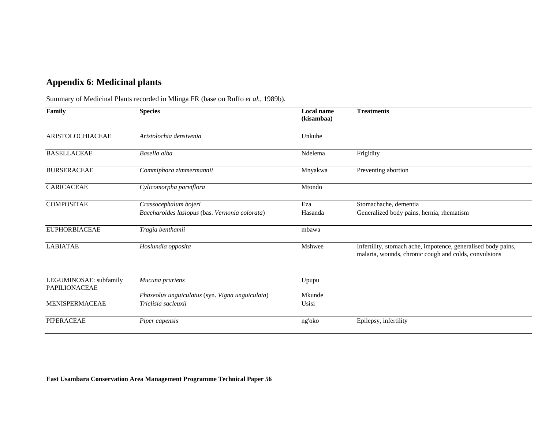# **Appendix 6: Medicinal plants**

Summary of Medicinal Plants recorded in Mlinga FR (base on Ruffo *et al.*, 1989b).

| Family                                         | <b>Species</b>                                                          | Local name<br>(kisambaa) | <b>Treatments</b>                                                                                                      |
|------------------------------------------------|-------------------------------------------------------------------------|--------------------------|------------------------------------------------------------------------------------------------------------------------|
| <b>ARISTOLOCHIACEAE</b>                        | Aristolochia densivenia                                                 | Unkuhe                   |                                                                                                                        |
| <b>BASELLACEAE</b>                             | Basella alba                                                            | Ndelema                  | Frigidity                                                                                                              |
| <b>BURSERACEAE</b>                             | Commiphora zimmermannii                                                 | Mnyakwa                  | Preventing abortion                                                                                                    |
| <b>CARICACEAE</b>                              | Cylicomorpha parviflora                                                 | Mtondo                   |                                                                                                                        |
| <b>COMPOSITAE</b>                              | Crassocephalum bojeri<br>Baccharoides lasiopus (bas. Vernonia colorata) | Eza<br>Hasanda           | Stomachache, dementia<br>Generalized body pains, hernia, rhematism                                                     |
| <b>EUPHORBIACEAE</b>                           | Tragia benthamii                                                        | mbawa                    |                                                                                                                        |
| <b>LABIATAE</b>                                | Hoslundia opposita                                                      | Mshwee                   | Infertility, stomach ache, impotence, generalised body pains,<br>malaria, wounds, chronic cough and colds, convulsions |
| LEGUMINOSAE: subfamily<br><b>PAPILIONACEAE</b> | Mucuna pruriens                                                         | Upupu                    |                                                                                                                        |
|                                                | Phaseolus unguiculatus (syn. Vigna unguiculata)                         | Mkunde                   |                                                                                                                        |
| MENISPERMACEAE                                 | Triclisia sacleuxii                                                     | Usisi                    |                                                                                                                        |
| PIPERACEAE                                     | Piper capensis                                                          | ng'oko                   | Epilepsy, infertility                                                                                                  |

**East Usambara Conservation Area Management Programme Technical Paper 56**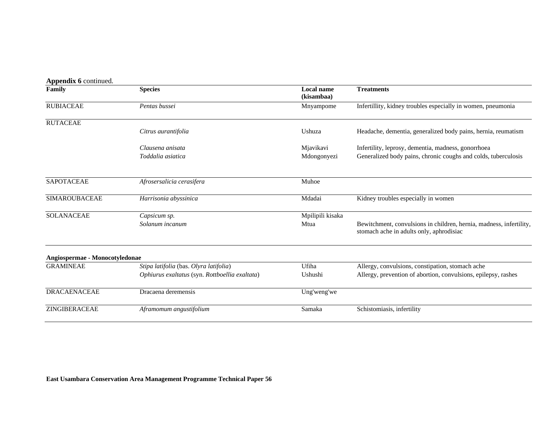| Appendix 6 continued.          |                                                |                          |                                                                                                                 |
|--------------------------------|------------------------------------------------|--------------------------|-----------------------------------------------------------------------------------------------------------------|
| Family                         | <b>Species</b>                                 | Local name<br>(kisambaa) | <b>Treatments</b>                                                                                               |
| <b>RUBIACEAE</b>               | Pentas bussei                                  | Mnyampome                | Infertillity, kidney troubles especially in women, pneumonia                                                    |
| <b>RUTACEAE</b>                |                                                |                          |                                                                                                                 |
|                                | Citrus aurantifolia                            | Ushuza                   | Headache, dementia, generalized body pains, hernia, reumatism                                                   |
|                                | Clausena anisata                               | Mjavikavi                | Infertility, leprosy, dementia, madness, gonorrhoea                                                             |
|                                | Toddalia asiatica                              | Mdongonyezi              | Generalized body pains, chronic coughs and colds, tuberculosis                                                  |
| <b>SAPOTACEAE</b>              | Afrosersalicia cerasifera                      | Muhoe                    |                                                                                                                 |
|                                |                                                |                          |                                                                                                                 |
| <b>SIMAROUBACEAE</b>           | Harrisonia abyssinica                          | Mdadai                   | Kidney troubles especially in women                                                                             |
| <b>SOLANACEAE</b>              | Capsicum sp.                                   | Mpilipili kisaka         |                                                                                                                 |
|                                | Solanum incanum                                | Mtua                     | Bewitchment, convulsions in children, hernia, madness, infertility,<br>stomach ache in adults only, aphrodisiac |
| Angiospermae - Monocotyledonae |                                                |                          |                                                                                                                 |
| <b>GRAMINEAE</b>               | Stipa latifolia (bas. Olyra latifolia)         | Ufiha                    | Allergy, convulsions, constipation, stomach ache                                                                |
|                                | Ophiurus exaltatus (syn. Rottboellia exaltata) | Ushushi                  | Allergy, prevention of abortion, convulsions, epilepsy, rashes                                                  |
| <b>DRACAENACEAE</b>            | Dracaena deremensis                            | Ung'weng'we              |                                                                                                                 |
| ZINGIBERACEAE                  | Aframomum angustifolium                        | Samaka                   | Schistomiasis, infertility                                                                                      |

**East Usambara Conservation Area Management Programme Technical Paper 56**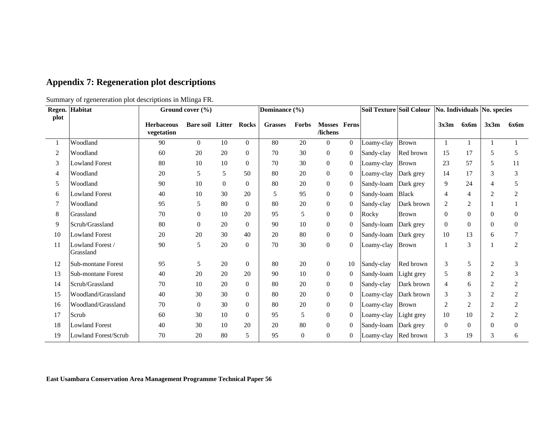# **Appendix 7: Regeneration plot descriptions**

Summary of rgenereration plot descriptions in Mlinga FR.

|                | Regen. Habitat               |                                 | Ground cover $(\% )$          |                |                | Dominance (%)  |                |                                 |                  | Soil Texture Soil Colour |              | No. Individuals No. species |                |                |                |
|----------------|------------------------------|---------------------------------|-------------------------------|----------------|----------------|----------------|----------------|---------------------------------|------------------|--------------------------|--------------|-----------------------------|----------------|----------------|----------------|
| plot           |                              | <b>Herbaceous</b><br>vegetation | <b>Bare soil Litter Rocks</b> |                |                | <b>Grasses</b> | Forbs          | <b>Mosses</b> Ferns<br>/lichens |                  |                          |              | 3x3m                        | 6x6m           | 3x3m           | 6x6m           |
|                | Woodland                     | 90                              | $\theta$                      | 10             | $\Omega$       | 80             | 20             | $\Omega$                        | $\overline{0}$   | Loamy-clay               | <b>Brown</b> |                             | $\mathbf{1}$   |                |                |
| $\mathfrak{2}$ | Woodland                     | 60                              | 20                            | 20             | $\Omega$       | 70             | 30             | $\overline{0}$                  | $\overline{0}$   | Sandy-clay               | Red brown    | 15                          | 17             | 5              | 5              |
| 3              | <b>Lowland Forest</b>        | 80                              | 10                            | 10             | $\Omega$       | 70             | 30             | $\mathbf{0}$                    | $\overline{0}$   | Loamy-clay               | <b>Brown</b> | 23                          | 57             | 5              | 11             |
| 4              | Woodland                     | 20                              | 5                             | 5              | 50             | 80             | 20             | $\boldsymbol{0}$                | $\Omega$         | Loamy-clay               | Dark grey    | 14                          | 17             | 3              | 3              |
| 5              | Woodland                     | 90                              | 10                            | $\overline{0}$ | $\Omega$       | 80             | 20             | $\overline{0}$                  | $\overline{0}$   | Sandy-loam               | Dark grey    | 9                           | 24             | $\overline{4}$ | 5              |
| 6              | <b>Lowland Forest</b>        | 40                              | 10                            | 30             | 20             | 5              | 95             | $\overline{0}$                  | $\overline{0}$   | Sandy-loam               | <b>Black</b> | 4                           | 4              | $\overline{2}$ | 2              |
| 7              | Woodland                     | 95                              | 5                             | 80             | $\Omega$       | 80             | 20             | $\boldsymbol{0}$                | $\overline{0}$   | Sandy-clay               | Dark brown   | 2                           | 2              |                |                |
| 8              | Grassland                    | 70                              | $\overline{0}$                | 10             | 20             | 95             | 5              | $\mathbf{0}$                    | $\overline{0}$   | Rocky                    | <b>Brown</b> | $\overline{0}$              | $\Omega$       | $\Omega$       | $\Omega$       |
| 9              | Scrub/Grassland              | 80                              | $\overline{0}$                | 20             | $\theta$       | 90             | 10             | $\boldsymbol{0}$                | $\Omega$         | Sandy-loam               | Dark grey    | $\overline{0}$              | $\theta$       | $\Omega$       | $\Omega$       |
| 10             | <b>Lowland Forest</b>        | 20                              | 20                            | 30             | 40             | 20             | 80             | $\mathbf{0}$                    | $\overline{0}$   | Sandy-loam               | Dark grey    | 10                          | 13             | 6              |                |
| 11             | Lowland Forest/<br>Grassland | 90                              | 5                             | 20             | $\Omega$       | 70             | 30             | $\overline{0}$                  | $\overline{0}$   | Loamy-clay               | <b>Brown</b> |                             | 3              |                | 2              |
| 12             | Sub-montane Forest           | 95                              | 5                             | 20             | $\theta$       | 80             | 20             | $\overline{0}$                  | 10               | Sandy-clay               | Red brown    | 3                           | 5              | $\overline{2}$ | 3              |
| 13             | <b>Sub-montane Forest</b>    | 40                              | 20                            | 20             | 20             | 90             | 10             | $\overline{0}$                  | $\overline{0}$   | Sandy-loam               | Light grey   | 5                           | 8              | $\overline{2}$ | 3              |
| 14             | Scrub/Grassland              | 70                              | 10                            | 20             | $\overline{0}$ | 80             | 20             | $\boldsymbol{0}$                | $\overline{0}$   | Sandy-clay               | Dark brown   | 4                           | 6              | $\overline{2}$ | 2              |
| 15             | Woodland/Grassland           | 40                              | 30                            | 30             | $\Omega$       | 80             | 20             | $\boldsymbol{0}$                | $\overline{0}$   | Loamy-clay               | Dark brown   | 3                           | 3              | $\overline{2}$ | $\overline{c}$ |
| 16             | Woodland/Grassland           | 70                              | $\overline{0}$                | 30             | $\overline{0}$ | 80             | 20             | $\overline{0}$                  | $\overline{0}$   | Loamy-clay               | <b>Brown</b> | $\overline{c}$              | $\overline{2}$ | $\overline{2}$ | $\overline{c}$ |
| 17             | Scrub                        | 60                              | 30                            | 10             | $\Omega$       | 95             | 5              | $\theta$                        | $\overline{0}$   | Loamy-clay               | Light grey   | 10                          | 10             | $\overline{2}$ | $\overline{c}$ |
| $18\,$         | <b>Lowland Forest</b>        | 40                              | 30                            | 10             | 20             | 20             | 80             | $\boldsymbol{0}$                | $\boldsymbol{0}$ | Sandy-loam               | Dark grey    | $\boldsymbol{0}$            | $\Omega$       | $\Omega$       | $\Omega$       |
| 19             | Lowland Forest/Scrub         | 70                              | 20                            | 80             | 5              | 95             | $\overline{0}$ | $\mathbf{0}$                    | $\Omega$         | Loamy-clay               | Red brown    | 3                           | 19             | 3              | 6              |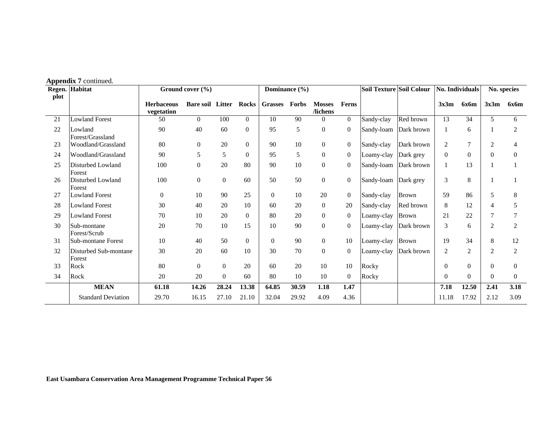|      | хррения теопиниси.<br>Regen. Habitat |                                 | Ground cover (%)              |                |                |                | Dominance (%) |                           |                | Soil Texture Soil Colour |              |                  | No. Individuals |                | No. species |
|------|--------------------------------------|---------------------------------|-------------------------------|----------------|----------------|----------------|---------------|---------------------------|----------------|--------------------------|--------------|------------------|-----------------|----------------|-------------|
| plot |                                      | <b>Herbaceous</b><br>vegetation | <b>Bare soil Litter Rocks</b> |                |                | <b>Grasses</b> | Forbs         | <b>Mosses</b><br>/lichens | Ferns          |                          |              | 3x3m             | 6x6m            | 3x3m           | 6x6m        |
| 21   | <b>Lowland Forest</b>                | 50                              | $\overline{0}$                | 100            | $\overline{0}$ | 10             | 90            | $\Omega$                  | $\overline{0}$ | Sandy-clay               | Red brown    | 13               | 34              | 5              | 6           |
| 22   | Lowland<br>Forest/Grassland          | 90                              | 40                            | 60             | $\Omega$       | 95             | 5             | $\theta$                  | $\overline{0}$ | Sandy-loam               | Dark brown   |                  | 6               |                | 2           |
| 23   | Woodland/Grassland                   | 80                              | $\overline{0}$                | 20             | $\theta$       | 90             | 10            | $\mathbf{0}$              | $\Omega$       | Sandy-clay               | Dark brown   | $\overline{c}$   | $\tau$          | $\overline{2}$ |             |
| 24   | Woodland/Grassland                   | 90                              | 5                             | 5              | $\Omega$       | 95             | 5             | $\mathbf{0}$              | $\Omega$       | Loamy-clay               | Dark grey    | $\overline{0}$   | $\theta$        | $\Omega$       | $\Omega$    |
| 25   | Disturbed Lowland<br>Forest          | 100                             | $\mathbf{0}$                  | 20             | 80             | 90             | 10            | $\overline{0}$            | $\overline{0}$ | Sandy-loam               | Dark brown   |                  | 13              |                |             |
| 26   | Disturbed Lowland<br>Forest          | 100                             | $\mathbf{0}$                  | $\mathbf{0}$   | 60             | 50             | 50            | $\overline{0}$            | $\overline{0}$ | Sandy-loam               | Dark grey    | 3                | 8               |                |             |
| 27   | <b>Lowland Forest</b>                | $\boldsymbol{0}$                | 10                            | 90             | 25             | $\overline{0}$ | 10            | 20                        | $\overline{0}$ | Sandy-clay               | <b>Brown</b> | 59               | 86              | 5              | 8           |
| 28   | <b>Lowland Forest</b>                | 30                              | 40                            | 20             | 10             | 60             | 20            | $\mathbf{0}$              | 20             | Sandy-clay               | Red brown    | 8                | 12              | Δ              |             |
| 29   | <b>Lowland Forest</b>                | 70                              | 10                            | 20             | $\theta$       | 80             | 20            | $\mathbf{0}$              | $\overline{0}$ | Loamy-clay               | <b>Brown</b> | 21               | 22              |                |             |
| 30   | Sub-montane<br>Forest/Scrub          | 20                              | 70                            | 10             | 15             | 10             | 90            | $\overline{0}$            | $\overline{0}$ | Loamy-clay               | Dark brown   | 3                | 6               | $\overline{2}$ | 2           |
| 31   | <b>Sub-montane Forest</b>            | 10                              | 40                            | 50             | $\Omega$       | $\Omega$       | 90            | $\Omega$                  | 10             | Loamy-clay               | <b>Brown</b> | 19               | 34              | 8              | 12          |
| 32   | Disturbed Sub-montane<br>Forest      | 30                              | 20                            | 60             | 10             | 30             | 70            | $\Omega$                  | $\Omega$       | Loamy-clay               | Dark brown   | $\overline{c}$   | 2               | 2              | 2           |
| 33   | Rock                                 | 80                              | $\boldsymbol{0}$              | $\overline{0}$ | 20             | 60             | 20            | 10                        | 10             | Rocky                    |              | $\boldsymbol{0}$ | $\overline{0}$  | $\mathbf{0}$   | $\Omega$    |
| 34   | Rock                                 | 20                              | 20                            | $\overline{0}$ | 60             | 80             | 10            | 10                        | $\Omega$       | Rocky                    |              | $\mathbf{0}$     | $\Omega$        | $\Omega$       | $\theta$    |
|      | <b>MEAN</b>                          | 61.18                           | 14.26                         | 28.24          | 13.38          | 64.85          | 30.59         | 1.18                      | 1.47           |                          |              | 7.18             | 12.50           | 2.41           | 3.18        |
|      | <b>Standard Deviation</b>            | 29.70                           | 16.15                         | 27.10          | 21.10          | 32.04          | 29.92         | 4.09                      | 4.36           |                          |              | 11.18            | 17.92           | 2.12           | 3.09        |

### **Appendix 7** continued.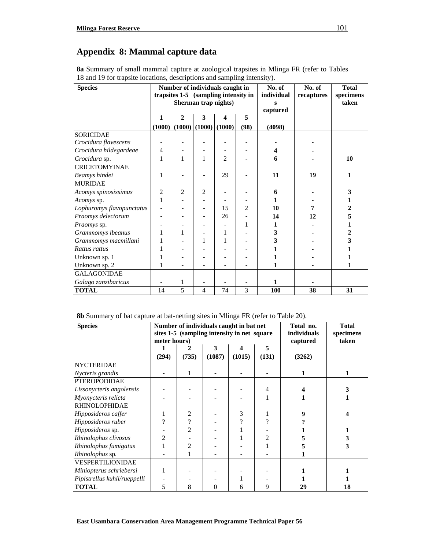## **Appendix 8: Mammal capture data**

**8a** Summary of small mammal capture at zoological trapsites in Mlinga FR (refer to Tables 18 and 19 for trapsite locations, descriptions and sampling intensity).

| <b>Species</b>            |        |                | Sherman trap nights) | Number of individuals caught in<br>trapsites 1-5 (sampling intensity in |                | No. of<br>individual<br>s<br>captured | No. of<br>recaptures | <b>Total</b><br>specimens<br>taken |
|---------------------------|--------|----------------|----------------------|-------------------------------------------------------------------------|----------------|---------------------------------------|----------------------|------------------------------------|
|                           | 1      | 2              | 3                    | 4                                                                       | 5              |                                       |                      |                                    |
|                           | (1000) | (1000)         | (1000)               | (1000)                                                                  | (98)           | (4098)                                |                      |                                    |
| <b>SORICIDAE</b>          |        |                |                      |                                                                         |                |                                       |                      |                                    |
| Crocidura flavescens      |        |                |                      |                                                                         |                |                                       |                      |                                    |
| Crocidura hildegardeae    | 4      |                |                      |                                                                         |                |                                       |                      |                                    |
| Crocidura sp.             | 1      | 1              | 1                    | $\overline{2}$                                                          |                | 6                                     |                      | 10                                 |
| <b>CRICETOMYINAE</b>      |        |                |                      |                                                                         |                |                                       |                      |                                    |
| Beamys hindei             | 1      |                |                      | 29                                                                      |                | 11                                    | 19                   | $\mathbf{1}$                       |
| <b>MURIDAE</b>            |        |                |                      |                                                                         |                |                                       |                      |                                    |
| Acomys spinosissimus      | 2      | $\overline{2}$ | 2                    |                                                                         |                | 6                                     |                      | 3                                  |
| Acomys sp.                | 1      |                |                      |                                                                         |                | 1                                     |                      | 1                                  |
| Lophuromys flavopunctatus |        |                |                      | 15                                                                      | $\overline{c}$ | 10                                    | 7                    | $\overline{c}$                     |
| Praomys delectorum        |        |                |                      | 26                                                                      |                | 14                                    | 12                   | 5                                  |
| Praomys sp.               |        |                |                      |                                                                         |                | 1                                     |                      | 1                                  |
| Grammomys ibeanus         | 1      | 1              |                      | 1                                                                       |                | 3                                     |                      | $\overline{\mathbf{c}}$            |
| Grammomys macmillani      | 1      |                | 1                    | 1                                                                       |                | 3                                     |                      | 3                                  |
| Rattus rattus             | 1      |                |                      |                                                                         |                |                                       |                      |                                    |
| Unknown sp. 1             | 1      |                |                      |                                                                         |                |                                       |                      |                                    |
| Unknown sp. 2             | 1      |                |                      |                                                                         |                | 1                                     |                      | 1                                  |
| <b>GALAGONIDAE</b>        |        |                |                      |                                                                         |                |                                       |                      |                                    |
| Galago zanzibaricus       |        | 1              |                      |                                                                         |                | 1                                     |                      |                                    |
| <b>TOTAL</b>              | 14     | 5              | $\overline{4}$       | 74                                                                      | 3              | 100                                   | 38                   | 31                                 |

#### **8b** Summary of bat capture at bat-netting sites in Mlinga FR (refer to Table 20).

| <b>Species</b>               | Number of individuals caught in bat net | Total no.      | <b>Total</b>                                |        |       |                         |                    |
|------------------------------|-----------------------------------------|----------------|---------------------------------------------|--------|-------|-------------------------|--------------------|
|                              | meter hours)                            |                | sites 1-5 (sampling intensity in net square |        |       | individuals<br>captured | specimens<br>taken |
|                              |                                         |                | 3                                           | 5      |       |                         |                    |
|                              | (294)                                   | (735)          | (1087)                                      | (1015) | (131) | (3262)                  |                    |
| <b>NYCTERIDAE</b>            |                                         |                |                                             |        |       |                         |                    |
| Nycteris grandis             |                                         |                |                                             |        |       | 1                       |                    |
| <b>PTEROPODIDAE</b>          |                                         |                |                                             |        |       |                         |                    |
| Lissonycteris angolensis     |                                         |                |                                             |        | 4     |                         |                    |
| Myonycteris relicta          |                                         |                |                                             |        |       |                         |                    |
| <b>RHINOLOPHIDAE</b>         |                                         |                |                                             |        |       |                         |                    |
| Hipposideros caffer          |                                         | $\mathfrak{D}$ |                                             | 3      |       | 9                       |                    |
| Hipposideros ruber           | 9                                       | 9              |                                             | 9      | າ     |                         |                    |
| Hipposideros sp.             |                                         | 2              |                                             |        |       |                         |                    |
| Rhinolophus clivosus         | 2                                       |                |                                             |        | 2     |                         |                    |
| Rhinolophus fumigatus        |                                         | 2              |                                             |        |       |                         |                    |
| <i>Rhinolophus</i> sp.       |                                         |                |                                             |        |       |                         |                    |
| <b>VESPERTILIONIDAE</b>      |                                         |                |                                             |        |       |                         |                    |
| Miniopterus schriebersi      |                                         |                |                                             |        |       |                         |                    |
| Pipistrellus kuhli/rueppelli |                                         |                |                                             |        |       |                         |                    |
| <b>TOTAL</b>                 | 5                                       | 8              | $\theta$                                    | 6      | 9     | 29                      | 18                 |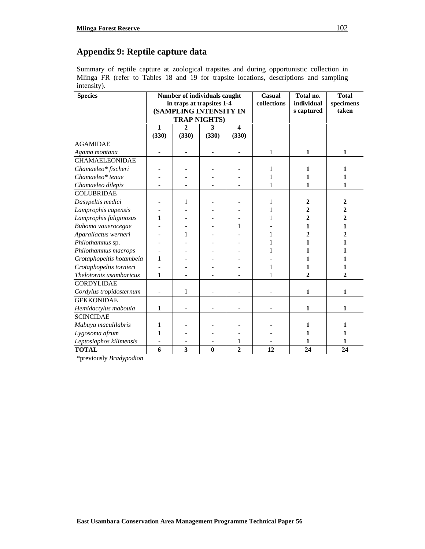## **Appendix 9: Reptile capture data**

Summary of reptile capture at zoological trapsites and during opportunistic collection in Mlinga FR (refer to Tables 18 and 19 for trapsite locations, descriptions and sampling intensity).

| <b>Species</b>           | Number of individuals caught |                           |                     | Casual                   | Total no.   | <b>Total</b>   |                |
|--------------------------|------------------------------|---------------------------|---------------------|--------------------------|-------------|----------------|----------------|
|                          |                              | in traps at trapsites 1-4 |                     |                          | collections | individual     | specimens      |
|                          |                              | (SAMPLING INTENSITY IN    |                     |                          |             | s captured     | taken          |
|                          |                              |                           | <b>TRAP NIGHTS)</b> |                          |             |                |                |
|                          | 1                            | 2                         | 3                   | 4                        |             |                |                |
|                          | (330)                        | (330)                     | (330)               | (330)                    |             |                |                |
| <b>AGAMIDAE</b>          |                              |                           |                     |                          |             |                |                |
| Agama montana            |                              |                           |                     |                          | 1           | $\mathbf{1}$   | 1              |
| <b>CHAMAELEONIDAE</b>    |                              |                           |                     |                          |             |                |                |
| Chamaeleo* fischeri      |                              |                           |                     |                          | 1           | $\mathbf{1}$   | 1              |
| Chamaeleo* tenue         |                              |                           |                     |                          |             | 1              | 1              |
| Chamaeleo dilepis        |                              |                           |                     |                          | 1           | 1              | 1              |
| <b>COLUBRIDAE</b>        |                              |                           |                     |                          |             |                |                |
| Dasypeltis medici        |                              | 1                         |                     |                          | 1           | $\mathbf{2}$   | 2              |
| Lamprophis capensis      |                              |                           |                     |                          |             | $\overline{c}$ | $\overline{c}$ |
| Lamprophis fuliginosus   | 1                            |                           |                     |                          |             | $\overline{2}$ | $\overline{2}$ |
| Buhoma vauerocegae       |                              |                           |                     | 1                        |             | 1              | $\mathbf{1}$   |
| Aparallactus werneri     |                              | 1                         |                     |                          |             | $\overline{2}$ | $\overline{2}$ |
| Philothamnus sp.         |                              |                           |                     |                          |             | 1              | 1              |
| Philothamnus macrops     |                              |                           |                     |                          |             | 1              | 1              |
| Crotaphopeltis hotambeia | $\mathbf{1}$                 |                           |                     |                          |             | 1              | 1              |
| Crotaphopeltis tornieri  |                              |                           |                     |                          | 1           | 1              | 1              |
| Thelotornis usambaricus  | 1                            |                           |                     |                          |             | $\overline{2}$ | $\overline{2}$ |
| <b>CORDYLIDAE</b>        |                              |                           |                     |                          |             |                |                |
| Cordylus tropidosternum  | $\overline{\phantom{0}}$     | 1                         |                     | $\overline{\phantom{a}}$ |             | $\mathbf{1}$   | 1              |
| <b>GEKKONIDAE</b>        |                              |                           |                     |                          |             |                |                |
| Hemidactylus mabouia     | 1                            |                           |                     |                          |             | $\mathbf{1}$   | 1              |
| <b>SCINCIDAE</b>         |                              |                           |                     |                          |             |                |                |
| Mabuya maculilabris      | 1                            |                           |                     |                          |             | $\mathbf{1}$   | 1              |
| Lygosoma afrum           | 1                            |                           |                     |                          |             | 1              | 1              |
| Leptosiaphos kilimensis  |                              |                           |                     | 1                        |             | 1              | 1              |
| <b>TOTAL</b>             | 6                            | 3                         | $\mathbf{0}$        | $\overline{2}$           | 12          | 24             | 24             |

\*previously *Bradypodion*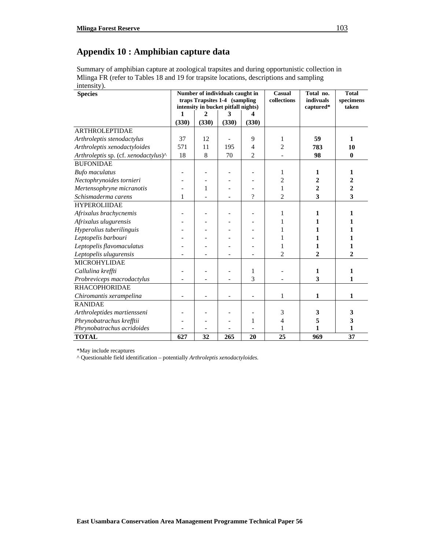## **Appendix 10 : Amphibian capture data**

Summary of amphibian capture at zoological trapsites and during opportunistic collection in Mlinga FR (refer to Tables 18 and 19 for trapsite locations, descriptions and sampling intensity).

| <b>Species</b>                       | Number of individuals caught in<br>traps Trapsites 1-4 (sampling |                                     | Casual | Total no.      | <b>Total</b>   |                        |                    |
|--------------------------------------|------------------------------------------------------------------|-------------------------------------|--------|----------------|----------------|------------------------|--------------------|
|                                      |                                                                  | intensity in bucket pitfall nights) |        |                | collections    | indivuals<br>captured* | specimens<br>taken |
|                                      | 1                                                                | $\mathbf{2}$                        | 3      |                |                |                        |                    |
|                                      | (330)                                                            | (330)                               | (330)  | (330)          |                |                        |                    |
| <b>ARTHROLEPTIDAE</b>                |                                                                  |                                     |        |                |                |                        |                    |
| Arthroleptis stenodactylus           | 37                                                               | 12                                  |        | 9              | 1              | 59                     | $\mathbf{1}$       |
| Arthroleptis xenodactyloides         | 571                                                              | 11                                  | 195    | 4              | $\overline{c}$ | 783                    | 10                 |
| Arthroleptis sp. (cf. xenodactylus)^ | 18                                                               | 8                                   | 70     | $\overline{2}$ |                | 98                     | $\bf{0}$           |
| <b>BUFONIDAE</b>                     |                                                                  |                                     |        |                |                |                        |                    |
| <b>Bufo</b> maculatus                |                                                                  |                                     |        |                | 1              | 1                      | 1                  |
| Nectophrynoides tornieri             |                                                                  |                                     |        |                | 2              | $\mathbf 2$            | 2                  |
| Mertensophryne micranotis            |                                                                  | 1                                   |        |                | 1              | $\overline{c}$         | $\overline{2}$     |
| Schismaderma carens                  | 1                                                                |                                     |        | $\gamma$       | $\overline{2}$ | 3                      | 3                  |
| <b>HYPEROLIIDAE</b>                  |                                                                  |                                     |        |                |                |                        |                    |
| Afrixalus brachycnemis               |                                                                  |                                     |        |                | 1              | 1                      | 1                  |
| Afrixalus ulugurensis                |                                                                  |                                     |        |                |                | 1                      | 1                  |
| Hyperolius tuberilinguis             |                                                                  |                                     |        |                | 1              | 1                      | 1                  |
| Leptopelis barbouri                  |                                                                  |                                     |        |                | 1              | 1                      | 1                  |
| Leptopelis flavomaculatus            |                                                                  |                                     |        |                | 1              | 1                      | 1                  |
| Leptopelis ulugurensis               |                                                                  |                                     |        |                | $\overline{c}$ | 2                      | $\overline{2}$     |
| <b>MICROHYLIDAE</b>                  |                                                                  |                                     |        |                |                |                        |                    |
| Callulina kreffti                    |                                                                  |                                     |        | 1              |                | 1                      | 1                  |
| Probreviceps macrodactylus           |                                                                  |                                     |        | 3              |                | 3                      | 1                  |
| <b>RHACOPHORIDAE</b>                 |                                                                  |                                     |        |                |                |                        |                    |
| Chiromantis xerampelina              |                                                                  |                                     |        |                | 1              | 1                      | 1                  |
| <b>RANIDAE</b>                       |                                                                  |                                     |        |                |                |                        |                    |
| Arthroleptides martiensseni          |                                                                  |                                     |        |                | 3              | 3                      | 3                  |
| Phrynobatrachus krefftii             |                                                                  |                                     |        | 1              | 4              | 5                      | 3                  |
| Phrynobatrachus acridoides           |                                                                  |                                     |        |                | 1              | 1                      | 1                  |
| <b>TOTAL</b>                         | 627                                                              | 32                                  | 265    | 20             | 25             | 969                    | 37                 |

\*May include recaptures

^ Questionable field identification – potentially *Arthroleptis xenodactyloides.*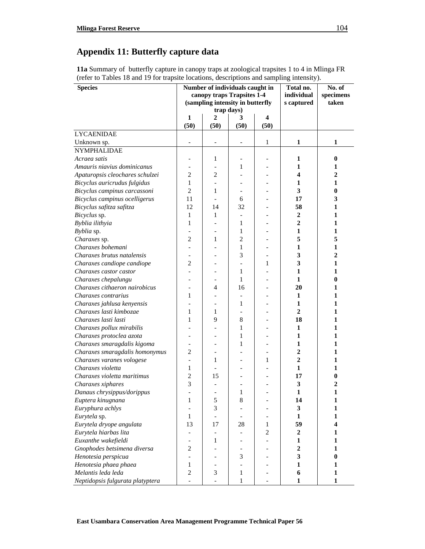## **Appendix 11: Butterfly capture data**

**11a** Summary of butterfly capture in canopy traps at zoological trapsites 1 to 4 in Mlinga FR (refer to Tables 18 and 19 for trapsite locations, descriptions and sampling intensity).

| <b>Species</b>                   |                | Number of individuals caught in<br>canopy traps Trapsites 1-4<br>(sampling intensity in butterfly<br>trap days) |                |                | Total no.<br>individual<br>s captured | No. of<br>specimens<br>taken |
|----------------------------------|----------------|-----------------------------------------------------------------------------------------------------------------|----------------|----------------|---------------------------------------|------------------------------|
|                                  | 1              | 2                                                                                                               | 3              | 4              |                                       |                              |
| <b>LYCAENIDAE</b>                | (50)           | (50)                                                                                                            | (50)           | (50)           |                                       |                              |
| Unknown sp.                      |                |                                                                                                                 |                | $\mathbf{1}$   | 1                                     | 1                            |
| <b>NYMPHALIDAE</b>               |                |                                                                                                                 |                |                |                                       |                              |
| Acraea satis                     |                | 1                                                                                                               |                |                | 1                                     | $\bf{0}$                     |
| Amauris niavius dominicanus      |                |                                                                                                                 | 1              |                | 1                                     | 1                            |
| Apaturopsis cleochares schulzei  | $\overline{2}$ | $\overline{2}$                                                                                                  |                |                | 4                                     | $\mathbf{2}$                 |
| Bicyclus auricrudus fulgidus     | 1              |                                                                                                                 |                |                | 1                                     | 1                            |
| Bicyclus campinus carcassoni     | 2              | 1                                                                                                               |                |                | 3                                     | 0                            |
| Bicyclus campinus ocelligerus    | 11             |                                                                                                                 | 6              |                | 17                                    | 3                            |
| Bicyclus safitza safitza         | 12             | 14                                                                                                              | 32             |                | 58                                    | 1                            |
| Bicyclus sp.                     | 1              | 1                                                                                                               |                |                | $\overline{2}$                        | 1                            |
| Byblia ilithyia                  | 1              |                                                                                                                 | 1              |                | $\overline{2}$                        | $\mathbf{1}$                 |
| Byblia sp.                       |                |                                                                                                                 | 1              |                | $\mathbf{1}$                          | 1                            |
| Charaxes sp.                     | 2              | 1                                                                                                               | $\overline{2}$ |                | 5                                     | 5                            |
| Charaxes bohemani                |                |                                                                                                                 | $\mathbf{1}$   |                | 1                                     | $\mathbf{1}$                 |
| Charaxes brutus natalensis       |                |                                                                                                                 | 3              |                | 3                                     | $\overline{2}$               |
| Charaxes candiope candiope       | 2              |                                                                                                                 |                | 1              | 3                                     | 1                            |
| Charaxes castor castor           |                |                                                                                                                 | 1              |                | 1                                     | $\mathbf{1}$                 |
| Charaxes chepalungu              |                |                                                                                                                 | 1              |                | 1                                     | $\bf{0}$                     |
| Charaxes cithaeron nairobicus    |                | 4                                                                                                               | 16             |                | 20                                    | 1                            |
| Charaxes contrarius              | 1              |                                                                                                                 |                |                | 1                                     | $\mathbf{1}$                 |
| Charaxes jahlusa kenyensis       |                |                                                                                                                 | 1              |                | 1                                     | 1                            |
| Charaxes lasti kimbozae          | 1              | 1                                                                                                               |                |                | 2                                     | 1                            |
| Charaxes lasti lasti             | 1              | 9                                                                                                               | 8              |                | 18                                    | 1                            |
| Charaxes pollux mirabilis        |                |                                                                                                                 | 1              |                | 1                                     | 1                            |
| Charaxes protoclea azota         |                |                                                                                                                 | 1              |                | 1                                     | 1                            |
| Charaxes smaragdalis kigoma      |                |                                                                                                                 | 1              |                | 1                                     | 1                            |
| Charaxes smaragdalis homonymus   | 2              |                                                                                                                 |                |                | $\overline{2}$                        | 1                            |
| Charaxes varanes vologese        |                | 1                                                                                                               |                | 1              | $\overline{2}$                        | 1                            |
| Charaxes violetta                | 1              |                                                                                                                 |                |                | 1                                     | 1                            |
| Charaxes violetta maritimus      | $\overline{2}$ | 15                                                                                                              |                |                | 17                                    | $\bf{0}$                     |
| Charaxes xiphares                | 3              |                                                                                                                 |                |                | 3                                     | 2                            |
| Danaus chrysippus/dorippus       |                |                                                                                                                 | 1              |                | 1                                     |                              |
| Euptera kinugnana                | 1              | 5                                                                                                               | 8              |                | 14                                    | 1                            |
| Euryphura achlys                 |                | 3                                                                                                               |                |                | 3                                     | $\mathbf{1}$                 |
| Eurytela sp.                     | 1              |                                                                                                                 |                |                | 1                                     | $\mathbf{1}$                 |
| Eurytela dryope angulata         | 13             | 17                                                                                                              | 28             | 1              | 59                                    | 4                            |
| Eurytela hiarbas lita            |                |                                                                                                                 |                | $\overline{c}$ | 2                                     | 1                            |
| Euxanthe wakefieldi              |                | 1                                                                                                               |                |                | 1                                     | 1                            |
| Gnophodes betsimena diversa      | 2              |                                                                                                                 |                |                | $\overline{2}$                        | 1                            |
| Henotesia perspicua              |                |                                                                                                                 | 3              |                | 3                                     | 0                            |
| Henotesia phaea phaea            | 1              |                                                                                                                 |                |                | 1                                     | 1                            |
| Melantis leda leda               | $\overline{2}$ | 3                                                                                                               | 1              |                | 6                                     | $\mathbf{1}$                 |
| Neptidopsis fulgurata platyptera |                |                                                                                                                 | $\mathbf{1}$   |                | $\mathbf{1}$                          | $\mathbf{1}$                 |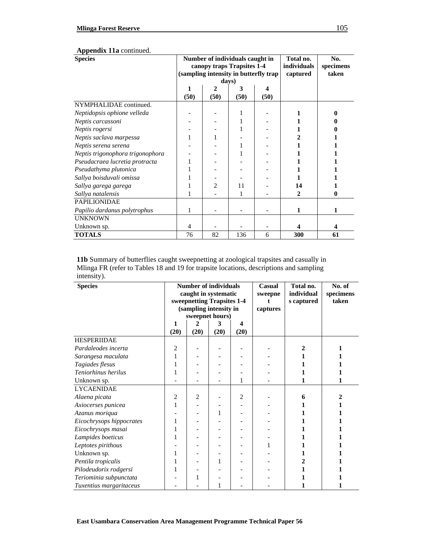| <b>Species</b>                   |      | Number of individuals caught in<br>canopy traps Trapsites 1-4<br>(sampling intensity in butterfly trap)<br>days) | Total no.<br>individuals<br>captured | No.<br>specimens<br>taken |     |          |
|----------------------------------|------|------------------------------------------------------------------------------------------------------------------|--------------------------------------|---------------------------|-----|----------|
|                                  |      | 2                                                                                                                | 3                                    | 4                         |     |          |
|                                  | (50) | (50)                                                                                                             | (50)                                 | (50)                      |     |          |
| NYMPHALIDAE continued.           |      |                                                                                                                  |                                      |                           |     |          |
| Neptidopsis ophione velleda      |      |                                                                                                                  |                                      |                           |     |          |
| Neptis carcassoni                |      |                                                                                                                  |                                      |                           |     |          |
| Neptis rogersi                   |      |                                                                                                                  |                                      |                           |     |          |
| Neptis saclava marpessa          |      |                                                                                                                  |                                      |                           |     |          |
| Neptis serena serena             |      |                                                                                                                  |                                      |                           |     |          |
| Neptis trigonophora trigonophora |      |                                                                                                                  |                                      |                           |     |          |
| Pseudacraea lucretia protracta   |      |                                                                                                                  |                                      |                           |     |          |
| Pseudathyma plutonica            |      |                                                                                                                  |                                      |                           |     |          |
| Sallya boisduvali omissa         |      |                                                                                                                  |                                      |                           |     |          |
| Sallya garega garega             |      | $\mathfrak{D}$                                                                                                   | 11                                   |                           | 14  |          |
| Sallya natalensis                |      |                                                                                                                  | 1                                    |                           | 2   | $\bf{0}$ |
| <b>PAPILIONIDAE</b>              |      |                                                                                                                  |                                      |                           |     |          |
| Papilio dardanus polytrophus     |      |                                                                                                                  |                                      |                           | 1   | 1        |
| <b>UNKNOWN</b>                   |      |                                                                                                                  |                                      |                           |     |          |
| Unknown sp.                      | 4    |                                                                                                                  |                                      |                           | 4   | 4        |
| <b>TOTALS</b>                    | 76   | 82                                                                                                               | 136                                  | 6                         | 300 | 61       |

#### **Appendix 11a** continued.

**11b** Summary of butterflies caught sweepnetting at zoological trapsites and casually in Mlinga FR (refer to Tables 18 and 19 for trapsite locations, descriptions and sampling intensity).

| <b>Species</b>           | <b>Number of individuals</b> |                                                    | Casual | Total no.      | No. of   |              |           |
|--------------------------|------------------------------|----------------------------------------------------|--------|----------------|----------|--------------|-----------|
|                          |                              | caught in systematic<br>sweepnetting Trapsites 1-4 |        |                | sweepne  | individual   | specimens |
|                          |                              |                                                    |        |                |          | s captured   | taken     |
|                          |                              | (sampling intensity in                             |        |                | captures |              |           |
|                          | 1                            | sweepnet hours)<br>$\mathbf{2}$                    | 3      | 4              |          |              |           |
|                          |                              |                                                    |        |                |          |              |           |
|                          | (20)                         | (20)                                               | (20)   | (20)           |          |              |           |
| <b>HESPERIIDAE</b>       |                              |                                                    |        |                |          |              |           |
| Pardaleodes incerta      | $\overline{2}$               |                                                    |        |                |          | $\mathbf{2}$ |           |
| Sarangesa maculata       |                              |                                                    |        |                |          | 1            |           |
| Tagiades flesus          |                              |                                                    |        |                |          |              |           |
| Teniorhinus herilus      |                              |                                                    |        |                |          |              |           |
| Unknown sp.              |                              |                                                    |        | 1              |          | 1            | 1         |
| <b>LYCAENIDAE</b>        |                              |                                                    |        |                |          |              |           |
| Alaena picata            | $\overline{2}$               | $\overline{2}$                                     |        | $\overline{c}$ |          | 6            | 2         |
| Axiocerses punicea       |                              |                                                    |        |                |          |              |           |
| Azanus moriqua           |                              |                                                    | 1      |                |          |              |           |
| Eicochrysops hippocrates |                              |                                                    |        |                |          |              |           |
| Eicochrysops masai       |                              |                                                    |        |                |          |              |           |
| Lampides boeticus        |                              |                                                    |        |                |          |              |           |
| Leptotes pirithous       |                              |                                                    |        |                |          |              |           |
| Unknown sp.              |                              |                                                    |        |                |          |              |           |
| Pentila tropicalis       |                              |                                                    | 1      |                |          | 2            |           |
| Pilodeudorix rodgersi    |                              |                                                    |        |                |          |              |           |
| Teriominia subpunctata   |                              | 1                                                  |        |                |          | 1            |           |
| Tuxentius margaritaceus  |                              |                                                    | 1      |                |          | 1            |           |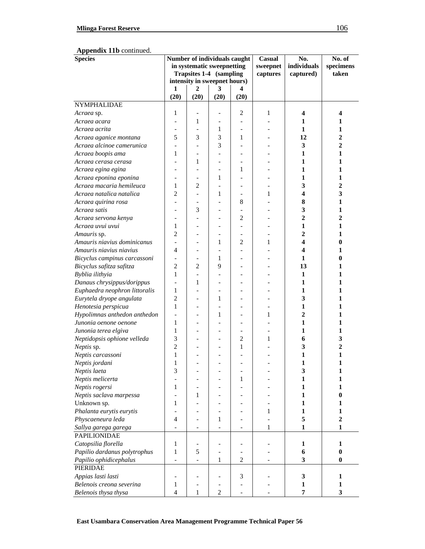#### **Appendix 11b** continued.

| <b>Species</b>                |                | Number of individuals caught |                          |                          | Casual   | No.                     | No. of         |
|-------------------------------|----------------|------------------------------|--------------------------|--------------------------|----------|-------------------------|----------------|
|                               |                | in systematic sweepnetting   |                          |                          | sweepnet | individuals             | specimens      |
|                               |                | Trapsites 1-4 (sampling      |                          |                          | captures | captured)               | taken          |
|                               |                | intensity in sweepnet hours) |                          |                          |          |                         |                |
|                               | 1              | 2                            | 3                        | 4                        |          |                         |                |
|                               | (20)           | (20)                         | (20)                     | (20)                     |          |                         |                |
| <b>NYMPHALIDAE</b>            |                |                              |                          |                          |          |                         |                |
| Acraea sp.                    | 1              |                              | $\overline{\phantom{a}}$ | $\overline{2}$           | 1        | $\overline{\mathbf{4}}$ | 4              |
| Acraea acara                  |                | 1                            | $\overline{\phantom{a}}$ |                          |          | 1                       | 1              |
| Acraea acrita                 |                |                              | 1                        |                          |          | 1                       | $\mathbf{1}$   |
| Acraea aganice montana        | 5              | 3                            | 3                        | 1                        |          | 12                      | $\overline{2}$ |
| Acraea alcinoe camerunica     |                |                              | 3                        |                          |          | 3                       | $\overline{2}$ |
| Acraea boopis ama             | 1              |                              | L,                       |                          |          | 1                       | 1              |
| Acraea cerasa cerasa          |                | 1                            | $\overline{\phantom{0}}$ |                          |          | 1                       | 1              |
| Acraea egina egina            |                | $\overline{a}$               | $\overline{\phantom{a}}$ | 1                        |          | 1                       | 1              |
| Acraea eponina eponina        |                | $\overline{\phantom{a}}$     | 1                        |                          |          | 1                       | 1              |
| Acraea macaria hemileuca      | 1              | 2                            |                          |                          |          | 3                       | $\mathbf{2}$   |
| Acraea natalica natalica      | 2              |                              | 1                        |                          | 1        | 4                       | 3              |
| Acraea quirina rosa           |                |                              |                          | 8                        |          | 8                       | 1              |
| Acraea satis                  |                | 3                            |                          |                          |          | 3                       | $\mathbf{1}$   |
| Acraea servona kenya          |                |                              |                          | 2                        |          | $\overline{2}$          | $\overline{2}$ |
| Acraea uvui uvui              | 1              |                              |                          |                          |          | $\mathbf{1}$            | 1              |
| Amauris sp.                   | 2              | $\overline{a}$               | $\overline{\phantom{a}}$ | $\overline{\phantom{a}}$ |          | $\overline{2}$          | 1              |
| Amauris niavius dominicanus   |                | $\overline{\phantom{0}}$     | 1                        | 2                        | 1        | $\overline{\mathbf{4}}$ | $\bf{0}$       |
| Amauris niavius niavius       | 4              |                              |                          |                          |          | 4                       | 1              |
| Bicyclus campinus carcassoni  |                |                              | 1                        |                          |          | 1                       | $\bf{0}$       |
| Bicyclus safitza safitza      | 2              | 2                            | 9                        |                          |          | 13                      | 1              |
| Byblia ilithyia               | 1              |                              |                          |                          |          | 1                       | 1              |
| Danaus chrysippus/dorippus    |                | 1                            |                          |                          |          | 1                       | 1              |
| Euphaedra neophron littoralis | 1              |                              |                          |                          |          | 1                       | 1              |
| Eurytela dryope angulata      | $\overline{2}$ | $\overline{a}$               | 1                        |                          |          | 3                       | 1              |
| Henotesia perspicua           | 1              | $\overline{\phantom{a}}$     | $\overline{\phantom{a}}$ |                          |          | $\mathbf{1}$            | 1              |
| Hypolimnas anthedon anthedon  |                |                              | 1                        |                          | 1        | $\overline{2}$          | 1              |
| Junonia oenone oenone         | 1              |                              |                          |                          |          | 1                       | 1              |
| Junonia terea elgiva          | 1              | $\overline{a}$               | $\overline{a}$           |                          |          | $\mathbf{1}$            | 1              |
| Neptidopsis ophione velleda   | 3              |                              | ۰                        | $\overline{2}$           | 1        | 6                       | 3              |
| Neptis sp.                    | $\overline{c}$ |                              |                          | 1                        |          | 3                       | $\overline{2}$ |
| Neptis carcassoni             | 1              |                              |                          |                          |          | 1                       | 1              |
| Neptis jordani                | 1              |                              |                          |                          |          | 1                       | 1              |
|                               | 3              |                              |                          |                          |          |                         | 1              |
| Neptis laeta                  |                |                              |                          |                          |          | $\mathbf{3}$<br>1       |                |
| Neptis melicerta              |                |                              |                          | 1                        |          |                         | 1              |
| Neptis rogersi                | 1              |                              |                          |                          |          | 1                       | 1              |
| Neptis saclava marpessa       |                | 1                            |                          |                          |          | 1                       | $\bf{0}$       |
| Unknown sp.                   | 1              |                              |                          |                          |          | 1                       | 1              |
| Phalanta eurytis eurytis      |                |                              |                          |                          | 1        | 1                       | $\mathbf{1}$   |
| Physcaeneura leda             | 4              |                              | 1                        |                          |          | 5                       | $\overline{2}$ |
| Sallya garega garega          |                | $\overline{\phantom{a}}$     | $\overline{a}$           | $\overline{a}$           | 1        | 1                       | $\mathbf{1}$   |
| <b>PAPILIONIDAE</b>           |                |                              |                          |                          |          |                         |                |
| Catopsilia florella           | 1              |                              |                          |                          |          | 1                       | 1              |
| Papilio dardanus polytrophus  | 1              | 5                            |                          |                          |          | 6                       | $\bf{0}$       |
| Papilio ophidicephalus        |                |                              | 1                        | $\overline{2}$           |          | 3                       | 0              |
| <b>PIERIDAE</b>               |                |                              |                          |                          |          |                         |                |
| Appias lasti lasti            |                |                              |                          | 3                        |          | 3                       | 1              |
| Belenois creona severina      | 1              |                              |                          |                          |          | 1                       | 1              |
| Belenois thysa thysa          | $\overline{4}$ | 1                            | $\overline{2}$           |                          |          | 7                       | 3              |

**East Usambara Conservation Area Management Programme Technical Paper 56**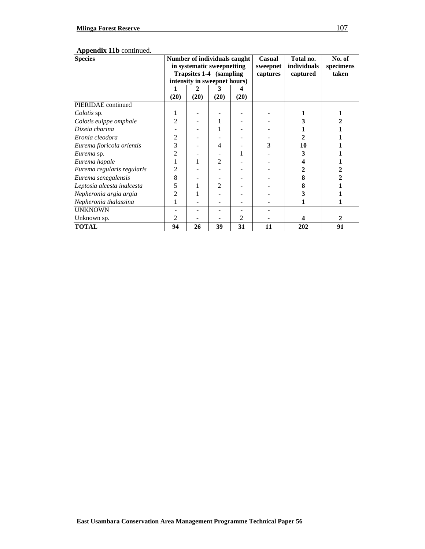| <b>Species</b>             | Number of individuals caught    |      |                |          |          | Total no.   | No. of    |
|----------------------------|---------------------------------|------|----------------|----------|----------|-------------|-----------|
|                            | in systematic sweepnetting      |      |                |          | sweepnet | individuals | specimens |
|                            | <b>Trapsites 1-4</b> (sampling) |      |                | captures | captured | taken       |           |
|                            | intensity in sweepnet hours)    |      |                |          |          |             |           |
|                            |                                 | 2    | 3              |          |          |             |           |
|                            | (20)                            | (20) | (20)           | (20)     |          |             |           |
| PIERIDAE continued         |                                 |      |                |          |          |             |           |
| Colotis sp.                |                                 |      |                |          |          |             |           |
| Colotis euippe omphale     | 2                               |      | 1              |          |          | 3           |           |
| Dixeia charina             |                                 |      |                |          |          |             |           |
| Eronia cleodora            | 2                               |      |                |          |          | 2           |           |
| Eurema floricola orientis  | 3                               |      | 4              |          | 3        | 10          |           |
| Eurema sp.                 | 2                               |      |                |          |          | 3           |           |
| Eurema hapale              |                                 | 1    | $\overline{c}$ |          |          |             |           |
| Eurema regularis regularis | 2                               |      |                |          |          | 2           |           |
| Eurema senegalensis        | 8                               |      |                |          |          | 8           |           |
| Leptosia alcesta inalcesta | 5                               |      | $\overline{c}$ |          |          | 8           |           |
| Nepheronia argia argia     | 2                               |      |                |          |          | 3           |           |
| Nepheronia thalassina      | 1                               |      |                |          |          |             |           |
| <b>UNKNOWN</b>             |                                 |      |                |          |          |             |           |
| Unknown sp.                | 2                               |      |                | 2        |          | 4           | 2         |
| <b>TOTAL</b>               | 94                              | 26   | 39             | 31       | 11       | 202         | 91        |

#### **Appendix 11b** continued.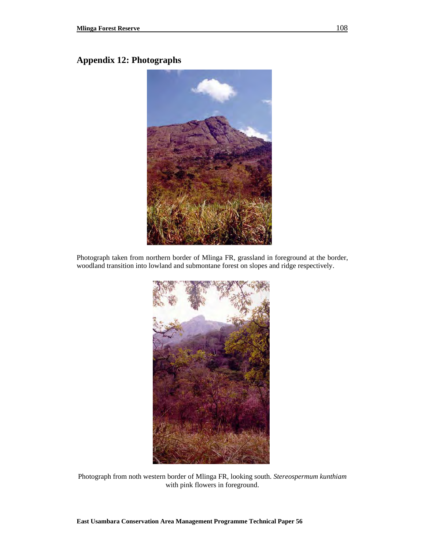### **Appendix 12: Photographs**



Photograph taken from northern border of Mlinga FR, grassland in foreground at the border, woodland transition into lowland and submontane forest on slopes and ridge respectively.



Photograph from noth western border of Mlinga FR, looking south. *Stereospermum kunthiam*  with pink flowers in foreground.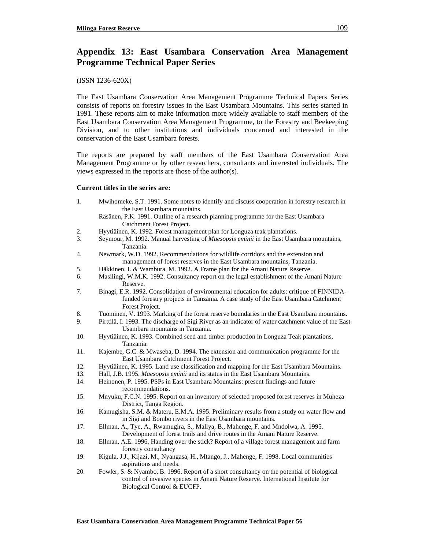### **Appendix 13: East Usambara Conservation Area Management Programme Technical Paper Series**

#### (ISSN 1236-620X)

The East Usambara Conservation Area Management Programme Technical Papers Series consists of reports on forestry issues in the East Usambara Mountains. This series started in 1991. These reports aim to make information more widely available to staff members of the East Usambara Conservation Area Management Programme, to the Forestry and Beekeeping Division, and to other institutions and individuals concerned and interested in the conservation of the East Usambara forests.

The reports are prepared by staff members of the East Usambara Conservation Area Management Programme or by other researchers, consultants and interested individuals. The views expressed in the reports are those of the author(s).

#### **Current titles in the series are:**

- 1. Mwihomeke, S.T. 1991. Some notes to identify and discuss cooperation in forestry research in the East Usambara mountains.
	- Räsänen, P.K. 1991. Outline of a research planning programme for the East Usambara Catchment Forest Project.
- 2. Hyytiäinen, K. 1992. Forest management plan for Longuza teak plantations.
- 3. Seymour, M. 1992. Manual harvesting of *Maesopsis eminii* in the East Usambara mountains, Tanzania.
- 4. Newmark, W.D. 1992. Recommendations for wildlife corridors and the extension and management of forest reserves in the East Usambara mountains, Tanzania.
- 5. Häkkinen, I. & Wambura, M. 1992. A Frame plan for the Amani Nature Reserve.
- 6. Masilingi, W.M.K. 1992. Consultancy report on the legal establishment of the Amani Nature Reserve.
- 7. Binagi, E.R. 1992. Consolidation of environmental education for adults: critique of FINNIDAfunded forestry projects in Tanzania. A case study of the East Usambara Catchment Forest Project.
- 8. Tuominen, V. 1993. Marking of the forest reserve boundaries in the East Usambara mountains.
- 9. Pirttilä, I. 1993. The discharge of Sigi River as an indicator of water catchment value of the East Usambara mountains in Tanzania.
- 10. Hyytiäinen, K. 1993. Combined seed and timber production in Longuza Teak plantations, Tanzania.
- 11. Kajembe, G.C. & Mwaseba, D. 1994. The extension and communication programme for the East Usambara Catchment Forest Project.
- 12. Hyytiäinen, K. 1995. Land use classification and mapping for the East Usambara Mountains.
- 13. Hall, J.B. 1995. *Maesopsis eminii* and its status in the East Usambara Mountains.
- 14. Heinonen, P. 1995. PSPs in East Usambara Mountains: present findings and future
- recommendations.
- 15. Mnyuku, F.C.N. 1995. Report on an inventory of selected proposed forest reserves in Muheza District, Tanga Region.
- 16. Kamugisha, S.M. & Materu, E.M.A. 1995. Preliminary results from a study on water flow and in Sigi and Bombo rivers in the East Usambara mountains.
- 17. Ellman, A., Tye, A., Rwamugira, S., Mallya, B., Mahenge, F. and Mndolwa, A. 1995. Development of forest trails and drive routes in the Amani Nature Reserve.
- 18. Ellman, A.E. 1996. Handing over the stick? Report of a village forest management and farm forestry consultancy
- 19. Kigula, J.J., Kijazi, M., Nyangasa, H., Mtango, J., Mahenge, F. 1998. Local communities aspirations and needs.
- 20. Fowler, S. & Nyambo, B. 1996. Report of a short consultancy on the potential of biological control of invasive species in Amani Nature Reserve. International Institute for Biological Control & EUCFP.